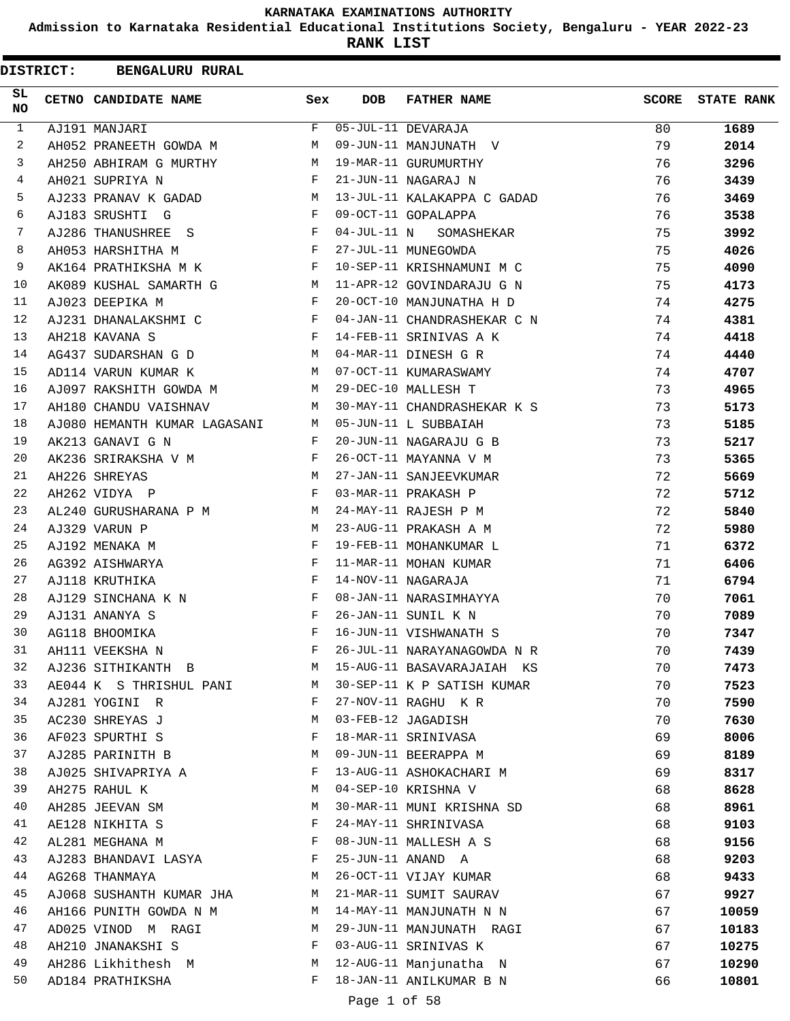**Admission to Karnataka Residential Educational Institutions Society, Bengaluru - YEAR 2022-23**

| <b>DISTRICT:</b> | <b>BENGALURU RURAL</b>       |              |              |                             |       |                   |
|------------------|------------------------------|--------------|--------------|-----------------------------|-------|-------------------|
| SL<br><b>NO</b>  | CETNO CANDIDATE NAME         | Sex          | <b>DOB</b>   | <b>FATHER NAME</b>          | SCORE | <b>STATE RANK</b> |
| $\mathbf{1}$     | AJ191 MANJARI                | F            |              | 05-JUL-11 DEVARAJA          | 80    | 1689              |
| 2                | AH052 PRANEETH GOWDA M       | M            |              | 09-JUN-11 MANJUNATH V       | 79    | 2014              |
| 3                | AH250 ABHIRAM G MURTHY       | M            |              | 19-MAR-11 GURUMURTHY        | 76    | 3296              |
| 4                | AH021 SUPRIYA N              | F            |              | 21-JUN-11 NAGARAJ N         | 76    | 3439              |
| 5                | AJ233 PRANAV K GADAD         | М            |              | 13-JUL-11 KALAKAPPA C GADAD | 76    | 3469              |
| 6                | AJ183 SRUSHTI G              | F            |              | 09-OCT-11 GOPALAPPA         | 76    | 3538              |
| 7                | AJ286 THANUSHREE S           | F            |              | 04-JUL-11 N SOMASHEKAR      | 75    | 3992              |
| 8                | AH053 HARSHITHA M            | F            |              | 27-JUL-11 MUNEGOWDA         | 75    | 4026              |
| 9                | AK164 PRATHIKSHA M K         | F            |              | 10-SEP-11 KRISHNAMUNI M C   | 75    | 4090              |
| 10               | AK089 KUSHAL SAMARTH G       | M            |              | 11-APR-12 GOVINDARAJU G N   | 75    | 4173              |
| 11               | AJ023 DEEPIKA M              | $\mathbf{F}$ |              | 20-OCT-10 MANJUNATHA H D    | 74    | 4275              |
| 12               | AJ231 DHANALAKSHMI C         | F            |              | 04-JAN-11 CHANDRASHEKAR C N | 74    | 4381              |
| 13               | AH218 KAVANA S               | F            |              | 14-FEB-11 SRINIVAS A K      | 74    | 4418              |
| 14               | AG437 SUDARSHAN G D          | M            |              | 04-MAR-11 DINESH G R        | 74    | 4440              |
| 15               | AD114 VARUN KUMAR K          | M            |              | 07-OCT-11 KUMARASWAMY       | 74    | 4707              |
| 16               | AJ097 RAKSHITH GOWDA M       | M            |              | 29-DEC-10 MALLESH T         | 73    | 4965              |
| 17               | AH180 CHANDU VAISHNAV        | M            |              | 30-MAY-11 CHANDRASHEKAR K S | 73    | 5173              |
| 18               | AJ080 HEMANTH KUMAR LAGASANI | M            |              | 05-JUN-11 L SUBBAIAH        | 73    | 5185              |
| 19               | AK213 GANAVI G N             | F            |              | 20-JUN-11 NAGARAJU G B      | 73    | 5217              |
| 20               | AK236 SRIRAKSHA V M          | F            |              | 26-OCT-11 MAYANNA V M       | 73    | 5365              |
| 21               | AH226 SHREYAS                | M            |              | 27-JAN-11 SANJEEVKUMAR      | 72    | 5669              |
| 22               | AH262 VIDYA P                | F            |              | 03-MAR-11 PRAKASH P         | 72    | 5712              |
| 23               | AL240 GURUSHARANA P M        | М            |              | 24-MAY-11 RAJESH P M        | 72    | 5840              |
| 24               | AJ329 VARUN P                | M            |              | 23-AUG-11 PRAKASH A M       | 72    | 5980              |
| 25               | AJ192 MENAKA M               | F            |              | 19-FEB-11 MOHANKUMAR L      | 71    | 6372              |
| 26               | AG392 AISHWARYA              | F            |              | 11-MAR-11 MOHAN KUMAR       | 71    | 6406              |
| 27               | AJ118 KRUTHIKA               | F            |              | 14-NOV-11 NAGARAJA          | 71    | 6794              |
| 28               | AJ129 SINCHANA K N           | F            |              | 08-JAN-11 NARASIMHAYYA      | 70    | 7061              |
| 29               | AJ131 ANANYA S               | F            |              | 26-JAN-11 SUNIL K N         | 70    | 7089              |
| 30               | AG118 BHOOMIKA               | F            |              | 16-JUN-11 VISHWANATH S      | 70    | 7347              |
| 31               | AH111 VEEKSHA N              | F            |              | 26-JUL-11 NARAYANAGOWDA N R | 70    | 7439              |
| 32               | AJ236 SITHIKANTH B           | M            |              | 15-AUG-11 BASAVARAJAIAH KS  | 70    | 7473              |
| 33               | AE044 K S THRISHUL PANI      | M            |              | 30-SEP-11 K P SATISH KUMAR  | 70    | 7523              |
| 34               | AJ281 YOGINI R               | F            |              | 27-NOV-11 RAGHU K R         | 70    | 7590              |
| 35               | AC230 SHREYAS J              | М            |              | 03-FEB-12 JAGADISH          | 70    | 7630              |
| 36               | AF023 SPURTHI S              | F            |              | 18-MAR-11 SRINIVASA         | 69    | 8006              |
| 37               | AJ285 PARINITH B             | М            |              | 09-JUN-11 BEERAPPA M        | 69    | 8189              |
| 38               | AJ025 SHIVAPRIYA A           | F            |              | 13-AUG-11 ASHOKACHARI M     | 69    | 8317              |
| 39               | AH275 RAHUL K                | М            |              | 04-SEP-10 KRISHNA V         | 68    | 8628              |
| 40               | AH285 JEEVAN SM              | М            |              | 30-MAR-11 MUNI KRISHNA SD   | 68    | 8961              |
| 41               | AE128 NIKHITA S              | F            |              | 24-MAY-11 SHRINIVASA        | 68    | 9103              |
| 42               | AL281 MEGHANA M              | F            |              | 08-JUN-11 MALLESH A S       | 68    | 9156              |
| 43               | AJ283 BHANDAVI LASYA         | F            |              | 25-JUN-11 ANAND A           | 68    | 9203              |
| 44               | AG268 THANMAYA               | М            |              | 26-OCT-11 VIJAY KUMAR       | 68    | 9433              |
| 45               | AJ068 SUSHANTH KUMAR JHA     | M            |              | 21-MAR-11 SUMIT SAURAV      | 67    | 9927              |
| 46               | AH166 PUNITH GOWDA N M       | M            |              | 14-MAY-11 MANJUNATH N N     | 67    | 10059             |
| 47               | AD025 VINOD M RAGI           | M            |              | 29-JUN-11 MANJUNATH RAGI    | 67    | 10183             |
| 48               | AH210 JNANAKSHI S            | F            |              | 03-AUG-11 SRINIVAS K        | 67    | 10275             |
| 49               | AH286 Likhithesh M           | M            |              | 12-AUG-11 Manjunatha N      | 67    | 10290             |
| 50               | AD184 PRATHIKSHA             | F            |              | 18-JAN-11 ANILKUMAR B N     | 66    | 10801             |
|                  |                              |              | Page 1 of 58 |                             |       |                   |
|                  |                              |              |              |                             |       |                   |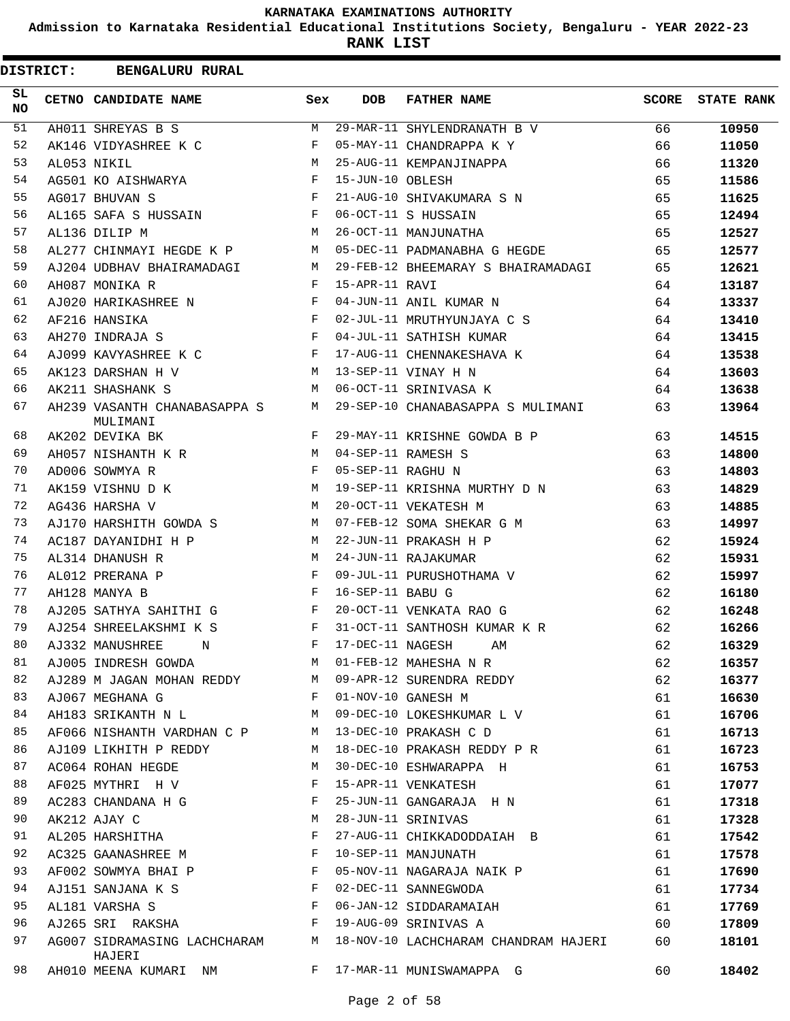**Admission to Karnataka Residential Educational Institutions Society, Bengaluru - YEAR 2022-23**

| <b>DISTRICT:</b> | <b>BENGALURU RURAL</b>                   |              |                    |                                      |       |                   |
|------------------|------------------------------------------|--------------|--------------------|--------------------------------------|-------|-------------------|
| SL.<br>NO        | CETNO CANDIDATE NAME                     | Sex          | <b>DOB</b>         | <b>FATHER NAME</b>                   | SCORE | <b>STATE RANK</b> |
| 51               | AH011 SHREYAS B S                        | M            |                    | 29-MAR-11 SHYLENDRANATH B V          | 66    | 10950             |
| 52               | AK146 VIDYASHREE K C                     | F            |                    | 05-MAY-11 CHANDRAPPA K Y             | 66    | 11050             |
| 53               | AL053 NIKIL                              | М            |                    | 25-AUG-11 KEMPANJINAPPA              | 66    | 11320             |
| 54               | AG501 KO AISHWARYA                       | F            | 15-JUN-10 OBLESH   |                                      | 65    | 11586             |
| 55               | AG017 BHUVAN S                           | F            |                    | 21-AUG-10 SHIVAKUMARA S N            | 65    | 11625             |
| 56               | AL165 SAFA S HUSSAIN                     | F            |                    | 06-OCT-11 S HUSSAIN                  | 65    | 12494             |
| 57               | AL136 DILIP M                            | M            |                    | 26-OCT-11 MANJUNATHA                 | 65    | 12527             |
| 58               | AL277 CHINMAYI HEGDE K P                 | M            |                    | 05-DEC-11 PADMANABHA G HEGDE         | 65    | 12577             |
| 59               | AJ204 UDBHAV BHAIRAMADAGI                | М            |                    | 29-FEB-12 BHEEMARAY S BHAIRAMADAGI   | 65    | 12621             |
| 60               | AH087 MONIKA R                           | F            | 15-APR-11 RAVI     |                                      | 64    | 13187             |
| 61               | AJ020 HARIKASHREE N                      | F            |                    | 04-JUN-11 ANIL KUMAR N               | 64    | 13337             |
| 62               | AF216 HANSIKA                            | F            |                    | 02-JUL-11 MRUTHYUNJAYA C S           | 64    | 13410             |
| 63               | AH270 INDRAJA S                          | F            |                    | 04-JUL-11 SATHISH KUMAR              | 64    | 13415             |
| 64               | AJ099 KAVYASHREE K C                     | $\mathbf{F}$ |                    | 17-AUG-11 CHENNAKESHAVA K            | 64    | 13538             |
| 65               | AK123 DARSHAN H V                        | M            |                    | 13-SEP-11 VINAY H N                  | 64    | 13603             |
| 66               | AK211 SHASHANK S                         | M            |                    | 06-OCT-11 SRINIVASA K                | 64    | 13638             |
| 67               | AH239 VASANTH CHANABASAPPA S<br>MULIMANI | М            |                    | 29-SEP-10 CHANABASAPPA S MULIMANI    | 63    | 13964             |
| 68               | AK202 DEVIKA BK                          | $\mathbf{F}$ |                    | 29-MAY-11 KRISHNE GOWDA B P          | 63    | 14515             |
| 69               | AH057 NISHANTH K R                       | M            |                    | 04-SEP-11 RAMESH S                   | 63    | 14800             |
| 70               | AD006 SOWMYA R                           | $\mathbf{F}$ | 05-SEP-11 RAGHU N  |                                      | 63    | 14803             |
| 71               | AK159 VISHNU D K                         | M            |                    | 19-SEP-11 KRISHNA MURTHY D N         | 63    | 14829             |
| 72               | AG436 HARSHA V                           | M            |                    | 20-OCT-11 VEKATESH M                 | 63    | 14885             |
| 73               | AJ170 HARSHITH GOWDA S                   | M            |                    | 07-FEB-12 SOMA SHEKAR G M            | 63    | 14997             |
| 74               | AC187 DAYANIDHI H P                      | M            |                    | 22-JUN-11 PRAKASH H P                | 62    | 15924             |
| 75               | AL314 DHANUSH R                          | M            |                    | 24-JUN-11 RAJAKUMAR                  | 62    | 15931             |
| 76               | AL012 PRERANA P                          | $\mathbf{F}$ |                    | 09-JUL-11 PURUSHOTHAMA V             | 62    | 15997             |
| 77               | AH128 MANYA B                            | F            | 16-SEP-11 BABU G   |                                      | 62    | 16180             |
| 78               | AJ205 SATHYA SAHITHI G                   | $\mathbf{F}$ |                    | 20-OCT-11 VENKATA RAO G              | 62    | 16248             |
| 79               | AJ254 SHREELAKSHMI K S                   | F            |                    | 31-OCT-11 SANTHOSH KUMAR K R         | 62    | 16266             |
| 80               | AJ332 MANUSHREE<br>N                     |              | F 17-DEC-11 NAGESH | AM                                   | 62    | 16329             |
| 81               | AJ005 INDRESH GOWDA                      | М            |                    | 01-FEB-12 MAHESHA N R                | 62    | 16357             |
| 82               | AJ289 M JAGAN MOHAN REDDY                | M            |                    | 09-APR-12 SURENDRA REDDY             | 62    | 16377             |
| 83               | AJ067 MEGHANA G                          | F            |                    | 01-NOV-10 GANESH M                   | 61    | 16630             |
| 84               | AH183 SRIKANTH N L                       | М            |                    | 09-DEC-10 LOKESHKUMAR L V            | 61    | 16706             |
| 85               | AF066 NISHANTH VARDHAN C P               | М            |                    | 13-DEC-10 PRAKASH C D                | 61    | 16713             |
| 86               | AJ109 LIKHITH P REDDY                    | М            |                    | 18-DEC-10 PRAKASH REDDY P R          | 61    | 16723             |
| 87               | AC064 ROHAN HEGDE                        | М            |                    | 30-DEC-10 ESHWARAPPA H               | 61    | 16753             |
| 88               | AF025 MYTHRI H V                         | F            |                    | 15-APR-11 VENKATESH                  | 61    | 17077             |
| 89               | AC283 CHANDANA H G                       | F            |                    | 25-JUN-11 GANGARAJA H N              | 61    | 17318             |
| 90               | AK212 AJAY C                             | М            |                    | 28-JUN-11 SRINIVAS                   | 61    | 17328             |
| 91               | AL205 HARSHITHA                          | F            |                    | 27-AUG-11 CHIKKADODDAIAH B           | 61    |                   |
| 92               |                                          | F            |                    |                                      |       | 17542             |
| 93               | AC325 GAANASHREE M                       |              |                    | 10-SEP-11 MANJUNATH                  | 61    | 17578             |
|                  | AF002 SOWMYA BHAI P                      | F            |                    | 05-NOV-11 NAGARAJA NAIK P            | 61    | 17690             |
| 94               | AJ151 SANJANA K S                        | F            |                    | 02-DEC-11 SANNEGWODA                 | 61    | 17734             |
| 95               | AL181 VARSHA S                           | F            |                    | 06-JAN-12 SIDDARAMAIAH               | 61    | 17769             |
| 96               | AJ265 SRI RAKSHA                         | F            |                    | 19-AUG-09 SRINIVAS A                 | 60    | 17809             |
| 97               | AG007 SIDRAMASING LACHCHARAM<br>HAJERI   | М            |                    | 18-NOV-10 LACHCHARAM CHANDRAM HAJERI | 60    | 18101             |
| 98               | AH010 MEENA KUMARI NM                    | F            |                    | 17-MAR-11 MUNISWAMAPPA G             | 60    | 18402             |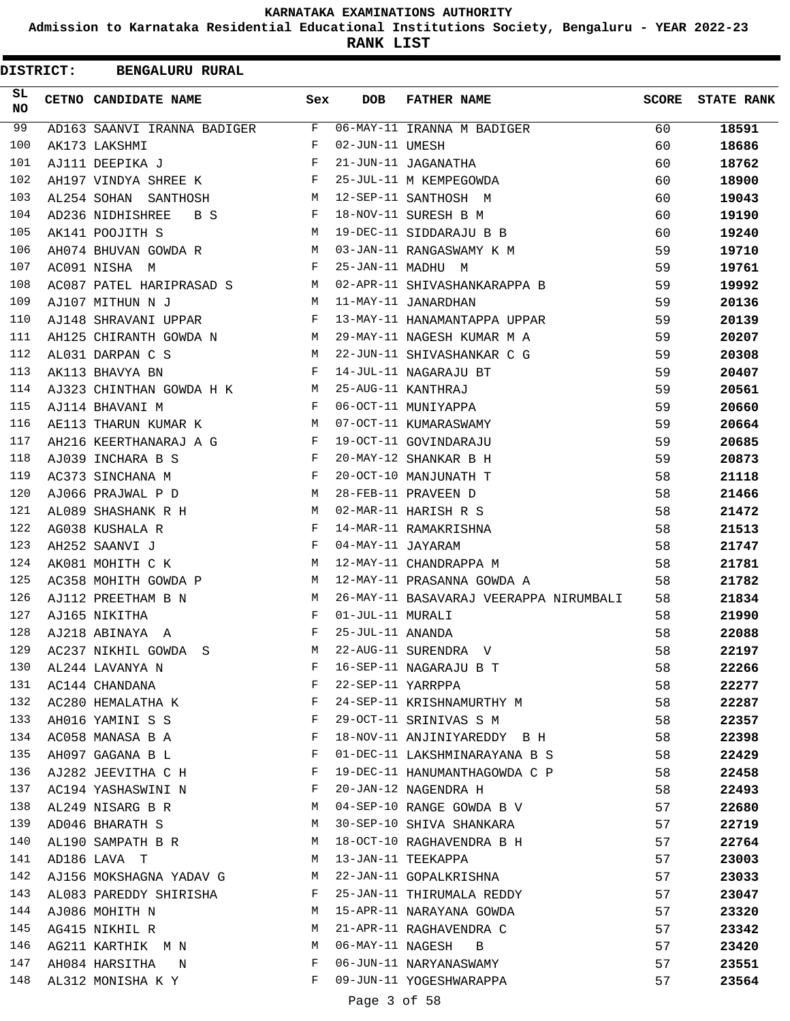**Admission to Karnataka Residential Educational Institutions Society, Bengaluru - YEAR 2022-23**

|                 | <b>DISTRICT:</b> | <b>BENGALURU RURAL</b>      |              |                   |                                              |              |                   |
|-----------------|------------------|-----------------------------|--------------|-------------------|----------------------------------------------|--------------|-------------------|
| SL<br><b>NO</b> |                  | CETNO CANDIDATE NAME        | Sex          | <b>DOB</b>        | <b>FATHER NAME</b>                           | <b>SCORE</b> | <b>STATE RANK</b> |
| 99              |                  | AD163 SAANVI IRANNA BADIGER | F            |                   | 06-MAY-11 IRANNA M BADIGER                   | 60           | 18591             |
| 100             |                  | AK173 LAKSHMI               | F            | 02-JUN-11 UMESH   |                                              | 60           | 18686             |
| 101             |                  | AJ111 DEEPIKA J             | F            |                   | 21-JUN-11 JAGANATHA                          | 60           | 18762             |
| 102             |                  | AH197 VINDYA SHREE K        | F            |                   | 25-JUL-11 M KEMPEGOWDA                       | 60           | 18900             |
| 103             |                  | AL254 SOHAN SANTHOSH        | М            |                   | 12-SEP-11 SANTHOSH M                         | 60           | 19043             |
| 104             |                  | AD236 NIDHISHREE<br>B S     | F            |                   | 18-NOV-11 SURESH B M                         | 60           | 19190             |
| 105             |                  | AK141 POOJITH S             | М            |                   | 19-DEC-11 SIDDARAJU B B                      | 60           | 19240             |
| 106             |                  | AH074 BHUVAN GOWDA R        | M            |                   | 03-JAN-11 RANGASWAMY K M                     | 59           | 19710             |
| 107             |                  | AC091 NISHA M               | F            |                   | 25-JAN-11 MADHU M                            | 59           | 19761             |
| 108             |                  | AC087 PATEL HARIPRASAD S    | M            |                   | 02-APR-11 SHIVASHANKARAPPA B                 | 59           | 19992             |
| 109             |                  | AJ107 MITHUN N J            | М            |                   | 11-MAY-11 JANARDHAN                          | 59           | 20136             |
| 110             |                  | AJ148 SHRAVANI UPPAR        | F            |                   | 13-MAY-11 HANAMANTAPPA UPPAR                 | 59           | 20139             |
| 111             |                  | AH125 CHIRANTH GOWDA N      | M            |                   | 29-MAY-11 NAGESH KUMAR M A                   | 59           | 20207             |
| 112             |                  | AL031 DARPAN C S            | M            |                   | 22-JUN-11 SHIVASHANKAR C G                   | 59           | 20308             |
| 113             |                  | AK113 BHAVYA BN             | F            |                   | 14-JUL-11 NAGARAJU BT                        | 59           | 20407             |
| 114             |                  | AJ323 CHINTHAN GOWDA H K    | М            |                   | 25-AUG-11 KANTHRAJ                           | 59           | 20561             |
| 115             |                  | AJ114 BHAVANI M             | F            |                   | 06-OCT-11 MUNIYAPPA                          | 59           | 20660             |
| 116             |                  | AE113 THARUN KUMAR K        | М            |                   | 07-OCT-11 KUMARASWAMY                        | 59           | 20664             |
| 117             |                  | AH216 KEERTHANARAJ A G      | $\mathbf{F}$ |                   | 19-OCT-11 GOVINDARAJU                        | 59           | 20685             |
| 118             |                  | AJ039 INCHARA B S           | F            |                   | 20-MAY-12 SHANKAR B H                        | 59           | 20873             |
| 119             |                  | AC373 SINCHANA M            | F            |                   | 20-OCT-10 MANJUNATH T                        | 58           | 21118             |
| 120             |                  | AJ066 PRAJWAL P D           | М            |                   | 28-FEB-11 PRAVEEN D                          | 58           | 21466             |
| 121             |                  | AL089 SHASHANK R H          | M            |                   | 02-MAR-11 HARISH R S                         | 58           | 21472             |
| 122             |                  | AG038 KUSHALA R             | F            |                   | 14-MAR-11 RAMAKRISHNA                        | 58           | 21513             |
| 123             |                  | AH252 SAANVI J              | F            | 04-MAY-11 JAYARAM |                                              | 58           | 21747             |
| 124             |                  | AK081 MOHITH C K            | М            |                   | 12-MAY-11 CHANDRAPPA M                       | 58           | 21781             |
| 125             |                  | AC358 MOHITH GOWDA P        | М            |                   | 12-MAY-11 PRASANNA GOWDA A                   | 58           | 21782             |
| 126             |                  | AJ112 PREETHAM B N          | M            |                   | 26-MAY-11 BASAVARAJ VEERAPPA NIRUMBALI       | 58           | 21834             |
| 127             |                  | AJ165 NIKITHA               | F            | 01-JUL-11 MURALI  |                                              | 58           | 21990             |
| 128             |                  | AJ218 ABINAYA A             | F            | 25-JUL-11 ANANDA  |                                              | 58           | 22088             |
| 129             |                  | AC237 NIKHIL GOWDA S        | М            |                   | 22-AUG-11 SURENDRA V                         | 58           | 22197             |
| 130             |                  | AL244 LAVANYA N             | F            |                   | 16-SEP-11 NAGARAJU B T                       | 58           | 22266             |
| 131             |                  | AC144 CHANDANA              | F            | 22-SEP-11 YARRPPA |                                              | 58           | 22277             |
| 132             |                  | AC280 HEMALATHA K           | F            |                   | 24-SEP-11 KRISHNAMURTHY M                    | 58           | 22287             |
| 133             |                  | AH016 YAMINI S S            | F            |                   | 29-OCT-11 SRINIVAS S M                       | 58           | 22357             |
| 134             |                  | AC058 MANASA B A            | F            |                   | 18-NOV-11 ANJINIYAREDDY B H                  | 58           | 22398             |
| 135             |                  | AH097 GAGANA B L            | F            |                   | 01-DEC-11 LAKSHMINARAYANA B S                | 58           | 22429             |
| 136             |                  | AJ282 JEEVITHA C H          | F            |                   | 19-DEC-11 HANUMANTHAGOWDA C P                | 58           | 22458             |
| 137             |                  | AC194 YASHASWINI N          | F            |                   | 20-JAN-12 NAGENDRA H                         | 58           | 22493             |
| 138             |                  | AL249 NISARG B R            | M            |                   | 04-SEP-10 RANGE GOWDA B V                    | 57           |                   |
| 139             |                  | AD046 BHARATH S             | М            |                   | 30-SEP-10 SHIVA SHANKARA                     | 57           | 22680<br>22719    |
| 140             |                  | AL190 SAMPATH B R           | M            |                   | 18-OCT-10 RAGHAVENDRA B H                    | 57           |                   |
|                 |                  |                             |              |                   |                                              |              | 22764             |
| 141<br>142      |                  | AD186 LAVA T                | М<br>М       |                   | 13-JAN-11 TEEKAPPA<br>22-JAN-11 GOPALKRISHNA | 57           | 23003             |
|                 |                  | AJ156 MOKSHAGNA YADAV G     |              |                   |                                              | 57           | 23033             |
| 143             |                  | AL083 PAREDDY SHIRISHA      | F            |                   | 25-JAN-11 THIRUMALA REDDY                    | 57           | 23047             |
| 144             |                  | AJ086 MOHITH N              | М            |                   | 15-APR-11 NARAYANA GOWDA                     | 57           | 23320             |
| 145             |                  | AG415 NIKHIL R              | М            |                   | 21-APR-11 RAGHAVENDRA C                      | 57           | 23342             |
| 146             |                  | AG211 KARTHIK M N           | M            |                   | 06-MAY-11 NAGESH B                           | 57           | 23420             |
| 147             |                  | AH084 HARSITHA N            | F            |                   | 06-JUN-11 NARYANASWAMY                       | 57           | 23551             |
| 148             |                  | AL312 MONISHA K Y           | F            |                   | 09-JUN-11 YOGESHWARAPPA                      | 57           | 23564             |
|                 |                  |                             |              | Page 3 of 58      |                                              |              |                   |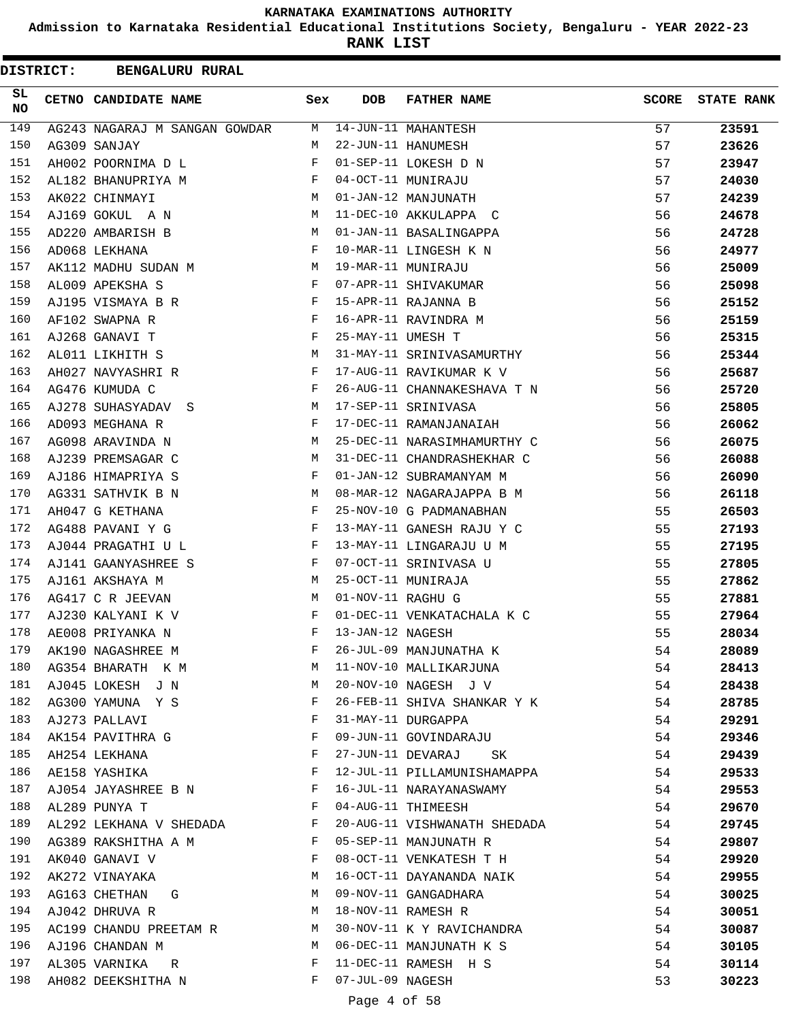**Admission to Karnataka Residential Educational Institutions Society, Bengaluru - YEAR 2022-23**

**RANK LIST**

| <b>DISTRICT:</b> | <b>BENGALURU RURAL</b>        |     |                    |                                                                                                                                                                                                                                |              |                   |
|------------------|-------------------------------|-----|--------------------|--------------------------------------------------------------------------------------------------------------------------------------------------------------------------------------------------------------------------------|--------------|-------------------|
| SL<br><b>NO</b>  | CETNO CANDIDATE NAME          | Sex | <b>DOB</b>         | <b>FATHER NAME</b>                                                                                                                                                                                                             | <b>SCORE</b> | <b>STATE RANK</b> |
| 149              | AG243 NAGARAJ M SANGAN GOWDAR | М   |                    | 14-JUN-11 MAHANTESH                                                                                                                                                                                                            | 57           | 23591             |
| 150              | AG309 SANJAY                  | M   |                    | 22-JUN-11 HANUMESH                                                                                                                                                                                                             | 57           | 23626             |
| 151              | AH002 POORNIMA D L            | F   |                    | 01-SEP-11 LOKESH D N                                                                                                                                                                                                           | 57           | 23947             |
| 152              | AL182 BHANUPRIYA M            | F   |                    | 04-OCT-11 MUNIRAJU                                                                                                                                                                                                             | 57           | 24030             |
| 153              | AK022 CHINMAYI                | М   |                    | 01-JAN-12 MANJUNATH                                                                                                                                                                                                            | 57           | 24239             |
| 154              | AJ169 GOKUL A N               | М   |                    | 11-DEC-10 AKKULAPPA C                                                                                                                                                                                                          | 56           | 24678             |
| 155              | AD220 AMBARISH B              | М   |                    | 01-JAN-11 BASALINGAPPA                                                                                                                                                                                                         | 56           | 24728             |
| 156              | AD068 LEKHANA                 | F   |                    | 10-MAR-11 LINGESH K N                                                                                                                                                                                                          | 56           | 24977             |
| 157              | AK112 MADHU SUDAN M           | М   | 19-MAR-11 MUNIRAJU |                                                                                                                                                                                                                                | 56           | 25009             |
| 158              | AL009 APEKSHA S               | F   |                    | 07-APR-11 SHIVAKUMAR                                                                                                                                                                                                           | 56           | 25098             |
| 159              | AJ195 VISMAYA B R             | F   |                    | 15-APR-11 RAJANNA B                                                                                                                                                                                                            | 56           | 25152             |
| 160              | AF102 SWAPNA R                | F   |                    | 16-APR-11 RAVINDRA M                                                                                                                                                                                                           | 56           | 25159             |
| 161              | AJ268 GANAVI T                | F   | 25-MAY-11 UMESH T  |                                                                                                                                                                                                                                | 56           | 25315             |
| 162              | AL011 LIKHITH S               | М   |                    | 31-MAY-11 SRINIVASAMURTHY                                                                                                                                                                                                      | 56           | 25344             |
| 163              | AH027 NAVYASHRI R             | F   |                    | 17-AUG-11 RAVIKUMAR K V                                                                                                                                                                                                        | 56           | 25687             |
| 164              | AG476 KUMUDA C                | F   |                    | 26-AUG-11 CHANNAKESHAVA T N                                                                                                                                                                                                    | 56           | 25720             |
| 165              | AJ278 SUHASYADAV S            | М   |                    | 17-SEP-11 SRINIVASA                                                                                                                                                                                                            | 56           | 25805             |
| 166              | AD093 MEGHANA R               | F   |                    | 17-DEC-11 RAMANJANAIAH                                                                                                                                                                                                         | 56           | 26062             |
| 167              | AG098 ARAVINDA N              | М   |                    | 25-DEC-11 NARASIMHAMURTHY C                                                                                                                                                                                                    | 56           | 26075             |
| 168              | AJ239 PREMSAGAR C             | М   |                    | 31-DEC-11 CHANDRASHEKHAR C                                                                                                                                                                                                     | 56           | 26088             |
| 169              | AJ186 HIMAPRIYA S             | F   |                    | 01-JAN-12 SUBRAMANYAM M                                                                                                                                                                                                        | 56           | 26090             |
| 170              | AG331 SATHVIK B N             | M   |                    | 08-MAR-12 NAGARAJAPPA B M                                                                                                                                                                                                      | 56           | 26118             |
| 171              | AH047 G KETHANA               | F   |                    | 25-NOV-10 G PADMANABHAN                                                                                                                                                                                                        | 55           |                   |
| 172              | AG488 PAVANI Y G              | F   |                    | 13-MAY-11 GANESH RAJU Y C                                                                                                                                                                                                      | 55           | 26503             |
| 173              |                               | F   |                    |                                                                                                                                                                                                                                |              | 27193             |
| 174              | AJ044 PRAGATHI U L            | F   |                    | 13-MAY-11 LINGARAJU U M                                                                                                                                                                                                        | 55           | 27195             |
|                  | AJ141 GAANYASHREE S           |     |                    | 07-OCT-11 SRINIVASA U                                                                                                                                                                                                          | 55           | 27805             |
| 175              | AJ161 AKSHAYA M               | М   |                    | 25-OCT-11 MUNIRAJA                                                                                                                                                                                                             | 55           | 27862             |
| 176              | AG417 C R JEEVAN              | М   | 01-NOV-11 RAGHU G  |                                                                                                                                                                                                                                | 55           | 27881             |
| 177              | AJ230 KALYANI K V             | F   |                    | 01-DEC-11 VENKATACHALA K C                                                                                                                                                                                                     | 55           | 27964             |
| 178              | AE008 PRIYANKA N              | F   | 13-JAN-12 NAGESH   |                                                                                                                                                                                                                                | 55           | 28034             |
| 179              | AK190 NAGASHREE M             | F   |                    | 26-JUL-09 MANJUNATHA K                                                                                                                                                                                                         | 54           | 28089             |
| 180              | AG354 BHARATH K M             | М   |                    | 11-NOV-10 MALLIKARJUNA                                                                                                                                                                                                         | 54           | 28413             |
| 181              | AJ045 LOKESH J N              | М   |                    | 20-NOV-10 NAGESH J V                                                                                                                                                                                                           | 54           | 28438             |
| 182              | AG300 YAMUNA Y S              | F   |                    | 26-FEB-11 SHIVA SHANKAR Y K                                                                                                                                                                                                    | 54           | 28785             |
| 183              | AJ273 PALLAVI                 | F   |                    | 31-MAY-11 DURGAPPA                                                                                                                                                                                                             | 54           | 29291             |
| 184              | AK154 PAVITHRA G              | F   |                    | 09-JUN-11 GOVINDARAJU                                                                                                                                                                                                          | 54           | 29346             |
| 185              | AH254 LEKHANA                 | F   | 27-JUN-11 DEVARAJ  | SK and the set of the set of the set of the set of the set of the set of the set of the set of the set of the set of the set of the set of the set of the set of the set of the set of the set of the set of the set of the se | 54           | 29439             |
| 186              | AE158 YASHIKA                 | F   |                    | 12-JUL-11 PILLAMUNISHAMAPPA                                                                                                                                                                                                    | 54           | 29533             |
| 187              | AJ054 JAYASHREE B N           | F   |                    | 16-JUL-11 NARAYANASWAMY                                                                                                                                                                                                        | 54           | 29553             |
| 188              | AL289 PUNYA T                 | F   |                    | 04-AUG-11 THIMEESH                                                                                                                                                                                                             | 54           | 29670             |
| 189              | AL292 LEKHANA V SHEDADA       | F   |                    | 20-AUG-11 VISHWANATH SHEDADA                                                                                                                                                                                                   | 54           | 29745             |
| 190              | AG389 RAKSHITHA A M           | F   |                    | 05-SEP-11 MANJUNATH R                                                                                                                                                                                                          | 54           | 29807             |
| 191              | AK040 GANAVI V                | F   |                    | 08-OCT-11 VENKATESH T H                                                                                                                                                                                                        | 54           | 29920             |
| 192              | AK272 VINAYAKA                | М   |                    | 16-OCT-11 DAYANANDA NAIK                                                                                                                                                                                                       | 54           | 29955             |
| 193              | AG163 CHETHAN G               | М   |                    | 09-NOV-11 GANGADHARA                                                                                                                                                                                                           | 54           | 30025             |
| 194              | AJ042 DHRUVA R                | М   |                    | 18-NOV-11 RAMESH R                                                                                                                                                                                                             | 54           | 30051             |
| 195              | AC199 CHANDU PREETAM R        | M   |                    | 30-NOV-11 K Y RAVICHANDRA                                                                                                                                                                                                      | 54           | 30087             |
| 196              | AJ196 CHANDAN M               | M   |                    | 06-DEC-11 MANJUNATH K S                                                                                                                                                                                                        | 54           | 30105             |
| 197              | AL305 VARNIKA R               | F   |                    | 11-DEC-11 RAMESH H S                                                                                                                                                                                                           | 54           | 30114             |
| 198              | AH082 DEEKSHITHA N            | F   | 07-JUL-09 NAGESH   |                                                                                                                                                                                                                                | 53           | 30223             |
|                  |                               |     |                    |                                                                                                                                                                                                                                |              |                   |

## Page 4 of 58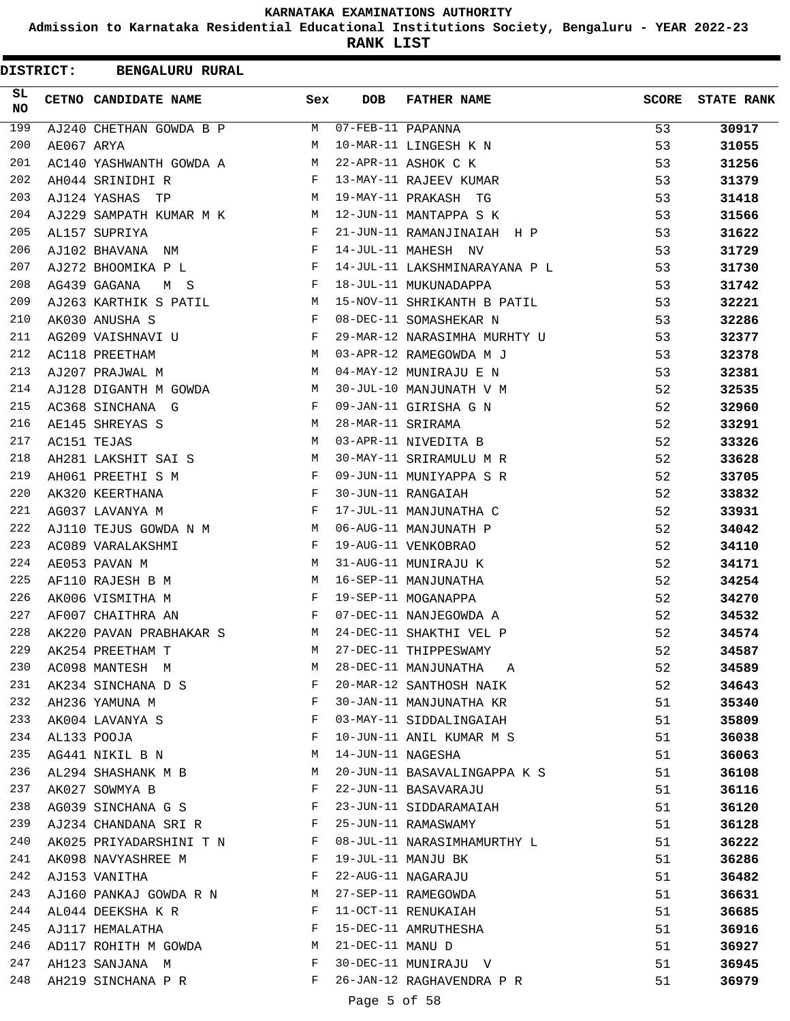**Admission to Karnataka Residential Educational Institutions Society, Bengaluru - YEAR 2022-23**

**RANK LIST**

| <b>DISTRICT:</b> |            | <b>BENGALURU RURAL</b>                                                        |              |                   |                               |              |                   |
|------------------|------------|-------------------------------------------------------------------------------|--------------|-------------------|-------------------------------|--------------|-------------------|
| SL.<br>NO.       |            | CETNO CANDIDATE NAME                                                          | Sex          | <b>DOB</b>        | <b>FATHER NAME</b>            | <b>SCORE</b> | <b>STATE RANK</b> |
| 199              |            | AJ240 CHETHAN GOWDA B P                                                       | M            | 07-FEB-11 PAPANNA |                               | 53           | 30917             |
| 200              | AE067 ARYA |                                                                               | M            |                   | 10-MAR-11 LINGESH K N         | 53           | 31055             |
| 201              |            | AC140 YASHWANTH GOWDA A                                                       | M            |                   | 22-APR-11 ASHOK C K           | 53           | 31256             |
| 202              |            | AH044 SRINIDHI R                                                              | F            |                   | 13-MAY-11 RAJEEV KUMAR        | 53           | 31379             |
| 203              |            | AJ124 YASHAS<br>TP                                                            | <b>N</b>     |                   | 19-MAY-11 PRAKASH TG          | 53           | 31418             |
| 204              |            | AJ229 SAMPATH KUMAR M K<br>$M_{\rm H}$                                        |              |                   | 12-JUN-11 MANTAPPA S K        | 53           | 31566             |
| 205              |            | AL157 SUPRIYA                                                                 | F            |                   | 21-JUN-11 RAMANJINAIAH H P    | 53           | 31622             |
| 206              |            | AJ102 BHAVANA NM                                                              | F            |                   | 14-JUL-11 MAHESH NV           | 53           | 31729             |
| 207              |            | AJ272 BHOOMIKA P L                                                            | F            |                   | 14-JUL-11 LAKSHMINARAYANA P L | 53           | 31730             |
| 208              |            | AG439 GAGANA<br>M S                                                           | $\mathbf{F}$ |                   | 18-JUL-11 MUKUNADAPPA         | 53           | 31742             |
| 209              |            | AJ263 KARTHIK S PATIL M                                                       |              |                   | 15-NOV-11 SHRIKANTH B PATIL   | 53           | 32221             |
| 210              |            | AK030 ANUSHA S                                                                | F            |                   | 08-DEC-11 SOMASHEKAR N        | 53           | 32286             |
| 211              |            | $\mathbf{F}$ and $\mathbf{F}$ and $\mathbf{F}$<br>AG209 VAISHNAVI U           |              |                   | 29-MAR-12 NARASIMHA MURHTY U  | 53           | 32377             |
| 212              |            | M<br>AC118 PREETHAM                                                           |              |                   | 03-APR-12 RAMEGOWDA M J       | 53           | 32378             |
| 213              |            | AJ207 PRAJWAL M                                                               | M            |                   | 04-MAY-12 MUNIRAJU E N        | 53           | 32381             |
| 214              |            | AJ128 DIGANTH M GOWDA                                                         | M            |                   | 30-JUL-10 MANJUNATH V M       | 52           | 32535             |
| 215              |            | AC368 SINCHANA G                                                              | F            |                   | 09-JAN-11 GIRISHA G N         | 52           | 32960             |
| 216              |            | AE145 SHREYAS S                                                               | M            | 28-MAR-11 SRIRAMA |                               | 52           | 33291             |
| 217              |            | AC151 TEJAS                                                                   | M            |                   | 03-APR-11 NIVEDITA B          | 52           | 33326             |
| 218              |            | AH281 LAKSHIT SAI S                                                           | М            |                   | 30-MAY-11 SRIRAMULU M R       | 52           | 33628             |
| 219              |            | AH061 PREETHI S M                                                             | $\mathbf{F}$ |                   | 09-JUN-11 MUNIYAPPA S R       | 52           | 33705             |
| 220              |            | AK320 KEERTHANA                                                               | $\mathbf{F}$ |                   | 30-JUN-11 RANGAIAH            | 52           | 33832             |
| 221              |            | AG037 LAVANYA M                                                               | F            |                   | 17-JUL-11 MANJUNATHA C        | 52           | 33931             |
| 222              |            | AJ110 TEJUS GOWDA N M                                                         | M            |                   | 06-AUG-11 MANJUNATH P         | 52           | 34042             |
| 223              |            | AC089 VARALAKSHMI                                                             | F            |                   | 19-AUG-11 VENKOBRAO           | 52           | 34110             |
| 224              |            | AE053 PAVAN M                                                                 | M            |                   | 31-AUG-11 MUNIRAJU K          | 52           | 34171             |
| 225              |            | AF110 RAJESH B M                                                              | M            |                   | 16-SEP-11 MANJUNATHA          | 52           | 34254             |
| 226              |            | AK006 VISMITHA M                                                              | F            |                   | 19-SEP-11 MOGANAPPA           | 52           | 34270             |
| 227              |            | $\mathbf{F}$ . The contract of the contract $\mathbf{F}$<br>AF007 CHAITHRA AN |              |                   | 07-DEC-11 NANJEGOWDA A        | 52           | 34532             |
| 228              |            | $\mathbb{M}$<br>AK220 PAVAN PRABHAKAR S                                       |              |                   | 24-DEC-11 SHAKTHI VEL P       | 52           | 34574             |
| 229              |            | AK254 PREETHAM T                                                              | M            |                   | 27-DEC-11 THIPPESWAMY         | 52           | 34587             |
| 230              |            | AC098 MANTESH M                                                               | M            |                   | 28-DEC-11 MANJUNATHA A        | 52           | 34589             |
| 231              |            | AK234 SINCHANA D S                                                            | F            |                   | 20-MAR-12 SANTHOSH NAIK       | 52           | 34643             |
| 232              |            | AH236 YAMUNA M                                                                | F            |                   | 30-JAN-11 MANJUNATHA KR       | 51           | 35340             |
| 233              |            | AK004 LAVANYA S                                                               | F            |                   | 03-MAY-11 SIDDALINGAIAH       | 51           | 35809             |
| 234              |            | AL133 POOJA                                                                   | F            |                   | 10-JUN-11 ANIL KUMAR M S      | 51           | 36038             |
| 235              |            | AG441 NIKIL B N                                                               | М            |                   | 14-JUN-11 NAGESHA             | 51           | 36063             |
| 236              |            | AL294 SHASHANK M B                                                            | М            |                   | 20-JUN-11 BASAVALINGAPPA K S  | 51           | 36108             |
| 237              |            | AK027 SOWMYA B                                                                | F            |                   | 22-JUN-11 BASAVARAJU          | 51           | 36116             |
| 238              |            | AG039 SINCHANA G S                                                            | F            |                   | 23-JUN-11 SIDDARAMAIAH        | 51           | 36120             |
| 239              |            | AJ234 CHANDANA SRI R F                                                        |              |                   | 25-JUN-11 RAMASWAMY           | 51           | 36128             |
| 240              |            | AK025 PRIYADARSHINI T N F                                                     |              |                   | 08-JUL-11 NARASIMHAMURTHY L   | 51           | 36222             |
| 241              |            | AK098 NAVYASHREE M                                                            | F            |                   | 19-JUL-11 MANJU BK            | 51           | 36286             |
| 242              |            | AJ153 VANITHA                                                                 | F            |                   | 22-AUG-11 NAGARAJU            | 51           | 36482             |
| 243              |            | AJ160 PANKAJ GOWDA R N                                                        | M            |                   | 27-SEP-11 RAMEGOWDA           | 51           | 36631             |
| 244              |            | AL044 DEEKSHA K R                                                             | $\mathbf{F}$ |                   | 11-OCT-11 RENUKAIAH           | 51           | 36685             |
| 245              |            | AJ117 HEMALATHA                                                               | F            |                   | 15-DEC-11 AMRUTHESHA          | 51           | 36916             |
| 246              |            | AD117 ROHITH M GOWDA M                                                        |              | 21-DEC-11 MANU D  |                               | 51           | 36927             |
| 247              |            | AH123 SANJANA M                                                               | F            |                   | 30-DEC-11 MUNIRAJU V          | 51           | 36945             |
| 248              |            | AH219 SINCHANA P R                                                            | F            |                   | 26-JAN-12 RAGHAVENDRA P R     | 51           | 36979             |

Page 5 of 58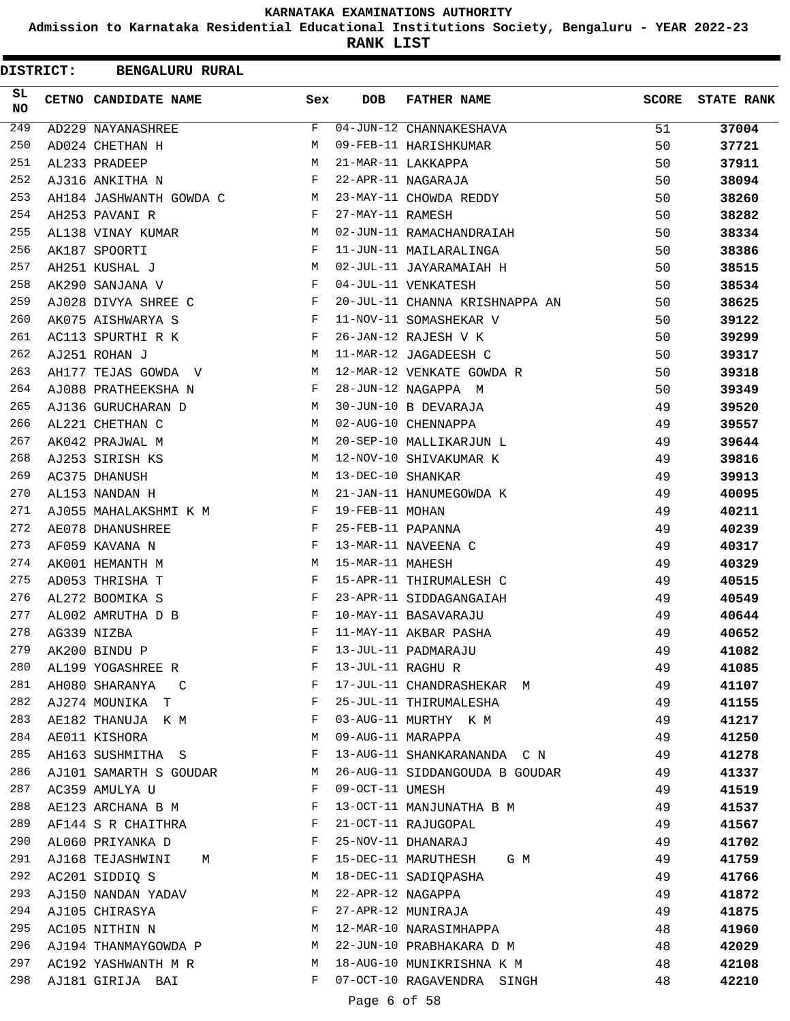**Admission to Karnataka Residential Educational Institutions Society, Bengaluru - YEAR 2022-23**

**RANK LIST**

| <b>DISTRICT:</b> | <b>BENGALURU RURAL</b>  |     |                   |                                |              |                   |
|------------------|-------------------------|-----|-------------------|--------------------------------|--------------|-------------------|
| SL.<br>NO.       | CETNO CANDIDATE NAME    | Sex | <b>DOB</b>        | <b>FATHER NAME</b>             | <b>SCORE</b> | <b>STATE RANK</b> |
| 249              | AD229 NAYANASHREE       | F   |                   | 04-JUN-12 CHANNAKESHAVA        | 51           | 37004             |
| 250              | AD024 CHETHAN H         | M   |                   | 09-FEB-11 HARISHKUMAR          | 50           | 37721             |
| 251              | AL233 PRADEEP           | M   |                   | 21-MAR-11 LAKKAPPA             | 50           | 37911             |
| 252              | AJ316 ANKITHA N         | F   |                   | 22-APR-11 NAGARAJA             | 50           | 38094             |
| 253              | AH184 JASHWANTH GOWDA C | M   |                   | 23-MAY-11 CHOWDA REDDY         | 50           | 38260             |
| 254              | AH253 PAVANI R          | F   | 27-MAY-11 RAMESH  |                                | 50           | 38282             |
| 255              | AL138 VINAY KUMAR       | M   |                   | 02-JUN-11 RAMACHANDRAIAH       | 50           | 38334             |
| 256              | AK187 SPOORTI           | F   |                   | 11-JUN-11 MAILARALINGA         | 50           | 38386             |
| 257              | AH251 KUSHAL J          | М   |                   | 02-JUL-11 JAYARAMAIAH H        | 50           | 38515             |
| 258              | AK290 SANJANA V         | F   |                   | 04-JUL-11 VENKATESH            | 50           | 38534             |
| 259              | AJ028 DIVYA SHREE C     | F   |                   | 20-JUL-11 CHANNA KRISHNAPPA AN | 50           | 38625             |
| 260              | AK075 AISHWARYA S       | F   |                   | 11-NOV-11 SOMASHEKAR V         | 50           | 39122             |
| 261              | AC113 SPURTHI R K       | F   |                   | 26-JAN-12 RAJESH V K           | 50           | 39299             |
| 262              | AJ251 ROHAN J           | М   |                   | 11-MAR-12 JAGADEESH C          | 50           | 39317             |
| 263              | AH177 TEJAS GOWDA V     | M   |                   | 12-MAR-12 VENKATE GOWDA R      | 50           | 39318             |
| 264              | AJ088 PRATHEEKSHA N     | F   |                   | 28-JUN-12 NAGAPPA M            | 50           | 39349             |
| 265              | AJ136 GURUCHARAN D      | М   |                   | 30-JUN-10 B DEVARAJA           | 49           | 39520             |
| 266              | AL221 CHETHAN C         | М   |                   | 02-AUG-10 CHENNAPPA            | 49           | 39557             |
| 267              | AK042 PRAJWAL M         | M   |                   | 20-SEP-10 MALLIKARJUN L        | 49           | 39644             |
| 268              | AJ253 SIRISH KS         | М   |                   | 12-NOV-10 SHIVAKUMAR K         | 49           | 39816             |
| 269              | AC375 DHANUSH           | М   | 13-DEC-10 SHANKAR |                                | 49           | 39913             |
| 270              | AL153 NANDAN H          | М   |                   | 21-JAN-11 HANUMEGOWDA K        | 49           | 40095             |
| 271              | AJ055 MAHALAKSHMI K M   | F   | 19-FEB-11 MOHAN   |                                | 49           | 40211             |
| 272              | AE078 DHANUSHREE        | F   | 25-FEB-11 PAPANNA |                                | 49           | 40239             |
| 273              | AF059 KAVANA N          | F   |                   | 13-MAR-11 NAVEENA C            | 49           | 40317             |
| 274              | AK001 HEMANTH M         | М   | 15-MAR-11 MAHESH  |                                | 49           | 40329             |
| 275              | AD053 THRISHA T         | F   |                   | 15-APR-11 THIRUMALESH C        | 49           | 40515             |
| 276              | AL272 BOOMIKA S         | F   |                   | 23-APR-11 SIDDAGANGAIAH        | 49           | 40549             |
| 277              | AL002 AMRUTHA D B       | F   |                   | 10-MAY-11 BASAVARAJU           | 49           | 40644             |
| 278              | AG339 NIZBA             | F   |                   | 11-MAY-11 AKBAR PASHA          | 49           | 40652             |
| 279              | AK200 BINDU P           | F   |                   | 13-JUL-11 PADMARAJU            | 49           | 41082             |
| 280              | AL199 YOGASHREE R       | F   | 13-JUL-11 RAGHU R |                                | 49           | 41085             |
| 281              | AH080 SHARANYA<br>C     | F   |                   | 17-JUL-11 CHANDRASHEKAR M      | 49           | 41107             |
| 282              | AJ274 MOUNIKA T         | F   |                   | 25-JUL-11 THIRUMALESHA         | 49           | 41155             |
| 283              | AE182 THANUJA K M       | F   |                   | 03-AUG-11 MURTHY K M           | 49           | 41217             |
| 284              | AE011 KISHORA           | М   | 09-AUG-11 MARAPPA |                                | 49           | 41250             |
| 285              | AH163 SUSHMITHA S       | F   |                   | 13-AUG-11 SHANKARANANDA C N    | 49           | 41278             |
| 286              | AJ101 SAMARTH S GOUDAR  | M   |                   | 26-AUG-11 SIDDANGOUDA B GOUDAR | 49           | 41337             |
| 287              | AC359 AMULYA U          | F   | 09-OCT-11 UMESH   |                                | 49           | 41519             |
| 288              | AE123 ARCHANA B M       | F   |                   | 13-OCT-11 MANJUNATHA B M       | 49           | 41537             |
| 289              | AF144 S R CHAITHRA      | F   |                   | 21-OCT-11 RAJUGOPAL            | 49           | 41567             |
| 290              | AL060 PRIYANKA D        | F   |                   | 25-NOV-11 DHANARAJ             | 49           | 41702             |
| 291              | AJ168 TEJASHWINI<br>М   | F   |                   | 15-DEC-11 MARUTHESH G M        | 49           | 41759             |
| 292              | AC201 SIDDIQ S          | М   |                   | 18-DEC-11 SADIQPASHA           | 49           | 41766             |
| 293              | AJ150 NANDAN YADAV      | М   | 22-APR-12 NAGAPPA |                                | 49           | 41872             |
| 294              | AJ105 CHIRASYA          | F   |                   | 27-APR-12 MUNIRAJA             | 49           | 41875             |
| 295              | AC105 NITHIN N          | М   |                   | 12-MAR-10 NARASIMHAPPA         | 48           | 41960             |
| 296              | AJ194 THANMAYGOWDA P    | М   |                   | 22-JUN-10 PRABHAKARA D M       | 48           | 42029             |
| 297              | AC192 YASHWANTH M R     | M   |                   | 18-AUG-10 MUNIKRISHNA K M      | 48           | 42108             |
| 298              | AJ181 GIRIJA BAI        | F   |                   | 07-OCT-10 RAGAVENDRA SINGH     | 48           | 42210             |

Page 6 of 58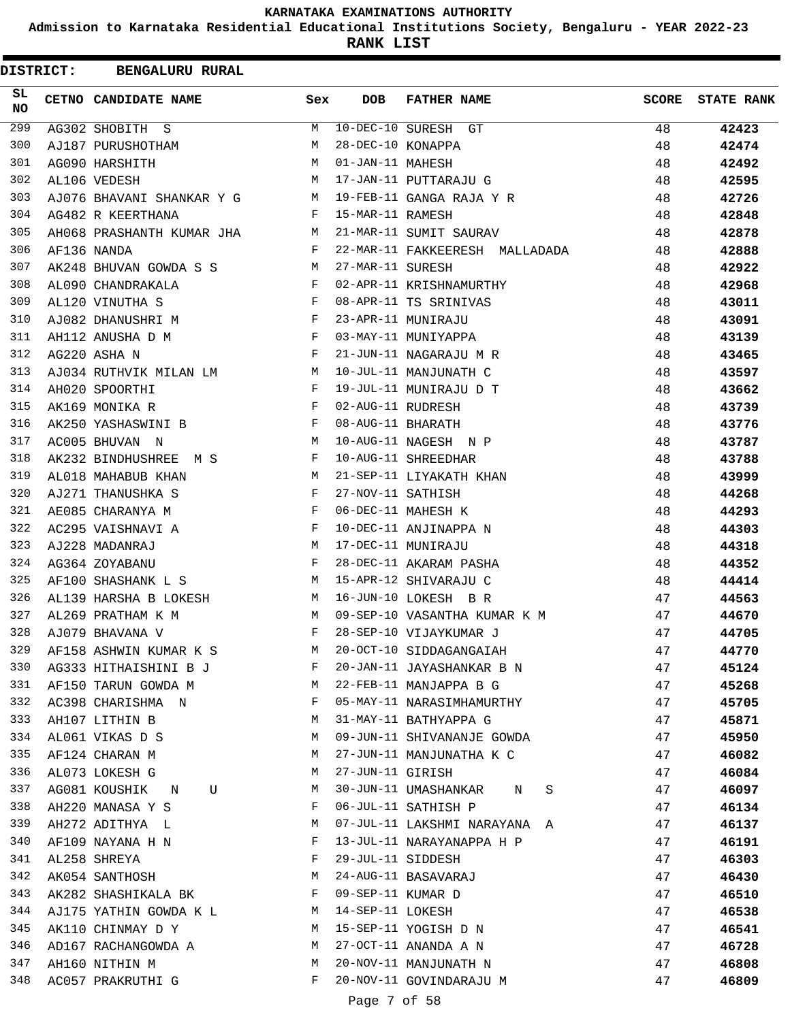**Admission to Karnataka Residential Educational Institutions Society, Bengaluru - YEAR 2022-23**

| <b>DISTRICT:</b> | <b>BENGALURU RURAL</b>    |     |                   |                                |              |                   |
|------------------|---------------------------|-----|-------------------|--------------------------------|--------------|-------------------|
| SL<br><b>NO</b>  | CETNO CANDIDATE NAME      | Sex | <b>DOB</b>        | <b>FATHER NAME</b>             | <b>SCORE</b> | <b>STATE RANK</b> |
| 299              | AG302 SHOBITH S           | M   |                   | 10-DEC-10 SURESH GT            | 48           | 42423             |
| 300              | AJ187 PURUSHOTHAM         | M   | 28-DEC-10 KONAPPA |                                | 48           | 42474             |
| 301              | AG090 HARSHITH            | M   | 01-JAN-11 MAHESH  |                                | 48           | 42492             |
| 302              | AL106 VEDESH              | M   |                   | 17-JAN-11 PUTTARAJU G          | 48           | 42595             |
| 303              | AJ076 BHAVANI SHANKAR Y G | M   |                   | 19-FEB-11 GANGA RAJA Y R       | 48           | 42726             |
| 304              | AG482 R KEERTHANA         | F   | 15-MAR-11 RAMESH  |                                | 48           | 42848             |
| 305              | AH068 PRASHANTH KUMAR JHA | M   |                   | 21-MAR-11 SUMIT SAURAV         | 48           | 42878             |
| 306              | AF136 NANDA               | F   |                   | 22-MAR-11 FAKKEERESH MALLADADA | 48           | 42888             |
| 307              | AK248 BHUVAN GOWDA S S    | M   | 27-MAR-11 SURESH  |                                | 48           | 42922             |
| 308              | AL090 CHANDRAKALA         | F   |                   | 02-APR-11 KRISHNAMURTHY        | 48           | 42968             |
| 309              | AL120 VINUTHA S           | F   |                   | 08-APR-11 TS SRINIVAS          | 48           | 43011             |
| 310              | AJ082 DHANUSHRI M         | F   |                   | 23-APR-11 MUNIRAJU             | 48           | 43091             |
| 311              | AH112 ANUSHA D M          | F   |                   | 03-MAY-11 MUNIYAPPA            | 48           | 43139             |
| 312              | AG220 ASHA N              | F   |                   | 21-JUN-11 NAGARAJU M R         | 48           | 43465             |
| 313              | AJ034 RUTHVIK MILAN LM    | M   |                   | 10-JUL-11 MANJUNATH C          | 48           | 43597             |
| 314              | AH020 SPOORTHI            | F   |                   | 19-JUL-11 MUNIRAJU D T         | 48           | 43662             |
| 315              | AK169 MONIKA R            | F   | 02-AUG-11 RUDRESH |                                | 48           | 43739             |
| 316              | AK250 YASHASWINI B        | F   | 08-AUG-11 BHARATH |                                | 48           | 43776             |
| 317              | AC005 BHUVAN N            | М   |                   | 10-AUG-11 NAGESH N P           | 48           | 43787             |
| 318              | AK232 BINDHUSHREE<br>M S  | F   |                   | 10-AUG-11 SHREEDHAR            | 48           | 43788             |
| 319              | AL018 MAHABUB KHAN        | M   |                   | 21-SEP-11 LIYAKATH KHAN        | 48           | 43999             |
| 320              | AJ271 THANUSHKA S         | F   | 27-NOV-11 SATHISH |                                | 48           | 44268             |
| 321              | AE085 CHARANYA M          | F   |                   | 06-DEC-11 MAHESH K             | 48           | 44293             |
| 322              | AC295 VAISHNAVI A         | F   |                   | 10-DEC-11 ANJINAPPA N          | 48           | 44303             |
| 323              | AJ228 MADANRAJ            | M   |                   | 17-DEC-11 MUNIRAJU             | 48           | 44318             |
| 324              | AG364 ZOYABANU            | F   |                   | 28-DEC-11 AKARAM PASHA         | 48           | 44352             |
| 325              | AF100 SHASHANK L S        | М   |                   | 15-APR-12 SHIVARAJU C          | 48           | 44414             |
| 326              | AL139 HARSHA B LOKESH     | M   |                   | 16-JUN-10 LOKESH B R           | 47           | 44563             |
| 327              | AL269 PRATHAM K M         | M   |                   | 09-SEP-10 VASANTHA KUMAR K M   | 47           | 44670             |
| 328              | AJ079 BHAVANA V           | F   |                   | 28-SEP-10 VIJAYKUMAR J         | 47           | 44705             |
| 329              | AF158 ASHWIN KUMAR K S    | М   |                   | 20-OCT-10 SIDDAGANGAIAH        | 47           | 44770             |
| 330              | AG333 HITHAISHINI B J     | F   |                   | 20-JAN-11 JAYASHANKAR B N      | 47           | 45124             |
| 331              | AF150 TARUN GOWDA M       | M   |                   | 22-FEB-11 MANJAPPA B G         | 47           | 45268             |
| 332              | AC398 CHARISHMA N         | F   |                   | 05-MAY-11 NARASIMHAMURTHY      | 47           | 45705             |
| 333              | AH107 LITHIN B            | M   |                   | 31-MAY-11 BATHYAPPA G          | 47           | 45871             |
| 334              | AL061 VIKAS D S           | М   |                   | 09-JUN-11 SHIVANANJE GOWDA     | 47           | 45950             |
| 335              | AF124 CHARAN M            | М   |                   | 27-JUN-11 MANJUNATHA K C       | 47           | 46082             |
| 336              | AL073 LOKESH G            | М   | 27-JUN-11 GIRISH  |                                | 47           | 46084             |
| 337              | AG081 KOUSHIK N<br>U      | М   |                   | 30-JUN-11 UMASHANKAR N<br>S    | 47           | 46097             |
| 338              | AH220 MANASA Y S          | F   |                   | 06-JUL-11 SATHISH P            | 47           | 46134             |
| 339              | AH272 ADITHYA L           | M   |                   | 07-JUL-11 LAKSHMI NARAYANA A   | 47           | 46137             |
| 340              | AF109 NAYANA H N          | F   |                   | 13-JUL-11 NARAYANAPPA H P      | 47           | 46191             |
| 341              | AL258 SHREYA              | F   | 29-JUL-11 SIDDESH |                                | 47           | 46303             |
| 342              | AK054 SANTHOSH            | М   |                   | 24-AUG-11 BASAVARAJ            | 47           | 46430             |
| 343              | AK282 SHASHIKALA BK       | F   | 09-SEP-11 KUMAR D |                                | 47           | 46510             |
| 344              | AJ175 YATHIN GOWDA K L    | M   | 14-SEP-11 LOKESH  |                                | 47           | 46538             |
| 345              | AK110 CHINMAY D Y         | M   |                   | 15-SEP-11 YOGISH D N           | 47           | 46541             |
| 346              | AD167 RACHANGOWDA A       | M   |                   | 27-OCT-11 ANANDA A N           | 47           | 46728             |
| 347              | AH160 NITHIN M            | M   |                   | 20-NOV-11 MANJUNATH N          | 47           | 46808             |
| 348              | AC057 PRAKRUTHI G         | F   |                   | 20-NOV-11 GOVINDARAJU M        | 47           | 46809             |
|                  |                           |     |                   |                                |              |                   |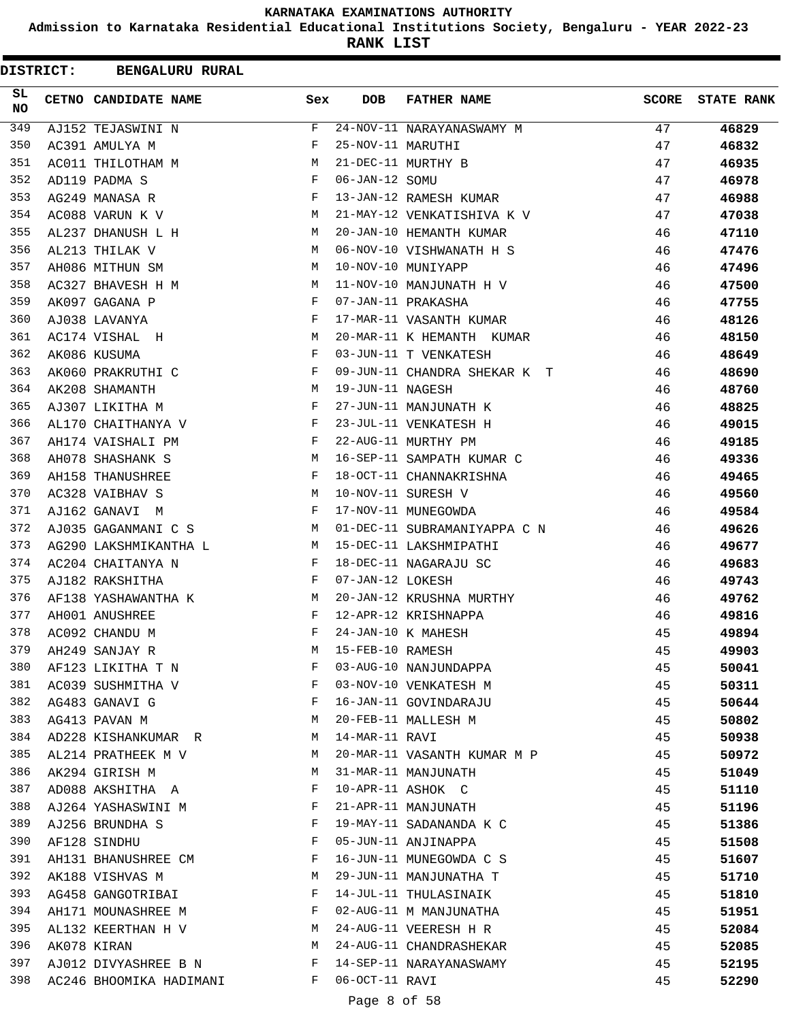**Admission to Karnataka Residential Educational Institutions Society, Bengaluru - YEAR 2022-23**

**RANK LIST**

 $\blacksquare$ 

| <b>DISTRICT:</b> | <b>BENGALURU RURAL</b>  |              |                   |                              |              |                   |
|------------------|-------------------------|--------------|-------------------|------------------------------|--------------|-------------------|
| SL.<br>NO.       | CETNO CANDIDATE NAME    | Sex          | <b>DOB</b>        | <b>FATHER NAME</b>           | <b>SCORE</b> | <b>STATE RANK</b> |
| 349              | AJ152 TEJASWINI N       | F            |                   | 24-NOV-11 NARAYANASWAMY M    | 47           | 46829             |
| 350              | AC391 AMULYA M          | F            | 25-NOV-11 MARUTHI |                              | 47           | 46832             |
| 351              | AC011 THILOTHAM M       | М            |                   | 21-DEC-11 MURTHY B           | 47           | 46935             |
| 352              | AD119 PADMA S           | F            | 06-JAN-12 SOMU    |                              | 47           | 46978             |
| 353              | AG249 MANASA R          | F            |                   | 13-JAN-12 RAMESH KUMAR       | 47           | 46988             |
| 354              | AC088 VARUN K V         | М            |                   | 21-MAY-12 VENKATISHIVA K V   | 47           | 47038             |
| 355              | AL237 DHANUSH L H       | M            |                   | 20-JAN-10 HEMANTH KUMAR      | 46           | 47110             |
| 356              | AL213 THILAK V          | M            |                   | 06-NOV-10 VISHWANATH H S     | 46           | 47476             |
| 357              | AH086 MITHUN SM         | М            |                   | 10-NOV-10 MUNIYAPP           | 46           | 47496             |
| 358              | AC327 BHAVESH H M       | М            |                   | 11-NOV-10 MANJUNATH H V      | 46           | 47500             |
| 359              | AK097 GAGANA P          | F            |                   | 07-JAN-11 PRAKASHA           | 46           | 47755             |
| 360              | AJ038 LAVANYA           | F            |                   | 17-MAR-11 VASANTH KUMAR      | 46           | 48126             |
| 361              | AC174 VISHAL H          | М            |                   | 20-MAR-11 K HEMANTH KUMAR    | 46           | 48150             |
| 362              | AK086 KUSUMA            | F            |                   | 03-JUN-11 T VENKATESH        | 46           | 48649             |
| 363              | AK060 PRAKRUTHI C       | F            |                   | 09-JUN-11 CHANDRA SHEKAR K T | 46           | 48690             |
| 364              | AK208 SHAMANTH          | М            | 19-JUN-11 NAGESH  |                              | 46           | 48760             |
| 365              | AJ307 LIKITHA M         | F            |                   | 27-JUN-11 MANJUNATH K        | 46           | 48825             |
| 366              | AL170 CHAITHANYA V      | F            |                   | 23-JUL-11 VENKATESH H        | 46           | 49015             |
| 367              | AH174 VAISHALI PM       | F            |                   | 22-AUG-11 MURTHY PM          | 46           | 49185             |
| 368              | AH078 SHASHANK S        | М            |                   | 16-SEP-11 SAMPATH KUMAR C    | 46           | 49336             |
| 369              | AH158 THANUSHREE        | F            |                   | 18-OCT-11 CHANNAKRISHNA      | 46           | 49465             |
| 370              | AC328 VAIBHAV S         | M            |                   | 10-NOV-11 SURESH V           | 46           | 49560             |
| 371              | AJ162 GANAVI M          | F            |                   | 17-NOV-11 MUNEGOWDA          | 46           | 49584             |
| 372              | AJ035 GAGANMANI C S     | M            |                   | 01-DEC-11 SUBRAMANIYAPPA C N | 46           | 49626             |
| 373              | AG290 LAKSHMIKANTHA L   | M            |                   | 15-DEC-11 LAKSHMIPATHI       | 46           | 49677             |
| 374              | AC204 CHAITANYA N       | F            |                   | 18-DEC-11 NAGARAJU SC        | 46           | 49683             |
| 375              | AJ182 RAKSHITHA         | F            | 07-JAN-12 LOKESH  |                              | 46           | 49743             |
| 376              | AF138 YASHAWANTHA K     | M            |                   | 20-JAN-12 KRUSHNA MURTHY     | 46           | 49762             |
| 377              | AH001 ANUSHREE          | $\mathbf{F}$ |                   | 12-APR-12 KRISHNAPPA         | 46           | 49816             |
| 378              | AC092 CHANDU M          | F            |                   | 24-JAN-10 K MAHESH           | 45           | 49894             |
| 379              | AH249 SANJAY R          | М            | 15-FEB-10 RAMESH  |                              | 45           | 49903             |
| 380              | AF123 LIKITHA T N       | F            |                   | 03-AUG-10 NANJUNDAPPA        | 45           | 50041             |
| 381              | AC039 SUSHMITHA V       | F            |                   | 03-NOV-10 VENKATESH M        | 45           | 50311             |
| 382              | AG483 GANAVI G          | F            |                   | 16-JAN-11 GOVINDARAJU        | 45           | 50644             |
| 383              | AG413 PAVAN M           | М            |                   | 20-FEB-11 MALLESH M          | 45           | 50802             |
| 384              | AD228 KISHANKUMAR R     | М            | 14-MAR-11 RAVI    |                              | 45           | 50938             |
| 385              | AL214 PRATHEEK M V      | М            |                   | 20-MAR-11 VASANTH KUMAR M P  | 45           | 50972             |
| 386              | AK294 GIRISH M          | М            |                   | 31-MAR-11 MANJUNATH          | 45           | 51049             |
| 387              | AD088 AKSHITHA A        | F            |                   | 10-APR-11 ASHOK C            | 45           | 51110             |
| 388              | AJ264 YASHASWINI M      | F            |                   | 21-APR-11 MANJUNATH          | 45           | 51196             |
| 389              | AJ256 BRUNDHA S         | F            |                   | 19-MAY-11 SADANANDA K C      | 45           | 51386             |
| 390              | AF128 SINDHU            | F            |                   | 05-JUN-11 ANJINAPPA          | 45           | 51508             |
| 391              | AH131 BHANUSHREE CM     | F            |                   | 16-JUN-11 MUNEGOWDA C S      | 45           | 51607             |
| 392              | AK188 VISHVAS M         | М            |                   | 29-JUN-11 MANJUNATHA T       | 45           | 51710             |
| 393              | AG458 GANGOTRIBAI       | F            |                   | 14-JUL-11 THULASINAIK        | 45           | 51810             |
| 394              | AH171 MOUNASHREE M      | F            |                   | 02-AUG-11 M MANJUNATHA       | 45           | 51951             |
| 395              | AL132 KEERTHAN H V      | М            |                   | 24-AUG-11 VEERESH H R        | 45           | 52084             |
| 396              | AK078 KIRAN             | М            |                   | 24-AUG-11 CHANDRASHEKAR      | 45           | 52085             |
| 397              | AJ012 DIVYASHREE B N    | F            |                   | 14-SEP-11 NARAYANASWAMY      | 45           | 52195             |
| 398              | AC246 BHOOMIKA HADIMANI | F            | 06-OCT-11 RAVI    |                              | 45           | 52290             |
|                  |                         |              |                   |                              |              |                   |

## Page 8 of 58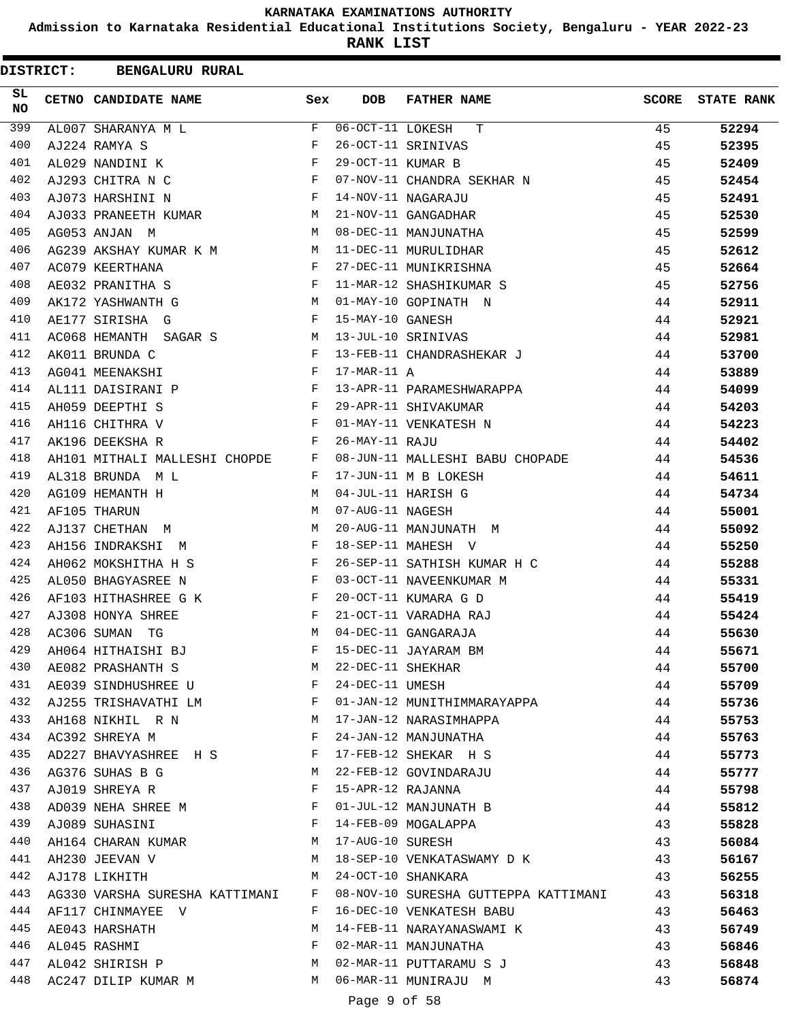**Admission to Karnataka Residential Educational Institutions Society, Bengaluru - YEAR 2022-23**

| <b>DISTRICT:</b> | <b>BENGALURU RURAL</b>                      |                                                                                                                |                   |                                      |       |                   |
|------------------|---------------------------------------------|----------------------------------------------------------------------------------------------------------------|-------------------|--------------------------------------|-------|-------------------|
| SL.<br>NO.       | CETNO CANDIDATE NAME                        | Sex                                                                                                            | <b>DOB</b>        | <b>FATHER NAME</b>                   | SCORE | <b>STATE RANK</b> |
| 399              | AL007 SHARANYA M L                          | F                                                                                                              | 06-OCT-11 LOKESH  | т                                    | 45    | 52294             |
| 400              | AJ224 RAMYA S                               | F                                                                                                              |                   | 26-OCT-11 SRINIVAS                   | 45    | 52395             |
| 401              | AL029 NANDINI K                             | $_{\rm F}$                                                                                                     | 29-OCT-11 KUMAR B |                                      | 45    | 52409             |
| 402              | AJ293 CHITRA N C                            | F                                                                                                              |                   | 07-NOV-11 CHANDRA SEKHAR N           | 45    | 52454             |
| 403              | AJ073 HARSHINI N                            | $\mathbf{F}$                                                                                                   |                   | 14-NOV-11 NAGARAJU                   | 45    | 52491             |
| 404              | AJ033 PRANEETH KUMAR                        | M                                                                                                              |                   | 21-NOV-11 GANGADHAR                  | 45    | 52530             |
| 405              | AG053 ANJAN M                               | M                                                                                                              |                   | 08-DEC-11 MANJUNATHA                 | 45    | 52599             |
| 406              | AG239 AKSHAY KUMAR K M                      | M                                                                                                              |                   | 11-DEC-11 MURULIDHAR                 | 45    | 52612             |
| 407              | AC079 KEERTHANA                             | $\mathbf{F}$                                                                                                   |                   | 27-DEC-11 MUNIKRISHNA                | 45    | 52664             |
| 408              | AE032 PRANITHA S                            | $\mathbf{F}$                                                                                                   |                   | 11-MAR-12 SHASHIKUMAR S              | 45    | 52756             |
| 409              | AK172 YASHWANTH G                           | M                                                                                                              |                   | 01-MAY-10 GOPINATH N                 | 44    | 52911             |
| 410              | AE177 SIRISHA G                             | $\mathbf{F}$                                                                                                   | 15-MAY-10 GANESH  |                                      | 44    | 52921             |
| 411              | AC068 HEMANTH SAGAR S<br><b>Example 1 M</b> |                                                                                                                |                   | 13-JUL-10 SRINIVAS                   | 44    | 52981             |
| 412              | AK011 BRUNDA C                              | F                                                                                                              |                   | 13-FEB-11 CHANDRASHEKAR J            | 44    | 53700             |
| 413              | AG041 MEENAKSHI                             | F                                                                                                              | $17-MAR-11$ A     |                                      | 44    | 53889             |
| 414              | AL111 DAISIRANI P                           | F                                                                                                              |                   | 13-APR-11 PARAMESHWARAPPA            | 44    | 54099             |
| 415              | AH059 DEEPTHI S                             | $\mathbf{F}$                                                                                                   |                   | 29-APR-11 SHIVAKUMAR                 | 44    | 54203             |
| 416              | AH116 CHITHRA V                             | $\mathbf{F}$                                                                                                   |                   | 01-MAY-11 VENKATESH N                | 44    | 54223             |
| 417              | AK196 DEEKSHA R                             | F                                                                                                              | 26-MAY-11 RAJU    |                                      | 44    | 54402             |
| 418              | AH101 MITHALI MALLESHI CHOPDE F             |                                                                                                                |                   | 08-JUN-11 MALLESHI BABU CHOPADE      | 44    | 54536             |
| 419              | AL318 BRUNDA ML                             | $\mathbf{F}$                                                                                                   |                   | 17-JUN-11 M B LOKESH                 | 44    | 54611             |
| 420              | AG109 HEMANTH H                             | M                                                                                                              |                   | 04-JUL-11 HARISH G                   | 44    | 54734             |
| 421              | AF105 THARUN                                | M                                                                                                              | 07-AUG-11 NAGESH  |                                      | 44    | 55001             |
| 422              | AJ137 CHETHAN M                             | М                                                                                                              |                   | 20-AUG-11 MANJUNATH M                | 44    | 55092             |
| 423              | AH156 INDRAKSHI M                           | $\mathbf{F}$                                                                                                   |                   | 18-SEP-11 MAHESH V                   | 44    | 55250             |
| 424              | AH062 MOKSHITHA H S                         | F                                                                                                              |                   | 26-SEP-11 SATHISH KUMAR H C          | 44    | 55288             |
| 425              | AL050 BHAGYASREE N                          | $\mathbf{F}$                                                                                                   |                   | 03-OCT-11 NAVEENKUMAR M              | 44    | 55331             |
| 426              | AF103 HITHASHREE G K                        | F                                                                                                              |                   | 20-OCT-11 KUMARA G D                 | 44    | 55419             |
| 427              | AJ308 HONYA SHREE                           | F                                                                                                              |                   | 21-OCT-11 VARADHA RAJ                | 44    | 55424             |
| 428              | AC306 SUMAN TG                              | M                                                                                                              |                   | 04-DEC-11 GANGARAJA                  | 44    | 55630             |
| 429              | AH064 HITHAISHI BJ                          | F                                                                                                              |                   | 15-DEC-11 JAYARAM BM                 | 44    | 55671             |
| 430              | AE082 PRASHANTH S M                         |                                                                                                                | 22-DEC-11 SHEKHAR |                                      | 44    | 55700             |
| 431              | AE039 SINDHUSHREE U F                       |                                                                                                                | 24-DEC-11 UMESH   |                                      | 44    | 55709             |
| 432              | AJ255 TRISHAVATHI LM F                      |                                                                                                                |                   | 01-JAN-12 MUNITHIMMARAYAPPA          | 44    | 55736             |
| 433              | AH168 NIKHIL R N                            | M                                                                                                              |                   | 17-JAN-12 NARASIMHAPPA               | 44    | 55753             |
| 434              | AC392 SHREYA M                              | $\mathbf{F}$ and $\mathbf{F}$                                                                                  |                   | 24-JAN-12 MANJUNATHA                 | 44    | 55763             |
| 435              | AD227 BHAVYASHREE H S F                     |                                                                                                                |                   | 17-FEB-12 SHEKAR H S                 | 44    | 55773             |
| 436              | AG376 SUHAS B G                             | M                                                                                                              |                   | 22-FEB-12 GOVINDARAJU                | 44    | 55777             |
| 437              | AJ019 SHREYA R                              | $\mathbf{F}$                                                                                                   | 15-APR-12 RAJANNA |                                      | 44    | 55798             |
| 438              | AD039 NEHA SHREE M                          |                                                                                                                |                   | 01-JUL-12 MANJUNATH B                | 44    | 55812             |
| 439              | AJ089 SUHASINI                              | in the state of the state of the state of the state of the state of the state of the state of the state of the |                   | 14-FEB-09 MOGALAPPA                  | 43    | 55828             |
| 440              | AH164 CHARAN KUMAR M                        |                                                                                                                | 17-AUG-10 SURESH  |                                      | 43    | 56084             |
| 441              | AH230 JEEVAN V                              | M                                                                                                              |                   | 18-SEP-10 VENKATASWAMY D K           | 43    | 56167             |
| 442              | AJ178 LIKHITH                               | M                                                                                                              |                   | 24-OCT-10 SHANKARA                   | 43    | 56255             |
| 443              | AG330 VARSHA SURESHA KATTIMANI              | F                                                                                                              |                   | 08-NOV-10 SURESHA GUTTEPPA KATTIMANI | 43    | 56318             |
| 444              | AF117 CHINMAYEE V                           | F                                                                                                              |                   | 16-DEC-10 VENKATESH BABU             | 43    | 56463             |
| 445              | AE043 HARSHATH                              | М                                                                                                              |                   | 14-FEB-11 NARAYANASWAMI K            | 43    | 56749             |
| 446              | AL045 RASHMI                                | $\mathbf{F}$                                                                                                   |                   | 02-MAR-11 MANJUNATHA                 | 43    | 56846             |
| 447              | AL042 SHIRISH P M                           |                                                                                                                |                   | 02-MAR-11 PUTTARAMU S J              | 43    | 56848             |
| 448              | AC247 DILIP KUMAR M                         | M                                                                                                              |                   | 06-MAR-11 MUNIRAJU M                 | 43    | 56874             |
|                  |                                             |                                                                                                                | Page 9 of 58      |                                      |       |                   |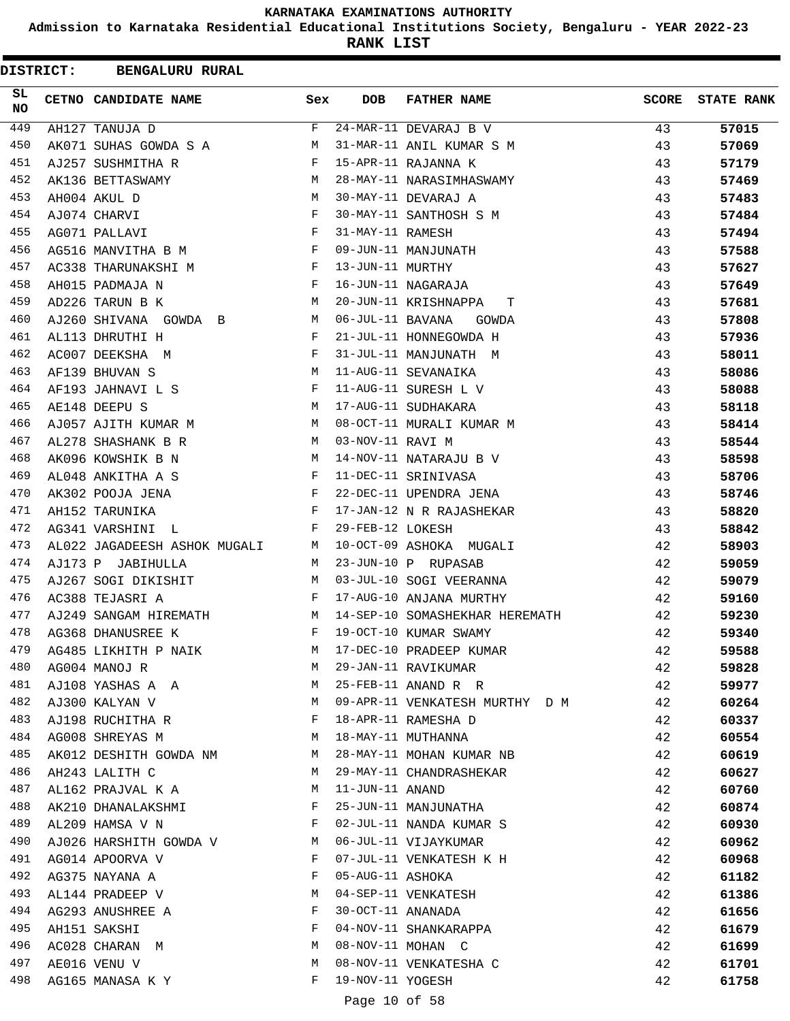**Admission to Karnataka Residential Educational Institutions Society, Bengaluru - YEAR 2022-23**

| <b>DISTRICT:</b> | <b>BENGALURU RURAL</b>       |                                                |                   |                                |              |                   |
|------------------|------------------------------|------------------------------------------------|-------------------|--------------------------------|--------------|-------------------|
| SL.<br>NO.       | CETNO CANDIDATE NAME         | Sex                                            | <b>DOB</b>        | <b>FATHER NAME</b>             | <b>SCORE</b> | <b>STATE RANK</b> |
| 449              | AH127 TANUJA D               | F                                              |                   | 24-MAR-11 DEVARAJ B V          | 43           | 57015             |
| 450              | AK071 SUHAS GOWDA S A        | М                                              |                   | 31-MAR-11 ANIL KUMAR S M       | 43           | 57069             |
| 451              | AJ257 SUSHMITHA R            | F                                              |                   | 15-APR-11 RAJANNA K            | 43           | 57179             |
| 452              | AK136 BETTASWAMY             | M                                              |                   | 28-MAY-11 NARASIMHASWAMY       | 43           | 57469             |
| 453              | AH004 AKUL D                 | М                                              |                   | 30-MAY-11 DEVARAJ A            | 43           | 57483             |
| 454              | AJ074 CHARVI                 | F                                              |                   | 30-MAY-11 SANTHOSH S M         | 43           | 57484             |
| 455              | AG071 PALLAVI                | F                                              | 31-MAY-11 RAMESH  |                                | 43           | 57494             |
| 456              | AG516 MANVITHA B M           | F                                              |                   | 09-JUN-11 MANJUNATH            | 43           | 57588             |
| 457              | AC338 THARUNAKSHI M          | F                                              | 13-JUN-11 MURTHY  |                                | 43           | 57627             |
| 458              | AH015 PADMAJA N              | F                                              |                   | 16-JUN-11 NAGARAJA             | 43           | 57649             |
| 459              | AD226 TARUN B K              | М                                              |                   | 20-JUN-11 KRISHNAPPA<br>т      | 43           | 57681             |
| 460              | AJ260 SHIVANA GOWDA B        | М                                              | 06-JUL-11 BAVANA  | GOWDA                          | 43           | 57808             |
| 461              | AL113 DHRUTHI H              | F                                              |                   | 21-JUL-11 HONNEGOWDA H         | 43           | 57936             |
| 462              | AC007 DEEKSHA M              | F                                              |                   | 31-JUL-11 MANJUNATH M          | 43           | 58011             |
| 463              | AF139 BHUVAN S               | M                                              |                   | 11-AUG-11 SEVANAIKA            | 43           | 58086             |
| 464              | AF193 JAHNAVI L S            | F                                              |                   | 11-AUG-11 SURESH L V           | 43           | 58088             |
| 465              | AE148 DEEPU S                | М                                              |                   | 17-AUG-11 SUDHAKARA            | 43           | 58118             |
| 466              | AJ057 AJITH KUMAR M          | M                                              |                   | 08-OCT-11 MURALI KUMAR M       | 43           | 58414             |
| 467              | AL278 SHASHANK B R           | M                                              | 03-NOV-11 RAVI M  |                                | 43           | 58544             |
| 468              | AK096 KOWSHIK B N            | M                                              |                   | 14-NOV-11 NATARAJU B V         | 43           | 58598             |
| 469              | AL048 ANKITHA A S            | F                                              |                   | 11-DEC-11 SRINIVASA            | 43           | 58706             |
| 470              | AK302 POOJA JENA             | $\mathbf{F}$                                   |                   | 22-DEC-11 UPENDRA JENA         | 43           | 58746             |
| 471              | AH152 TARUNIKA               | F                                              |                   | 17-JAN-12 N R RAJASHEKAR       | 43           | 58820             |
| 472              | AG341 VARSHINI L             | F                                              | 29-FEB-12 LOKESH  |                                | 43           | 58842             |
| 473              | AL022 JAGADEESH ASHOK MUGALI | M                                              |                   | 10-OCT-09 ASHOKA MUGALI        | 42           | 58903             |
| 474              | AJ173 P JABIHULLA            | M                                              |                   | 23-JUN-10 P RUPASAB            | 42           | 59059             |
| 475              | AJ267 SOGI DIKISHIT          | M                                              |                   | 03-JUL-10 SOGI VEERANNA        | 42           | 59079             |
| 476              | AC388 TEJASRI A              | F                                              |                   | 17-AUG-10 ANJANA MURTHY        | 42           | 59160             |
| 477              | AJ249 SANGAM HIREMATH        | М                                              |                   | 14-SEP-10 SOMASHEKHAR HEREMATH | 42           | 59230             |
| 478              | AG368 DHANUSREE K            | F                                              |                   | 19-OCT-10 KUMAR SWAMY          | 42           | 59340             |
| 479              | AG485 LIKHITH P NAIK         | M                                              |                   | 17-DEC-10 PRADEEP KUMAR        | 42           | 59588             |
| 480              | AG004 MANOJ R                | M                                              |                   | 29-JAN-11 RAVIKUMAR            | 42           | 59828             |
| 481              | AJ108 YASHAS A A             | M                                              |                   | 25-FEB-11 ANAND R R            | 42           | 59977             |
| 482              | AJ300 KALYAN V               | M                                              |                   | 09-APR-11 VENKATESH MURTHY D M | 42           | 60264             |
| 483              | AJ198 RUCHITHA R             | F                                              |                   | 18-APR-11 RAMESHA D            | 42           | 60337             |
| 484              | AG008 SHREYAS M              | M                                              |                   | 18-MAY-11 MUTHANNA             | 42           | 60554             |
| 485              | AK012 DESHITH GOWDA NM       | M                                              |                   | 28-MAY-11 MOHAN KUMAR NB       | 42           | 60619             |
| 486              | AH243 LALITH C               | М                                              |                   | 29-MAY-11 CHANDRASHEKAR        | 42           | 60627             |
| 487              | AL162 PRAJVAL K A            | М                                              | 11-JUN-11 ANAND   |                                | 42           | 60760             |
| 488              | AK210 DHANALAKSHMI           | F                                              |                   | 25-JUN-11 MANJUNATHA           | 42           | 60874             |
| 489              | AL209 HAMSA V N              | $\mathbf{F}$ and $\mathbf{F}$ and $\mathbf{F}$ |                   | 02-JUL-11 NANDA KUMAR S        | 42           | 60930             |
| 490              | AJ026 HARSHITH GOWDA V M     |                                                |                   | 06-JUL-11 VIJAYKUMAR           | 42           | 60962             |
| 491              | AG014 APOORVA V              | F                                              |                   | 07-JUL-11 VENKATESH K H        | 42           | 60968             |
| 492              | AG375 NAYANA A               | F                                              | 05-AUG-11 ASHOKA  |                                | 42           | 61182             |
| 493              | AL144 PRADEEP V              | М                                              |                   | 04-SEP-11 VENKATESH            | 42           | 61386             |
| 494              | AG293 ANUSHREE A             | F                                              | 30-OCT-11 ANANADA |                                | 42           | 61656             |
| 495              | AH151 SAKSHI                 | F                                              |                   | 04-NOV-11 SHANKARAPPA          | 42           | 61679             |
| 496              | AC028 CHARAN M               | М                                              |                   | 08-NOV-11 MOHAN C              | 42           | 61699             |
| 497              | AE016 VENU V                 | M                                              |                   | 08-NOV-11 VENKATESHA C         | 42           | 61701             |
| 498              | AG165 MANASA K Y             | F                                              | 19-NOV-11 YOGESH  |                                | 42           | 61758             |
|                  |                              |                                                | Page 10 of 58     |                                |              |                   |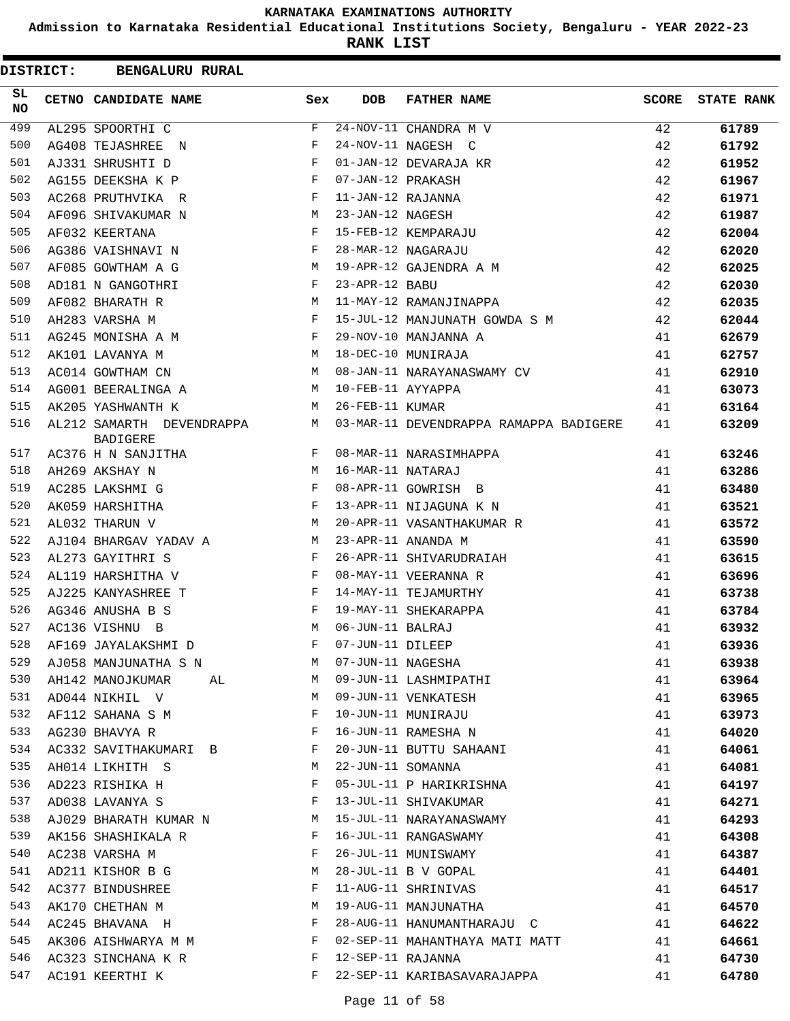**Admission to Karnataka Residential Educational Institutions Society, Bengaluru - YEAR 2022-23**

**RANK LIST**

| <b>DISTRICT:</b> | <b>BENGALURU RURAL</b>                         |                               |                   |                                        |              |                   |
|------------------|------------------------------------------------|-------------------------------|-------------------|----------------------------------------|--------------|-------------------|
| SL.<br><b>NO</b> | CETNO CANDIDATE NAME                           | Sex                           | DOB               | <b>FATHER NAME</b>                     | <b>SCORE</b> | <b>STATE RANK</b> |
| 499              | AL295 SPOORTHI C                               | F                             |                   | 24-NOV-11 CHANDRA M V                  | 42           | 61789             |
| 500              | AG408 TEJASHREE N                              | F                             |                   | 24-NOV-11 NAGESH C                     | 42           | 61792             |
| 501              | AJ331 SHRUSHTI D                               | F                             |                   | 01-JAN-12 DEVARAJA KR                  | 42           | 61952             |
| 502              | AG155 DEEKSHA K P                              | $\mathbf{F}$                  | 07-JAN-12 PRAKASH |                                        | 42           | 61967             |
| 503              | AC268 PRUTHVIKA R                              | F                             | 11-JAN-12 RAJANNA |                                        | 42           | 61971             |
| 504              | AF096 SHIVAKUMAR N                             | M <sub>1</sub>                | 23-JAN-12 NAGESH  |                                        | 42           | 61987             |
| 505              | AF032 KEERTANA                                 | F                             |                   | 15-FEB-12 KEMPARAJU                    | 42           | 62004             |
| 506              | AG386 VAISHNAVI N                              | F                             |                   | 28-MAR-12 NAGARAJU                     | 42           | 62020             |
| 507              | AF085 GOWTHAM A G                              | M                             |                   | 19-APR-12 GAJENDRA A M                 | 42           | 62025             |
| 508              | AD181 N GANGOTHRI                              | F                             | 23-APR-12 BABU    |                                        | 42           | 62030             |
| 509              | AF082 BHARATH R                                | М                             |                   | 11-MAY-12 RAMANJINAPPA                 | 42           | 62035             |
| 510              | AH283 VARSHA M                                 | $\mathbf{F}$ and $\mathbf{F}$ |                   | 15-JUL-12 MANJUNATH GOWDA S M          | 42           | 62044             |
| 511              | AG245 MONISHA A M                              | $\mathbf{F}$                  |                   | 29-NOV-10 MANJANNA A                   | 41           | 62679             |
| 512              | AK101 LAVANYA M                                | M                             |                   | 18-DEC-10 MUNIRAJA                     | 41           | 62757             |
| 513              | AC014 GOWTHAM CN                               | M                             |                   | 08-JAN-11 NARAYANASWAMY CV             | 41           | 62910             |
| 514              | AG001 BEERALINGA A                             | M                             | 10-FEB-11 AYYAPPA |                                        | 41           | 63073             |
| 515              | AK205 YASHWANTH K                              | M                             | 26-FEB-11 KUMAR   |                                        | 41           | 63164             |
| 516              | AL212 SAMARTH DEVENDRAPPA M<br><b>BADIGERE</b> |                               |                   | 03-MAR-11 DEVENDRAPPA RAMAPPA BADIGERE | 41           | 63209             |
| 517              | AC376 H N SANJITHA                             | F                             |                   | 08-MAR-11 NARASIMHAPPA                 | 41           | 63246             |
| 518              | AH269 AKSHAY N                                 | M                             | 16-MAR-11 NATARAJ |                                        | 41           | 63286             |
| 519              | AC285 LAKSHMI G                                | F                             |                   | 08-APR-11 GOWRISH B                    | 41           | 63480             |
| 520              | AK059 HARSHITHA                                | $\mathbf{F}$                  |                   | 13-APR-11 NIJAGUNA K N                 | 41           | 63521             |
| 521              | AL032 THARUN V                                 | M                             |                   | 20-APR-11 VASANTHAKUMAR R              | 41           | 63572             |
| 522              | AJ104 BHARGAV YADAV A                          | M                             |                   | 23-APR-11 ANANDA M                     | 41           | 63590             |
| 523              | AL273 GAYITHRI S                               | F                             |                   | 26-APR-11 SHIVARUDRAIAH                | 41           | 63615             |
| 524              | AL119 HARSHITHA V                              | $\mathbf{F}$                  |                   | 08-MAY-11 VEERANNA R                   | 41           | 63696             |
| 525              | AJ225 KANYASHREE T                             | F                             |                   | 14-MAY-11 TEJAMURTHY                   | 41           | 63738             |
| 526              | AG346 ANUSHA B S                               | F                             |                   | 19-MAY-11 SHEKARAPPA                   | 41           | 63784             |
| 527              | AC136 VISHNU B                                 | M                             | 06-JUN-11 BALRAJ  |                                        | 41           | 63932             |
| 528              | AF169 JAYALAKSHMI D                            | F                             | 07-JUN-11 DILEEP  |                                        | 41           | 63936             |
| 529              | AJ058 MANJUNATHA S N                           | M                             | 07-JUN-11 NAGESHA |                                        | 41           | 63938             |
| 530              | AH142 MANOJKUMAR<br>AL                         | M                             |                   | 09-JUN-11 LASHMIPATHI                  | 41           | 63964             |
| 531              | AD044 NIKHIL V                                 | М                             |                   | 09-JUN-11 VENKATESH                    | 41           | 63965             |
| 532              | AF112 SAHANA S M                               | F                             |                   | 10-JUN-11 MUNIRAJU                     | 41           | 63973             |
| 533              | AG230 BHAVYA R                                 | F                             |                   | 16-JUN-11 RAMESHA N                    | 41           | 64020             |
| 534              | AC332 SAVITHAKUMARI B                          | F                             |                   | 20-JUN-11 BUTTU SAHAANI                | 41           | 64061             |
| 535              | AH014 LIKHITH S                                | М                             | 22-JUN-11 SOMANNA |                                        | 41           | 64081             |
| 536              | AD223 RISHIKA H                                | F                             |                   | 05-JUL-11 P HARIKRISHNA                | 41           | 64197             |
| 537              | AD038 LAVANYA S                                | F                             |                   | 13-JUL-11 SHIVAKUMAR                   | 41           | 64271             |
| 538              | AJ029 BHARATH KUMAR N                          | M                             |                   | 15-JUL-11 NARAYANASWAMY                | 41           | 64293             |
| 539              | AK156 SHASHIKALA R                             | F                             |                   | 16-JUL-11 RANGASWAMY                   | 41           | 64308             |
| 540              | AC238 VARSHA M                                 | F                             |                   | 26-JUL-11 MUNISWAMY                    | 41           | 64387             |
| 541              | AD211 KISHOR B G                               | М                             |                   | 28-JUL-11 B V GOPAL                    | 41           | 64401             |
| 542              | AC377 BINDUSHREE                               | F                             |                   | 11-AUG-11 SHRINIVAS                    | 41           | 64517             |
| 543              | AK170 CHETHAN M                                | М                             |                   | 19-AUG-11 MANJUNATHA                   | 41           | 64570             |
| 544              |                                                | F                             |                   | 28-AUG-11 HANUMANTHARAJU C             | 41           |                   |
| 545              | AC245 BHAVANA H                                | F                             |                   | 02-SEP-11 MAHANTHAYA MATI MATT         |              | 64622             |
| 546              | AK306 AISHWARYA M M                            | F                             | 12-SEP-11 RAJANNA |                                        | 41           | 64661             |
| 547              | AC323 SINCHANA K R                             | F                             |                   |                                        | 41           | 64730             |
|                  | AC191 KEERTHI K                                |                               |                   | 22-SEP-11 KARIBASAVARAJAPPA            | 41           | 64780             |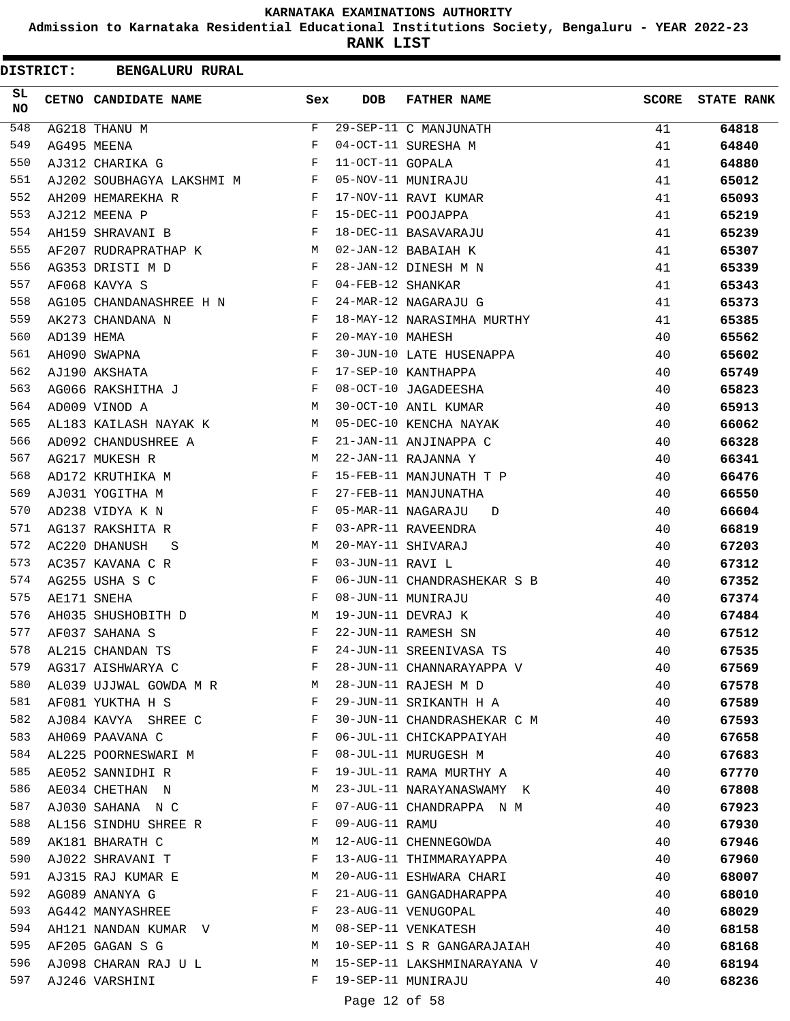**Admission to Karnataka Residential Educational Institutions Society, Bengaluru - YEAR 2022-23**

| <b>DISTRICT:</b> |            | <b>BENGALURU RURAL</b>    |             |                   |                             |              |                   |
|------------------|------------|---------------------------|-------------|-------------------|-----------------------------|--------------|-------------------|
| SL<br><b>NO</b>  |            | CETNO CANDIDATE NAME      | Sex         | <b>DOB</b>        | <b>FATHER NAME</b>          | <b>SCORE</b> | <b>STATE RANK</b> |
| 548              |            | AG218 THANU M             | $\mathbf F$ |                   | 29-SEP-11 C MANJUNATH       | 41           | 64818             |
| 549              |            | AG495 MEENA               | F           |                   | 04-OCT-11 SURESHA M         | 41           | 64840             |
| 550              |            | AJ312 CHARIKA G           | F           | 11-OCT-11 GOPALA  |                             | 41           | 64880             |
| 551              |            | AJ202 SOUBHAGYA LAKSHMI M | F           |                   | 05-NOV-11 MUNIRAJU          | 41           | 65012             |
| 552              |            | AH209 HEMAREKHA R         | F           |                   | 17-NOV-11 RAVI KUMAR        | 41           | 65093             |
| 553              |            | AJ212 MEENA P             | F           |                   | 15-DEC-11 POOJAPPA          | 41           | 65219             |
| 554              |            | AH159 SHRAVANI B          | F           |                   | 18-DEC-11 BASAVARAJU        | 41           | 65239             |
| 555              |            | AF207 RUDRAPRATHAP K      | M           |                   | 02-JAN-12 BABAIAH K         | 41           | 65307             |
| 556              |            | AG353 DRISTI M D          | F           |                   | 28-JAN-12 DINESH M N        | 41           | 65339             |
| 557              |            | AF068 KAVYA S             | F           | 04-FEB-12 SHANKAR |                             | 41           | 65343             |
| 558              |            | AG105 CHANDANASHREE H N   | F           |                   | 24-MAR-12 NAGARAJU G        | 41           | 65373             |
| 559              |            | AK273 CHANDANA N          | F           |                   | 18-MAY-12 NARASIMHA MURTHY  | 41           | 65385             |
| 560              | AD139 HEMA |                           | F           | 20-MAY-10 MAHESH  |                             | 40           | 65562             |
| 561              |            | AH090 SWAPNA              | F           |                   | 30-JUN-10 LATE HUSENAPPA    | 40           | 65602             |
| 562              |            | AJ190 AKSHATA             | F           |                   | 17-SEP-10 KANTHAPPA         | 40           | 65749             |
| 563              |            | AG066 RAKSHITHA J         | F           |                   | 08-OCT-10 JAGADEESHA        | 40           | 65823             |
| 564              |            | AD009 VINOD A             | M           |                   | 30-OCT-10 ANIL KUMAR        | 40           | 65913             |
| 565              |            | AL183 KAILASH NAYAK K     | M           |                   | 05-DEC-10 KENCHA NAYAK      | 40           | 66062             |
| 566              |            | AD092 CHANDUSHREE A       | F           |                   | 21-JAN-11 ANJINAPPA C       | 40           | 66328             |
| 567              |            | AG217 MUKESH R            | М           |                   | 22-JAN-11 RAJANNA Y         | 40           | 66341             |
| 568              |            | AD172 KRUTHIKA M          | F           |                   | 15-FEB-11 MANJUNATH T P     | 40           | 66476             |
| 569              |            | AJ031 YOGITHA M           | F           |                   | 27-FEB-11 MANJUNATHA        | 40           | 66550             |
| 570              |            | AD238 VIDYA K N           | F           |                   | 05-MAR-11 NAGARAJU<br>D     | 40           | 66604             |
| 571              |            | AG137 RAKSHITA R          | F           |                   | 03-APR-11 RAVEENDRA         | 40           | 66819             |
| 572              |            | AC220 DHANUSH<br>S        | М           |                   | 20-MAY-11 SHIVARAJ          | 40           | 67203             |
| 573              |            | AC357 KAVANA C R          | F           | 03-JUN-11 RAVI L  |                             | 40           | 67312             |
| 574              |            | AG255 USHA S C            | F           |                   | 06-JUN-11 CHANDRASHEKAR S B | 40           | 67352             |
| 575              |            | AE171 SNEHA               | F           |                   | 08-JUN-11 MUNIRAJU          | 40           | 67374             |
| 576              |            | AH035 SHUSHOBITH D        | M           |                   | 19-JUN-11 DEVRAJ K          | 40           | 67484             |
| 577              |            | AF037 SAHANA S            | F           |                   | 22-JUN-11 RAMESH SN         | 40           | 67512             |
| 578              |            | AL215 CHANDAN TS          | F           |                   | 24-JUN-11 SREENIVASA TS     | 40           | 67535             |
| 579              |            | AG317 AISHWARYA C         | F           |                   | 28-JUN-11 CHANNARAYAPPA V   | 40           | 67569             |
| 580              |            | AL039 UJJWAL GOWDA M R    | M           |                   | 28-JUN-11 RAJESH M D        | 40           | 67578             |
| 581              |            | AF081 YUKTHA H S          | F           |                   | 29-JUN-11 SRIKANTH H A      | 40           | 67589             |
| 582              |            | AJ084 KAVYA SHREE C       | F           |                   | 30-JUN-11 CHANDRASHEKAR C M | 40           | 67593             |
| 583              |            | AH069 PAAVANA C           | F           |                   | 06-JUL-11 CHICKAPPAIYAH     | 40           | 67658             |
| 584              |            | AL225 POORNESWARI M       | F           |                   | 08-JUL-11 MURUGESH M        | 40           | 67683             |
| 585              |            | AE052 SANNIDHI R          | F           |                   | 19-JUL-11 RAMA MURTHY A     | 40           | 67770             |
| 586              |            | AE034 CHETHAN N           | М           |                   | 23-JUL-11 NARAYANASWAMY K   | 40           | 67808             |
| 587              |            | AJ030 SAHANA N C          | F           |                   | 07-AUG-11 CHANDRAPPA N M    | 40           | 67923             |
| 588              |            | AL156 SINDHU SHREE R      | F           | 09-AUG-11 RAMU    |                             | 40           | 67930             |
| 589              |            | AK181 BHARATH C           | M           |                   | 12-AUG-11 CHENNEGOWDA       | 40           | 67946             |
| 590              |            | AJ022 SHRAVANI T          | F           |                   | 13-AUG-11 THIMMARAYAPPA     | 40           | 67960             |
| 591              |            | AJ315 RAJ KUMAR E         | М           |                   | 20-AUG-11 ESHWARA CHARI     | 40           | 68007             |
| 592              |            | AG089 ANANYA G            | F           |                   | 21-AUG-11 GANGADHARAPPA     | 40           | 68010             |
| 593              |            | AG442 MANYASHREE          | F           |                   | 23-AUG-11 VENUGOPAL         | 40           | 68029             |
| 594              |            | AH121 NANDAN KUMAR V      | M           |                   | 08-SEP-11 VENKATESH         | 40           | 68158             |
| 595              |            | AF205 GAGAN S G           | M           |                   | 10-SEP-11 S R GANGARAJAIAH  | 40           | 68168             |
| 596              |            | AJ098 CHARAN RAJ U L      | M           |                   | 15-SEP-11 LAKSHMINARAYANA V | 40           | 68194             |
| 597              |            | AJ246 VARSHINI            | F           |                   | 19-SEP-11 MUNIRAJU          | 40           | 68236             |
|                  |            |                           |             |                   |                             |              |                   |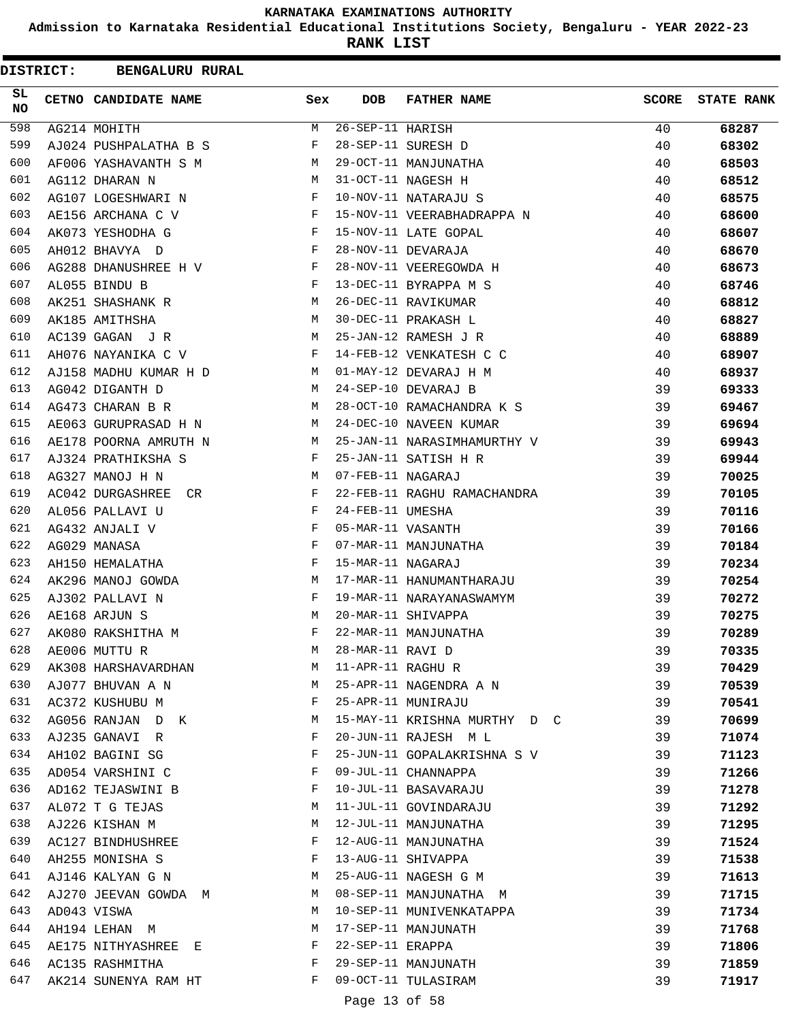**Admission to Karnataka Residential Educational Institutions Society, Bengaluru - YEAR 2022-23**

**RANK LIST**

ı

| <b>DISTRICT:</b> | <b>BENGALURU RURAL</b>  |     |                   |                              |              |                   |
|------------------|-------------------------|-----|-------------------|------------------------------|--------------|-------------------|
| SL<br><b>NO</b>  | CETNO CANDIDATE NAME    | Sex | <b>DOB</b>        | <b>FATHER NAME</b>           | <b>SCORE</b> | <b>STATE RANK</b> |
| 598              | AG214 MOHITH            | М   | 26-SEP-11 HARISH  |                              | 40           | 68287             |
| 599              | AJ024 PUSHPALATHA B S   | F   |                   | 28-SEP-11 SURESH D           | 40           | 68302             |
| 600              | AF006 YASHAVANTH S M    | М   |                   | 29-OCT-11 MANJUNATHA         | 40           | 68503             |
| 601              | AG112 DHARAN N          | M   |                   | 31-OCT-11 NAGESH H           | 40           | 68512             |
| 602              | AG107 LOGESHWARI N      | F   |                   | 10-NOV-11 NATARAJU S         | 40           | 68575             |
| 603              | AE156 ARCHANA C V       | F   |                   | 15-NOV-11 VEERABHADRAPPA N   | 40           | 68600             |
| 604              | AK073 YESHODHA G        | F   |                   | 15-NOV-11 LATE GOPAL         | 40           | 68607             |
| 605              | AH012 BHAVYA D          | F   |                   | 28-NOV-11 DEVARAJA           | 40           | 68670             |
| 606              | AG288 DHANUSHREE H V    | F   |                   | 28-NOV-11 VEEREGOWDA H       | 40           | 68673             |
| 607              | AL055 BINDU B           | F   |                   | 13-DEC-11 BYRAPPA M S        | 40           | 68746             |
| 608              | AK251 SHASHANK R        | М   |                   | 26-DEC-11 RAVIKUMAR          | 40           | 68812             |
| 609              | AK185 AMITHSHA          | М   |                   | 30-DEC-11 PRAKASH L          | 40           | 68827             |
| 610              | AC139 GAGAN J R         | M   |                   | 25-JAN-12 RAMESH J R         | 40           | 68889             |
| 611              | AH076 NAYANIKA C V      | F   |                   | 14-FEB-12 VENKATESH C C      | 40           | 68907             |
| 612              | AJ158 MADHU KUMAR H D   | M   |                   | 01-MAY-12 DEVARAJ H M        | 40           | 68937             |
| 613              | AG042 DIGANTH D         | M   |                   | 24-SEP-10 DEVARAJ B          | 39           | 69333             |
| 614              | AG473 CHARAN B R        | М   |                   | 28-OCT-10 RAMACHANDRA K S    | 39           | 69467             |
| 615              | AE063 GURUPRASAD H N    | М   |                   | 24-DEC-10 NAVEEN KUMAR       | 39           | 69694             |
| 616              | AE178 POORNA AMRUTH N   | М   |                   | 25-JAN-11 NARASIMHAMURTHY V  | 39           | 69943             |
| 617              | AJ324 PRATHIKSHA S      | F   |                   | 25-JAN-11 SATISH H R         | 39           | 69944             |
| 618              | AG327 MANOJ H N         | M   | 07-FEB-11 NAGARAJ |                              | 39           | 70025             |
| 619              | AC042 DURGASHREE<br>CR. | F   |                   | 22-FEB-11 RAGHU RAMACHANDRA  | 39           | 70105             |
| 620              | AL056 PALLAVI U         | F   | 24-FEB-11 UMESHA  |                              | 39           | 70116             |
| 621              | AG432 ANJALI V          | F   | 05-MAR-11 VASANTH |                              | 39           | 70166             |
| 622              | AG029 MANASA            | F   |                   | 07-MAR-11 MANJUNATHA         | 39           | 70184             |
| 623              | AH150 HEMALATHA         | F   | 15-MAR-11 NAGARAJ |                              | 39           | 70234             |
| 624              | AK296 MANOJ GOWDA       | М   |                   | 17-MAR-11 HANUMANTHARAJU     | 39           | 70254             |
| 625              | AJ302 PALLAVI N         | F   |                   | 19-MAR-11 NARAYANASWAMYM     | 39           | 70272             |
| 626              | AE168 ARJUN S           | M   |                   | 20-MAR-11 SHIVAPPA           | 39           | 70275             |
| 627              | AK080 RAKSHITHA M       | F   |                   | 22-MAR-11 MANJUNATHA         | 39           | 70289             |
| 628              |                         | М   | 28-MAR-11 RAVI D  |                              |              | 70335             |
| 629              | AE006 MUTTU R           | М   | 11-APR-11 RAGHU R |                              | 39           |                   |
| 630              | AK308 HARSHAVARDHAN     |     |                   |                              | 39           | 70429             |
|                  | AJ077 BHUVAN A N        | М   |                   | 25-APR-11 NAGENDRA A N       | 39           | 70539             |
| 631              | AC372 KUSHUBU M         | F   |                   | 25-APR-11 MUNIRAJU           | 39           | 70541             |
| 632              | AG056 RANJAN D K        | М   |                   | 15-MAY-11 KRISHNA MURTHY D C | 39           | 70699             |
| 633              | AJ235 GANAVI R          | F   |                   | 20-JUN-11 RAJESH M L         | 39           | 71074             |
| 634              | AH102 BAGINI SG         | F   |                   | 25-JUN-11 GOPALAKRISHNA S V  | 39           | 71123             |
| 635              | AD054 VARSHINI C        | F   |                   | 09-JUL-11 CHANNAPPA          | 39           | 71266             |
| 636              | AD162 TEJASWINI B       | F   |                   | 10-JUL-11 BASAVARAJU         | 39           | 71278             |
| 637              | AL072 T G TEJAS         | М   |                   | 11-JUL-11 GOVINDARAJU        | 39           | 71292             |
| 638              | AJ226 KISHAN M          | М   |                   | 12-JUL-11 MANJUNATHA         | 39           | 71295             |
| 639              | AC127 BINDHUSHREE       | F   |                   | 12-AUG-11 MANJUNATHA         | 39           | 71524             |
| 640              | AH255 MONISHA S         | F   |                   | 13-AUG-11 SHIVAPPA           | 39           | 71538             |
| 641              | AJ146 KALYAN G N        | М   |                   | 25-AUG-11 NAGESH G M         | 39           | 71613             |
| 642              | AJ270 JEEVAN GOWDA M    | М   |                   | 08-SEP-11 MANJUNATHA M       | 39           | 71715             |
| 643              | AD043 VISWA             | М   |                   | 10-SEP-11 MUNIVENKATAPPA     | 39           | 71734             |
| 644              | AH194 LEHAN M           | М   |                   | 17-SEP-11 MANJUNATH          | 39           | 71768             |
| 645              | AE175 NITHYASHREE E     | F   | 22-SEP-11 ERAPPA  |                              | 39           | 71806             |
| 646              | AC135 RASHMITHA         | F   |                   | 29-SEP-11 MANJUNATH          | 39           | 71859             |
| 647              | AK214 SUNENYA RAM HT    | F   |                   | 09-OCT-11 TULASIRAM          | 39           | 71917             |
|                  |                         |     | Page 13 of 58     |                              |              |                   |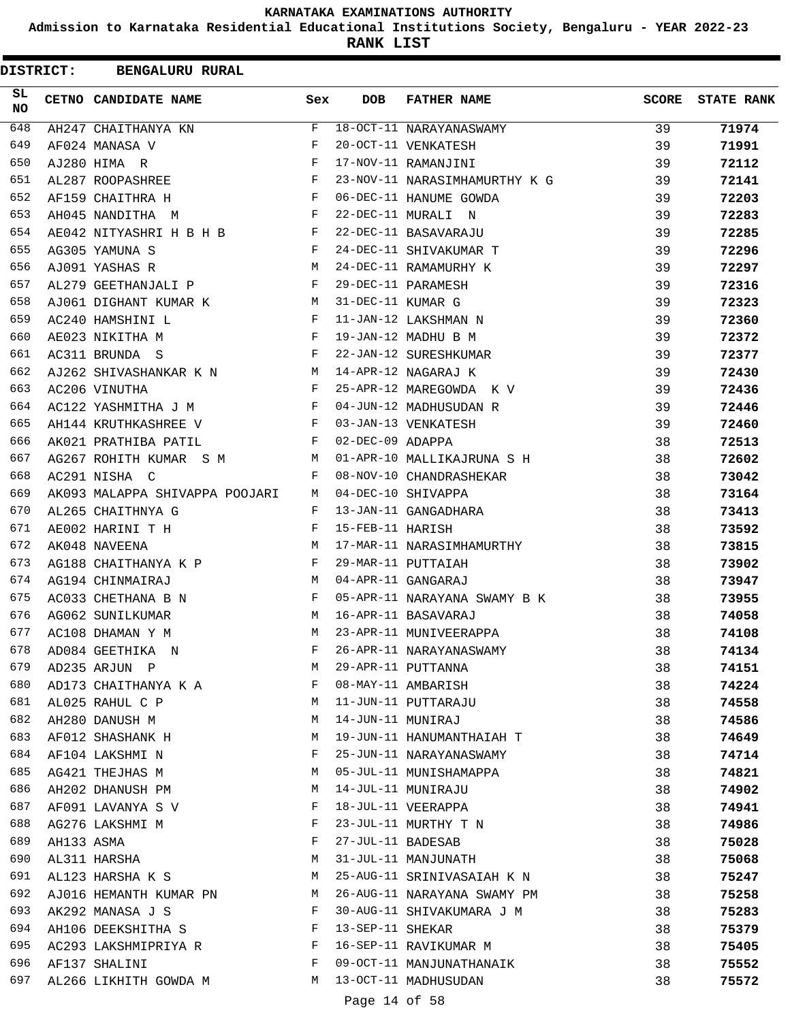**Admission to Karnataka Residential Educational Institutions Society, Bengaluru - YEAR 2022-23**

| <b>DISTRICT:</b> |            | <b>BENGALURU RURAL</b>         |              |                   |                               |              |                   |
|------------------|------------|--------------------------------|--------------|-------------------|-------------------------------|--------------|-------------------|
| SL<br><b>NO</b>  |            | CETNO CANDIDATE NAME           | Sex          | <b>DOB</b>        | <b>FATHER NAME</b>            | <b>SCORE</b> | <b>STATE RANK</b> |
| 648              |            | AH247 CHAITHANYA KN            | F            |                   | 18-OCT-11 NARAYANASWAMY       | 39           | 71974             |
| 649              |            | AF024 MANASA V                 | $_{\rm F}$   |                   | 20-OCT-11 VENKATESH           | 39           | 71991             |
| 650              |            | AJ280 HIMA R                   | F            |                   | 17-NOV-11 RAMANJINI           | 39           | 72112             |
| 651              |            | AL287 ROOPASHREE               | F            |                   | 23-NOV-11 NARASIMHAMURTHY K G | 39           | 72141             |
| 652              |            | AF159 CHAITHRA H               | F            |                   | 06-DEC-11 HANUME GOWDA        | 39           | 72203             |
| 653              |            | AH045 NANDITHA M               | F            |                   | 22-DEC-11 MURALI N            | 39           | 72283             |
| 654              |            | AE042 NITYASHRI H B H B        | $\mathbf{F}$ |                   | 22-DEC-11 BASAVARAJU          | 39           | 72285             |
| 655              |            | AG305 YAMUNA S                 | $_{\rm F}$   |                   | 24-DEC-11 SHIVAKUMAR T        | 39           | 72296             |
| 656              |            | AJ091 YASHAS R                 | M            |                   | 24-DEC-11 RAMAMURHY K         | 39           | 72297             |
| 657              |            | AL279 GEETHANJALI P            | F            |                   | 29-DEC-11 PARAMESH            | 39           | 72316             |
| 658              |            | AJ061 DIGHANT KUMAR K          | M            | 31-DEC-11 KUMAR G |                               | 39           | 72323             |
| 659              |            | AC240 HAMSHINI L               | F            |                   | 11-JAN-12 LAKSHMAN N          | 39           | 72360             |
| 660              |            | AE023 NIKITHA M                | F            |                   | 19-JAN-12 MADHU B M           | 39           | 72372             |
| 661              |            | AC311 BRUNDA S                 | F            |                   | 22-JAN-12 SURESHKUMAR         | 39           | 72377             |
| 662              |            | AJ262 SHIVASHANKAR K N         | M            |                   | 14-APR-12 NAGARAJ K           | 39           | 72430             |
| 663              |            | AC206 VINUTHA                  | F            |                   | 25-APR-12 MAREGOWDA K V       | 39           | 72436             |
| 664              |            | AC122 YASHMITHA J M            | F            |                   | 04-JUN-12 MADHUSUDAN R        | 39           | 72446             |
| 665              |            | AH144 KRUTHKASHREE V           | F            |                   | 03-JAN-13 VENKATESH           | 39           | 72460             |
| 666              |            | AK021 PRATHIBA PATIL           | F            | 02-DEC-09 ADAPPA  |                               | 38           | 72513             |
| 667              |            | AG267 ROHITH KUMAR S M         | М            |                   | 01-APR-10 MALLIKAJRUNA S H    | 38           | 72602             |
| 668              |            | AC291 NISHA C                  | F            |                   | 08-NOV-10 CHANDRASHEKAR       | 38           | 73042             |
| 669              |            | AK093 MALAPPA SHIVAPPA POOJARI | M            |                   | 04-DEC-10 SHIVAPPA            | 38           | 73164             |
| 670              |            | AL265 CHAITHNYA G              | F            |                   | 13-JAN-11 GANGADHARA          | 38           | 73413             |
| 671              |            | AE002 HARINI T H               | F            | 15-FEB-11 HARISH  |                               | 38           | 73592             |
| 672              |            | AK048 NAVEENA                  | М            |                   | 17-MAR-11 NARASIMHAMURTHY     | 38           | 73815             |
| 673              |            | AG188 CHAITHANYA K P           | F            |                   | 29-MAR-11 PUTTAIAH            | 38           | 73902             |
| 674              |            | AG194 CHINMAIRAJ               | M            |                   | 04-APR-11 GANGARAJ            | 38           | 73947             |
| 675              |            | AC033 CHETHANA B N             | F            |                   | 05-APR-11 NARAYANA SWAMY B K  | 38           | 73955             |
| 676              |            | AG062 SUNILKUMAR               | М            |                   | 16-APR-11 BASAVARAJ           | 38           | 74058             |
| 677              |            | AC108 DHAMAN Y M               | M            |                   | 23-APR-11 MUNIVEERAPPA        | 38           | 74108             |
| 678              |            | AD084 GEETHIKA N               | F            |                   | 26-APR-11 NARAYANASWAMY       | 38           | 74134             |
| 679              |            | AD235 ARJUN P                  | М            |                   | 29-APR-11 PUTTANNA            | 38           | 74151             |
| 680              |            | AD173 CHAITHANYA K A           | F            |                   | 08-MAY-11 AMBARISH            | 38           | 74224             |
| 681              |            | AL025 RAHUL C P                | М            |                   | 11-JUN-11 PUTTARAJU           | 38           | 74558             |
| 682              |            | AH280 DANUSH M                 | М            | 14-JUN-11 MUNIRAJ |                               | 38           | 74586             |
| 683              |            | AF012 SHASHANK H               | M            |                   | 19-JUN-11 HANUMANTHAIAH T     | 38           | 74649             |
| 684              |            | AF104 LAKSHMI N                | F            |                   | 25-JUN-11 NARAYANASWAMY       | 38           | 74714             |
| 685              |            | AG421 THEJHAS M                | М            |                   | 05-JUL-11 MUNISHAMAPPA        | 38           | 74821             |
| 686              |            | AH202 DHANUSH PM               | М            |                   | 14-JUL-11 MUNIRAJU            | 38           | 74902             |
| 687              |            | AF091 LAVANYA S V              | F            |                   | 18-JUL-11 VEERAPPA            | 38           | 74941             |
| 688              |            | AG276 LAKSHMI M                | F            |                   | 23-JUL-11 MURTHY T N          | 38           | 74986             |
| 689              | AH133 ASMA |                                | F            | 27-JUL-11 BADESAB |                               | 38           | 75028             |
| 690              |            | AL311 HARSHA                   | М            |                   | 31-JUL-11 MANJUNATH           | 38           | 75068             |
| 691              |            | AL123 HARSHA K S               | M            |                   | 25-AUG-11 SRINIVASAIAH K N    | 38           | 75247             |
| 692              |            | AJ016 HEMANTH KUMAR PN         | M            |                   | 26-AUG-11 NARAYANA SWAMY PM   | 38           | 75258             |
| 693              |            | AK292 MANASA J S               | F            |                   | 30-AUG-11 SHIVAKUMARA J M     | 38           | 75283             |
| 694              |            | AH106 DEEKSHITHA S             | F            | 13-SEP-11 SHEKAR  |                               | 38           | 75379             |
| 695              |            | AC293 LAKSHMIPRIYA R           | F            |                   | 16-SEP-11 RAVIKUMAR M         | 38           | 75405             |
| 696              |            | AF137 SHALINI                  | F            |                   | 09-OCT-11 MANJUNATHANAIK      | 38           | 75552             |
| 697              |            | AL266 LIKHITH GOWDA M          | M            |                   | 13-OCT-11 MADHUSUDAN          | 38           | 75572             |
|                  |            |                                |              | Page 14 of 58     |                               |              |                   |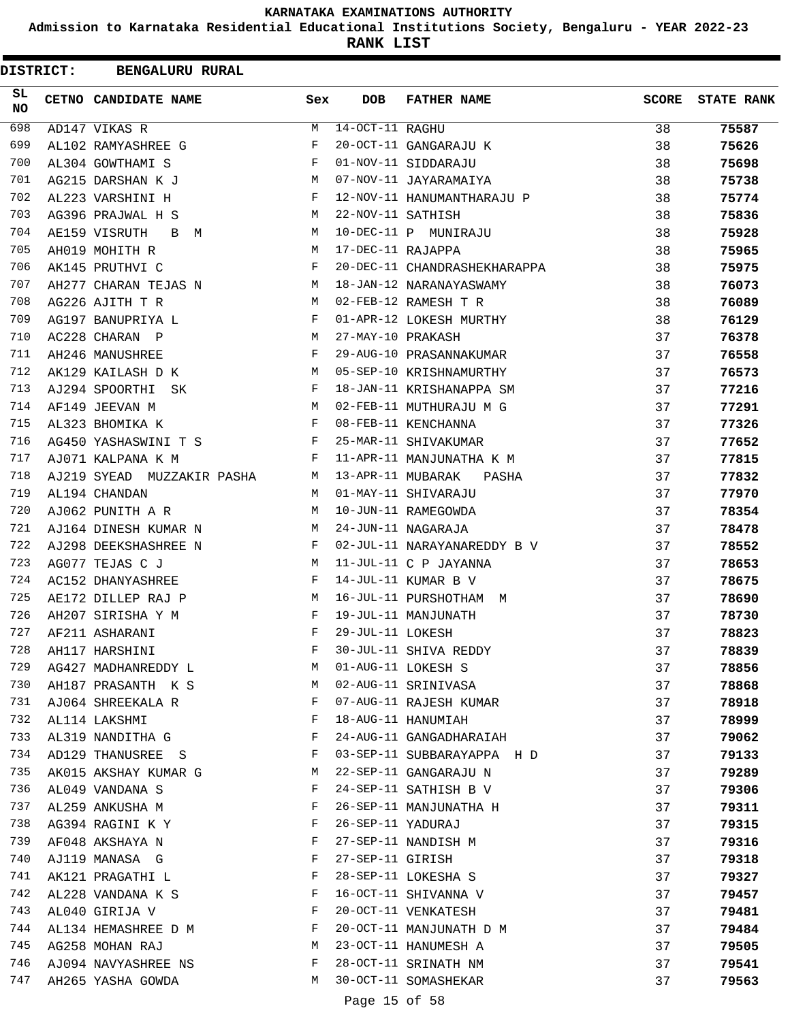**Admission to Karnataka Residential Educational Institutions Society, Bengaluru - YEAR 2022-23**

**RANK LIST**

ı

| <b>DISTRICT:</b> | <b>BENGALURU RURAL</b>     |     |                   |                              |              |                   |
|------------------|----------------------------|-----|-------------------|------------------------------|--------------|-------------------|
| SL<br><b>NO</b>  | CETNO CANDIDATE NAME       | Sex | <b>DOB</b>        | <b>FATHER NAME</b>           | <b>SCORE</b> | <b>STATE RANK</b> |
| 698              | AD147 VIKAS R              | М   | $14-OCT-11$ RAGHU |                              | 38           | 75587             |
| 699              | AL102 RAMYASHREE G         | F   |                   | 20-OCT-11 GANGARAJU K        | 38           | 75626             |
| 700              | AL304 GOWTHAMI S           | F   |                   | 01-NOV-11 SIDDARAJU          | 38           | 75698             |
| 701              | AG215 DARSHAN K J          | М   |                   | 07-NOV-11 JAYARAMAIYA        | 38           | 75738             |
| 702              | AL223 VARSHINI H           | F   |                   | 12-NOV-11 HANUMANTHARAJU P   | 38           | 75774             |
| 703              | AG396 PRAJWAL H S          | М   | 22-NOV-11 SATHISH |                              | 38           | 75836             |
| 704              | AE159 VISRUTH<br>B M       | M   |                   | 10-DEC-11 P MUNIRAJU         | 38           | 75928             |
| 705              | AH019 MOHITH R             | M   | 17-DEC-11 RAJAPPA |                              | 38           | 75965             |
| 706              | AK145 PRUTHVI C            | F   |                   | 20-DEC-11 CHANDRASHEKHARAPPA | 38           | 75975             |
| 707              | AH277 CHARAN TEJAS N       | M   |                   | 18-JAN-12 NARANAYASWAMY      | 38           | 76073             |
| 708              | AG226 AJITH T R            | M   |                   | 02-FEB-12 RAMESH T R         | 38           | 76089             |
| 709              | AG197 BANUPRIYA L          | F   |                   | 01-APR-12 LOKESH MURTHY      | 38           | 76129             |
| 710              | AC228 CHARAN P             | М   | 27-MAY-10 PRAKASH |                              | 37           | 76378             |
| 711              | AH246 MANUSHREE            | F   |                   | 29-AUG-10 PRASANNAKUMAR      | 37           | 76558             |
| 712              | AK129 KAILASH D K          | M   |                   | 05-SEP-10 KRISHNAMURTHY      | 37           | 76573             |
| 713              | AJ294 SPOORTHI<br>SK       | F   |                   | 18-JAN-11 KRISHANAPPA SM     | 37           | 77216             |
| 714              | AF149 JEEVAN M             | M   |                   | 02-FEB-11 MUTHURAJU M G      | 37           | 77291             |
| 715              | AL323 BHOMIKA K            | F   |                   | 08-FEB-11 KENCHANNA          | 37           | 77326             |
| 716              | AG450 YASHASWINI T S       | F   |                   | 25-MAR-11 SHIVAKUMAR         | 37           | 77652             |
| 717              | AJ071 KALPANA K M          | F   |                   | 11-APR-11 MANJUNATHA K M     | 37           | 77815             |
| 718              | AJ219 SYEAD MUZZAKIR PASHA | M   | 13-APR-11 MUBARAK | PASHA                        | 37           | 77832             |
| 719              | AL194 CHANDAN              | M   |                   | 01-MAY-11 SHIVARAJU          | 37           | 77970             |
| 720              | AJ062 PUNITH A R           | M   |                   | 10-JUN-11 RAMEGOWDA          | 37           | 78354             |
| 721              | AJ164 DINESH KUMAR N       | М   |                   | 24-JUN-11 NAGARAJA           | 37           | 78478             |
| 722              | AJ298 DEEKSHASHREE N       | F   |                   | 02-JUL-11 NARAYANAREDDY B V  | 37           | 78552             |
| 723              | AG077 TEJAS C J            | М   |                   | 11-JUL-11 C P JAYANNA        | 37           | 78653             |
| 724              | AC152 DHANYASHREE          | F   |                   | 14-JUL-11 KUMAR B V          | 37           | 78675             |
| 725              | AE172 DILLEP RAJ P         | М   |                   | 16-JUL-11 PURSHOTHAM M       | 37           | 78690             |
| 726              | AH207 SIRISHA Y M          | F   |                   | 19-JUL-11 MANJUNATH          | 37           |                   |
| 727              | AF211 ASHARANI             | F   | 29-JUL-11 LOKESH  |                              |              | 78730             |
| 728              |                            | F   |                   | 30-JUL-11 SHIVA REDDY        | 37           | 78823             |
| 729              | AH117 HARSHINI             |     |                   |                              | 37           | 78839             |
|                  | AG427 MADHANREDDY L        | М   |                   | 01-AUG-11 LOKESH S           | 37           | 78856             |
| 730              | AH187 PRASANTH K S         | М   |                   | 02-AUG-11 SRINIVASA          | 37           | 78868             |
| 731              | AJ064 SHREEKALA R          | F   |                   | 07-AUG-11 RAJESH KUMAR       | 37           | 78918             |
| 732              | AL114 LAKSHMI              | F   |                   | 18-AUG-11 HANUMIAH           | 37           | 78999             |
| 733              | AL319 NANDITHA G           | F   |                   | 24-AUG-11 GANGADHARAIAH      | 37           | 79062             |
| 734              | AD129 THANUSREE S          | F   |                   | 03-SEP-11 SUBBARAYAPPA H D   | 37           | 79133             |
| 735              | AK015 AKSHAY KUMAR G       | М   |                   | 22-SEP-11 GANGARAJU N        | 37           | 79289             |
| 736              | AL049 VANDANA S            | F   |                   | 24-SEP-11 SATHISH B V        | 37           | 79306             |
| 737              | AL259 ANKUSHA M            | F   |                   | 26-SEP-11 MANJUNATHA H       | 37           | 79311             |
| 738              | AG394 RAGINI K Y           | F   | 26-SEP-11 YADURAJ |                              | 37           | 79315             |
| 739              | AF048 AKSHAYA N            | F   |                   | 27-SEP-11 NANDISH M          | 37           | 79316             |
| 740              | AJ119 MANASA G             | F   | 27-SEP-11 GIRISH  |                              | 37           | 79318             |
| 741              | AK121 PRAGATHI L           | F   |                   | 28-SEP-11 LOKESHA S          | 37           | 79327             |
| 742              | AL228 VANDANA K S          | F   |                   | 16-OCT-11 SHIVANNA V         | 37           | 79457             |
| 743              | AL040 GIRIJA V             | F   |                   | 20-OCT-11 VENKATESH          | 37           | 79481             |
| 744              | AL134 HEMASHREE D M        | F   |                   | 20-OCT-11 MANJUNATH D M      | 37           | 79484             |
| 745              | AG258 MOHAN RAJ            | М   |                   | 23-OCT-11 HANUMESH A         | 37           | 79505             |
| 746              | AJ094 NAVYASHREE NS        | F   |                   | 28-OCT-11 SRINATH NM         | 37           | 79541             |
| 747              | AH265 YASHA GOWDA          | M   |                   | 30-OCT-11 SOMASHEKAR         | 37           | 79563             |
|                  |                            |     | Page 15 of 58     |                              |              |                   |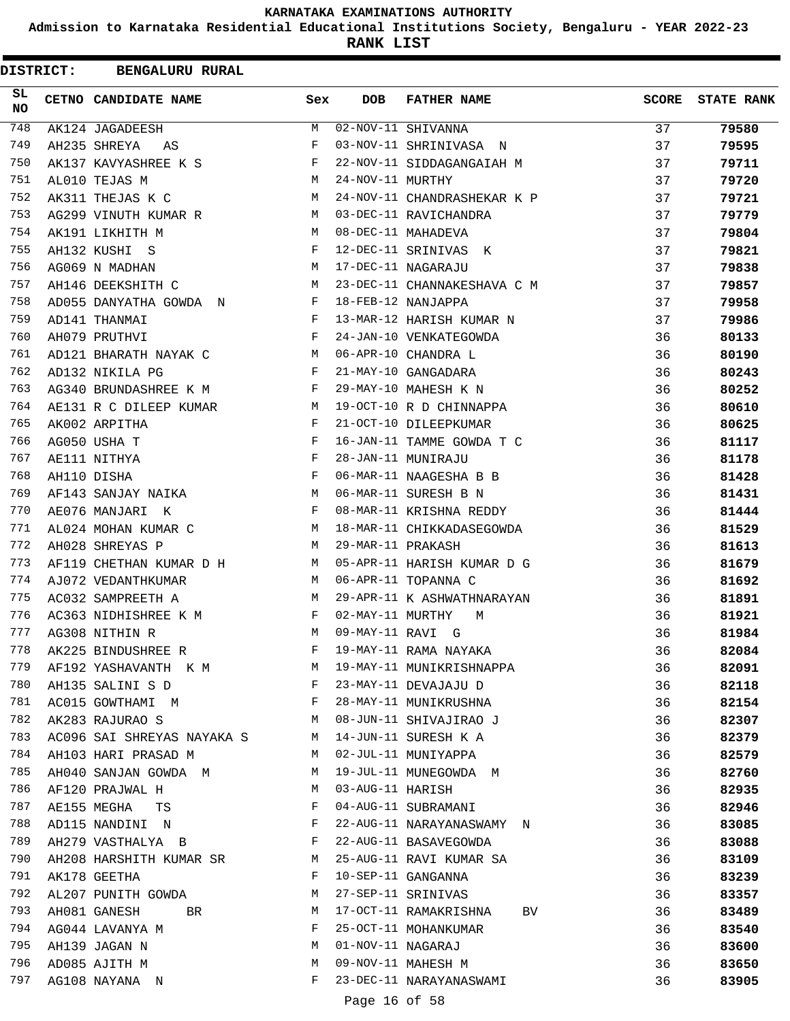**Admission to Karnataka Residential Educational Institutions Society, Bengaluru - YEAR 2022-23**

**RANK LIST**

|                 | <b>DISTRICT:</b> | <b>BENGALURU RURAL</b>     |     |                   |                             |              |                   |
|-----------------|------------------|----------------------------|-----|-------------------|-----------------------------|--------------|-------------------|
| SL<br><b>NO</b> |                  | CETNO CANDIDATE NAME       | Sex | <b>DOB</b>        | <b>FATHER NAME</b>          | <b>SCORE</b> | <b>STATE RANK</b> |
| 748             |                  | AK124 JAGADEESH            | M   |                   | 02-NOV-11 SHIVANNA          | 37           | 79580             |
| 749             |                  | AH235 SHREYA<br>AS         | F   |                   | 03-NOV-11 SHRINIVASA N      | 37           | 79595             |
| 750             |                  | AK137 KAVYASHREE K S       | F   |                   | 22-NOV-11 SIDDAGANGAIAH M   | 37           | 79711             |
| 751             |                  | AL010 TEJAS M              | М   | 24-NOV-11 MURTHY  |                             | 37           | 79720             |
| 752             |                  | AK311 THEJAS K C           | M   |                   | 24-NOV-11 CHANDRASHEKAR K P | 37           | 79721             |
| 753             |                  | AG299 VINUTH KUMAR R       | М   |                   | 03-DEC-11 RAVICHANDRA       | 37           | 79779             |
| 754             |                  | AK191 LIKHITH M            | M   |                   | 08-DEC-11 MAHADEVA          | 37           | 79804             |
| 755             |                  | AH132 KUSHI S              | F   |                   | 12-DEC-11 SRINIVAS K        | 37           | 79821             |
| 756             |                  | AG069 N MADHAN             | M   |                   | 17-DEC-11 NAGARAJU          | 37           | 79838             |
| 757             |                  | AH146 DEEKSHITH C          | М   |                   | 23-DEC-11 CHANNAKESHAVA C M | 37           | 79857             |
| 758             |                  | AD055 DANYATHA GOWDA N     | F   |                   | 18-FEB-12 NANJAPPA          | 37           | 79958             |
| 759             |                  | AD141 THANMAI              | F   |                   | 13-MAR-12 HARISH KUMAR N    | 37           | 79986             |
| 760             |                  | AH079 PRUTHVI              | F   |                   | 24-JAN-10 VENKATEGOWDA      | 36           | 80133             |
| 761             |                  | AD121 BHARATH NAYAK C      | М   |                   | 06-APR-10 CHANDRA L         | 36           | 80190             |
| 762             |                  | AD132 NIKILA PG            | F   |                   | 21-MAY-10 GANGADARA         | 36           | 80243             |
| 763             |                  | AG340 BRUNDASHREE K M      | F   |                   | 29-MAY-10 MAHESH K N        | 36           | 80252             |
| 764             |                  | AE131 R C DILEEP KUMAR     | М   |                   | 19-OCT-10 R D CHINNAPPA     | 36           | 80610             |
| 765             |                  | AK002 ARPITHA              | F   |                   | 21-OCT-10 DILEEPKUMAR       | 36           | 80625             |
| 766             |                  | AG050 USHA T               | F   |                   | 16-JAN-11 TAMME GOWDA T C   | 36           | 81117             |
| 767             |                  | AE111 NITHYA               | F   |                   | 28-JAN-11 MUNIRAJU          | 36           | 81178             |
| 768             |                  | AH110 DISHA                | F   |                   | 06-MAR-11 NAAGESHA B B      | 36           | 81428             |
| 769             |                  | AF143 SANJAY NAIKA         | М   |                   | 06-MAR-11 SURESH B N        | 36           | 81431             |
| 770             |                  | AE076 MANJARI K            | F   |                   | 08-MAR-11 KRISHNA REDDY     | 36           | 81444             |
| 771             |                  | AL024 MOHAN KUMAR C        | M   |                   | 18-MAR-11 CHIKKADASEGOWDA   | 36           | 81529             |
| 772             |                  | AH028 SHREYAS P            | M   | 29-MAR-11 PRAKASH |                             | 36           | 81613             |
| 773             |                  | AF119 CHETHAN KUMAR D H    | М   |                   | 05-APR-11 HARISH KUMAR D G  | 36           | 81679             |
| 774             |                  | AJ072 VEDANTHKUMAR         | M   |                   | 06-APR-11 TOPANNA C         | 36           | 81692             |
| 775             |                  | AC032 SAMPREETH A          | М   |                   | 29-APR-11 K ASHWATHNARAYAN  | 36           | 81891             |
| 776             |                  | AC363 NIDHISHREE K M       | F   | 02-MAY-11 MURTHY  | М                           | 36           | 81921             |
| 777             |                  | AG308 NITHIN R             | M   | 09-MAY-11 RAVI G  |                             | 36           | 81984             |
| 778             |                  | AK225 BINDUSHREE R         | F   |                   | 19-MAY-11 RAMA NAYAKA       | 36           | 82084             |
| 779             |                  | AF192 YASHAVANTH K M       | M   |                   | 19-MAY-11 MUNIKRISHNAPPA    | 36           | 82091             |
| 780             |                  | AH135 SALINI S D           | F   |                   | 23-MAY-11 DEVAJAJU D        | 36           | 82118             |
| 781             |                  | AC015 GOWTHAMI M           | F   |                   | 28-MAY-11 MUNIKRUSHNA       | 36           | 82154             |
| 782             |                  | AK283 RAJURAO S            | M   |                   | 08-JUN-11 SHIVAJIRAO J      | 36           | 82307             |
| 783             |                  | AC096 SAI SHREYAS NAYAKA S | М   |                   | 14-JUN-11 SURESH K A        | 36           | 82379             |
| 784             |                  | AH103 HARI PRASAD M        | M   |                   | 02-JUL-11 MUNIYAPPA         | 36           | 82579             |
| 785             |                  | AH040 SANJAN GOWDA M       | М   |                   | 19-JUL-11 MUNEGOWDA M       | 36           | 82760             |
| 786             |                  | AF120 PRAJWAL H            | М   | 03-AUG-11 HARISH  |                             | 36           | 82935             |
| 787             |                  | AE155 MEGHA<br>TS          | F   |                   | 04-AUG-11 SUBRAMANI         | 36           | 82946             |
| 788             |                  | AD115 NANDINI N            | F   |                   | 22-AUG-11 NARAYANASWAMY N   | 36           | 83085             |
| 789             |                  | AH279 VASTHALYA B          | F   |                   | 22-AUG-11 BASAVEGOWDA       | 36           | 83088             |
| 790             |                  | AH208 HARSHITH KUMAR SR    | М   |                   | 25-AUG-11 RAVI KUMAR SA     | 36           | 83109             |
| 791             |                  | AK178 GEETHA               | F   |                   | 10-SEP-11 GANGANNA          | 36           | 83239             |
| 792             |                  | AL207 PUNITH GOWDA         | М   |                   | 27-SEP-11 SRINIVAS          | 36           | 83357             |
| 793             |                  | AH081 GANESH<br>BR         | М   |                   | 17-OCT-11 RAMAKRISHNA<br>BV | 36           | 83489             |
| 794             |                  | AG044 LAVANYA M            | F   |                   | 25-OCT-11 MOHANKUMAR        | 36           | 83540             |
| 795             |                  | AH139 JAGAN N              | М   | 01-NOV-11 NAGARAJ |                             | 36           | 83600             |
| 796             |                  | AD085 AJITH M              | М   |                   | 09-NOV-11 MAHESH M          | 36           | 83650             |
| 797             |                  | AG108 NAYANA N             | F   |                   | 23-DEC-11 NARAYANASWAMI     | 36           | 83905             |
|                 |                  |                            |     | Page 16 of 58     |                             |              |                   |
|                 |                  |                            |     |                   |                             |              |                   |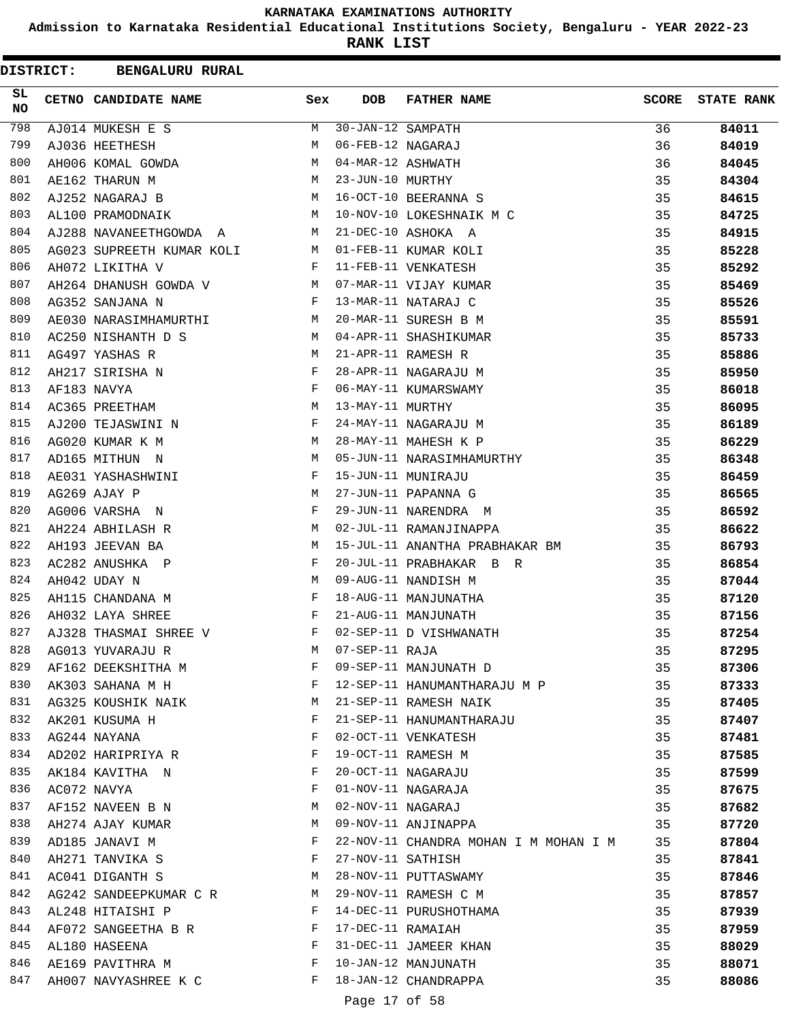**Admission to Karnataka Residential Educational Institutions Society, Bengaluru - YEAR 2022-23**

| <b>DISTRICT:</b> |  | <b>BENGALURU RURAL</b>    |     |                   |                                       |              |                   |
|------------------|--|---------------------------|-----|-------------------|---------------------------------------|--------------|-------------------|
| SL<br><b>NO</b>  |  | CETNO CANDIDATE NAME      | Sex | <b>DOB</b>        | <b>FATHER NAME</b>                    | <b>SCORE</b> | <b>STATE RANK</b> |
| 798              |  | AJ014 MUKESH E S          | M   | 30-JAN-12 SAMPATH |                                       | 36           | 84011             |
| 799              |  | AJ036 HEETHESH            | М   | 06-FEB-12 NAGARAJ |                                       | 36           | 84019             |
| 800              |  | AH006 KOMAL GOWDA         | М   | 04-MAR-12 ASHWATH |                                       | 36           | 84045             |
| 801              |  | AE162 THARUN M            | М   | 23-JUN-10 MURTHY  |                                       | 35           | 84304             |
| 802              |  | AJ252 NAGARAJ B           | М   |                   | 16-OCT-10 BEERANNA S                  | 35           | 84615             |
| 803              |  | AL100 PRAMODNAIK          | M   |                   | 10-NOV-10 LOKESHNAIK M C              | 35           | 84725             |
| 804              |  | AJ288 NAVANEETHGOWDA A    | M   |                   | 21-DEC-10 ASHOKA A                    | 35           | 84915             |
| 805              |  | AG023 SUPREETH KUMAR KOLI | M   |                   | 01-FEB-11 KUMAR KOLI                  | 35           | 85228             |
| 806              |  | AH072 LIKITHA V           | F   |                   | 11-FEB-11 VENKATESH                   | 35           | 85292             |
| 807              |  | AH264 DHANUSH GOWDA V     | М   |                   | 07-MAR-11 VIJAY KUMAR                 | 35           | 85469             |
| 808              |  | AG352 SANJANA N           | F   |                   | 13-MAR-11 NATARAJ C                   | 35           | 85526             |
| 809              |  | AE030 NARASIMHAMURTHI     | М   |                   | 20-MAR-11 SURESH B M                  | 35           | 85591             |
| 810              |  | AC250 NISHANTH D S        | M   |                   | 04-APR-11 SHASHIKUMAR                 | 35           | 85733             |
| 811              |  | AG497 YASHAS R            | М   |                   | 21-APR-11 RAMESH R                    | 35           | 85886             |
| 812              |  | AH217 SIRISHA N           | F   |                   | 28-APR-11 NAGARAJU M                  | 35           | 85950             |
| 813              |  | AF183 NAVYA               | F   |                   | 06-MAY-11 KUMARSWAMY                  | 35           | 86018             |
| 814              |  | AC365 PREETHAM            | М   | 13-MAY-11 MURTHY  |                                       | 35           | 86095             |
| 815              |  | AJ200 TEJASWINI N         | F   |                   | 24-MAY-11 NAGARAJU M                  | 35           | 86189             |
| 816              |  | AG020 KUMAR K M           | М   |                   | 28-MAY-11 MAHESH K P                  | 35           | 86229             |
| 817              |  | AD165 MITHUN N            | М   |                   | 05-JUN-11 NARASIMHAMURTHY             | 35           | 86348             |
| 818              |  | AE031 YASHASHWINI         | F   |                   | 15-JUN-11 MUNIRAJU                    | 35           | 86459             |
| 819              |  | AG269 AJAY P              | М   |                   | 27-JUN-11 PAPANNA G                   | 35           | 86565             |
| 820              |  | AG006 VARSHA N            | F   |                   | 29-JUN-11 NARENDRA M                  | 35           | 86592             |
| 821              |  | AH224 ABHILASH R          | M   |                   | 02-JUL-11 RAMANJINAPPA                | 35           | 86622             |
| 822              |  | AH193 JEEVAN BA           | М   |                   | 15-JUL-11 ANANTHA PRABHAKAR BM        | 35           | 86793             |
| 823              |  | AC282 ANUSHKA P           | F   |                   | 20-JUL-11 PRABHAKAR B R               | 35           | 86854             |
| 824              |  | AH042 UDAY N              | М   |                   | 09-AUG-11 NANDISH M                   | 35           | 87044             |
| 825              |  | AH115 CHANDANA M          | F   |                   | 18-AUG-11 MANJUNATHA                  | 35           | 87120             |
| 826              |  | AH032 LAYA SHREE          | F   |                   | 21-AUG-11 MANJUNATH                   | 35           | 87156             |
| 827              |  | AJ328 THASMAI SHREE V     | F   |                   | 02-SEP-11 D VISHWANATH                | 35           | 87254             |
| 828              |  | AG013 YUVARAJU R          | М   | 07-SEP-11 RAJA    |                                       | 35           | 87295             |
| 829              |  | AF162 DEEKSHITHA M        | F   |                   | 09-SEP-11 MANJUNATH D                 | 35           | 87306             |
| 830              |  | AK303 SAHANA M H          | F   |                   | 12-SEP-11 HANUMANTHARAJU M P          | 35           | 87333             |
| 831              |  | AG325 KOUSHIK NAIK        | M   |                   | 21-SEP-11 RAMESH NAIK                 | 35           | 87405             |
| 832              |  | AK201 KUSUMA H            | F   |                   | 21-SEP-11 HANUMANTHARAJU              | 35           | 87407             |
| 833              |  | AG244 NAYANA              | F   |                   | 02-OCT-11 VENKATESH                   | 35           | 87481             |
| 834              |  | AD202 HARIPRIYA R         | F   |                   | 19-OCT-11 RAMESH M                    | 35           | 87585             |
| 835              |  | AK184 KAVITHA N           | F   |                   | 20-OCT-11 NAGARAJU                    | 35           | 87599             |
| 836              |  | AC072 NAVYA               | F   |                   | 01-NOV-11 NAGARAJA                    | 35           | 87675             |
| 837              |  | AF152 NAVEEN B N          | М   | 02-NOV-11 NAGARAJ |                                       | 35           | 87682             |
| 838              |  | AH274 AJAY KUMAR          | M   |                   | 09-NOV-11 ANJINAPPA                   | 35           | 87720             |
| 839              |  | AD185 JANAVI M            | F   |                   | 22-NOV-11 CHANDRA MOHAN I M MOHAN I M | 35           | 87804             |
| 840              |  | AH271 TANVIKA S           | F   | 27-NOV-11 SATHISH |                                       | 35           | 87841             |
| 841              |  | AC041 DIGANTH S           | М   |                   | 28-NOV-11 PUTTASWAMY                  | 35           | 87846             |
| 842              |  | AG242 SANDEEPKUMAR C R    | M   |                   | 29-NOV-11 RAMESH C M                  | 35           | 87857             |
| 843              |  | AL248 HITAISHI P          | F   |                   | 14-DEC-11 PURUSHOTHAMA                | 35           | 87939             |
| 844              |  | AF072 SANGEETHA B R       | F   | 17-DEC-11 RAMAIAH |                                       | 35           | 87959             |
| 845              |  | AL180 HASEENA             | F   |                   | 31-DEC-11 JAMEER KHAN                 | 35           | 88029             |
| 846              |  | AE169 PAVITHRA M          | F   |                   | 10-JAN-12 MANJUNATH                   | 35           | 88071             |
| 847              |  | AH007 NAVYASHREE K C      | F   |                   | 18-JAN-12 CHANDRAPPA                  | 35           | 88086             |
|                  |  |                           |     | Page 17 of 58     |                                       |              |                   |
|                  |  |                           |     |                   |                                       |              |                   |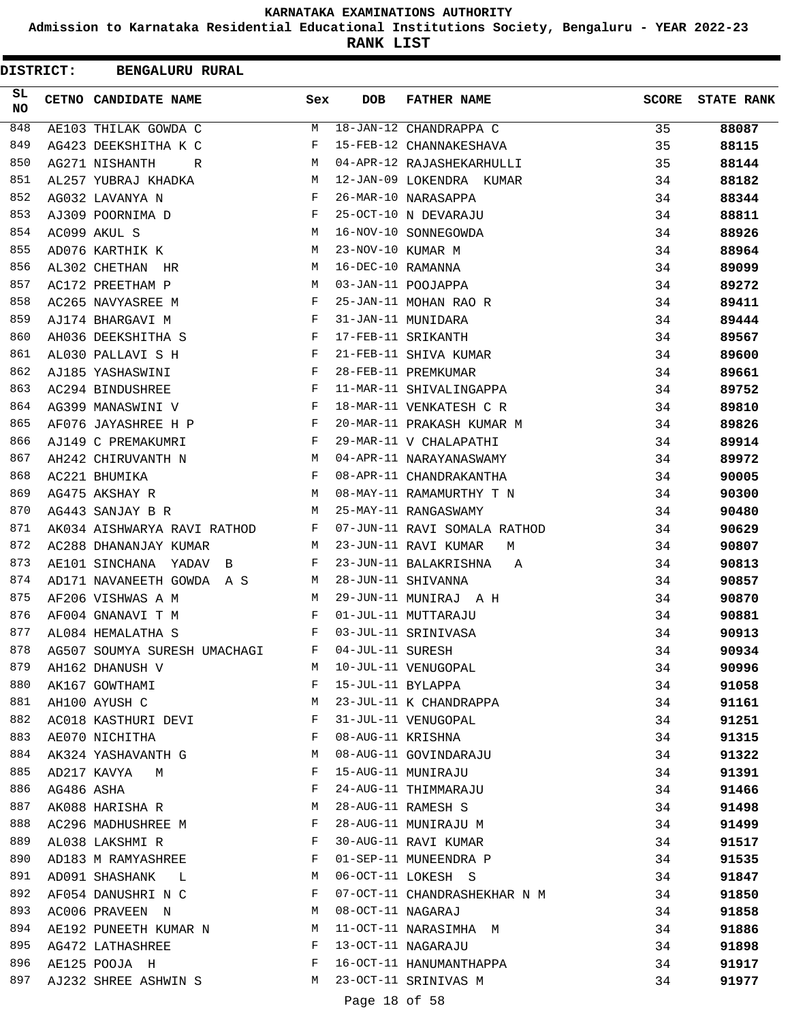**Admission to Karnataka Residential Educational Institutions Society, Bengaluru - YEAR 2022-23**

**RANK LIST**

| <b>DISTRICT:</b> |            | <b>BENGALURU RURAL</b>       |              |                   |                              |              |                   |
|------------------|------------|------------------------------|--------------|-------------------|------------------------------|--------------|-------------------|
| SL.<br><b>NO</b> |            | CETNO CANDIDATE NAME         | Sex          | DOB               | <b>FATHER NAME</b>           | <b>SCORE</b> | <b>STATE RANK</b> |
| 848              |            | AE103 THILAK GOWDA C         | M            |                   | 18-JAN-12 CHANDRAPPA C       | 35           | 88087             |
| 849              |            | AG423 DEEKSHITHA K C         | F            |                   | 15-FEB-12 CHANNAKESHAVA      | 35           | 88115             |
| 850              |            | AG271 NISHANTH<br>R          | M            |                   | 04-APR-12 RAJASHEKARHULLI    | 35           | 88144             |
| 851              |            | AL257 YUBRAJ KHADKA          | M            |                   | 12-JAN-09 LOKENDRA KUMAR     | 34           | 88182             |
| 852              |            | AG032 LAVANYA N              | F            |                   | 26-MAR-10 NARASAPPA          | 34           | 88344             |
| 853              |            | AJ309 POORNIMA D             | F            |                   | 25-OCT-10 N DEVARAJU         | 34           | 88811             |
| 854              |            | AC099 AKUL S                 | М            |                   | 16-NOV-10 SONNEGOWDA         | 34           | 88926             |
| 855              |            | AD076 KARTHIK K              | М            | 23-NOV-10 KUMAR M |                              | 34           | 88964             |
| 856              |            | AL302 CHETHAN HR             | М            | 16-DEC-10 RAMANNA |                              | 34           | 89099             |
| 857              |            | AC172 PREETHAM P             | M            |                   | 03-JAN-11 POOJAPPA           | 34           | 89272             |
| 858              |            | AC265 NAVYASREE M            | F            |                   | 25-JAN-11 MOHAN RAO R        | 34           | 89411             |
| 859              |            | AJ174 BHARGAVI M             | $\mathbf{F}$ |                   | 31-JAN-11 MUNIDARA           | 34           | 89444             |
| 860              |            | AH036 DEEKSHITHA S           | F            |                   | 17-FEB-11 SRIKANTH           | 34           | 89567             |
| 861              |            | AL030 PALLAVI S H            | F            |                   | 21-FEB-11 SHIVA KUMAR        | 34           | 89600             |
| 862              |            | AJ185 YASHASWINI             | F            |                   | 28-FEB-11 PREMKUMAR          | 34           | 89661             |
| 863              |            | AC294 BINDUSHREE             | $_{\rm F}$   |                   | 11-MAR-11 SHIVALINGAPPA      | 34           | 89752             |
| 864              |            | AG399 MANASWINI V            | $_{\rm F}$   |                   | 18-MAR-11 VENKATESH C R      | 34           | 89810             |
| 865              |            | AF076 JAYASHREE H P          | F            |                   | 20-MAR-11 PRAKASH KUMAR M    | 34           | 89826             |
| 866              |            | AJ149 C PREMAKUMRI           | F            |                   | 29-MAR-11 V CHALAPATHI       | 34           | 89914             |
| 867              |            | AH242 CHIRUVANTH N           | M            |                   | 04-APR-11 NARAYANASWAMY      | 34           | 89972             |
| 868              |            | AC221 BHUMIKA                | F            |                   | 08-APR-11 CHANDRAKANTHA      | 34           | 90005             |
| 869              |            | AG475 AKSHAY R               | M            |                   | 08-MAY-11 RAMAMURTHY T N     | 34           | 90300             |
| 870              |            | AG443 SANJAY B R             | M            |                   | 25-MAY-11 RANGASWAMY         | 34           | 90480             |
| 871              |            | AK034 AISHWARYA RAVI RATHOD  | F            |                   | 07-JUN-11 RAVI SOMALA RATHOD | 34           | 90629             |
| 872              |            | AC288 DHANANJAY KUMAR        | M            |                   | 23-JUN-11 RAVI KUMAR<br>M    | 34           | 90807             |
| 873              |            | AE101 SINCHANA YADAV B       | F            |                   | 23-JUN-11 BALAKRISHNA<br>Α   | 34           | 90813             |
| 874              |            | AD171 NAVANEETH GOWDA A S    | M            |                   | 28-JUN-11 SHIVANNA           | 34           | 90857             |
| 875              |            | AF206 VISHWAS A M            | M            |                   | 29-JUN-11 MUNIRAJ A H        | 34           | 90870             |
| 876              |            | AF004 GNANAVI T M            | $_{\rm F}$   |                   | 01-JUL-11 MUTTARAJU          | 34           | 90881             |
| 877              |            | AL084 HEMALATHA S            | F            |                   | 03-JUL-11 SRINIVASA          | 34           | 90913             |
| 878              |            | AG507 SOUMYA SURESH UMACHAGI | F            | 04-JUL-11 SURESH  |                              | 34           | 90934             |
| 879              |            | AH162 DHANUSH V              | M            |                   | 10-JUL-11 VENUGOPAL          | 34           | 90996             |
| 880              |            | AK167 GOWTHAMI               | F            | 15-JUL-11 BYLAPPA |                              | 34           | 91058             |
| 881              |            | AH100 AYUSH C                | М            |                   | 23-JUL-11 K CHANDRAPPA       | 34           | 91161             |
| 882              |            | AC018 KASTHURI DEVI          | F            |                   | 31-JUL-11 VENUGOPAL          | 34           | 91251             |
| 883              |            | AE070 NICHITHA               | F            |                   | 08-AUG-11 KRISHNA            | 34           | 91315             |
| 884              |            | AK324 YASHAVANTH G           | М            |                   | 08-AUG-11 GOVINDARAJU        | 34           | 91322             |
| 885              |            | AD217 KAVYA<br>M             | F            |                   | 15-AUG-11 MUNIRAJU           | 34           | 91391             |
| 886              | AG486 ASHA |                              | F            |                   | 24-AUG-11 THIMMARAJU         | 34           | 91466             |
| 887              |            | AK088 HARISHA R              | M            |                   | 28-AUG-11 RAMESH S           | 34           | 91498             |
| 888              |            | AC296 MADHUSHREE M           | F            |                   | 28-AUG-11 MUNIRAJU M         | 34           | 91499             |
| 889              |            | AL038 LAKSHMI R              | $\mathbf{F}$ |                   | 30-AUG-11 RAVI KUMAR         | 34           | 91517             |
| 890              |            | AD183 M RAMYASHREE           | F            |                   | 01-SEP-11 MUNEENDRA P        | 34           | 91535             |
| 891              |            | AD091 SHASHANK L             | М            |                   | 06-OCT-11 LOKESH S           | 34           | 91847             |
| 892              |            | AF054 DANUSHRI N C           | F            |                   | 07-OCT-11 CHANDRASHEKHAR N M | 34           | 91850             |
| 893              |            | AC006 PRAVEEN N              | M            | 08-OCT-11 NAGARAJ |                              | 34           | 91858             |
| 894              |            | AE192 PUNEETH KUMAR N M      |              |                   | 11-OCT-11 NARASIMHA M        | 34           | 91886             |
| 895              |            | AG472 LATHASHREE             | $\mathbf{F}$ |                   | 13-OCT-11 NAGARAJU           | 34           | 91898             |
| 896              |            | AE125 POOJA H                | F            |                   | 16-OCT-11 HANUMANTHAPPA      | 34           | 91917             |
| 897              |            | AJ232 SHREE ASHWIN S M       |              |                   | 23-OCT-11 SRINIVAS M         | 34           | 91977             |
|                  |            |                              |              | Page 18 of 58     |                              |              |                   |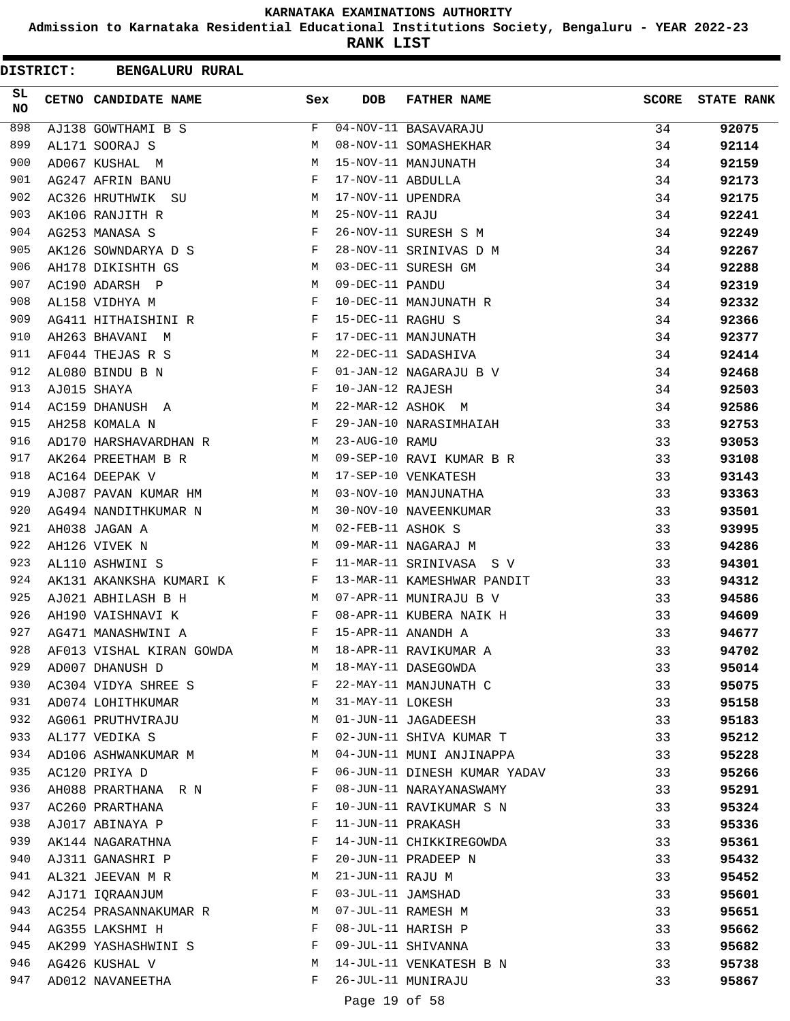**Admission to Karnataka Residential Educational Institutions Society, Bengaluru - YEAR 2022-23**

**RANK LIST**

 $\blacksquare$ 

| <b>DISTRICT:</b> | <b>BENGALURU RURAL</b>               |     |                   |                              |              |                   |
|------------------|--------------------------------------|-----|-------------------|------------------------------|--------------|-------------------|
| SL.<br><b>NO</b> | CETNO CANDIDATE NAME                 | Sex | <b>DOB</b>        | <b>FATHER NAME</b>           | <b>SCORE</b> | <b>STATE RANK</b> |
| 898              | AJ138 GOWTHAMI B S                   | F   |                   | 04-NOV-11 BASAVARAJU         | 34           | 92075             |
| 899              | AL171 SOORAJ S                       | М   |                   | 08-NOV-11 SOMASHEKHAR        | 34           | 92114             |
| 900              | AD067 KUSHAL M                       | М   |                   | 15-NOV-11 MANJUNATH          | 34           | 92159             |
| 901              | AG247 AFRIN BANU                     | F   | 17-NOV-11 ABDULLA |                              | 34           | 92173             |
| 902              | AC326 HRUTHWIK SU                    | M   | 17-NOV-11 UPENDRA |                              | 34           | 92175             |
| 903              | AK106 RANJITH R                      | М   | 25-NOV-11 RAJU    |                              | 34           | 92241             |
| 904              | AG253 MANASA S                       | F   |                   | 26-NOV-11 SURESH S M         | 34           | 92249             |
| 905              | AK126 SOWNDARYA D S                  | F   |                   | 28-NOV-11 SRINIVAS D M       | 34           | 92267             |
| 906              | AH178 DIKISHTH GS                    | М   |                   | 03-DEC-11 SURESH GM          | 34           | 92288             |
| 907              | AC190 ADARSH P                       | М   | 09-DEC-11 PANDU   |                              | 34           | 92319             |
| 908              | AL158 VIDHYA M                       | F   |                   | 10-DEC-11 MANJUNATH R        | 34           | 92332             |
| 909              | AG411 HITHAISHINI R                  | F   | 15-DEC-11 RAGHU S |                              | 34           | 92366             |
| 910              | AH263 BHAVANI M                      | F   |                   | 17-DEC-11 MANJUNATH          | 34           | 92377             |
| 911              | AF044 THEJAS R S                     | M   |                   | 22-DEC-11 SADASHIVA          | 34           | 92414             |
| 912              | AL080 BINDU B N                      | F   |                   | 01-JAN-12 NAGARAJU B V       | 34           | 92468             |
| 913              | AJ015 SHAYA                          | F   | 10-JAN-12 RAJESH  |                              | 34           | 92503             |
| 914              | AC159 DHANUSH A                      | М   |                   | 22-MAR-12 ASHOK M            | 34           | 92586             |
| 915              | AH258 KOMALA N                       | F   |                   | 29-JAN-10 NARASIMHAIAH       | 33           | 92753             |
| 916              | AD170 HARSHAVARDHAN R                | М   | 23-AUG-10 RAMU    |                              | 33           | 93053             |
| 917              | AK264 PREETHAM B R                   | M   |                   | 09-SEP-10 RAVI KUMAR B R     | 33           | 93108             |
| 918              | AC164 DEEPAK V                       | M   |                   | 17-SEP-10 VENKATESH          | 33           | 93143             |
| 919              | AJ087 PAVAN KUMAR HM                 | M   |                   | 03-NOV-10 MANJUNATHA         | 33           | 93363             |
| 920              | AG494 NANDITHKUMAR N                 | М   |                   | 30-NOV-10 NAVEENKUMAR        | 33           | 93501             |
| 921              | AH038 JAGAN A                        | M   | 02-FEB-11 ASHOK S |                              | 33           | 93995             |
| 922              | AH126 VIVEK N                        | M   |                   | 09-MAR-11 NAGARAJ M          | 33           | 94286             |
| 923              | AL110 ASHWINI S                      | F   |                   | 11-MAR-11 SRINIVASA S V      | 33           | 94301             |
| 924              | AK131 AKANKSHA KUMARI K              | F   |                   | 13-MAR-11 KAMESHWAR PANDIT   | 33           | 94312             |
| 925              | AJ021 ABHILASH B H                   | M   |                   | 07-APR-11 MUNIRAJU B V       | 33           | 94586             |
| 926              | AH190 VAISHNAVI K                    | F   |                   | 08-APR-11 KUBERA NAIK H      | 33           | 94609             |
| 927              | AG471 MANASHWINI A                   | F   |                   | 15-APR-11 ANANDH A           | 33           | 94677             |
| 928              | AF013 VISHAL KIRAN GOWDA             | М   |                   | 18-APR-11 RAVIKUMAR A        | 33           | 94702             |
| 929              | AD007 DHANUSH D                      | M   |                   | 18-MAY-11 DASEGOWDA          | 33           | 95014             |
| 930              | AC304 VIDYA SHREE S                  | F   |                   | 22-MAY-11 MANJUNATH C        | 33           | 95075             |
| 931              | AD074 LOHITHKUMAR                    | М   | 31-MAY-11 LOKESH  |                              | 33           | 95158             |
| 932              | AG061 PRUTHVIRAJU                    | M   |                   | 01-JUN-11 JAGADEESH          | 33           | 95183             |
| 933              | AL177 VEDIKA S                       | F   |                   | 02-JUN-11 SHIVA KUMAR T      | 33           | 95212             |
| 934              | AD106 ASHWANKUMAR M                  | М   |                   | 04-JUN-11 MUNI ANJINAPPA     | 33           | 95228             |
| 935              | AC120 PRIYA D                        | F   |                   | 06-JUN-11 DINESH KUMAR YADAV | 33           | 95266             |
| 936              | AH088 PRARTHANA R N                  | F   |                   | 08-JUN-11 NARAYANASWAMY      | 33           | 95291             |
| 937              | AC260 PRARTHANA                      | F   |                   | 10-JUN-11 RAVIKUMAR S N      | 33           | 95324             |
| 938              | AJ017 ABINAYA P                      | F   | 11-JUN-11 PRAKASH |                              | 33           | 95336             |
| 939              | AK144 NAGARATHNA                     | F   |                   | 14-JUN-11 CHIKKIREGOWDA      | 33           | 95361             |
| 940              |                                      | F   |                   | 20-JUN-11 PRADEEP N          | 33           |                   |
| 941              | AJ311 GANASHRI P<br>AL321 JEEVAN M R | М   | 21-JUN-11 RAJU M  |                              | 33           | 95432<br>95452    |
| 942              | AJ171 IQRAANJUM                      | F   | 03-JUL-11 JAMSHAD |                              | 33           | 95601             |
| 943              | AC254 PRASANNAKUMAR R                | М   |                   | 07-JUL-11 RAMESH M           | 33           | 95651             |
| 944              | AG355 LAKSHMI H                      | F   |                   | 08-JUL-11 HARISH P           | 33           | 95662             |
| 945              | AK299 YASHASHWINI S                  | F   |                   | 09-JUL-11 SHIVANNA           | 33           | 95682             |
| 946              | AG426 KUSHAL V                       | М   |                   | 14-JUL-11 VENKATESH B N      | 33           | 95738             |
| 947              | AD012 NAVANEETHA                     | F   |                   | 26-JUL-11 MUNIRAJU           | 33           |                   |
|                  |                                      |     |                   |                              |              | 95867             |

### Page 19 of 58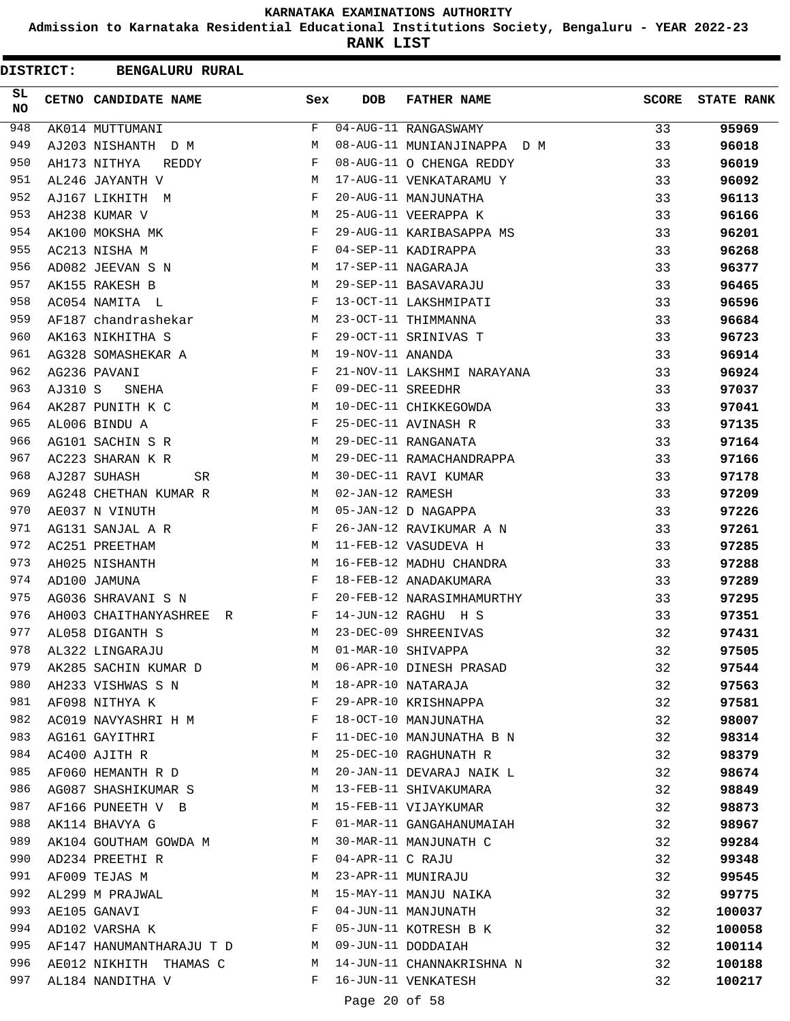**Admission to Karnataka Residential Educational Institutions Society, Bengaluru - YEAR 2022-23**

| <b>DISTRICT:</b> |         | <b>BENGALURU RURAL</b>   |     |                   |                             |              |                   |
|------------------|---------|--------------------------|-----|-------------------|-----------------------------|--------------|-------------------|
| SL<br><b>NO</b>  |         | CETNO CANDIDATE NAME     | Sex | <b>DOB</b>        | <b>FATHER NAME</b>          | <b>SCORE</b> | <b>STATE RANK</b> |
| 948              |         | AK014 MUTTUMANI          | F   |                   | 04-AUG-11 RANGASWAMY        | 33           | 95969             |
| 949              |         | AJ203 NISHANTH D M       | М   |                   | 08-AUG-11 MUNIANJINAPPA D M | 33           | 96018             |
| 950              |         | AH173 NITHYA<br>REDDY    | F   |                   | 08-AUG-11 O CHENGA REDDY    | 33           | 96019             |
| 951              |         | AL246 JAYANTH V          | М   |                   | 17-AUG-11 VENKATARAMU Y     | 33           | 96092             |
| 952              |         | AJ167 LIKHITH M          | F   |                   | 20-AUG-11 MANJUNATHA        | 33           | 96113             |
| 953              |         | AH238 KUMAR V            | М   |                   | 25-AUG-11 VEERAPPA K        | 33           | 96166             |
| 954              |         | AK100 MOKSHA MK          | F   |                   | 29-AUG-11 KARIBASAPPA MS    | 33           | 96201             |
| 955              |         | AC213 NISHA M            | F   |                   | 04-SEP-11 KADIRAPPA         | 33           | 96268             |
| 956              |         | AD082 JEEVAN S N         | M   |                   | 17-SEP-11 NAGARAJA          | 33           | 96377             |
| 957              |         | AK155 RAKESH B           | М   |                   | 29-SEP-11 BASAVARAJU        | 33           | 96465             |
| 958              |         | AC054 NAMITA L           | F   |                   | 13-OCT-11 LAKSHMIPATI       | 33           | 96596             |
| 959              |         | AF187 chandrashekar      | М   |                   | 23-OCT-11 THIMMANNA         | 33           | 96684             |
| 960              |         | AK163 NIKHITHA S         | F   |                   | 29-OCT-11 SRINIVAS T        | 33           | 96723             |
| 961              |         | AG328 SOMASHEKAR A       | М   | 19-NOV-11 ANANDA  |                             | 33           | 96914             |
| 962              |         | AG236 PAVANI             | F   |                   | 21-NOV-11 LAKSHMI NARAYANA  | 33           | 96924             |
| 963              | AJ310 S | SNEHA                    | F   | 09-DEC-11 SREEDHR |                             | 33           | 97037             |
| 964              |         | AK287 PUNITH K C         | M   |                   | 10-DEC-11 CHIKKEGOWDA       | 33           | 97041             |
| 965              |         | AL006 BINDU A            | F   |                   | 25-DEC-11 AVINASH R         | 33           | 97135             |
| 966              |         | AG101 SACHIN S R         | M   |                   | 29-DEC-11 RANGANATA         | 33           | 97164             |
| 967              |         | AC223 SHARAN K R         | М   |                   | 29-DEC-11 RAMACHANDRAPPA    | 33           | 97166             |
| 968              |         | AJ287 SUHASH<br>SR       | M   |                   | 30-DEC-11 RAVI KUMAR        | 33           | 97178             |
| 969              |         | AG248 CHETHAN KUMAR R    | М   | 02-JAN-12 RAMESH  |                             | 33           | 97209             |
| 970              |         | AE037 N VINUTH           | M   |                   | 05-JAN-12 D NAGAPPA         | 33           | 97226             |
| 971              |         | AG131 SANJAL A R         | F   |                   | 26-JAN-12 RAVIKUMAR A N     | 33           | 97261             |
| 972              |         | AC251 PREETHAM           | M   |                   | 11-FEB-12 VASUDEVA H        | 33           | 97285             |
| 973              |         | AH025 NISHANTH           | М   |                   | 16-FEB-12 MADHU CHANDRA     | 33           | 97288             |
| 974              |         | AD100 JAMUNA             | F   |                   | 18-FEB-12 ANADAKUMARA       | 33           | 97289             |
| 975              |         | AG036 SHRAVANI S N       | F   |                   | 20-FEB-12 NARASIMHAMURTHY   | 33           | 97295             |
| 976              |         | AH003 CHAITHANYASHREE R  | F   |                   | 14-JUN-12 RAGHU H S         | 33           | 97351             |
| 977              |         | AL058 DIGANTH S          | М   |                   | 23-DEC-09 SHREENIVAS        | 32           | 97431             |
| 978              |         | AL322 LINGARAJU          | М   |                   | 01-MAR-10 SHIVAPPA          | 32           | 97505             |
| 979              |         | AK285 SACHIN KUMAR D     | M   |                   | 06-APR-10 DINESH PRASAD     | 32           | 97544             |
| 980              |         | AH233 VISHWAS S N        | М   |                   | 18-APR-10 NATARAJA          | 32           | 97563             |
| 981              |         | AF098 NITHYA K           | F   |                   | 29-APR-10 KRISHNAPPA        | 32           | 97581             |
| 982              |         | AC019 NAVYASHRI H M      | F   |                   | 18-OCT-10 MANJUNATHA        | 32           | 98007             |
| 983              |         | AG161 GAYITHRI           | F   |                   | 11-DEC-10 MANJUNATHA B N    | 32           | 98314             |
| 984              |         | AC400 AJITH R            | М   |                   | 25-DEC-10 RAGHUNATH R       | 32           | 98379             |
| 985              |         | AF060 HEMANTH R D        | М   |                   | 20-JAN-11 DEVARAJ NAIK L    | 32           | 98674             |
| 986              |         | AG087 SHASHIKUMAR S      | М   |                   | 13-FEB-11 SHIVAKUMARA       | 32           | 98849             |
| 987              |         | AF166 PUNEETH V B        | М   |                   | 15-FEB-11 VIJAYKUMAR        | 32           | 98873             |
| 988              |         | AK114 BHAVYA G           | F   |                   | 01-MAR-11 GANGAHANUMAIAH    | 32           | 98967             |
| 989              |         | AK104 GOUTHAM GOWDA M    | М   |                   | 30-MAR-11 MANJUNATH C       | 32           | 99284             |
| 990              |         | AD234 PREETHI R          | F   | 04-APR-11 C RAJU  |                             | 32           | 99348             |
| 991              |         | AF009 TEJAS M            | М   |                   | 23-APR-11 MUNIRAJU          | 32           | 99545             |
| 992              |         | AL299 M PRAJWAL          | М   |                   | 15-MAY-11 MANJU NAIKA       | 32           | 99775             |
| 993              |         | AE105 GANAVI             | F   |                   | 04-JUN-11 MANJUNATH         | 32           | 100037            |
| 994              |         | AD102 VARSHA K           | F   |                   | 05-JUN-11 KOTRESH B K       | 32           | 100058            |
| 995              |         | AF147 HANUMANTHARAJU T D | М   |                   | 09-JUN-11 DODDAIAH          | 32           | 100114            |
| 996              |         | AE012 NIKHITH THAMAS C   | М   |                   | 14-JUN-11 CHANNAKRISHNA N   | 32           | 100188            |
| 997              |         | AL184 NANDITHA V         | F   |                   | 16-JUN-11 VENKATESH         | 32           | 100217            |
|                  |         |                          |     |                   |                             |              |                   |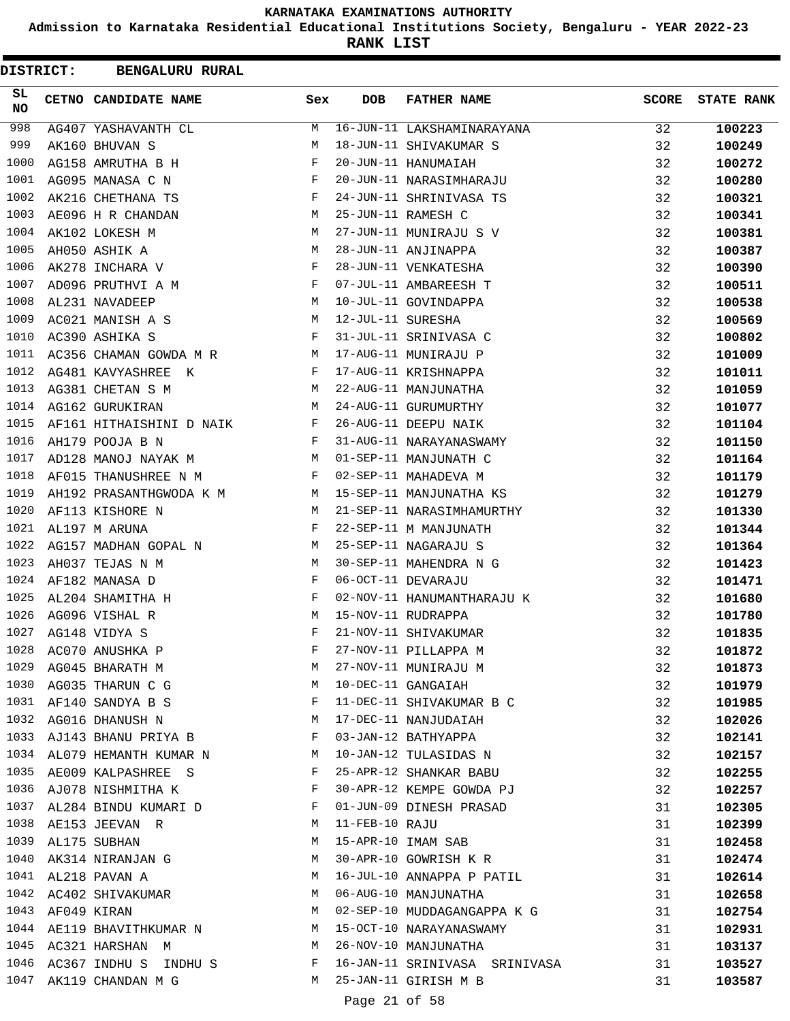**Admission to Karnataka Residential Educational Institutions Society, Bengaluru - YEAR 2022-23**

**RANK LIST**

| DISTRICT:       | <b>BENGALURU RURAL</b>                     |              |                   |                               |              |                   |
|-----------------|--------------------------------------------|--------------|-------------------|-------------------------------|--------------|-------------------|
| SL<br><b>NO</b> | CETNO CANDIDATE NAME                       | Sex          | <b>DOB</b>        | <b>FATHER NAME</b>            | <b>SCORE</b> | <b>STATE RANK</b> |
| 998             | AG407 YASHAVANTH CL                        | М            |                   | 16-JUN-11 LAKSHAMINARAYANA    | 32           | 100223            |
| 999             | AK160 BHUVAN S                             | М            |                   | 18-JUN-11 SHIVAKUMAR S        | 32           | 100249            |
| 1000            | AG158 AMRUTHA B H                          | F            |                   | 20-JUN-11 HANUMAIAH           | 32           | 100272            |
| 1001            | AG095 MANASA C N                           | F            |                   | 20-JUN-11 NARASIMHARAJU       | 32           | 100280            |
| 1002            | AK216 CHETHANA TS                          | F            |                   | 24-JUN-11 SHRINIVASA TS       | 32           | 100321            |
| 1003            | AE096 H R CHANDAN                          | M            |                   | 25-JUN-11 RAMESH C            | 32           | 100341            |
| 1004            | AK102 LOKESH M                             | М            |                   | 27-JUN-11 MUNIRAJU S V        | 32           | 100381            |
| 1005            | AH050 ASHIK A                              | М            |                   | 28-JUN-11 ANJINAPPA           | 32           | 100387            |
| 1006            | AK278 INCHARA V                            | F            |                   | 28-JUN-11 VENKATESHA          | 32           | 100390            |
| 1007            | AD096 PRUTHVI A M                          | $\mathbf{F}$ |                   | 07-JUL-11 AMBAREESH T         | 32           | 100511            |
| 1008            | AL231 NAVADEEP                             | М            |                   | 10-JUL-11 GOVINDAPPA          | 32           | 100538            |
| 1009            | AC021 MANISH A S                           | М            | 12-JUL-11 SURESHA |                               | 32           | 100569            |
| 1010            | AC390 ASHIKA S                             | F            |                   | 31-JUL-11 SRINIVASA C         | 32           | 100802            |
| 1011            | AC356 CHAMAN GOWDA M R M                   |              |                   | 17-AUG-11 MUNIRAJU P          | 32           | 101009            |
| 1012            | AG481 KAVYASHREE K                         | F            |                   | 17-AUG-11 KRISHNAPPA          | 32           | 101011            |
| 1013            | AG381 CHETAN S M                           | M            |                   | 22-AUG-11 MANJUNATHA          | 32           | 101059            |
| 1014            | AG162 GURUKIRAN                            | M            |                   | 24-AUG-11 GURUMURTHY          | 32           | 101077            |
| 1015            | AF161 HITHAISHINI D NAIK                   | $\mathbf{F}$ |                   | 26-AUG-11 DEEPU NAIK          | 32           | 101104            |
| 1016            | AH179 POOJA B N                            | $\mathbf{F}$ |                   | 31-AUG-11 NARAYANASWAMY       | 32           | 101150            |
| 1017            | AD128 MANOJ NAYAK M<br><b>Example 18</b> M |              |                   | 01-SEP-11 MANJUNATH C         | 32           | 101164            |
| 1018            | AF015 THANUSHREE N M                       | F            |                   | 02-SEP-11 MAHADEVA M          | 32           | 101179            |
| 1019            | AH192 PRASANTHGWODA K M M                  |              |                   | 15-SEP-11 MANJUNATHA KS       | 32           | 101279            |
| 1020            | AF113 KISHORE N                            | М            |                   | 21-SEP-11 NARASIMHAMURTHY     | 32           | 101330            |
| 1021            | AL197 M ARUNA                              | F            |                   | 22-SEP-11 M MANJUNATH         | 32           | 101344            |
| 1022            | AG157 MADHAN GOPAL N                       | M            |                   | 25-SEP-11 NAGARAJU S          | 32           | 101364            |
| 1023            | AH037 TEJAS N M                            | М            |                   | 30-SEP-11 MAHENDRA N G        | 32           | 101423            |
| 1024            | AF182 MANASA D                             | F            |                   | 06-OCT-11 DEVARAJU            | 32           | 101471            |
| 1025            | AL204 SHAMITHA H                           | F            |                   | 02-NOV-11 HANUMANTHARAJU K    | 32           | 101680            |
| 1026            | AG096 VISHAL R                             | М            |                   | 15-NOV-11 RUDRAPPA            | 32           | 101780            |
| 1027            | AG148 VIDYA S                              | F            |                   | 21-NOV-11 SHIVAKUMAR          | 32           | 101835            |
| 1028            | AC070 ANUSHKA P                            | F            |                   | 27-NOV-11 PILLAPPA M          | 32           | 101872            |
| 1029            | AG045 BHARATH M                            | M            |                   | 27-NOV-11 MUNIRAJU M          | 32           | 101873            |
| 1030            | AG035 THARUN C G                           | М            |                   | 10-DEC-11 GANGAIAH            | 32           | 101979            |
| 1031            | AF140 SANDYA B S                           | F            |                   | 11-DEC-11 SHIVAKUMAR B C      | 32           | 101985            |
| 1032            | AG016 DHANUSH N                            | М            |                   | 17-DEC-11 NANJUDAIAH          | 32           | 102026            |
| 1033            | AJ143 BHANU PRIYA B                        | F            |                   | 03-JAN-12 BATHYAPPA           | 32           | 102141            |
| 1034            | AL079 HEMANTH KUMAR N                      | M            |                   | 10-JAN-12 TULASIDAS N         | 32           | 102157            |
| 1035            | AE009 KALPASHREE S                         | F            |                   | 25-APR-12 SHANKAR BABU        | 32           | 102255            |
| 1036            | AJ078 NISHMITHA K                          | F            |                   | 30-APR-12 KEMPE GOWDA PJ      | 32           | 102257            |
| 1037            | AL284 BINDU KUMARI D                       | F            |                   | 01-JUN-09 DINESH PRASAD       | 31           | 102305            |
| 1038            | AE153 JEEVAN R                             | M            | 11-FEB-10 RAJU    |                               | 31           | 102399            |
| 1039            | AL175 SUBHAN                               | М            |                   | 15-APR-10 IMAM SAB            | 31           | 102458            |
| 1040            | AK314 NIRANJAN G                           | М            |                   | 30-APR-10 GOWRISH K R         | 31           | 102474            |
| 1041            | AL218 PAVAN A                              | M            |                   | 16-JUL-10 ANNAPPA P PATIL     | 31           | 102614            |
| 1042            | AC402 SHIVAKUMAR                           | M            |                   | 06-AUG-10 MANJUNATHA          | 31           | 102658            |
| 1043            | AF049 KIRAN                                | М            |                   | 02-SEP-10 MUDDAGANGAPPA K G   | 31           | 102754            |
|                 | 1044 AE119 BHAVITHKUMAR N                  | M            |                   | 15-OCT-10 NARAYANASWAMY       | 31           | 102931            |
|                 | 1045 AC321 HARSHAN M                       | M            |                   | 26-NOV-10 MANJUNATHA          | 31           | 103137            |
| 1046            | AC367 INDHU S INDHU S                      | F            |                   | 16-JAN-11 SRINIVASA SRINIVASA | 31           | 103527            |
| 1047            | AK119 CHANDAN M G                          | M            |                   | 25-JAN-11 GIRISH M B          | 31           | 103587            |
|                 |                                            |              | Page 21 of 58     |                               |              |                   |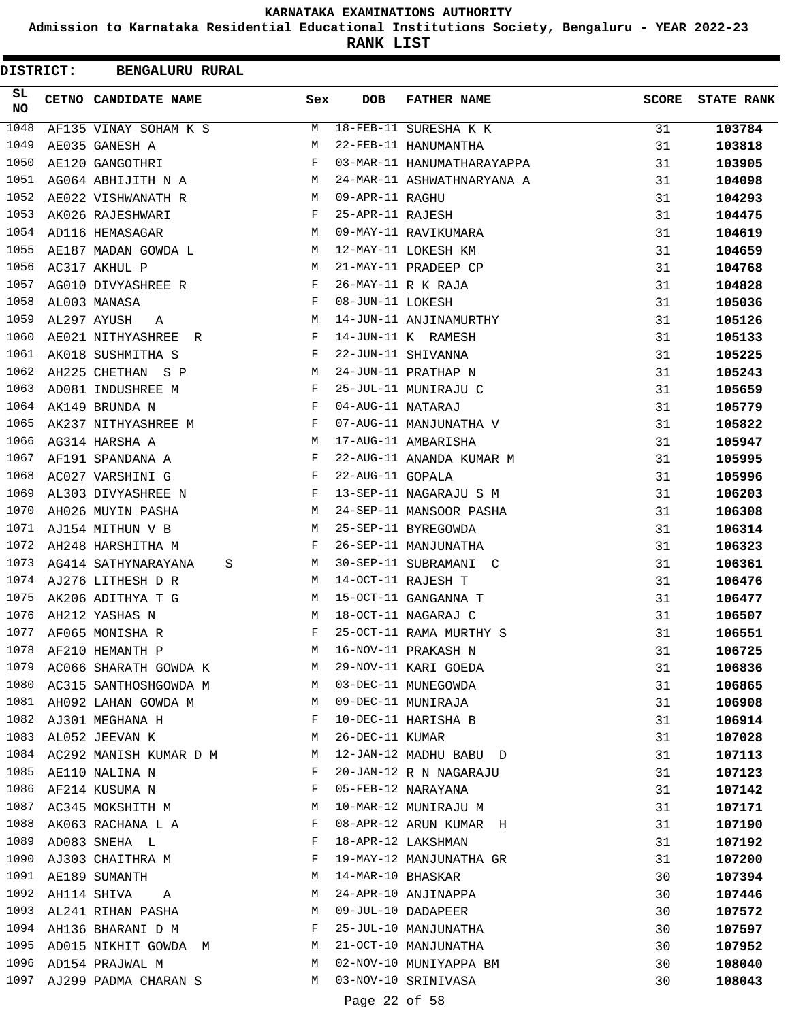**Admission to Karnataka Residential Educational Institutions Society, Bengaluru - YEAR 2022-23**

**RANK LIST**

| <b>DISTRICT:</b> | <b>BENGALURU RURAL</b>     |     |                   |                            |              |                   |
|------------------|----------------------------|-----|-------------------|----------------------------|--------------|-------------------|
| SL.<br>NO.       | CETNO CANDIDATE NAME       | Sex | <b>DOB</b>        | <b>FATHER NAME</b>         | <b>SCORE</b> | <b>STATE RANK</b> |
| 1048             | AF135 VINAY SOHAM K S      | М   |                   | 18-FEB-11 SURESHA K K      | 31           | 103784            |
| 1049             | AE035 GANESH A             | М   |                   | 22-FEB-11 HANUMANTHA       | 31           | 103818            |
| 1050             | AE120 GANGOTHRI            | F   |                   | 03-MAR-11 HANUMATHARAYAPPA | 31           | 103905            |
| 1051             | AG064 ABHIJITH N A         | M   |                   | 24-MAR-11 ASHWATHNARYANA A | 31           | 104098            |
| 1052             | AE022 VISHWANATH R         | M   | 09-APR-11 RAGHU   |                            | 31           | 104293            |
| 1053             | AK026 RAJESHWARI           | F   | 25-APR-11 RAJESH  |                            | 31           | 104475            |
| 1054             | AD116 HEMASAGAR            | M   |                   | 09-MAY-11 RAVIKUMARA       | 31           | 104619            |
| 1055             | AE187 MADAN GOWDA L        | M   |                   | 12-MAY-11 LOKESH KM        | 31           | 104659            |
| 1056             | AC317 AKHUL P              | М   |                   | 21-MAY-11 PRADEEP CP       | 31           | 104768            |
| 1057             | AG010 DIVYASHREE R         | F   |                   | 26-MAY-11 R K RAJA         | 31           | 104828            |
| 1058             | AL003 MANASA               | F   | 08-JUN-11 LOKESH  |                            | 31           | 105036            |
| 1059             | AL297 AYUSH<br>A           | М   |                   | 14-JUN-11 ANJINAMURTHY     | 31           | 105126            |
| 1060             | AE021 NITHYASHREE R        | F   |                   | 14-JUN-11 K RAMESH         | 31           | 105133            |
| 1061             | AK018 SUSHMITHA S          | F   |                   | 22-JUN-11 SHIVANNA         | 31           | 105225            |
| 1062             | AH225 CHETHAN S P          | M   |                   | 24-JUN-11 PRATHAP N        | 31           | 105243            |
| 1063             | AD081 INDUSHREE M          | F   |                   | 25-JUL-11 MUNIRAJU C       | 31           | 105659            |
| 1064             | AK149 BRUNDA N             | F   | 04-AUG-11 NATARAJ |                            | 31           | 105779            |
| 1065             | AK237 NITHYASHREE M        | F   |                   | 07-AUG-11 MANJUNATHA V     | 31           | 105822            |
| 1066             | AG314 HARSHA A             | М   |                   | 17-AUG-11 AMBARISHA        | 31           | 105947            |
| 1067             | AF191 SPANDANA A           | F   |                   | 22-AUG-11 ANANDA KUMAR M   | 31           | 105995            |
| 1068             | AC027 VARSHINI G           | F   | 22-AUG-11 GOPALA  |                            | 31           | 105996            |
| 1069             | AL303 DIVYASHREE N         | F   |                   | 13-SEP-11 NAGARAJU S M     | 31           | 106203            |
| 1070             | AH026 MUYIN PASHA          | M   |                   | 24-SEP-11 MANSOOR PASHA    | 31           | 106308            |
| 1071             | AJ154 MITHUN V B           | М   |                   | 25-SEP-11 BYREGOWDA        | 31           | 106314            |
| 1072             | AH248 HARSHITHA M          | F   |                   | 26-SEP-11 MANJUNATHA       | 31           | 106323            |
| 1073             | AG414 SATHYNARAYANA<br>S   | M   |                   | 30-SEP-11 SUBRAMANI C      | 31           | 106361            |
|                  | 1074 AJ276 LITHESH D R     | M   |                   | 14-OCT-11 RAJESH T         | 31           | 106476            |
| 1075             | AK206 ADITHYA T G          | М   |                   | 15-OCT-11 GANGANNA T       | 31           | 106477            |
| 1076             | AH212 YASHAS N             | М   |                   | 18-OCT-11 NAGARAJ C        | 31           | 106507            |
| 1077             | AF065 MONISHA R            | F   |                   | 25-OCT-11 RAMA MURTHY S    | 31           | 106551            |
| 1078             | AF210 HEMANTH P            | М   |                   | 16-NOV-11 PRAKASH N        | 31           | 106725            |
| 1079             | AC066 SHARATH GOWDA K      | М   |                   | 29-NOV-11 KARI GOEDA       | 31           | 106836            |
|                  | 1080 AC315 SANTHOSHGOWDA M | M   |                   | 03-DEC-11 MUNEGOWDA        | 31           | 106865            |
|                  | 1081 AH092 LAHAN GOWDA M   | М   |                   | 09-DEC-11 MUNIRAJA         | 31           | 106908            |
|                  | 1082 AJ301 MEGHANA H       | F   |                   | 10-DEC-11 HARISHA B        | 31           | 106914            |
| 1083             | AL052 JEEVAN K             | М   | 26-DEC-11 KUMAR   |                            | 31           | 107028            |
| 1084             | AC292 MANISH KUMAR D M     | М   |                   | 12-JAN-12 MADHU BABU D     | 31           | 107113            |
| 1085             | AE110 NALINA N             | F   |                   | 20-JAN-12 R N NAGARAJU     | 31           | 107123            |
| 1086             | AF214 KUSUMA N             | F   |                   | 05-FEB-12 NARAYANA         | 31           | 107142            |
| 1087             | AC345 MOKSHITH M           | M   |                   | 10-MAR-12 MUNIRAJU M       | 31           | 107171            |
| 1088             | AK063 RACHANA L A          | F   |                   | 08-APR-12 ARUN KUMAR H     | 31           | 107190            |
| 1089             | AD083 SNEHA L              | F   |                   | 18-APR-12 LAKSHMAN         | 31           | 107192            |
| 1090             | AJ303 CHAITHRA M           | F   |                   | 19-MAY-12 MANJUNATHA GR    | 31           | 107200            |
| 1091             | AE189 SUMANTH              | М   | 14-MAR-10 BHASKAR |                            | 30           | 107394            |
| 1092             | AH114 SHIVA<br>A           | М   |                   | 24-APR-10 ANJINAPPA        | 30           | 107446            |
|                  | 1093 AL241 RIHAN PASHA     | M   |                   | 09-JUL-10 DADAPEER         | 30           | 107572            |
|                  | 1094 AH136 BHARANI D M     | F   |                   | 25-JUL-10 MANJUNATHA       | 30           | 107597            |
| 1095             | AD015 NIKHIT GOWDA M       | М   |                   | 21-OCT-10 MANJUNATHA       | 30           | 107952            |
|                  | 1096 AD154 PRAJWAL M       | М   |                   | 02-NOV-10 MUNIYAPPA BM     | 30           | 108040            |
|                  | 1097 AJ299 PADMA CHARAN S  | М   |                   | 03-NOV-10 SRINIVASA        | 30           | 108043            |
|                  |                            |     |                   |                            |              |                   |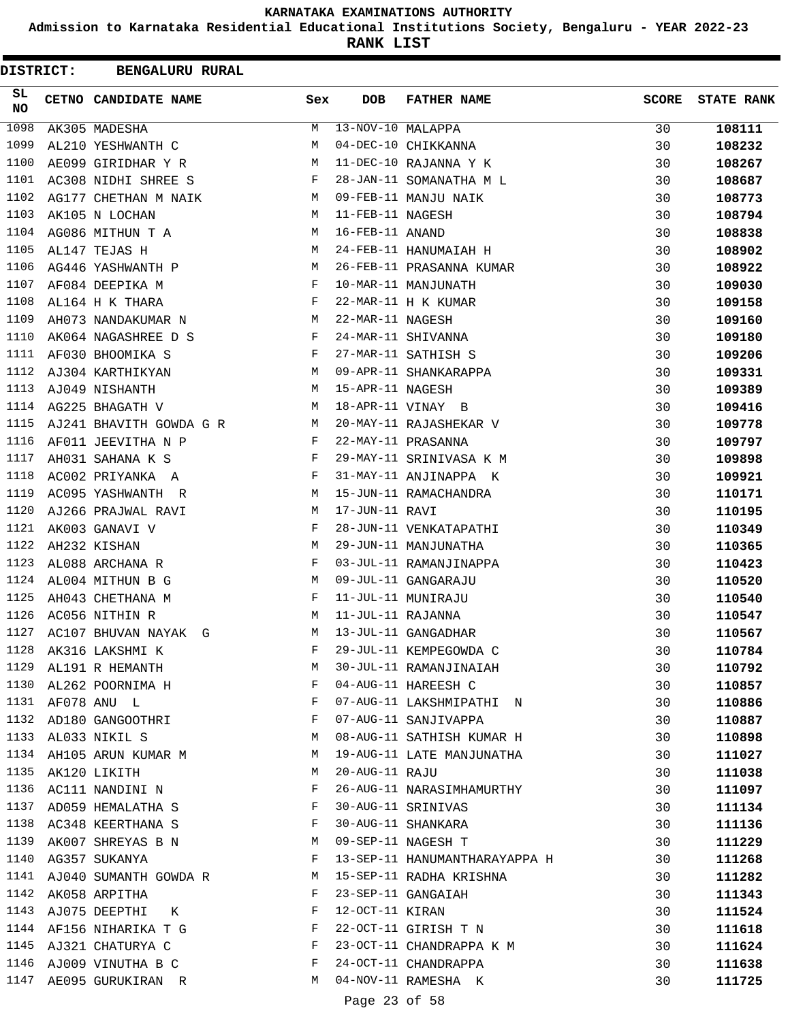**Admission to Karnataka Residential Educational Institutions Society, Bengaluru - YEAR 2022-23**

**RANK LIST**

| DISTRICT: | <b>BENGALURU RURAL</b>  |              |                   |                               |              |                   |
|-----------|-------------------------|--------------|-------------------|-------------------------------|--------------|-------------------|
| SL<br>NO. | CETNO CANDIDATE NAME    | Sex          | <b>DOB</b>        | <b>FATHER NAME</b>            | <b>SCORE</b> | <b>STATE RANK</b> |
| 1098      | AK305 MADESHA           | М            | 13-NOV-10 MALAPPA |                               | 30           | 108111            |
| 1099      | AL210 YESHWANTH C       | М            |                   | 04-DEC-10 CHIKKANNA           | 30           | 108232            |
| 1100      | AE099 GIRIDHAR Y R      | М            |                   | 11-DEC-10 RAJANNA Y K         | 30           | 108267            |
| 1101      | AC308 NIDHI SHREE S     | F            |                   | 28-JAN-11 SOMANATHA M L       | 30           | 108687            |
| 1102      | AG177 CHETHAN M NAIK    | М            |                   | 09-FEB-11 MANJU NAIK          | 30           | 108773            |
| 1103      | AK105 N LOCHAN          | М            | 11-FEB-11 NAGESH  |                               | 30           | 108794            |
| 1104      | AG086 MITHUN T A        | М            | 16-FEB-11 ANAND   |                               | 30           | 108838            |
| 1105      | AL147 TEJAS H           | М            |                   | 24-FEB-11 HANUMAIAH H         | 30           | 108902            |
| 1106      | AG446 YASHWANTH P       | M            |                   | 26-FEB-11 PRASANNA KUMAR      | 30           | 108922            |
| 1107      | AF084 DEEPIKA M         | F            |                   | 10-MAR-11 MANJUNATH           | 30           | 109030            |
| 1108      | AL164 H K THARA         | F            |                   | 22-MAR-11 H K KUMAR           | 30           | 109158            |
| 1109      | AH073 NANDAKUMAR N      | M            | 22-MAR-11 NAGESH  |                               | 30           | 109160            |
| 1110      | AK064 NAGASHREE D S     | F            |                   | 24-MAR-11 SHIVANNA            | 30           | 109180            |
| 1111      | AF030 BHOOMIKA S        | F            |                   | 27-MAR-11 SATHISH S           | 30           | 109206            |
| 1112      | AJ304 KARTHIKYAN        | М            |                   | 09-APR-11 SHANKARAPPA         | 30           | 109331            |
| 1113      | AJ049 NISHANTH          | М            | 15-APR-11 NAGESH  |                               | 30           | 109389            |
| 1114      | AG225 BHAGATH V         | M            |                   | 18-APR-11 VINAY B             | 30           | 109416            |
| 1115      | AJ241 BHAVITH GOWDA G R | M            |                   | 20-MAY-11 RAJASHEKAR V        | 30           | 109778            |
| 1116      | AF011 JEEVITHA N P      | F            |                   | 22-MAY-11 PRASANNA            | 30           | 109797            |
| 1117      | AH031 SAHANA K S        | F            |                   | 29-MAY-11 SRINIVASA K M       | 30           | 109898            |
| 1118      | AC002 PRIYANKA A        | F            |                   | 31-MAY-11 ANJINAPPA K         | 30           | 109921            |
| 1119      | AC095 YASHWANTH R       | М            |                   | 15-JUN-11 RAMACHANDRA         | 30           | 110171            |
| 1120      | AJ266 PRAJWAL RAVI      | М            | 17-JUN-11 RAVI    |                               | 30           | 110195            |
| 1121      | AK003 GANAVI V          | F            |                   | 28-JUN-11 VENKATAPATHI        | 30           | 110349            |
| 1122      | AH232 KISHAN            | М            |                   | 29-JUN-11 MANJUNATHA          | 30           | 110365            |
| 1123      | AL088 ARCHANA R         | F            |                   | 03-JUL-11 RAMANJINAPPA        | 30           | 110423            |
| 1124      | AL004 MITHUN B G        | М            |                   | 09-JUL-11 GANGARAJU           | 30           | 110520            |
| 1125      | AH043 CHETHANA M        | F            |                   | 11-JUL-11 MUNIRAJU            | 30           | 110540            |
| 1126      | AC056 NITHIN R          | М            | 11-JUL-11 RAJANNA |                               | 30           | 110547            |
| 1127      | AC107 BHUVAN NAYAK G    | М            |                   | 13-JUL-11 GANGADHAR           | 30           | 110567            |
|           | 1128 AK316 LAKSHMI K    | F            |                   | 29-JUL-11 KEMPEGOWDA C        | 30           | 110784            |
| 1129      | AL191 R HEMANTH         | М            |                   | 30-JUL-11 RAMANJINAIAH        | 30           | 110792            |
|           | 1130 AL262 POORNIMA H   | F            |                   | 04-AUG-11 HAREESH C           | 30           | 110857            |
|           | 1131 AF078 ANU L        | F            |                   | 07-AUG-11 LAKSHMIPATHI N      | 30           | 110886            |
|           | 1132 AD180 GANGOOTHRI   | F            |                   | 07-AUG-11 SANJIVAPPA          | 30           | 110887            |
| 1133      | AL033 NIKIL S           | М            |                   | 08-AUG-11 SATHISH KUMAR H     | 30           | 110898            |
| 1134      | AH105 ARUN KUMAR M      | М            |                   | 19-AUG-11 LATE MANJUNATHA     | 30           | 111027            |
|           | 1135 AK120 LIKITH       | М            | 20-AUG-11 RAJU    |                               | 30           | 111038            |
|           | 1136 AC111 NANDINI N    | F            |                   | 26-AUG-11 NARASIMHAMURTHY     | 30           | 111097            |
|           | 1137 AD059 HEMALATHA S  | F            |                   | 30-AUG-11 SRINIVAS            | 30           | 111134            |
|           | 1138 AC348 KEERTHANA S  | F            |                   | 30-AUG-11 SHANKARA            | 30           | 111136            |
|           | 1139 AK007 SHREYAS B N  | M            |                   | 09-SEP-11 NAGESH T            | 30           | 111229            |
| 1140      | AG357 SUKANYA           | F            |                   | 13-SEP-11 HANUMANTHARAYAPPA H | 30           | 111268            |
| 1141      | AJ040 SUMANTH GOWDA R   | M            |                   | 15-SEP-11 RADHA KRISHNA       | 30           | 111282            |
| 1142      | AK058 ARPITHA           | F            |                   | 23-SEP-11 GANGAIAH            | 30           | 111343            |
| 1143      | AJ075 DEEPTHI K         | F            | 12-OCT-11 KIRAN   |                               | 30           | 111524            |
|           | 1144 AF156 NIHARIKA T G | $\mathbf{F}$ |                   | 22-OCT-11 GIRISH T N          | 30           | 111618            |
|           | 1145 AJ321 CHATURYA C   | F            |                   | 23-OCT-11 CHANDRAPPA K M      | 30           | 111624            |
|           | 1146 AJ009 VINUTHA B C  | F            |                   | 24-OCT-11 CHANDRAPPA          | 30           | 111638            |
|           | 1147 AE095 GURUKIRAN R  | M            |                   | 04-NOV-11 RAMESHA K           | 30           | 111725            |
|           |                         |              | Page 23 of 58     |                               |              |                   |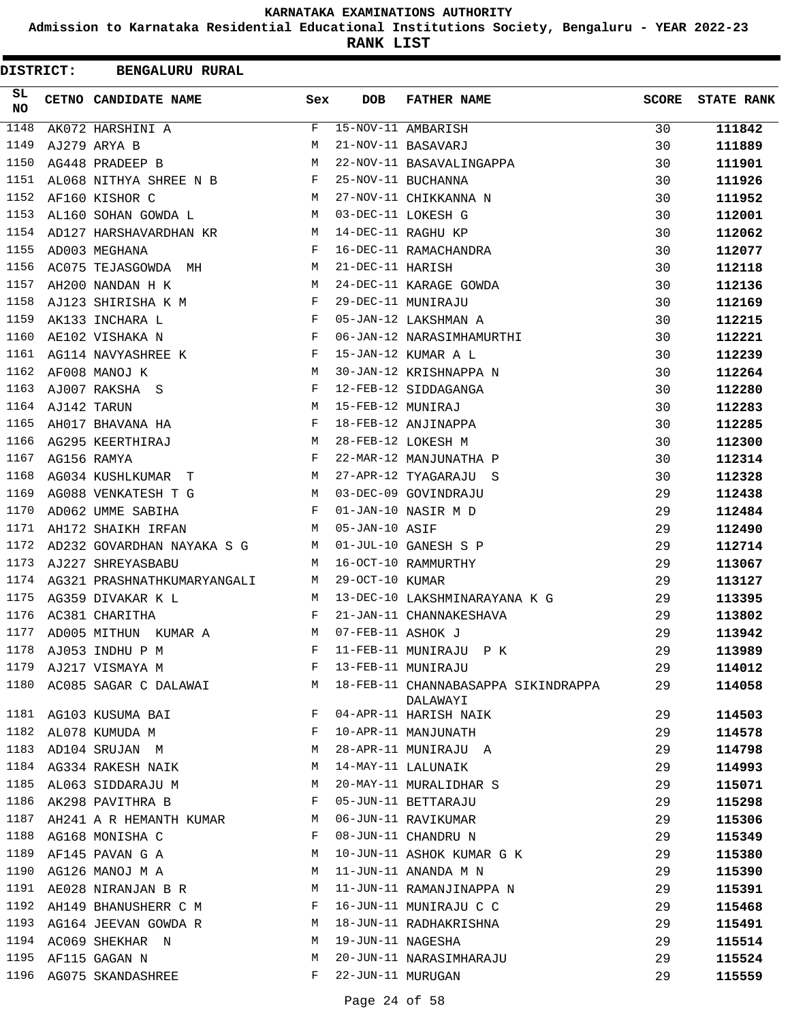**Admission to Karnataka Residential Educational Institutions Society, Bengaluru - YEAR 2022-23**

| <b>DISTRICT:</b> | <b>BENGALURU RURAL</b>                                               |              |                   |                                                 |              |                   |
|------------------|----------------------------------------------------------------------|--------------|-------------------|-------------------------------------------------|--------------|-------------------|
| SL<br>NO         | CETNO CANDIDATE NAME                                                 | Sex          | <b>DOB</b>        | <b>FATHER NAME</b>                              | <b>SCORE</b> | <b>STATE RANK</b> |
| 1148             | AK072 HARSHINI A                                                     | F            |                   | 15-NOV-11 AMBARISH                              | 30           | 111842            |
| 1149             | AJ279 ARYA B                                                         | M            |                   | 21-NOV-11 BASAVARJ                              | 30           | 111889            |
| 1150             | AG448 PRADEEP B                                                      | М            |                   | 22-NOV-11 BASAVALINGAPPA                        | 30           | 111901            |
| 1151             | AL068 NITHYA SHREE N B                                               | $\mathbf{F}$ |                   | 25-NOV-11 BUCHANNA                              | 30           | 111926            |
| 1152             | AF160 KISHOR C                                                       | M            |                   | 27-NOV-11 CHIKKANNA N                           | 30           | 111952            |
| 1153             | AL160 SOHAN GOWDA L                                                  | M            |                   | 03-DEC-11 LOKESH G                              | 30           | 112001            |
| 1154             | AD127 HARSHAVARDHAN KR                                               | M            |                   | 14-DEC-11 RAGHU KP                              | 30           | 112062            |
| 1155             | AD003 MEGHANA                                                        | F            |                   | 16-DEC-11 RAMACHANDRA                           | 30           | 112077            |
| 1156             | AC075 TEJASGOWDA MH                                                  | М            | 21-DEC-11 HARISH  |                                                 | 30           | 112118            |
| 1157             | AH200 NANDAN H K                                                     | М            |                   | 24-DEC-11 KARAGE GOWDA                          | 30           | 112136            |
| 1158             | AJ123 SHIRISHA K M                                                   | F            |                   | 29-DEC-11 MUNIRAJU                              | 30           | 112169            |
| 1159             | AK133 INCHARA L                                                      | F            |                   | 05-JAN-12 LAKSHMAN A                            | 30           | 112215            |
| 1160             | AE102 VISHAKA N                                                      | F            |                   | 06-JAN-12 NARASIMHAMURTHI                       | 30           | 112221            |
| 1161             | $\mathbf{F}$ and $\mathbf{F}$ and $\mathbf{F}$<br>AG114 NAVYASHREE K |              |                   | 15-JAN-12 KUMAR A L                             | 30           | 112239            |
| 1162             | AF008 MANOJ K                                                        | M            |                   | 30-JAN-12 KRISHNAPPA N                          | 30           | 112264            |
| 1163             | AJ007 RAKSHA S                                                       | F            |                   | 12-FEB-12 SIDDAGANGA                            | 30           | 112280            |
| 1164             | AJ142 TARUN                                                          | М            | 15-FEB-12 MUNIRAJ |                                                 | 30           | 112283            |
| 1165             | AH017 BHAVANA HA                                                     | F            |                   | 18-FEB-12 ANJINAPPA                             | 30           | 112285            |
| 1166             | AG295 KEERTHIRAJ                                                     | M            |                   | 28-FEB-12 LOKESH M                              | 30           | 112300            |
| 1167             | AG156 RAMYA                                                          | F            |                   | 22-MAR-12 MANJUNATHA P                          | 30           | 112314            |
| 1168             | AG034 KUSHLKUMAR T                                                   | М            |                   | 27-APR-12 TYAGARAJU S                           | 30           | 112328            |
| 1169             | AG088 VENKATESH T G                                                  | M            |                   | 03-DEC-09 GOVINDRAJU                            | 29           | 112438            |
| 1170             | AD062 UMME SABIHA                                                    | F            |                   | 01-JAN-10 NASIR M D                             | 29           | 112484            |
| 1171             | AH172 SHAIKH IRFAN                                                   | М            | 05-JAN-10 ASIF    |                                                 | 29           | 112490            |
| 1172             | AD232 GOVARDHAN NAYAKA S G                                           | M            |                   | 01-JUL-10 GANESH S P                            | 29           | 112714            |
| 1173             | AJ227 SHREYASBABU                                                    | М            |                   | 16-OCT-10 RAMMURTHY                             | 29           | 113067            |
| 1174             | AG321 PRASHNATHKUMARYANGALI                                          | M            | 29-OCT-10 KUMAR   |                                                 | 29           | 113127            |
| 1175             | AG359 DIVAKAR K L                                                    | М            |                   | 13-DEC-10 LAKSHMINARAYANA K G                   | 29           | 113395            |
| 1176             | AC381 CHARITHA                                                       | F            |                   | 21-JAN-11 CHANNAKESHAVA                         | 29           | 113802            |
| 1177             | AD005 MITHUN KUMAR A                                                 | M            | 07-FEB-11 ASHOK J |                                                 | 29           | 113942            |
| 1178             | AJ053 INDHU P M                                                      | F            |                   | 11-FEB-11 MUNIRAJU P K                          | 29           | 113989            |
| 1179             | AJ217 VISMAYA M                                                      | F            |                   | 13-FEB-11 MUNIRAJU                              | 29           | 114012            |
| 1180             | AC085 SAGAR C DALAWAI                                                | М            |                   | 18-FEB-11 CHANNABASAPPA SIKINDRAPPA<br>DALAWAYI | 29           | 114058            |
|                  | 1181 AG103 KUSUMA BAI                                                | F            |                   | 04-APR-11 HARISH NAIK                           | 29           | 114503            |
| 1182             | AL078 KUMUDA M                                                       | F            |                   | 10-APR-11 MANJUNATH                             | 29           | 114578            |
| 1183             | AD104 SRUJAN M                                                       | М            |                   | 28-APR-11 MUNIRAJU A                            | 29           | 114798            |
|                  | 1184 AG334 RAKESH NAIK                                               | М            |                   | 14-MAY-11 LALUNAIK                              | 29           | 114993            |
| 1185             | AL063 SIDDARAJU M                                                    | М            |                   | 20-MAY-11 MURALIDHAR S                          | 29           | 115071            |
| 1186             | AK298 PAVITHRA B                                                     | F            |                   | 05-JUN-11 BETTARAJU                             | 29           | 115298            |
| 1187             | AH241 A R HEMANTH KUMAR                                              | M            |                   | 06-JUN-11 RAVIKUMAR                             | 29           | 115306            |
|                  | 1188 AG168 MONISHA C                                                 | F            |                   | 08-JUN-11 CHANDRU N                             | 29           | 115349            |
| 1189             | AF145 PAVAN G A                                                      | М            |                   | 10-JUN-11 ASHOK KUMAR G K                       | 29           | 115380            |
| 1190             | AG126 MANOJ M A                                                      | M            |                   | 11-JUN-11 ANANDA M N                            | 29           | 115390            |
| 1191             | AE028 NIRANJAN B R                                                   | M            |                   | 11-JUN-11 RAMANJINAPPA N                        | 29           | 115391            |
|                  | 1192 AH149 BHANUSHERR C M                                            | F            |                   | 16-JUN-11 MUNIRAJU C C                          | 29           | 115468            |
| 1193             | AG164 JEEVAN GOWDA R                                                 | M            |                   | 18-JUN-11 RADHAKRISHNA                          | 29           | 115491            |
| 1194             | AC069 SHEKHAR N                                                      | М            | 19-JUN-11 NAGESHA |                                                 | 29           | 115514            |
| 1195             | AF115 GAGAN N                                                        | М            |                   | 20-JUN-11 NARASIMHARAJU                         | 29           | 115524            |
|                  | 1196 AG075 SKANDASHREE                                               | F            | 22-JUN-11 MURUGAN |                                                 | 29           | 115559            |
|                  |                                                                      |              |                   |                                                 |              |                   |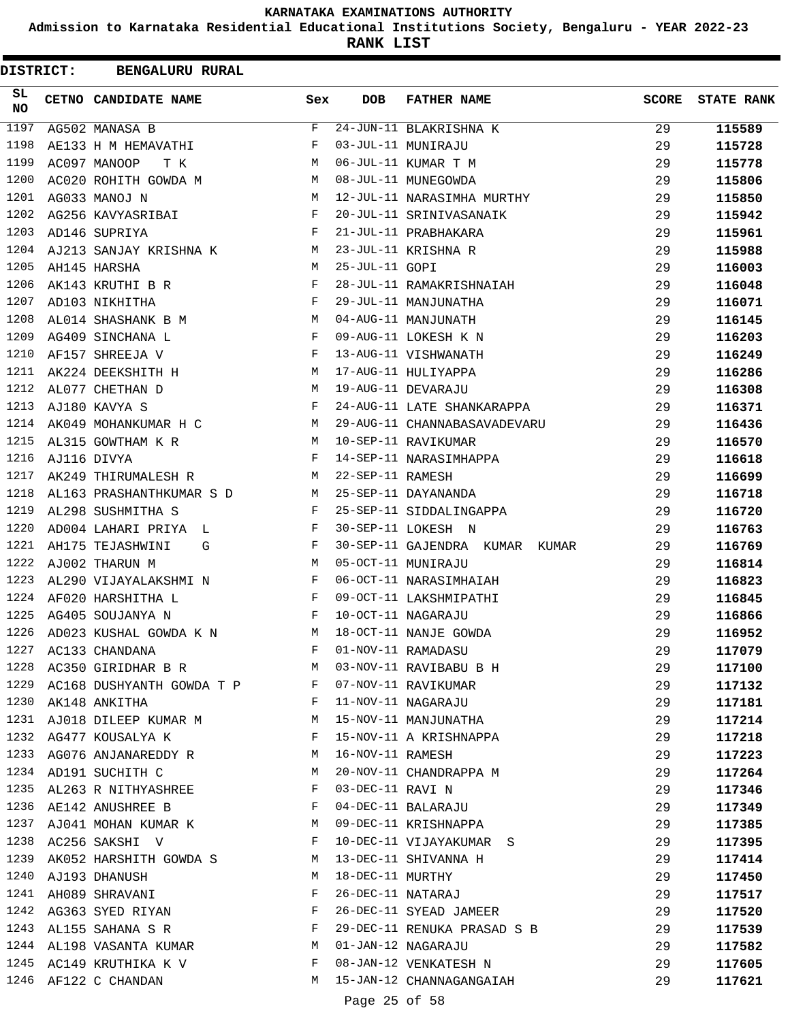**Admission to Karnataka Residential Educational Institutions Society, Bengaluru - YEAR 2022-23**

**RANK LIST**

| <b>DISTRICT:</b> | <b>BENGALURU RURAL</b>    |             |                   |                                |              |                   |
|------------------|---------------------------|-------------|-------------------|--------------------------------|--------------|-------------------|
| SL.<br><b>NO</b> | CETNO CANDIDATE NAME      | Sex         | <b>DOB</b>        | <b>FATHER NAME</b>             | <b>SCORE</b> | <b>STATE RANK</b> |
| 1197             | AG502 MANASA B            | $\mathbf F$ |                   | 24-JUN-11 BLAKRISHNA K         | 29           | 115589            |
| 1198             | AE133 H M HEMAVATHI       | F           |                   | 03-JUL-11 MUNIRAJU             | 29           | 115728            |
| 1199             | AC097 MANOOP<br>т к       | М           |                   | 06-JUL-11 KUMAR T M            | 29           | 115778            |
| 1200             | AC020 ROHITH GOWDA M      | M           |                   | 08-JUL-11 MUNEGOWDA            | 29           | 115806            |
| 1201             | AG033 MANOJ N             | M           |                   | 12-JUL-11 NARASIMHA MURTHY     | 29           | 115850            |
| 1202             | AG256 KAVYASRIBAI         | F           |                   | 20-JUL-11 SRINIVASANAIK        | 29           | 115942            |
| 1203             | AD146 SUPRIYA             | F           |                   | 21-JUL-11 PRABHAKARA           | 29           | 115961            |
| 1204             | AJ213 SANJAY KRISHNA K    | М           |                   | 23-JUL-11 KRISHNA R            | 29           | 115988            |
| 1205             | AH145 HARSHA              | M           | 25-JUL-11 GOPI    |                                | 29           | 116003            |
| 1206             | AK143 KRUTHI B R          | F           |                   | 28-JUL-11 RAMAKRISHNAIAH       | 29           | 116048            |
| 1207             | AD103 NIKHITHA            | F           |                   | 29-JUL-11 MANJUNATHA           | 29           | 116071            |
| 1208             | AL014 SHASHANK B M        | M           |                   | 04-AUG-11 MANJUNATH            | 29           | 116145            |
| 1209             | AG409 SINCHANA L          | F           |                   | 09-AUG-11 LOKESH K N           | 29           | 116203            |
| 1210             | AF157 SHREEJA V           | F           |                   | 13-AUG-11 VISHWANATH           | 29           | 116249            |
| 1211             | AK224 DEEKSHITH H         | M           |                   | 17-AUG-11 HULIYAPPA            | 29           | 116286            |
| 1212             | AL077 CHETHAN D           | М           |                   | 19-AUG-11 DEVARAJU             | 29           | 116308            |
| 1213             | AJ180 KAVYA S             | F           |                   | 24-AUG-11 LATE SHANKARAPPA     | 29           | 116371            |
| 1214             | AK049 MOHANKUMAR H C M    |             |                   | 29-AUG-11 CHANNABASAVADEVARU   | 29           | 116436            |
| 1215             | AL315 GOWTHAM K R         | M           |                   | 10-SEP-11 RAVIKUMAR            | 29           | 116570            |
| 1216             | AJ116 DIVYA               | F           |                   | 14-SEP-11 NARASIMHAPPA         | 29           | 116618            |
| 1217             | AK249 THIRUMALESH R       | M           | 22-SEP-11 RAMESH  |                                | 29           | 116699            |
| 1218             | AL163 PRASHANTHKUMAR S D  | M           |                   | 25-SEP-11 DAYANANDA            | 29           | 116718            |
| 1219             | AL298 SUSHMITHA S         | F           |                   | 25-SEP-11 SIDDALINGAPPA        | 29           | 116720            |
| 1220             | AD004 LAHARI PRIYA L      | F           |                   | 30-SEP-11 LOKESH N             | 29           | 116763            |
| 1221             | AH175 TEJASHWINI<br>G     | F           |                   | 30-SEP-11 GAJENDRA KUMAR KUMAR | 29           | 116769            |
| 1222             | AJ002 THARUN M            | М           |                   | 05-OCT-11 MUNIRAJU             | 29           | 116814            |
| 1223             | AL290 VIJAYALAKSHMI N     | F           |                   | 06-OCT-11 NARASIMHAIAH         | 29           | 116823            |
| 1224             | AF020 HARSHITHA L         | F           |                   | 09-OCT-11 LAKSHMIPATHI         | 29           | 116845            |
| 1225             | AG405 SOUJANYA N          | F           |                   | 10-OCT-11 NAGARAJU             | 29           | 116866            |
| 1226             | AD023 KUSHAL GOWDA K N    | М           |                   | 18-OCT-11 NANJE GOWDA          | 29           | 116952            |
| 1227             | AC133 CHANDANA            | F           |                   | 01-NOV-11 RAMADASU             | 29           | 117079            |
| 1228             | AC350 GIRIDHAR B R        | М           |                   | 03-NOV-11 RAVIBABU B H         | 29           | 117100            |
| 1229             | AC168 DUSHYANTH GOWDA T P | F           |                   | 07-NOV-11 RAVIKUMAR            | 29           | 117132            |
| 1230             | AK148 ANKITHA             | F           |                   | 11-NOV-11 NAGARAJU             | 29           | 117181            |
|                  | 1231 AJ018 DILEEP KUMAR M | М           |                   | 15-NOV-11 MANJUNATHA           | 29           | 117214            |
| 1232             | AG477 KOUSALYA K          | F           |                   | 15-NOV-11 A KRISHNAPPA         | 29           | 117218            |
| 1233             | AG076 ANJANAREDDY R       | M           | 16-NOV-11 RAMESH  |                                | 29           | 117223            |
| 1234             | AD191 SUCHITH C           | М           |                   | 20-NOV-11 CHANDRAPPA M         | 29           | 117264            |
| 1235             | AL263 R NITHYASHREE       | F           | 03-DEC-11 RAVI N  |                                | 29           |                   |
| 1236             | AE142 ANUSHREE B          | F           |                   | 04-DEC-11 BALARAJU             | 29           | 117346            |
| 1237             |                           | M           |                   |                                |              | 117349            |
| 1238             | AJ041 MOHAN KUMAR K       | F           |                   | 09-DEC-11 KRISHNAPPA           | 29           | 117385            |
|                  | AC256 SAKSHI V            |             |                   | 10-DEC-11 VIJAYAKUMAR S        | 29           | 117395            |
| 1239             | AK052 HARSHITH GOWDA S    | М           |                   | 13-DEC-11 SHIVANNA H           | 29           | 117414            |
| 1240             | AJ193 DHANUSH             | М           | 18-DEC-11 MURTHY  |                                | 29           | 117450            |
| 1241             | AH089 SHRAVANI            | F           | 26-DEC-11 NATARAJ |                                | 29           | 117517            |
| 1242             | AG363 SYED RIYAN          | F           |                   | 26-DEC-11 SYEAD JAMEER         | 29           | 117520            |
| 1243             | AL155 SAHANA S R          | F           |                   | 29-DEC-11 RENUKA PRASAD S B    | 29           | 117539            |
|                  | 1244 AL198 VASANTA KUMAR  | M           |                   | 01-JAN-12 NAGARAJU             | 29           | 117582            |
| 1245             | AC149 KRUTHIKA K V        | F           |                   | 08-JAN-12 VENKATESH N          | 29           | 117605            |
| 1246             | AF122 C CHANDAN           | M           |                   | 15-JAN-12 CHANNAGANGAIAH       | 29           | 117621            |
|                  |                           |             | Page 25 of 58     |                                |              |                   |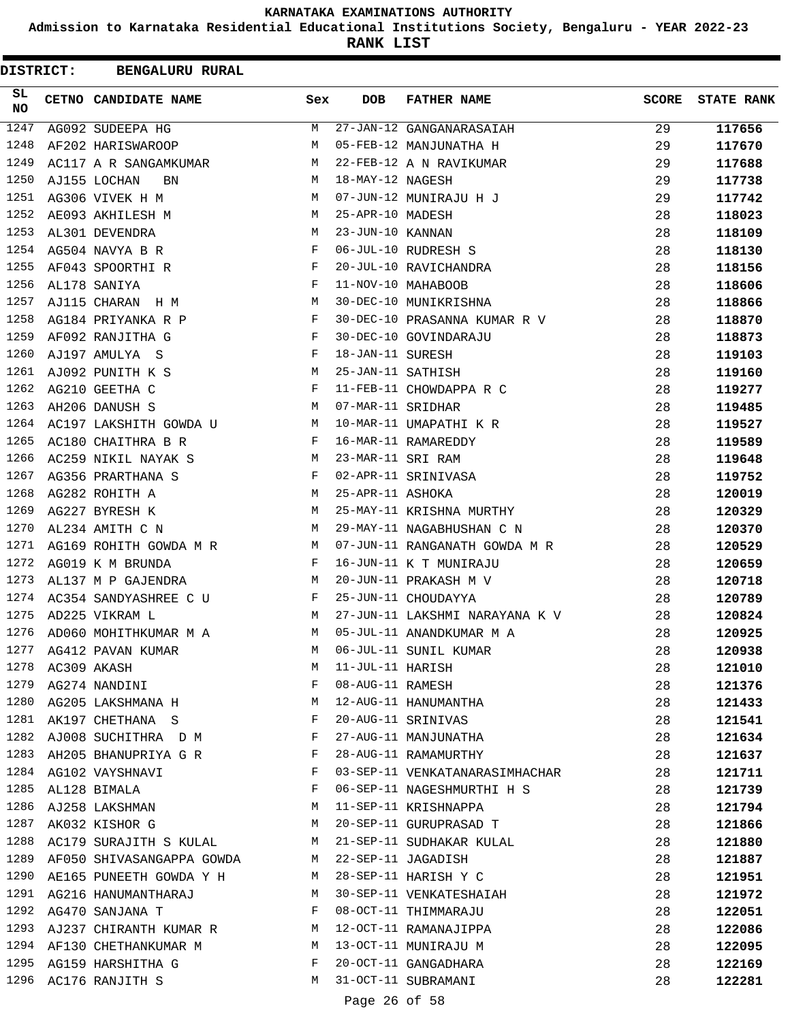**Admission to Karnataka Residential Educational Institutions Society, Bengaluru - YEAR 2022-23**

**RANK LIST**

| <b>DISTRICT:</b> |                  | <b>BENGALURU RURAL</b>                   |              |                   |                                |       |                   |
|------------------|------------------|------------------------------------------|--------------|-------------------|--------------------------------|-------|-------------------|
| SL<br>NO.        |                  | CETNO CANDIDATE NAME                     | Sex          | <b>DOB</b>        | <b>FATHER NAME</b>             | SCORE | <b>STATE RANK</b> |
| 1247             |                  | AG092 SUDEEPA HG                         | М            |                   | 27-JAN-12 GANGANARASAIAH       | 29    | 117656            |
| 1248             |                  | AF202 HARISWAROOP                        | M            |                   | 05-FEB-12 MANJUNATHA H         | 29    | 117670            |
| 1249             |                  | AC117 A R SANGAMKUMAR                    | M            |                   | 22-FEB-12 A N RAVIKUMAR        | 29    | 117688            |
| 1250             |                  | AJ155 LOCHAN<br>BN                       | M            | 18-MAY-12 NAGESH  |                                | 29    | 117738            |
| 1251             |                  | AG306 VIVEK H M                          | M            |                   | 07-JUN-12 MUNIRAJU H J         | 29    | 117742            |
| 1252             |                  | AE093 AKHILESH M                         | M            | 25-APR-10 MADESH  |                                | 28    | 118023            |
| 1253             |                  | AL301 DEVENDRA                           | М            | 23-JUN-10 KANNAN  |                                | 28    | 118109            |
| 1254             |                  | AG504 NAVYA B R                          | F            |                   | 06-JUL-10 RUDRESH S            | 28    | 118130            |
| 1255             |                  | AF043 SPOORTHI R                         | $\mathbf{F}$ |                   | 20-JUL-10 RAVICHANDRA          | 28    | 118156            |
| 1256             |                  | AL178 SANIYA                             | F            |                   | 11-NOV-10 MAHABOOB             | 28    | 118606            |
| 1257             |                  | AJ115 CHARAN H M                         | М            |                   | 30-DEC-10 MUNIKRISHNA          | 28    | 118866            |
| 1258             |                  | AG184 PRIYANKA R P                       | F            |                   | 30-DEC-10 PRASANNA KUMAR R V   | 28    | 118870            |
| 1259             |                  | AF092 RANJITHA G                         | F            |                   | 30-DEC-10 GOVINDARAJU          | 28    | 118873            |
| 1260             |                  | AJ197 AMULYA S                           | $\mathbf{F}$ | 18-JAN-11 SURESH  |                                | 28    | 119103            |
| 1261             |                  | AJ092 PUNITH K S                         | M            | 25-JAN-11 SATHISH |                                | 28    | 119160            |
| 1262             |                  | AG210 GEETHA C                           | F            |                   | 11-FEB-11 CHOWDAPPA R C        | 28    | 119277            |
| 1263             |                  | AH206 DANUSH S                           | M            | 07-MAR-11 SRIDHAR |                                | 28    | 119485            |
| 1264             |                  | AC197 LAKSHITH GOWDA U<br>M <sub>N</sub> |              |                   | 10-MAR-11 UMAPATHI K R         | 28    | 119527            |
| 1265             |                  | AC180 CHAITHRA B R                       | $\mathbf{F}$ |                   | 16-MAR-11 RAMAREDDY            | 28    | 119589            |
| 1266             |                  | AC259 NIKIL NAYAK S                      | M            | 23-MAR-11 SRI RAM |                                | 28    | 119648            |
| 1267             |                  | AG356 PRARTHANA S                        | F            |                   | 02-APR-11 SRINIVASA            | 28    | 119752            |
| 1268             |                  | AG282 ROHITH A                           | M            | 25-APR-11 ASHOKA  |                                | 28    | 120019            |
| 1269             |                  | AG227 BYRESH K                           | М            |                   | 25-MAY-11 KRISHNA MURTHY       | 28    | 120329            |
| 1270             |                  | AL234 AMITH C N                          | М            |                   | 29-MAY-11 NAGABHUSHAN C N      | 28    | 120370            |
| 1271             |                  | AG169 ROHITH GOWDA M R M                 |              |                   | 07-JUN-11 RANGANATH GOWDA M R  | 28    | 120529            |
| 1272             |                  | AG019 K M BRUNDA                         | $\mathbf{F}$ |                   | 16-JUN-11 K T MUNIRAJU         | 28    | 120659            |
| 1273             |                  | AL137 M P GAJENDRA                       | M            |                   | 20-JUN-11 PRAKASH M V          | 28    | 120718            |
| 1274             |                  | AC354 SANDYASHREE C U                    | F            |                   | 25-JUN-11 CHOUDAYYA            | 28    | 120789            |
| 1275             |                  | AD225 VIKRAM L                           | М            |                   | 27-JUN-11 LAKSHMI NARAYANA K V | 28    | 120824            |
| 1276             |                  | AD060 MOHITHKUMAR M A                    | М            |                   | 05-JUL-11 ANANDKUMAR M A       | 28    | 120925            |
|                  |                  | 1277 AG412 PAVAN KUMAR                   | M            |                   | 06-JUL-11 SUNIL KUMAR          | 28    | 120938            |
|                  | 1278 AC309 AKASH |                                          | M            | 11-JUL-11 HARISH  |                                | 28    | 121010            |
|                  |                  | 1279 AG274 NANDINI                       | F            | 08-AUG-11 RAMESH  |                                | 28    | 121376            |
|                  |                  | 1280 AG205 LAKSHMANA H                   | M            |                   | 12-AUG-11 HANUMANTHA           | 28    | 121433            |
|                  |                  | 1281 AK197 CHETHANA S                    | F            |                   | 20-AUG-11 SRINIVAS             | 28    | 121541            |
| 1282             |                  | AJ008 SUCHITHRA D M                      | F            |                   | 27-AUG-11 MANJUNATHA           | 28    | 121634            |
| 1283             |                  | AH205 BHANUPRIYA G R                     | F            |                   | 28-AUG-11 RAMAMURTHY           | 28    | 121637            |
|                  |                  | 1284 AG102 VAYSHNAVI                     | F            |                   | 03-SEP-11 VENKATANARASIMHACHAR | 28    | 121711            |
|                  |                  | 1285 AL128 BIMALA                        | F            |                   | 06-SEP-11 NAGESHMURTHI H S     | 28    | 121739            |
| 1286             |                  | AJ258 LAKSHMAN                           | M            |                   | 11-SEP-11 KRISHNAPPA           | 28    | 121794            |
| 1287             |                  | <b>M</b><br>AK032 KISHOR G               |              |                   | 20-SEP-11 GURUPRASAD T         | 28    | 121866            |
|                  |                  | 1288 AC179 SURAJITH S KULAL              |              |                   | M 21-SEP-11 SUDHAKAR KULAL     | 28    | 121880            |
|                  |                  | 1289 AF050 SHIVASANGAPPA GOWDA           |              |                   | M 22-SEP-11 JAGADISH           | 28    | 121887            |
| 1290             |                  | AE165 PUNEETH GOWDA Y H                  | M            |                   | 28-SEP-11 HARISH Y C           | 28    | 121951            |
| 1291             |                  | AG216 HANUMANTHARAJ                      | M            |                   | 30-SEP-11 VENKATESHAIAH        | 28    | 121972            |
| 1292             |                  | AG470 SANJANA T                          | F            |                   | 08-OCT-11 THIMMARAJU           | 28    | 122051            |
|                  |                  | 1293 AJ237 CHIRANTH KUMAR R M            |              |                   | 12-OCT-11 RAMANAJIPPA          | 28    | 122086            |
|                  |                  | 1294 AF130 CHETHANKUMAR M                | M            |                   | 13-OCT-11 MUNIRAJU M           | 28    | 122095            |
|                  |                  | 1295 AG159 HARSHITHA G                   | F            |                   | 20-OCT-11 GANGADHARA           | 28    | 122169            |
|                  |                  | 1296 AC176 RANJITH S                     | M            |                   | 31-OCT-11 SUBRAMANI            | 28    | 122281            |
|                  |                  |                                          |              |                   |                                |       |                   |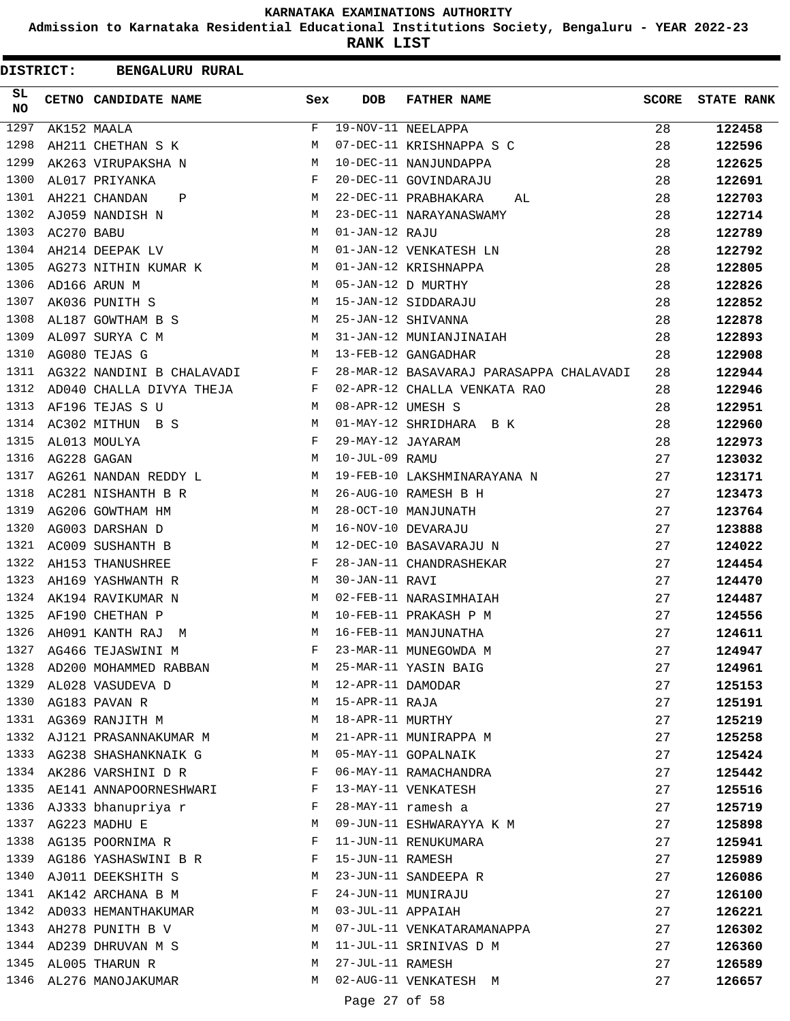**Admission to Karnataka Residential Educational Institutions Society, Bengaluru - YEAR 2022-23**

**RANK LIST**

| DISTRICT:        |            | <b>BENGALURU RURAL</b>    |              |                   |                                         |              |                   |
|------------------|------------|---------------------------|--------------|-------------------|-----------------------------------------|--------------|-------------------|
| SL.<br><b>NO</b> |            | CETNO CANDIDATE NAME      | Sex          | <b>DOB</b>        | <b>FATHER NAME</b>                      | <b>SCORE</b> | <b>STATE RANK</b> |
| 1297             |            | AK152 MAALA               | F            |                   | 19-NOV-11 NEELAPPA                      | 28           | 122458            |
| 1298             |            | AH211 CHETHAN S K         | M            |                   | 07-DEC-11 KRISHNAPPA S C                | 28           | 122596            |
| 1299             |            | AK263 VIRUPAKSHA N        | M            |                   | 10-DEC-11 NANJUNDAPPA                   | 28           | 122625            |
| 1300             |            | AL017 PRIYANKA            | F            |                   | 20-DEC-11 GOVINDARAJU                   | 28           | 122691            |
| 1301             |            | AH221 CHANDAN<br>Ρ        | М            |                   | 22-DEC-11 PRABHAKARA<br>AL              | 28           | 122703            |
| 1302             |            | AJ059 NANDISH N           | М            |                   | 23-DEC-11 NARAYANASWAMY                 | 28           | 122714            |
| 1303             | AC270 BABU |                           | M            | 01-JAN-12 RAJU    |                                         | 28           | 122789            |
| 1304             |            | AH214 DEEPAK LV           | M            |                   | 01-JAN-12 VENKATESH LN                  | 28           | 122792            |
| 1305             |            | AG273 NITHIN KUMAR K      | M            |                   | 01-JAN-12 KRISHNAPPA                    | 28           | 122805            |
| 1306             |            | AD166 ARUN M              | M            |                   | 05-JAN-12 D MURTHY                      | 28           | 122826            |
| 1307             |            | AK036 PUNITH S            | M            |                   | 15-JAN-12 SIDDARAJU                     | 28           | 122852            |
| 1308             |            | AL187 GOWTHAM B S         | M            |                   | 25-JAN-12 SHIVANNA                      | 28           | 122878            |
| 1309             |            | AL097 SURYA C M           | M            |                   | 31-JAN-12 MUNIANJINAIAH                 | 28           | 122893            |
| 1310             |            | AG080 TEJAS G             | М            |                   | 13-FEB-12 GANGADHAR                     | 28           | 122908            |
| 1311             |            | AG322 NANDINI B CHALAVADI | F            |                   | 28-MAR-12 BASAVARAJ PARASAPPA CHALAVADI | 28           | 122944            |
| 1312             |            | AD040 CHALLA DIVYA THEJA  | F            |                   | 02-APR-12 CHALLA VENKATA RAO            | 28           | 122946            |
| 1313             |            | AF196 TEJAS S U           | M            | 08-APR-12 UMESH S |                                         | 28           | 122951            |
| 1314             |            | AC302 MITHUN B S          | M            |                   | 01-MAY-12 SHRIDHARA B K                 | 28           | 122960            |
| 1315             |            | AL013 MOULYA              | $\mathbf{F}$ | 29-MAY-12 JAYARAM |                                         | 28           | 122973            |
| 1316             |            | AG228 GAGAN               | M            | 10-JUL-09 RAMU    |                                         | 27           | 123032            |
| 1317             |            | AG261 NANDAN REDDY L      | M            |                   | 19-FEB-10 LAKSHMINARAYANA N             | 27           | 123171            |
| 1318             |            | AC281 NISHANTH B R        | M            |                   | 26-AUG-10 RAMESH B H                    | 27           | 123473            |
| 1319             |            | AG206 GOWTHAM HM          | M            |                   | 28-OCT-10 MANJUNATH                     | 27           | 123764            |
| 1320             |            | AG003 DARSHAN D           | M            |                   | 16-NOV-10 DEVARAJU                      | 27           | 123888            |
| 1321             |            | AC009 SUSHANTH B          | M            |                   | 12-DEC-10 BASAVARAJU N                  | 27           | 124022            |
| 1322             |            | AH153 THANUSHREE          | F            |                   | 28-JAN-11 CHANDRASHEKAR                 | 27           | 124454            |
| 1323             |            | AH169 YASHWANTH R         | M            | 30-JAN-11 RAVI    |                                         | 27           | 124470            |
| 1324             |            | AK194 RAVIKUMAR N         | M            |                   | 02-FEB-11 NARASIMHAIAH                  | 27           | 124487            |
| 1325             |            | AF190 CHETHAN P           | M            |                   | 10-FEB-11 PRAKASH P M                   | 27           | 124556            |
| 1326             |            | AH091 KANTH RAJ M         | M            |                   | 16-FEB-11 MANJUNATHA                    | 27           | 124611            |
| 1327             |            | AG466 TEJASWINI M         | F            |                   | 23-MAR-11 MUNEGOWDA M                   | 27           | 124947            |
| 1328             |            | AD200 MOHAMMED RABBAN     | M            |                   | 25-MAR-11 YASIN BAIG                    | 27           | 124961            |
| 1329             |            | AL028 VASUDEVA D          | M            | 12-APR-11 DAMODAR |                                         | 27           | 125153            |
| 1330             |            | AG183 PAVAN R             | М            | 15-APR-11 RAJA    |                                         | 27           | 125191            |
| 1331             |            | AG369 RANJITH M           | M            | 18-APR-11 MURTHY  |                                         | 27           | 125219            |
| 1332             |            | AJ121 PRASANNAKUMAR M     | M            |                   | 21-APR-11 MUNIRAPPA M                   | 27           | 125258            |
| 1333             |            | AG238 SHASHANKNAIK G      | M            |                   | 05-MAY-11 GOPALNAIK                     | 27           | 125424            |
| 1334             |            | AK286 VARSHINI D R        | F            |                   | 06-MAY-11 RAMACHANDRA                   | 27           | 125442            |
| 1335             |            | AE141 ANNAPOORNESHWARI    | $\mathbf{F}$ |                   | 13-MAY-11 VENKATESH                     | 27           | 125516            |
| 1336             |            | AJ333 bhanupriya r        | F            |                   | 28-MAY-11 ramesh a                      | 27           | 125719            |
| 1337             |            | AG223 MADHU E             | М            |                   | 09-JUN-11 ESHWARAYYA K M                | 27           | 125898            |
| 1338             |            | AG135 POORNIMA R          | F            |                   | 11-JUN-11 RENUKUMARA                    | 27           | 125941            |
| 1339             |            | AG186 YASHASWINI B R      | $\mathbf{F}$ | 15-JUN-11 RAMESH  |                                         | 27           | 125989            |
| 1340             |            | AJ011 DEEKSHITH S         | M            |                   | 23-JUN-11 SANDEEPA R                    | 27           | 126086            |
| 1341             |            | AK142 ARCHANA B M         | F            |                   | 24-JUN-11 MUNIRAJU                      | 27           | 126100            |
| 1342             |            | AD033 HEMANTHAKUMAR       | М            |                   | 03-JUL-11 APPAIAH                       | 27           | 126221            |
| 1343             |            | AH278 PUNITH B V          | M            |                   | 07-JUL-11 VENKATARAMANAPPA              | 27           | 126302            |
|                  |            | 1344 AD239 DHRUVAN M S    | M            |                   | 11-JUL-11 SRINIVAS D M                  | 27           | 126360            |
| 1345             |            | AL005 THARUN R            | M            | 27-JUL-11 RAMESH  |                                         | 27           | 126589            |
| 1346             |            | AL276 MANOJAKUMAR         | M            |                   | 02-AUG-11 VENKATESH M                   | 27           | 126657            |
|                  |            |                           |              | Page 27 of 58     |                                         |              |                   |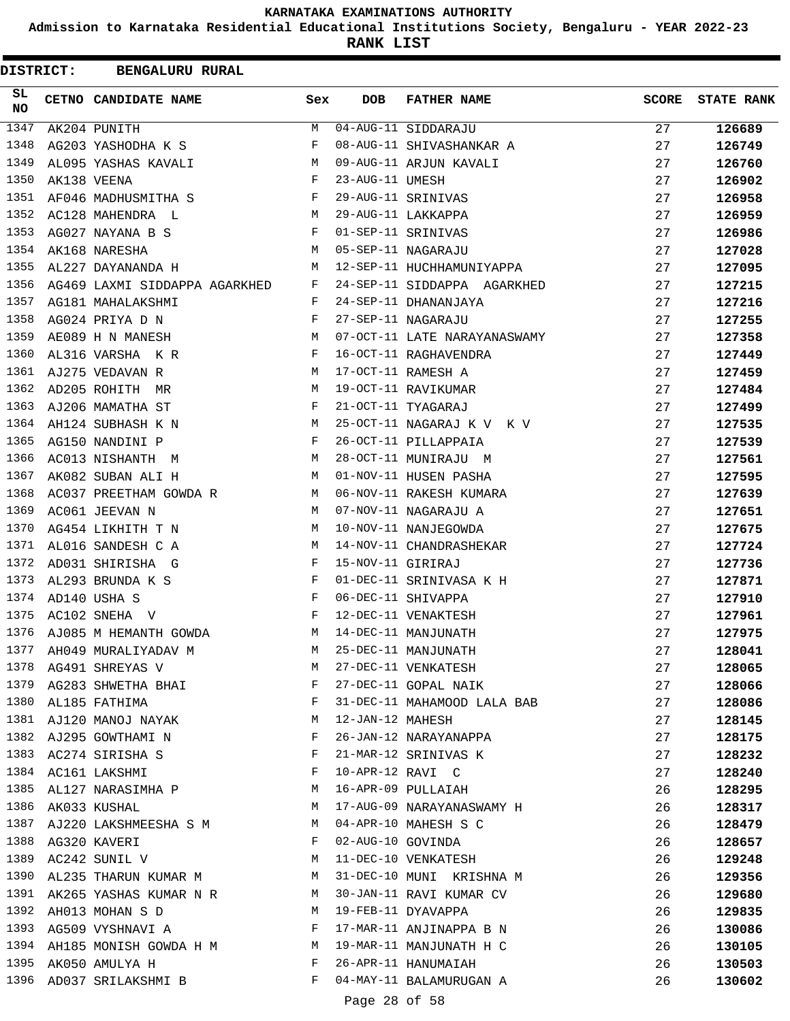**Admission to Karnataka Residential Educational Institutions Society, Bengaluru - YEAR 2022-23**

**RANK LIST**

 $\blacksquare$ 

| DISTRICT: | <b>BENGALURU RURAL</b>                                         |              |                   |                                          |              |                   |
|-----------|----------------------------------------------------------------|--------------|-------------------|------------------------------------------|--------------|-------------------|
| SL.<br>NO | CETNO CANDIDATE NAME                                           | Sex          | <b>DOB</b>        | <b>FATHER NAME</b>                       | <b>SCORE</b> | <b>STATE RANK</b> |
| 1347      | AK204 PUNITH                                                   | M            |                   | 04-AUG-11 SIDDARAJU                      | 27           | 126689            |
| 1348      | AG203 YASHODHA K S                                             | F            |                   | 08-AUG-11 SHIVASHANKAR A                 | 27           | 126749            |
| 1349      | AL095 YASHAS KAVALI                                            | M            |                   | 09-AUG-11 ARJUN KAVALI                   | 27           | 126760            |
| 1350      | AK138 VEENA                                                    | F            | 23-AUG-11 UMESH   |                                          | 27           | 126902            |
| 1351      | AF046 MADHUSMITHA S                                            | F            |                   | 29-AUG-11 SRINIVAS                       | 27           | 126958            |
| 1352      | AC128 MAHENDRA L<br>M <sub>N</sub>                             |              |                   | 29-AUG-11 LAKKAPPA                       | 27           | 126959            |
| 1353      | AG027 NAYANA B S                                               | F            |                   | 01-SEP-11 SRINIVAS                       | 27           | 126986            |
| 1354      | <b>M</b><br>AK168 NARESHA                                      |              |                   | 05-SEP-11 NAGARAJU                       | 27           | 127028            |
| 1355      | AL227 DAYANANDA H                                              | M            |                   | 12-SEP-11 HUCHHAMUNIYAPPA                | 27           | 127095            |
| 1356      | AG469 LAXMI SIDDAPPA AGARKHED F                                |              |                   | 24-SEP-11 SIDDAPPA AGARKHED              | 27           | 127215            |
| 1357      | AG181 MAHALAKSHMI                                              | F            |                   | 24-SEP-11 DHANANJAYA                     | 27           | 127216            |
| 1358      | $\mathbb F$ . The set of $\mathbb F$<br>AG024 PRIYA D N        |              |                   | 27-SEP-11 NAGARAJU                       | 27           | 127255            |
| 1359      | AE089 H N MANESH                                               | M            |                   | 07-OCT-11 LATE NARAYANASWAMY             | 27           | 127358            |
| 1360      | AL316 VARSHA KR                                                | F            |                   | 16-OCT-11 RAGHAVENDRA                    | 27           | 127449            |
| 1361      | AJ275 VEDAVAN R                                                | M            |                   | 17-OCT-11 RAMESH A                       | 27           | 127459            |
| 1362      | AD205 ROHITH MR                                                | M            |                   | 19-OCT-11 RAVIKUMAR                      | 27           | 127484            |
| 1363      | AJ206 MAMATHA ST                                               | $\mathbf{F}$ |                   | 21-OCT-11 TYAGARAJ                       | 27           | 127499            |
| 1364      | AH124 SUBHASH K N<br><b>M</b>                                  |              |                   | 25-OCT-11 NAGARAJ K V K V                | 27           | 127535            |
| 1365      | AG150 NANDINI P                                                | F            |                   | 26-OCT-11 PILLAPPAIA                     | 27           | 127539            |
| 1366      | AC013 NISHANTH M                                               | M            |                   | 28-OCT-11 MUNIRAJU M                     | 27           | 127561            |
| 1367      | AK082 SUBAN ALI H                                              | M            |                   | 01-NOV-11 HUSEN PASHA                    | 27           | 127595            |
| 1368      | AC037 PREETHAM GOWDA R                                         | M            |                   | 06-NOV-11 RAKESH KUMARA                  | 27           | 127639            |
| 1369      | AC061 JEEVAN N                                                 | M            |                   | 07-NOV-11 NAGARAJU A                     | 27           | 127651            |
| 1370      | AG454 LIKHITH T N                                              | M            |                   | 10-NOV-11 NANJEGOWDA                     | 27           | 127675            |
| 1371      | AL016 SANDESH C A                                              | M            |                   | 14-NOV-11 CHANDRASHEKAR                  | 27           | 127724            |
| 1372      | AD031 SHIRISHA G                                               | F            | 15-NOV-11 GIRIRAJ |                                          | 27           | 127736            |
| 1373      | AL293 BRUNDA K S                                               | F            |                   | 01-DEC-11 SRINIVASA K H                  | 27           | 127871            |
| 1374      | $\mathbf{F}$ and $\mathbf{F}$ and $\mathbf{F}$<br>AD140 USHA S |              |                   | 06-DEC-11 SHIVAPPA                       | 27           | 127910            |
| 1375      | AC102 SNEHA V                                                  | $\mathbf{F}$ |                   | 12-DEC-11 VENAKTESH                      | 27           | 127961            |
| 1376      | AJ085 M HEMANTH GOWDA                                          | M            |                   | 14-DEC-11 MANJUNATH                      | 27           | 127975            |
| 1377      | AH049 MURALIYADAV M                                            | M            |                   | 25-DEC-11 MANJUNATH                      | 27           | 128041            |
|           | 1378 AG491 SHREYAS V                                           | M            |                   | 27-DEC-11 VENKATESH                      | 27           | 128065            |
|           | 1379 AG283 SHWETHA BHAI                                        | F            |                   | 27-DEC-11 GOPAL NAIK                     | 27           | 128066            |
| 1380      | AL185 FATHIMA                                                  | F            |                   | 31-DEC-11 MAHAMOOD LALA BAB              | 27           | 128086            |
| 1381      | AJ120 MANOJ NAYAK                                              | М            | 12-JAN-12 MAHESH  |                                          | 27           | 128145            |
| 1382      | AJ295 GOWTHAMI N                                               | F            |                   | 26-JAN-12 NARAYANAPPA                    | 27           | 128175            |
|           | 1383 AC274 SIRISHA S                                           | F            |                   |                                          | 27           | 128232            |
| 1384      | AC161 LAKSHMI                                                  | F            |                   | 21-MAR-12 SRINIVAS K<br>10-APR-12 RAVI C | 27           | 128240            |
| 1385      | AL127 NARASIMHA P                                              | M            |                   | 16-APR-09 PULLAIAH                       | 26           | 128295            |
| 1386      | <b>M</b><br>AK033 KUSHAL                                       |              |                   | 17-AUG-09 NARAYANASWAMY H                | 26           | 128317            |
|           | 1387 AJ220 LAKSHMEESHA S M                                     | M            |                   | 04-APR-10 MAHESH S C                     | 26           | 128479            |
| 1388      | AG320 KAVERI                                                   | $\mathbf{F}$ |                   | 02-AUG-10 GOVINDA                        | 26           | 128657            |
| 1389      | AC242 SUNIL V                                                  | М            |                   | 11-DEC-10 VENKATESH                      | 26           | 129248            |
| 1390      | AL235 THARUN KUMAR M M                                         |              |                   | 31-DEC-10 MUNI KRISHNA M                 | 26           | 129356            |
|           | 1391 AK265 YASHAS KUMAR N R M                                  |              |                   | 30-JAN-11 RAVI KUMAR CV                  | 26           | 129680            |
| 1392      | AH013 MOHAN S D<br>M <sub>N</sub>                              |              |                   | 19-FEB-11 DYAVAPPA                       | 26           | 129835            |
| 1393      | AG509 VYSHNAVI A F                                             |              |                   | 17-MAR-11 ANJINAPPA B N                  | 26           | 130086            |
| 1394      | AH185 MONISH GOWDA H M M                                       |              |                   | 19-MAR-11 MANJUNATH H C                  | 26           | 130105            |
| 1395      | AK050 AMULYA H                                                 | $\mathbf{F}$ |                   | 26-APR-11 HANUMAIAH                      | 26           | 130503            |
| 1396      | AD037 SRILAKSHMI B                                             | F            |                   | 04-MAY-11 BALAMURUGAN A                  | 26           | 130602            |
|           |                                                                |              |                   |                                          |              |                   |

Page 28 of 58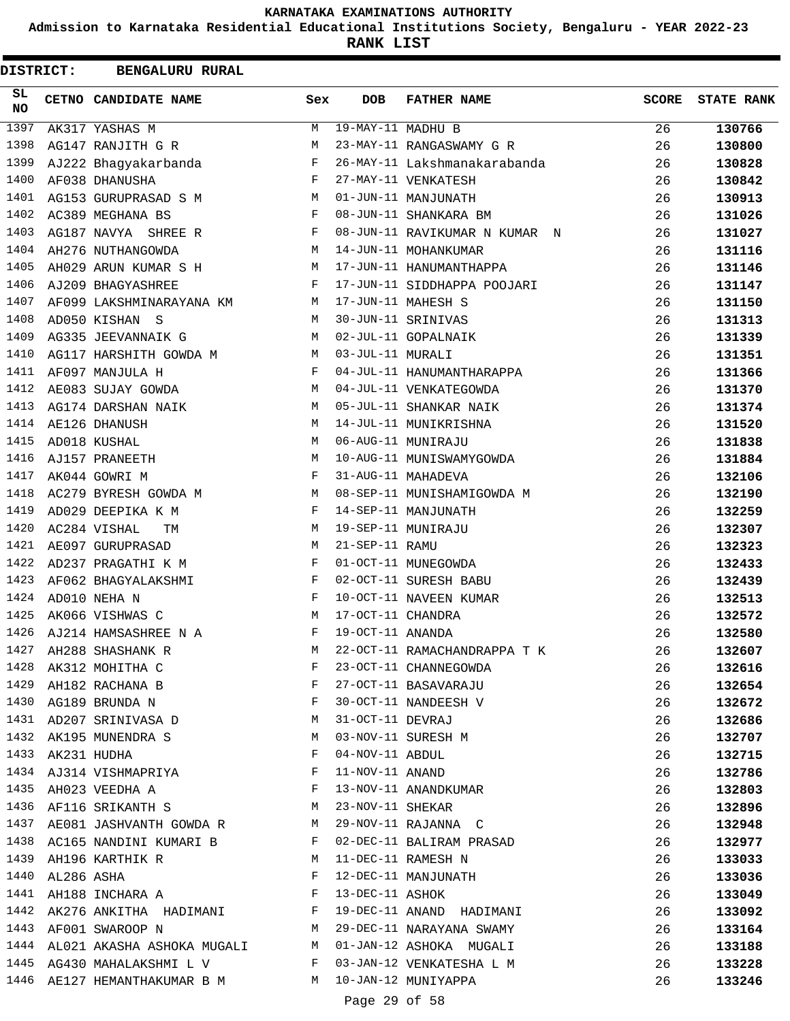**Admission to Karnataka Residential Educational Institutions Society, Bengaluru - YEAR 2022-23**

**RANK LIST**

|           | <b>DISTRICT:</b> | <b>BENGALURU RURAL</b>                                                          |              |                   |                                                                             |              |                   |
|-----------|------------------|---------------------------------------------------------------------------------|--------------|-------------------|-----------------------------------------------------------------------------|--------------|-------------------|
| SL.<br>NO |                  | CETNO CANDIDATE NAME                                                            | Sex          | <b>DOB</b>        | <b>FATHER NAME</b>                                                          | <b>SCORE</b> | <b>STATE RANK</b> |
| 1397      |                  | AK317 YASHAS M                                                                  | M            | 19-MAY-11 MADHU B |                                                                             | 26           | 130766            |
| 1398      |                  | AG147 RANJITH G R                                                               | М            |                   | 23-MAY-11 RANGASWAMY G R                                                    | 26           | 130800            |
| 1399      |                  | AJ222 Bhagyakarbanda                                                            | $_{\rm F}$   |                   | 26-MAY-11 Lakshmanakarabanda                                                | 26           | 130828            |
| 1400      |                  | AF038 DHANUSHA                                                                  | F            |                   | 27-MAY-11 VENKATESH                                                         | 26           | 130842            |
| 1401      |                  | AG153 GURUPRASAD S M                                                            | M            |                   | 01-JUN-11 MANJUNATH                                                         | 26           | 130913            |
| 1402      |                  | AC389 MEGHANA BS                                                                | F            |                   | 08-JUN-11 SHANKARA BM                                                       | 26           | 131026            |
| 1403      |                  | AG187 NAVYA SHREE R                                                             | F            |                   | 08-JUN-11 RAVIKUMAR N KUMAR N                                               | 26           | 131027            |
| 1404      |                  | AH276 NUTHANGOWDA                                                               | М            |                   | 14-JUN-11 MOHANKUMAR                                                        | 26           | 131116            |
| 1405      |                  | AH029 ARUN KUMAR S H                                                            | М            |                   | 17-JUN-11 HANUMANTHAPPA                                                     | 26           | 131146            |
| 1406      |                  | AJ209 BHAGYASHREE                                                               | F            |                   | 17-JUN-11 SIDDHAPPA POOJARI                                                 | 26           | 131147            |
| 1407      |                  | AF099 LAKSHMINARAYANA KM                                                        | M            |                   | 17-JUN-11 MAHESH S                                                          | 26           | 131150            |
| 1408      |                  | AD050 KISHAN S                                                                  | M            |                   | 30-JUN-11 SRINIVAS                                                          | 26           | 131313            |
| 1409      |                  | AG335 JEEVANNAIK G                                                              | M            |                   | 02-JUL-11 GOPALNAIK                                                         | 26           | 131339            |
| 1410      |                  | AG117 HARSHITH GOWDA M                                                          | M            | 03-JUL-11 MURALI  |                                                                             | 26           | 131351            |
| 1411      |                  | AF097 MANJULA H                                                                 | F            |                   | 04-JUL-11 HANUMANTHARAPPA                                                   | 26           | 131366            |
| 1412      |                  | AE083 SUJAY GOWDA                                                               | M            |                   | 04-JUL-11 VENKATEGOWDA                                                      | 26           | 131370            |
| 1413      |                  | AG174 DARSHAN NAIK                                                              | М            |                   | 05-JUL-11 SHANKAR NAIK                                                      | 26           | 131374            |
| 1414      |                  | AE126 DHANUSH                                                                   | M            |                   | 14-JUL-11 MUNIKRISHNA                                                       | 26           | 131520            |
| 1415      |                  | AD018 KUSHAL                                                                    | M            |                   | 06-AUG-11 MUNIRAJU                                                          | 26           | 131838            |
| 1416      |                  | AJ157 PRANEETH                                                                  | М            |                   | 10-AUG-11 MUNISWAMYGOWDA                                                    | 26           | 131884            |
| 1417      |                  | AK044 GOWRI M                                                                   | F            |                   | 31-AUG-11 MAHADEVA                                                          | 26           | 132106            |
| 1418      |                  | AC279 BYRESH GOWDA M                                                            | М            |                   | 08-SEP-11 MUNISHAMIGOWDA M                                                  | 26           | 132190            |
| 1419      |                  | AD029 DEEPIKA K M                                                               | $\mathbf{F}$ |                   | 14-SEP-11 MANJUNATH                                                         | 26           | 132259            |
| 1420      |                  | AC284 VISHAL<br>TM                                                              | М            |                   | 19-SEP-11 MUNIRAJU                                                          | 26           | 132307            |
| 1421      |                  | AE097 GURUPRASAD                                                                | М            | 21-SEP-11 RAMU    |                                                                             | 26           | 132323            |
| 1422      |                  | AD237 PRAGATHI K M                                                              | F            |                   | 01-OCT-11 MUNEGOWDA                                                         | 26           | 132433            |
| 1423      |                  | AF062 BHAGYALAKSHMI                                                             | F            |                   | 02-OCT-11 SURESH BABU                                                       | 26           | 132439            |
| 1424      |                  | AD010 NEHA N                                                                    | F            |                   | 10-OCT-11 NAVEEN KUMAR                                                      | 26           | 132513            |
| 1425      |                  | AK066 VISHWAS C                                                                 | M            | 17-OCT-11 CHANDRA |                                                                             | 26           | 132572            |
| 1426      |                  | AJ214 HAMSASHREE N A                                                            | F            | 19-OCT-11 ANANDA  |                                                                             | 26           | 132580            |
| 1427      |                  | AH288 SHASHANK R                                                                | M            |                   | 22-OCT-11 RAMACHANDRAPPA T K                                                | 26           | 132607            |
|           |                  | 1428 AK312 MOHITHA C                                                            | $\mathbf{F}$ |                   | 23-OCT-11 CHANNEGOWDA                                                       | 26           | 132616            |
|           |                  | $1420$ ANJIZ PROHANA B<br>1429 AH182 RACHANA B                                  | $\mathbf{F}$ |                   | 27-OCT-11 BASAVARAJU                                                        | 26           | 132654            |
|           |                  | $\mathbf{F}^{\top}$<br>1430 AG189 BRUNDA N                                      |              |                   | 30-OCT-11 NANDEESH V                                                        | 26           | 132672            |
| 1431      |                  | AD207 SRINIVASA D                                                               | М            |                   | 31-OCT-11 DEVRAJ                                                            | 26           | 132686            |
| 1432      |                  | AK195 MUNENDRA S                                                                | М            |                   | 03-NOV-11 SURESH M                                                          | 26           | 132707            |
|           | 1433 AK231 HUDHA |                                                                                 | F            | 04-NOV-11 ABDUL   |                                                                             | 26           | 132715            |
|           |                  | 1434 AJ314 VISHMAPRIYA F                                                        |              | 11-NOV-11 ANAND   |                                                                             | 26           | 132786            |
| 1435      |                  | $\mathbf{F}$ and the contract of the contract of $\mathbf{F}$<br>AH023 VEEDHA A |              |                   | 13-NOV-11 ANANDKUMAR                                                        | 26           | 132803            |
|           |                  | 1436 AF116 SRIKANTH S M                                                         |              | 23-NOV-11 SHEKAR  |                                                                             | 26           | 132896            |
|           |                  | 1437 AE081 JASHVANTH GOWDA R M 29-NOV-11 RAJANNA C                              |              |                   |                                                                             | 26           | 132948            |
|           |                  | 1438 AC165 NANDINI KUMARI B F                                                   |              |                   | 02-DEC-11 BALIRAM PRASAD                                                    | 26           | 132977            |
| 1439      |                  | AH196 KARTHIK R                                                                 | М            |                   | 11-DEC-11 RAMESH N                                                          | 26           | 133033            |
| 1440      | AL286 ASHA       |                                                                                 | F            |                   | 12-DEC-11 MANJUNATH                                                         | 26           | 133036            |
|           |                  | 1441 AH188 INCHARA A $$\rm F$$                                                  |              | 13-DEC-11 ASHOK   |                                                                             | 26           | 133049            |
|           |                  |                                                                                 |              |                   | 1442 AK276 ANKITHA HADIMANI                   F    19-DEC-11 ANAND HADIMANI | 26           | 133092            |
| 1443      |                  | <b>M</b><br>AF001 SWAROOP N                                                     |              |                   | 29-DEC-11 NARAYANA SWAMY                                                    | 26           | 133164            |
|           |                  | 1444 AL021 AKASHA ASHOKA MUGALI M 01-JAN-12 ASHOKA MUGALI                       |              |                   |                                                                             | 26           | 133188            |
|           |                  | 1445 AG430 MAHALAKSHMI L V F                                                    |              |                   | 03-JAN-12 VENKATESHA L M                                                    | 26           | 133228            |
| 1446      |                  | AE127 HEMANTHAKUMAR B M M                                                       |              |                   | 10-JAN-12 MUNIYAPPA                                                         | 26           | 133246            |
|           |                  |                                                                                 |              | Page 29 of 58     |                                                                             |              |                   |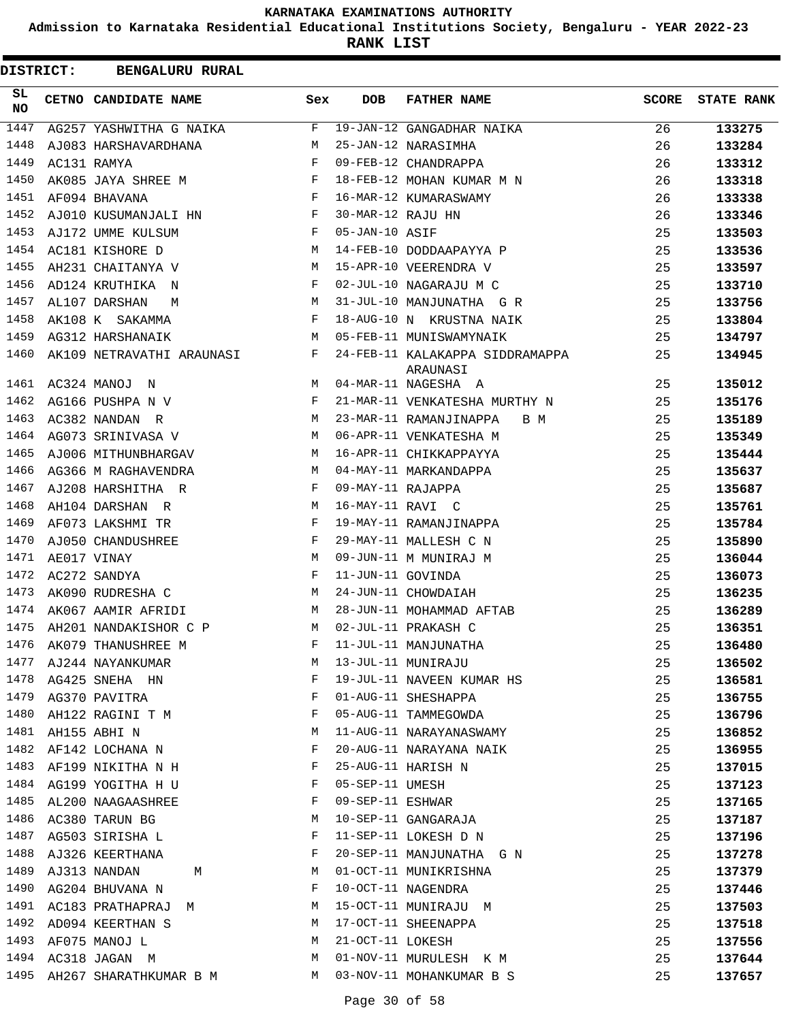**Admission to Karnataka Residential Educational Institutions Society, Bengaluru - YEAR 2022-23**

**RANK LIST**

| <b>DISTRICT:</b> | <b>BENGALURU RURAL</b>    |              |                   |                                             |              |                   |
|------------------|---------------------------|--------------|-------------------|---------------------------------------------|--------------|-------------------|
| SL.<br>NO.       | CETNO CANDIDATE NAME      | Sex          | <b>DOB</b>        | <b>FATHER NAME</b>                          | <b>SCORE</b> | <b>STATE RANK</b> |
| 1447             | AG257 YASHWITHA G NAIKA   | F            |                   | 19-JAN-12 GANGADHAR NAIKA                   | 26           | 133275            |
| 1448             | AJ083 HARSHAVARDHANA      | М            |                   | 25-JAN-12 NARASIMHA                         | 26           | 133284            |
| 1449             | AC131 RAMYA               | F            |                   | 09-FEB-12 CHANDRAPPA                        | 26           | 133312            |
| 1450             | AK085 JAYA SHREE M        | F            |                   | 18-FEB-12 MOHAN KUMAR M N                   | 26           | 133318            |
| 1451             | AF094 BHAVANA             | F            |                   | 16-MAR-12 KUMARASWAMY                       | 26           | 133338            |
| 1452             | AJ010 KUSUMANJALI HN      | $\mathbf{F}$ | 30-MAR-12 RAJU HN |                                             | 26           | 133346            |
| 1453             | AJ172 UMME KULSUM         | F            | 05-JAN-10 ASIF    |                                             | 25           | 133503            |
| 1454             | AC181 KISHORE D           | М            |                   | 14-FEB-10 DODDAAPAYYA P                     | 25           | 133536            |
| 1455             | AH231 CHAITANYA V         | М            |                   | 15-APR-10 VEERENDRA V                       | 25           | 133597            |
| 1456             | AD124 KRUTHIKA N          | F            |                   | 02-JUL-10 NAGARAJU M C                      | 25           | 133710            |
| 1457             | AL107 DARSHAN<br>M        | М            |                   | 31-JUL-10 MANJUNATHA G R                    | 25           | 133756            |
| 1458             | AK108 K SAKAMMA           | F            |                   | 18-AUG-10 N KRUSTNA NAIK                    | 25           | 133804            |
| 1459             | AG312 HARSHANAIK          | М            |                   | 05-FEB-11 MUNISWAMYNAIK                     | 25           | 134797            |
| 1460             | AK109 NETRAVATHI ARAUNASI | F            |                   | 24-FEB-11 KALAKAPPA SIDDRAMAPPA<br>ARAUNASI | 25           | 134945            |
| 1461             | AC324 MANOJ N             | M            |                   | 04-MAR-11 NAGESHA A                         | 25           | 135012            |
| 1462             | AG166 PUSHPA N V          | F            |                   | 21-MAR-11 VENKATESHA MURTHY N               | 25           | 135176            |
| 1463             | AC382 NANDAN R            | М            |                   | 23-MAR-11 RAMANJINAPPA<br>B M               | 25           | 135189            |
| 1464             | AG073 SRINIVASA V         | M            |                   | 06-APR-11 VENKATESHA M                      | 25           | 135349            |
| 1465             | AJ006 MITHUNBHARGAV       | M            |                   | 16-APR-11 CHIKKAPPAYYA                      | 25           | 135444            |
| 1466             | AG366 M RAGHAVENDRA       | M            |                   | 04-MAY-11 MARKANDAPPA                       | 25           | 135637            |
| 1467             | AJ208 HARSHITHA R         | $\mathbf{F}$ | 09-MAY-11 RAJAPPA |                                             | 25           | 135687            |
| 1468             | AH104 DARSHAN R           | M            | 16-MAY-11 RAVI C  |                                             | 25           | 135761            |
| 1469             | AF073 LAKSHMI TR          | F            |                   | 19-MAY-11 RAMANJINAPPA                      | 25           | 135784            |
| 1470             | AJ050 CHANDUSHREE         | F            |                   | 29-MAY-11 MALLESH C N                       | 25           | 135890            |
| 1471             | AE017 VINAY               | М            |                   | 09-JUN-11 M MUNIRAJ M                       | 25           | 136044            |
| 1472             | AC272 SANDYA              | F            | 11-JUN-11 GOVINDA |                                             | 25           | 136073            |
| 1473             | AK090 RUDRESHA C          | M            |                   | 24-JUN-11 CHOWDAIAH                         | 25           | 136235            |
| 1474             | AK067 AAMIR AFRIDI        | М            |                   | 28-JUN-11 MOHAMMAD AFTAB                    | 25           | 136289            |
| 1475             | AH201 NANDAKISHOR C P     | M            |                   | 02-JUL-11 PRAKASH C                         | 25           | 136351            |
| 1476             | AK079 THANUSHREE M        |              |                   | 11-JUL-11 MANJUNATHA                        | 25           | 136480            |
| 1477             | AJ244 NAYANKUMAR          | М            |                   | 13-JUL-11 MUNIRAJU                          | 25           | 136502            |
| 1478             | AG425 SNEHA HN            | F            |                   | 19-JUL-11 NAVEEN KUMAR HS                   | 25           | 136581            |
| 1479             | AG370 PAVITRA             | F            |                   | 01-AUG-11 SHESHAPPA                         | 25           | 136755            |
| 1480             | AH122 RAGINI T M          | F            |                   | 05-AUG-11 TAMMEGOWDA                        | 25           | 136796            |
| 1481             | AH155 ABHI N              | М            |                   | 11-AUG-11 NARAYANASWAMY                     | 25           | 136852            |
| 1482             | AF142 LOCHANA N           | F            |                   | 20-AUG-11 NARAYANA NAIK                     | 25           | 136955            |
| 1483             | AF199 NIKITHA N H         | F            |                   | 25-AUG-11 HARISH N                          | 25           | 137015            |
| 1484             | AG199 YOGITHA H U         | F            | 05-SEP-11 UMESH   |                                             | 25           | 137123            |
| 1485             | AL200 NAAGAASHREE         | F            | 09-SEP-11 ESHWAR  |                                             | 25           | 137165            |
| 1486             | AC380 TARUN BG            | М            |                   | 10-SEP-11 GANGARAJA                         | 25           | 137187            |
| 1487             | AG503 SIRISHA L           | F            |                   | 11-SEP-11 LOKESH D N                        | 25           | 137196            |
| 1488             | AJ326 KEERTHANA           | F            |                   | 20-SEP-11 MANJUNATHA G N                    | 25           | 137278            |
| 1489             | AJ313 NANDAN<br>М         | М            |                   | 01-OCT-11 MUNIKRISHNA                       | 25           | 137379            |
| 1490             | AG204 BHUVANA N           | F            |                   | 10-OCT-11 NAGENDRA                          | 25           | 137446            |
| 1491             | AC183 PRATHAPRAJ M        | М            |                   | 15-OCT-11 MUNIRAJU M                        | 25           | 137503            |
| 1492             | AD094 KEERTHAN S          | М            |                   | 17-OCT-11 SHEENAPPA                         | 25           | 137518            |
| 1493             | AF075 MANOJ L             | М            | 21-OCT-11 LOKESH  |                                             | 25           | 137556            |
| 1494             |                           | М            |                   | 01-NOV-11 MURULESH K M                      | 25           |                   |
| 1495             | AC318 JAGAN M             | M            |                   |                                             |              | 137644            |
|                  | AH267 SHARATHKUMAR B M    |              |                   | 03-NOV-11 MOHANKUMAR B S                    | 25           | 137657            |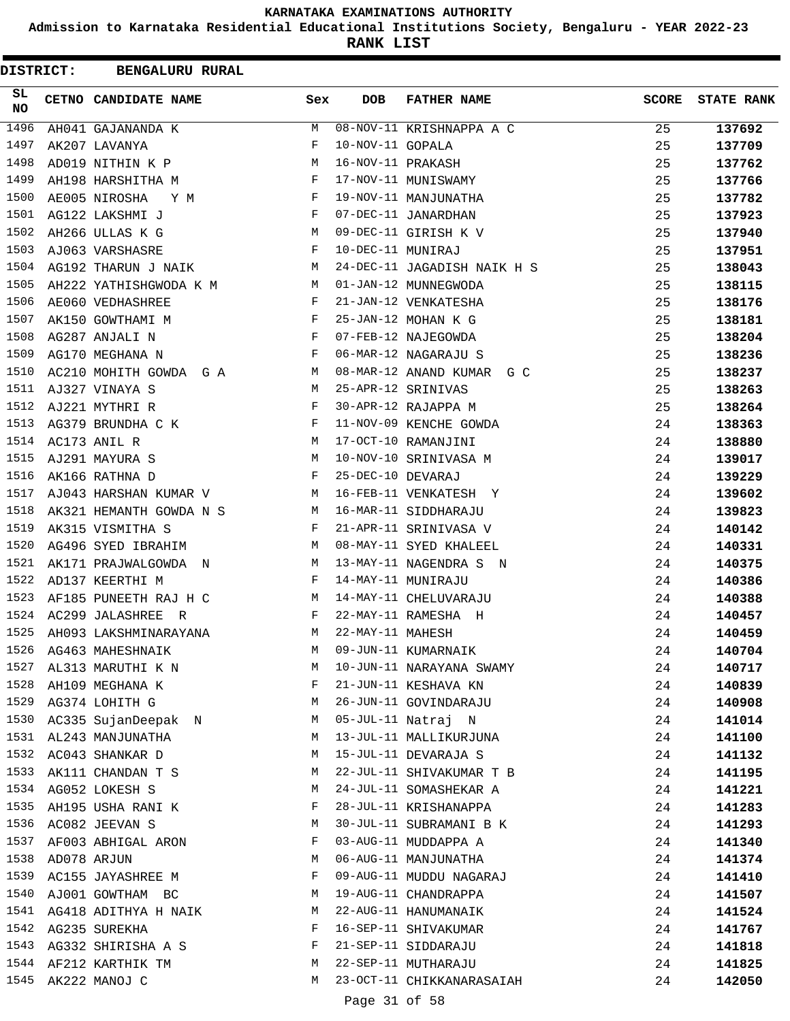**Admission to Karnataka Residential Educational Institutions Society, Bengaluru - YEAR 2022-23**

**RANK LIST**

| <b>DISTRICT:</b> | <b>BENGALURU RURAL</b>                                                                                                              |              |                   |                                                 |              |                   |
|------------------|-------------------------------------------------------------------------------------------------------------------------------------|--------------|-------------------|-------------------------------------------------|--------------|-------------------|
| SL.<br>NO        | CETNO CANDIDATE NAME                                                                                                                | Sex          | <b>DOB</b>        | <b>FATHER NAME</b>                              | <b>SCORE</b> | <b>STATE RANK</b> |
| 1496             | AH041 GAJANANDA K                                                                                                                   | M            |                   | 08-NOV-11 KRISHNAPPA A C                        | 25           | 137692            |
| 1497             | AK207 LAVANYA                                                                                                                       | F            | 10-NOV-11 GOPALA  |                                                 | 25           | 137709            |
| 1498             | AD019 NITHIN K P M                                                                                                                  |              | 16-NOV-11 PRAKASH |                                                 | 25           | 137762            |
| 1499             | AH198 HARSHITHA M F                                                                                                                 |              |                   | 17-NOV-11 MUNISWAMY                             | 25           | 137766            |
| 1500             | AE005 NIROSHA Y M                                                                                                                   | F            |                   | 19-NOV-11 MANJUNATHA                            | 25           | 137782            |
| 1501             | AG122 LAKSHMI J                                                                                                                     | F            |                   | 07-DEC-11 JANARDHAN                             | 25           | 137923            |
| 1502             | AH266 ULLAS K G                                                                                                                     | M            |                   | 09-DEC-11 GIRISH K V                            | 25           | 137940            |
| 1503             | AJ063 VARSHASRE                                                                                                                     | F            | 10-DEC-11 MUNIRAJ |                                                 | 25           | 137951            |
| 1504             | AG192 THARUN J NAIK                                                                                                                 | M            |                   | 24-DEC-11 JAGADISH NAIK H S                     | 25           | 138043            |
| 1505             | AH222 YATHISHGWODA K M M 01-JAN-12 MUNNEGWODA                                                                                       |              |                   |                                                 | 25           | 138115            |
| 1506             | AE060 VEDHASHREE<br>and the state of the state of the state of the state of the state of the state of the state of the state of the |              |                   | 21-JAN-12 VENKATESHA                            | 25           | 138176            |
| 1507             | $\mathbf{F}$<br>AK150 GOWTHAMI M                                                                                                    |              |                   | 25-JAN-12 MOHAN K G                             | 25           | 138181            |
| 1508             | $\mathbf{F}^{(1)}$ and $\mathbf{F}^{(2)}$<br>AG287 ANJALI N                                                                         |              |                   | 07-FEB-12 NAJEGOWDA                             | 25           | 138204            |
| 1509             | AG170 MEGHANA N                                                                                                                     | $\mathbf{F}$ |                   | 06-MAR-12 NAGARAJU S                            | 25           | 138236            |
| 1510             | AC210 MOHITH GOWDA G A M                                                                                                            |              |                   | 08-MAR-12 ANAND KUMAR G C                       | 25           | 138237            |
| 1511             | M<br>AJ327 VINAYA S                                                                                                                 |              |                   | 25-APR-12 SRINIVAS                              | 25           | 138263            |
| 1512             | AJ221 MYTHRI R                                                                                                                      | $\mathbf{F}$ |                   | 30-APR-12 RAJAPPA M                             | 25           | 138264            |
| 1513             | AG379 BRUNDHA C K $$\rm F$$                                                                                                         |              |                   | 11-NOV-09 KENCHE GOWDA                          | 24           | 138363            |
| 1514             | M <sub>N</sub><br>AC173 ANIL R                                                                                                      |              |                   | 17-OCT-10 RAMANJINI                             | 24           | 138880            |
| 1515             | <b>M</b><br>AJ291 MAYURA S                                                                                                          |              |                   | 10-NOV-10 SRINIVASA M                           | 24           | 139017            |
| 1516             | AK166 RATHNA D                                                                                                                      | F            | 25-DEC-10 DEVARAJ |                                                 | 24           | 139229            |
| 1517             | AJ043 HARSHAN KUMAR V M                                                                                                             |              |                   | 16-FEB-11 VENKATESH Y                           | 24           | 139602            |
| 1518             | AK321 HEMANTH GOWDA N S M                                                                                                           |              |                   | 16-MAR-11 SIDDHARAJU                            | 24           | 139823            |
| 1519             | AK315 VISMITHA S                                                                                                                    | F            |                   | 21-APR-11 SRINIVASA V                           | 24           | 140142            |
| 1520             | M<br>AG496 SYED IBRAHIM                                                                                                             |              |                   | 08-MAY-11 SYED KHALEEL                          | 24           | 140331            |
| 1521             | AK171 PRAJWALGOWDA N M 13-MAY-11 NAGENDRA S N                                                                                       |              |                   |                                                 | 24           | 140375            |
| 1522             | AD137 KEERTHI M<br>$\mathbf{F}$ and the set of $\mathbf{F}$ .                                                                       |              |                   | 14-MAY-11 MUNIRAJU                              | 24           | 140386            |
| 1523             | $M_{\rm H}$<br>AF185 PUNEETH RAJ H C                                                                                                |              |                   | 14-MAY-11 CHELUVARAJU                           | 24           | 140388            |
|                  | 1524 AC299 JALASHREE R                                                                                                              | $\mathbb{F}$ |                   | 22-MAY-11 RAMESHA H                             | 24           | 140457            |
| 1525             | AH093 LAKSHMINARAYANA                                                                                                               | M            | 22-MAY-11 MAHESH  |                                                 | 24           | 140459            |
| 1526             | AG463 MAHESHNAIK                                                                                                                    | M            |                   | 09-JUN-11 KUMARNAIK                             | 24           | 140704            |
| 1527             | AL313 MARUTHI K N                                                                                                                   | M            |                   | 10-JUN-11 NARAYANA SWAMY                        | 24           | 140717            |
|                  | 1528 AH109 MEGHANA K                                                                                                                | F            |                   | 21-JUN-11 KESHAVA KN                            | 24           | 140839            |
| 1529             | AG374 LOHITH G                                                                                                                      | M            |                   | 26-JUN-11 GOVINDARAJU                           | 24           | 140908            |
| 1530             | AC335 SujanDeepak N                                                                                                                 | M            |                   | 05-JUL-11 Natraj N                              | 24           | 141014            |
| 1531             | AL243 MANJUNATHA                                                                                                                    | М            |                   | 13-JUL-11 MALLIKURJUNA                          | 24           | 141100            |
|                  | 1532 AC043 SHANKAR D                                                                                                                | M            |                   | 15-JUL-11 DEVARAJA S                            | 24           | 141132            |
| 1533             | AK111 CHANDAN T S                                                                                                                   | M            |                   | 22-JUL-11 SHIVAKUMAR T B                        | 24           | 141195            |
| 1534             | AG052 LOKESH S                                                                                                                      | M            |                   | 24-JUL-11 SOMASHEKAR A                          | 24           | 141221            |
| 1535             | AH195 USHA RANI K                                                                                                                   | F            |                   | 28-JUL-11 KRISHANAPPA                           | 24           | 141283            |
|                  | 1536 AC082 JEEVAN S                                                                                                                 | M            |                   | 30-JUL-11 SUBRAMANI B K                         | 24           | 141293            |
| 1537             | AF003 ABHIGAL ARON                                                                                                                  | F            |                   | 03-AUG-11 MUDDAPPA A                            | 24           | 141340            |
| 1538             |                                                                                                                                     | М            |                   |                                                 |              |                   |
| 1539             | AD078 ARJUN<br>AC155 JAYASHREE M                                                                                                    | F            |                   | 06-AUG-11 MANJUNATHA<br>09-AUG-11 MUDDU NAGARAJ | 24<br>24     | 141374            |
| 1540             |                                                                                                                                     | M            |                   | 19-AUG-11 CHANDRAPPA                            |              | 141410            |
| 1541             | AJ001 GOWTHAM BC                                                                                                                    | M            |                   | 22-AUG-11 HANUMANAIK                            | 24           | 141507            |
| 1542             | AG418 ADITHYA H NAIK                                                                                                                | F            |                   | 16-SEP-11 SHIVAKUMAR                            | 24           | 141524            |
| 1543             | AG235 SUREKHA                                                                                                                       | F            |                   | 21-SEP-11 SIDDARAJU                             | 24           | 141767            |
|                  | AG332 SHIRISHA A S                                                                                                                  |              |                   |                                                 | 24           | 141818            |
| 1545             | 1544 AF212 KARTHIK TM                                                                                                               | M<br>М       |                   | 22-SEP-11 MUTHARAJU                             | 24           | 141825            |
|                  | AK222 MANOJ C                                                                                                                       |              |                   | 23-OCT-11 CHIKKANARASAIAH                       | 24           | 142050            |
|                  |                                                                                                                                     |              | Page 31 of 58     |                                                 |              |                   |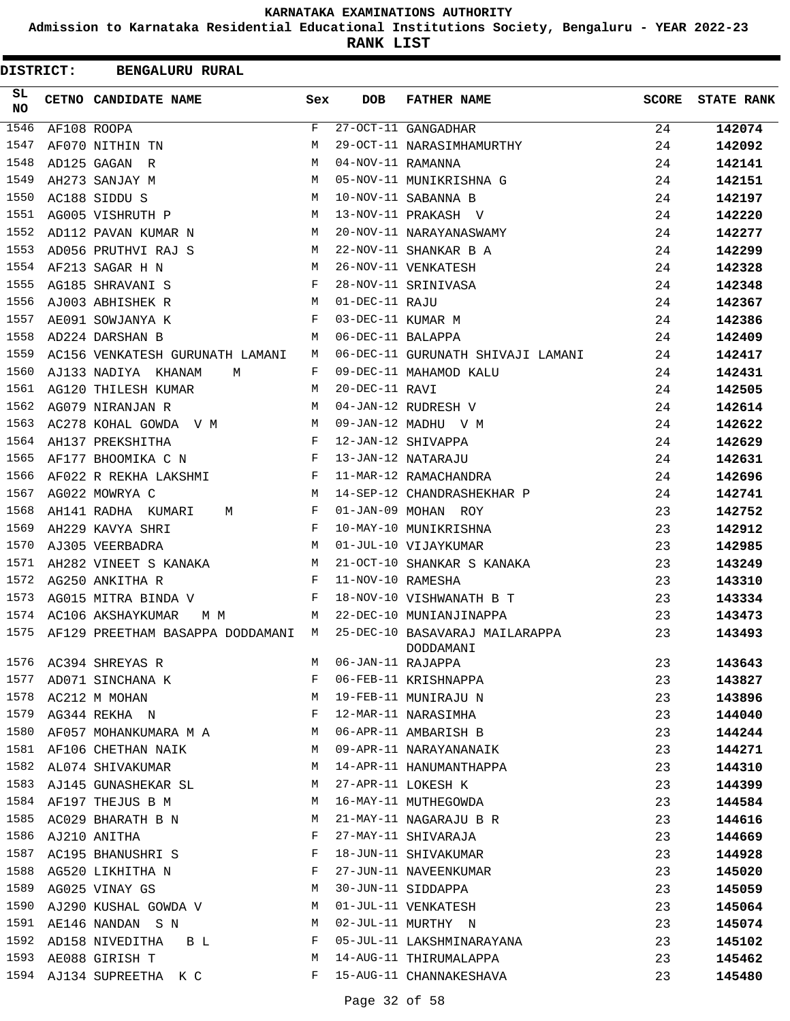**Admission to Karnataka Residential Educational Institutions Society, Bengaluru - YEAR 2022-23**

| <b>DISTRICT:</b> | <b>BENGALURU RURAL</b>           |     |                   |                                             |              |                   |
|------------------|----------------------------------|-----|-------------------|---------------------------------------------|--------------|-------------------|
| SL<br>NO         | CETNO CANDIDATE NAME             | Sex | DOB               | <b>FATHER NAME</b>                          | <b>SCORE</b> | <b>STATE RANK</b> |
| 1546             | AF108 ROOPA                      | F   |                   | 27-OCT-11 GANGADHAR                         | 24           | 142074            |
| 1547             | AF070 NITHIN TN                  | M   |                   | 29-OCT-11 NARASIMHAMURTHY                   | 24           | 142092            |
| 1548             | AD125 GAGAN R                    | М   | 04-NOV-11 RAMANNA |                                             | 24           | 142141            |
| 1549             | AH273 SANJAY M                   | М   |                   | 05-NOV-11 MUNIKRISHNA G                     | 24           | 142151            |
| 1550             | AC188 SIDDU S                    | М   |                   | 10-NOV-11 SABANNA B                         | 24           | 142197            |
| 1551             | AG005 VISHRUTH P                 | М   |                   | 13-NOV-11 PRAKASH V                         | 24           | 142220            |
| 1552             | AD112 PAVAN KUMAR N              | М   |                   | 20-NOV-11 NARAYANASWAMY                     | 24           | 142277            |
| 1553             | AD056 PRUTHVI RAJ S              | М   |                   | 22-NOV-11 SHANKAR B A                       | 24           | 142299            |
| 1554             | AF213 SAGAR H N                  | М   |                   | 26-NOV-11 VENKATESH                         | 24           | 142328            |
| 1555             | AG185 SHRAVANI S                 | F   |                   | 28-NOV-11 SRINIVASA                         | 24           | 142348            |
| 1556             | AJ003 ABHISHEK R                 | M   | 01-DEC-11 RAJU    |                                             | 24           | 142367            |
| 1557             | AE091 SOWJANYA K                 | F   | 03-DEC-11 KUMAR M |                                             | 24           | 142386            |
| 1558             | AD224 DARSHAN B                  | М   | 06-DEC-11 BALAPPA |                                             | 24           | 142409            |
| 1559             | AC156 VENKATESH GURUNATH LAMANI  | M   |                   | 06-DEC-11 GURUNATH SHIVAJI LAMANI           | 24           | 142417            |
| 1560             | AJ133 NADIYA KHANAM<br>M         | F   |                   | 09-DEC-11 MAHAMOD KALU                      | 24           | 142431            |
| 1561             | AG120 THILESH KUMAR              | M   | 20-DEC-11 RAVI    |                                             | 24           | 142505            |
| 1562             | AG079 NIRANJAN R                 | М   |                   | 04-JAN-12 RUDRESH V                         | 24           | 142614            |
| 1563             | AC278 KOHAL GOWDA V M            | М   |                   | 09-JAN-12 MADHU V M                         | 24           | 142622            |
| 1564             | AH137 PREKSHITHA                 | F   |                   | 12-JAN-12 SHIVAPPA                          | 24           | 142629            |
| 1565             | AF177 BHOOMIKA C N               | F   |                   | 13-JAN-12 NATARAJU                          | 24           | 142631            |
| 1566             | AF022 R REKHA LAKSHMI            | F   |                   | 11-MAR-12 RAMACHANDRA                       | 24           | 142696            |
| 1567             | AG022 MOWRYA C                   | M   |                   | 14-SEP-12 CHANDRASHEKHAR P                  | 24           | 142741            |
| 1568             | AH141 RADHA KUMARI<br>M          | F   |                   | 01-JAN-09 MOHAN ROY                         | 23           | 142752            |
| 1569             | AH229 KAVYA SHRI                 | F   |                   | 10-MAY-10 MUNIKRISHNA                       | 23           | 142912            |
| 1570             | AJ305 VEERBADRA                  | M   |                   | 01-JUL-10 VIJAYKUMAR                        | 23           | 142985            |
| 1571             | AH282 VINEET S KANAKA            | M   |                   | 21-OCT-10 SHANKAR S KANAKA                  | 23           | 143249            |
| 1572             | AG250 ANKITHA R                  | F   | 11-NOV-10 RAMESHA |                                             | 23           | 143310            |
| 1573             | AG015 MITRA BINDA V              | F   |                   | 18-NOV-10 VISHWANATH B T                    | 23           | 143334            |
| 1574             | AC106 AKSHAYKUMAR<br>M M         | M   |                   | 22-DEC-10 MUNIANJINAPPA                     | 23           | 143473            |
| 1575             | AF129 PREETHAM BASAPPA DODDAMANI | M   |                   | 25-DEC-10 BASAVARAJ MAILARAPPA<br>DODDAMANI | 23           | 143493            |
| 1576             | AC394 SHREYAS R                  | М   | 06-JAN-11 RAJAPPA |                                             | 23           | 143643            |
| 1577             | AD071 SINCHANA K                 | F   |                   | 06-FEB-11 KRISHNAPPA                        | 23           | 143827            |
|                  | 1578 AC212 M MOHAN               | М   |                   | 19-FEB-11 MUNIRAJU N                        | 23           | 143896            |
| 1579             | AG344 REKHA N                    | F   |                   | 12-MAR-11 NARASIMHA                         | 23           | 144040            |
| 1580             | AF057 MOHANKUMARA M A            | М   |                   | 06-APR-11 AMBARISH B                        | 23           | 144244            |
| 1581             | AF106 CHETHAN NAIK               | М   |                   | 09-APR-11 NARAYANANAIK                      | 23           | 144271            |
|                  | 1582 AL074 SHIVAKUMAR            | М   |                   | 14-APR-11 HANUMANTHAPPA                     | 23           | 144310            |
| 1583             | AJ145 GUNASHEKAR SL              | M   |                   | 27-APR-11 LOKESH K                          | 23           | 144399            |
| 1584             | AF197 THEJUS B M                 | М   |                   | 16-MAY-11 MUTHEGOWDA                        | 23           | 144584            |
| 1585             | AC029 BHARATH B N                | М   |                   | 21-MAY-11 NAGARAJU B R                      | 23           | 144616            |
| 1586             | AJ210 ANITHA                     | F   |                   | 27-MAY-11 SHIVARAJA                         | 23           | 144669            |
| 1587             | AC195 BHANUSHRI S                | F   |                   | 18-JUN-11 SHIVAKUMAR                        | 23           | 144928            |
| 1588             | AG520 LIKHITHA N                 | F   |                   | 27-JUN-11 NAVEENKUMAR                       | 23           | 145020            |
| 1589             | AG025 VINAY GS                   | M   |                   | 30-JUN-11 SIDDAPPA                          | 23           | 145059            |
| 1590             | AJ290 KUSHAL GOWDA V             | М   |                   | 01-JUL-11 VENKATESH                         | 23           | 145064            |
| 1591             | AE146 NANDAN S N                 | M   |                   | 02-JUL-11 MURTHY N                          | 23           | 145074            |
| 1592             | AD158 NIVEDITHA<br>B L           | F   |                   | 05-JUL-11 LAKSHMINARAYANA                   | 23           | 145102            |
| 1593             | AE088 GIRISH T                   | М   |                   | 14-AUG-11 THIRUMALAPPA                      | 23           | 145462            |
|                  | 1594 AJ134 SUPREETHA K C         | F   |                   | 15-AUG-11 CHANNAKESHAVA                     | 23           | 145480            |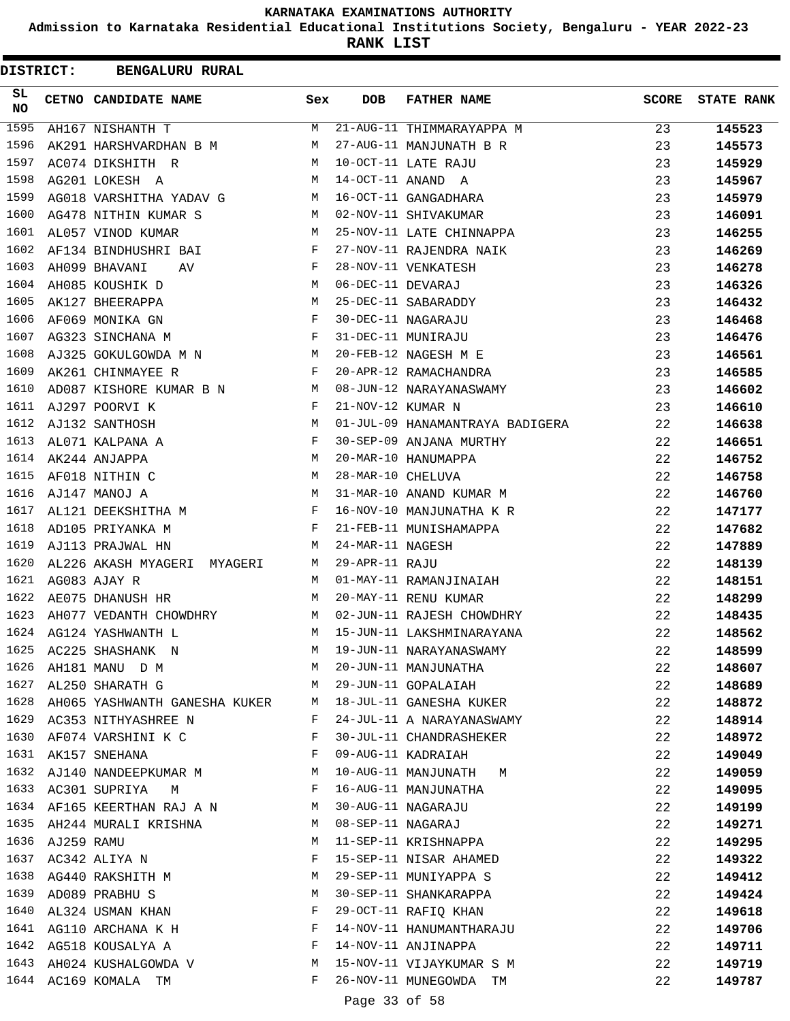**Admission to Karnataka Residential Educational Institutions Society, Bengaluru - YEAR 2022-23**

| <b>DISTRICT:</b> |            | <b>BENGALURU RURAL</b>                                                            |     |                   |                                 |              |                   |
|------------------|------------|-----------------------------------------------------------------------------------|-----|-------------------|---------------------------------|--------------|-------------------|
| SL.<br><b>NO</b> |            | CETNO CANDIDATE NAME                                                              | Sex | <b>DOB</b>        | <b>FATHER NAME</b>              | <b>SCORE</b> | <b>STATE RANK</b> |
| 1595             |            | AH167 NISHANTH T                                                                  | M   |                   | 21-AUG-11 THIMMARAYAPPA M       | 23           | 145523            |
| 1596             |            | AK291 HARSHVARDHAN B M                                                            | M   |                   | 27-AUG-11 MANJUNATH B R         | 23           | 145573            |
| 1597             |            | AC074 DIKSHITH R                                                                  | M   |                   | 10-OCT-11 LATE RAJU             | 23           | 145929            |
| 1598             |            | AG201 LOKESH A                                                                    | M   |                   | 14-OCT-11 ANAND A               | 23           | 145967            |
| 1599             |            | AG018 VARSHITHA YADAV G                                                           | M   |                   | 16-OCT-11 GANGADHARA            | 23           | 145979            |
| 1600             |            | AG478 NITHIN KUMAR S                                                              | M   |                   | 02-NOV-11 SHIVAKUMAR            | 23           | 146091            |
| 1601             |            | AL057 VINOD KUMAR                                                                 | M   |                   | 25-NOV-11 LATE CHINNAPPA        | 23           | 146255            |
| 1602             |            | AF134 BINDHUSHRI BAI                                                              | F   |                   | 27-NOV-11 RAJENDRA NAIK         | 23           | 146269            |
| 1603             |            | AH099 BHAVANI<br>AV                                                               | F   |                   | 28-NOV-11 VENKATESH             | 23           | 146278            |
| 1604             |            | AH085 KOUSHIK D                                                                   | М   | 06-DEC-11 DEVARAJ |                                 | 23           | 146326            |
| 1605             |            | AK127 BHEERAPPA                                                                   | М   |                   | 25-DEC-11 SABARADDY             | 23           | 146432            |
| 1606             |            | AF069 MONIKA GN                                                                   | F   |                   | 30-DEC-11 NAGARAJU              | 23           | 146468            |
| 1607             |            | $\mathbf{F}$ and the contract of the contract of $\mathbf{F}$<br>AG323 SINCHANA M |     |                   | 31-DEC-11 MUNIRAJU              | 23           | 146476            |
| 1608             |            | AJ325 GOKULGOWDA M N M                                                            |     |                   | 20-FEB-12 NAGESH M E            | 23           | 146561            |
| 1609             |            | AK261 CHINMAYEE R                                                                 | F   |                   | 20-APR-12 RAMACHANDRA           | 23           | 146585            |
| 1610             |            | AD087 KISHORE KUMAR B N<br><b>M</b>                                               |     |                   | 08-JUN-12 NARAYANASWAMY         | 23           | 146602            |
| 1611             |            | AJ297 POORVI K                                                                    | F   | 21-NOV-12 KUMAR N |                                 | 23           | 146610            |
| 1612             |            | AJ132 SANTHOSH                                                                    | М   |                   | 01-JUL-09 HANAMANTRAYA BADIGERA | 22           | 146638            |
| 1613             |            | AL071 KALPANA A                                                                   | F   |                   | 30-SEP-09 ANJANA MURTHY         | 22           | 146651            |
| 1614             |            | AK244 ANJAPPA                                                                     | М   |                   | 20-MAR-10 HANUMAPPA             | 22           | 146752            |
| 1615             |            | AF018 NITHIN C                                                                    | M   | 28-MAR-10 CHELUVA |                                 | 22           | 146758            |
| 1616             |            | M<br>AJ147 MANOJ A                                                                |     |                   | 31-MAR-10 ANAND KUMAR M         | 22           | 146760            |
| 1617             |            | AL121 DEEKSHITHA M                                                                | F   |                   | 16-NOV-10 MANJUNATHA K R        | 22           | 147177            |
| 1618             |            | AD105 PRIYANKA M                                                                  | F   |                   | 21-FEB-11 MUNISHAMAPPA          | 22           | 147682            |
| 1619             |            | AJ113 PRAJWAL HN                                                                  | M   | 24-MAR-11 NAGESH  |                                 | 22           | 147889            |
| 1620             |            | AL226 AKASH MYAGERI MYAGERI                                                       | M   | 29-APR-11 RAJU    |                                 | 22           | 148139            |
| 1621             |            | AG083 AJAY R                                                                      | M   |                   | 01-MAY-11 RAMANJINAIAH          | 22           | 148151            |
| 1622             |            | AE075 DHANUSH HR                                                                  | М   |                   | 20-MAY-11 RENU KUMAR            | 22           | 148299            |
| 1623             |            | AH077 VEDANTH CHOWDHRY                                                            | M   |                   | 02-JUN-11 RAJESH CHOWDHRY       | 22           | 148435            |
| 1624             |            | AG124 YASHWANTH L                                                                 | M   |                   | 15-JUN-11 LAKSHMINARAYANA       | 22           | 148562            |
| 1625             |            | AC225 SHASHANK N                                                                  | M   |                   | 19-JUN-11 NARAYANASWAMY         | 22           | 148599            |
| 1626             |            | AH181 MANU D M                                                                    | M   |                   | 20-JUN-11 MANJUNATHA            | 22           | 148607            |
| 1627             |            | AL250 SHARATH G                                                                   | M   |                   | 29-JUN-11 GOPALAIAH             | 22           | 148689            |
| 1628             |            | AH065 YASHWANTH GANESHA KUKER M                                                   |     |                   | 18-JUL-11 GANESHA KUKER         | 22           | 148872            |
|                  |            | 1629 AC353 NITHYASHREE N                                                          | F   |                   | 24-JUL-11 A NARAYANASWAMY       | 22           | 148914            |
| 1630             |            | AF074 VARSHINI K C                                                                | F   |                   | 30-JUL-11 CHANDRASHEKER         | 22           | 148972            |
| 1631             |            | AK157 SNEHANA                                                                     | F   |                   | 09-AUG-11 KADRAIAH              | 22           | 149049            |
| 1632             |            | AJ140 NANDEEPKUMAR M                                                              | M   |                   | 10-AUG-11 MANJUNATH<br>M        | 22           | 149059            |
|                  |            | 1633 AC301 SUPRIYA M                                                              | F   |                   | 16-AUG-11 MANJUNATHA            | 22           | 149095            |
| 1634             |            | AF165 KEERTHAN RAJ A N                                                            | M   |                   | 30-AUG-11 NAGARAJU              | 22           | 149199            |
| 1635             |            | AH244 MURALI KRISHNA                                                              | M   | 08-SEP-11 NAGARAJ |                                 | 22           | 149271            |
| 1636             | AJ259 RAMU |                                                                                   | M   |                   | 11-SEP-11 KRISHNAPPA            | 22           | 149295            |
| 1637             |            | AC342 ALIYA N                                                                     | F   |                   | 15-SEP-11 NISAR AHAMED          | 22           | 149322            |
| 1638             |            | AG440 RAKSHITH M                                                                  | М   |                   | 29-SEP-11 MUNIYAPPA S           | 22           | 149412            |
| 1639             |            | AD089 PRABHU S                                                                    | М   |                   | 30-SEP-11 SHANKARAPPA           | 22           | 149424            |
| 1640             |            | AL324 USMAN KHAN                                                                  | F   |                   | 29-OCT-11 RAFIQ KHAN            | 22           | 149618            |
|                  |            | 1641 AG110 ARCHANA K H                                                            | F   |                   | 14-NOV-11 HANUMANTHARAJU        | 22           | 149706            |
|                  |            | 1642 AG518 KOUSALYA A                                                             | F   |                   | 14-NOV-11 ANJINAPPA             | 22           | 149711            |
| 1643             |            | AH024 KUSHALGOWDA V                                                               | M   |                   | 15-NOV-11 VIJAYKUMAR S M        | 22           | 149719            |
| 1644             |            | AC169 KOMALA TM                                                                   | F   |                   | 26-NOV-11 MUNEGOWDA TM          | 22           | 149787            |
|                  |            |                                                                                   |     | Page 33 of 58     |                                 |              |                   |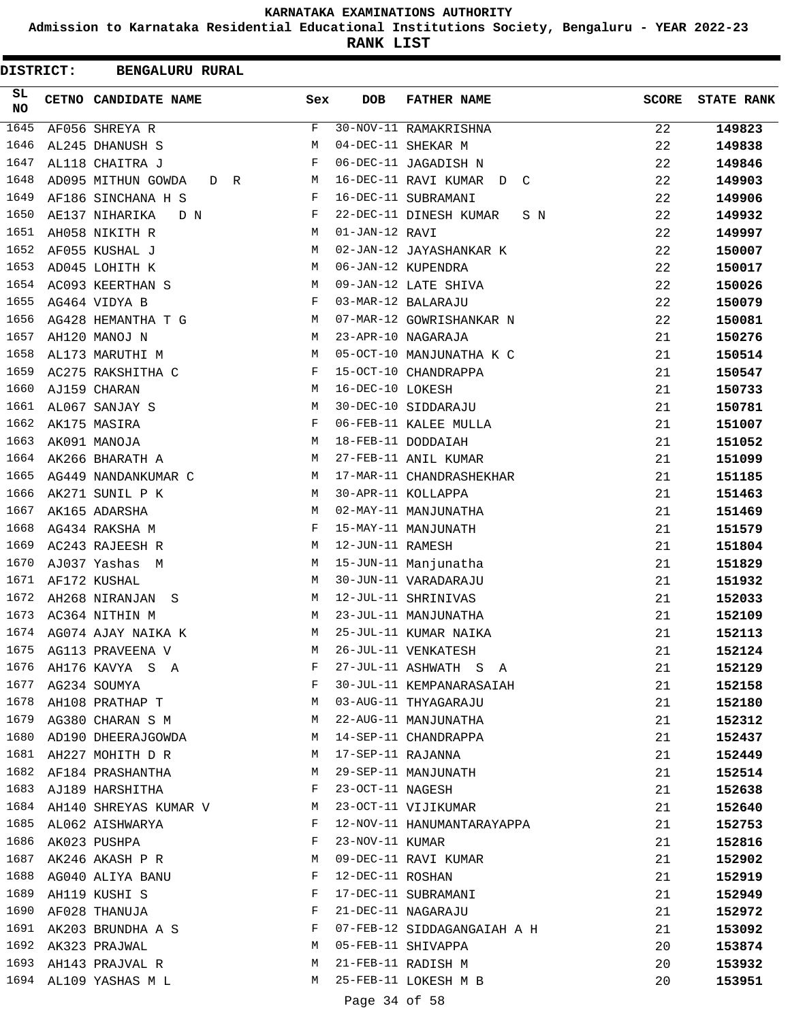**Admission to Karnataka Residential Educational Institutions Society, Bengaluru - YEAR 2022-23**

**RANK LIST**

 $\blacksquare$ 

|           | DISTRICT: | <b>BENGALURU RURAL</b>     |     |                   |                               |              |                   |
|-----------|-----------|----------------------------|-----|-------------------|-------------------------------|--------------|-------------------|
| SL<br>NO. |           | CETNO CANDIDATE NAME       | Sex | <b>DOB</b>        | <b>FATHER NAME</b>            | <b>SCORE</b> | <b>STATE RANK</b> |
| 1645      |           | AF056 SHREYA R             | F   |                   | 30-NOV-11 RAMAKRISHNA         | 22           | 149823            |
| 1646      |           | AL245 DHANUSH S            | М   |                   | 04-DEC-11 SHEKAR M            | 22           | 149838            |
| 1647      |           | AL118 CHAITRA J            | F   |                   | 06-DEC-11 JAGADISH N          | 22           | 149846            |
| 1648      |           | AD095 MITHUN GOWDA<br>D R  | M   |                   | 16-DEC-11 RAVI KUMAR D C      | 22           | 149903            |
| 1649      |           | AF186 SINCHANA H S         | F   |                   | 16-DEC-11 SUBRAMANI           | 22           | 149906            |
| 1650      |           | AE137 NIHARIKA<br>D N      | F   |                   | 22-DEC-11 DINESH KUMAR<br>S N | 22           | 149932            |
| 1651      |           | AH058 NIKITH R             | М   | 01-JAN-12 RAVI    |                               | 22           | 149997            |
| 1652      |           | AF055 KUSHAL J             | М   |                   | 02-JAN-12 JAYASHANKAR K       | 22           | 150007            |
| 1653      |           | AD045 LOHITH K             | М   |                   | 06-JAN-12 KUPENDRA            | 22           | 150017            |
| 1654      |           | AC093 KEERTHAN S           | М   |                   | 09-JAN-12 LATE SHIVA          | 22           | 150026            |
| 1655      |           | AG464 VIDYA B              | F   |                   | 03-MAR-12 BALARAJU            | 22           | 150079            |
| 1656      |           | AG428 HEMANTHA T G         | M   |                   | 07-MAR-12 GOWRISHANKAR N      | 22           | 150081            |
| 1657      |           | AH120 MANOJ N              | М   |                   | 23-APR-10 NAGARAJA            | 21           | 150276            |
| 1658      |           | AL173 MARUTHI M            | M   |                   | 05-OCT-10 MANJUNATHA K C      | 21           | 150514            |
| 1659      |           | AC275 RAKSHITHA C          | F   |                   | 15-OCT-10 CHANDRAPPA          | 21           | 150547            |
| 1660      |           | AJ159 CHARAN               | М   | 16-DEC-10 LOKESH  |                               | 21           | 150733            |
| 1661      |           | AL067 SANJAY S             | М   |                   | 30-DEC-10 SIDDARAJU           | 21           | 150781            |
| 1662      |           | AK175 MASIRA               | F   |                   | 06-FEB-11 KALEE MULLA         | 21           | 151007            |
| 1663      |           | AK091 MANOJA               | М   |                   | 18-FEB-11 DODDAIAH            | 21           | 151052            |
| 1664      |           | AK266 BHARATH A            | М   |                   | 27-FEB-11 ANIL KUMAR          | 21           | 151099            |
| 1665      |           | AG449 NANDANKUMAR C        | M   |                   | 17-MAR-11 CHANDRASHEKHAR      | 21           | 151185            |
| 1666      |           | AK271 SUNIL P K            | М   |                   | 30-APR-11 KOLLAPPA            | 21           | 151463            |
| 1667      |           | AK165 ADARSHA              | М   |                   | 02-MAY-11 MANJUNATHA          | 21           | 151469            |
| 1668      |           | AG434 RAKSHA M             | F   |                   | 15-MAY-11 MANJUNATH           | 21           | 151579            |
| 1669      |           | AC243 RAJEESH R            | М   | 12-JUN-11 RAMESH  |                               | 21           | 151804            |
| 1670      |           | AJ037 Yashas M             | М   |                   | 15-JUN-11 Manjunatha          | 21           | 151829            |
| 1671      |           | AF172 KUSHAL               | М   |                   | 30-JUN-11 VARADARAJU          | 21           | 151932            |
| 1672      |           | AH268 NIRANJAN S           | M   |                   | 12-JUL-11 SHRINIVAS           | 21           | 152033            |
| 1673      |           | AC364 NITHIN M             | М   |                   | 23-JUL-11 MANJUNATHA          | 21           | 152109            |
| 1674      |           | AG074 AJAY NAIKA K         | М   |                   | 25-JUL-11 KUMAR NAIKA         | 21           | 152113            |
|           |           | 1675 AG113 PRAVEENA V      | M   |                   | 26-JUL-11 VENKATESH           | 21           | 152124            |
| 1676      |           | AH176 KAVYA S A            | F   |                   | 27-JUL-11 ASHWATH S A         | 21           | 152129            |
|           |           | 1677 AG234 SOUMYA          | F   |                   | 30-JUL-11 KEMPANARASAIAH      | 21           | 152158            |
|           |           | 1678 AH108 PRATHAP T       | M   |                   | 03-AUG-11 THYAGARAJU          | 21           | 152180            |
|           |           | 1679 AG380 CHARAN S M      | M   |                   | 22-AUG-11 MANJUNATHA          | 21           | 152312            |
| 1680      |           | AD190 DHEERAJGOWDA         | М   |                   | 14-SEP-11 CHANDRAPPA          | 21           | 152437            |
|           |           | 1681 AH227 MOHITH D R      | М   | 17-SEP-11 RAJANNA |                               | 21           | 152449            |
|           |           | 1682 AF184 PRASHANTHA      | M   |                   | 29-SEP-11 MANJUNATH           | 21           | 152514            |
|           |           | 1683 AJ189 HARSHITHA       | F   | 23-OCT-11 NAGESH  |                               | 21           | 152638            |
|           |           | 1684 AH140 SHREYAS KUMAR V | M   |                   | 23-OCT-11 VIJIKUMAR           | 21           | 152640            |
|           |           | 1685 AL062 AISHWARYA       | F   |                   | 12-NOV-11 HANUMANTARAYAPPA    | 21           | 152753            |
|           |           | 1686 AK023 PUSHPA          | F   | 23-NOV-11 KUMAR   |                               | 21           | 152816            |
|           |           | 1687 AK246 AKASH P R       | М   |                   | 09-DEC-11 RAVI KUMAR          | 21           | 152902            |
|           |           | 1688 AG040 ALIYA BANU      | F   | 12-DEC-11 ROSHAN  |                               | 21           | 152919            |
| 1689      |           | AH119 KUSHI S              | F   |                   | 17-DEC-11 SUBRAMANI           | 21           | 152949            |
|           |           | 1690 AF028 THANUJA         | F   |                   | 21-DEC-11 NAGARAJU            | 21           | 152972            |
|           |           | 1691 AK203 BRUNDHA A S     | F   |                   | 07-FEB-12 SIDDAGANGAIAH A H   | 21           | 153092            |
|           |           | 1692 AK323 PRAJWAL         | M   |                   | 05-FEB-11 SHIVAPPA            | 20           | 153874            |
|           |           | 1693 AH143 PRAJVAL R       | М   |                   | 21-FEB-11 RADISH M            | 20           | 153932            |
|           |           | 1694 AL109 YASHAS M L      | М   |                   | 25-FEB-11 LOKESH M B          | 20           | 153951            |

Page 34 of 58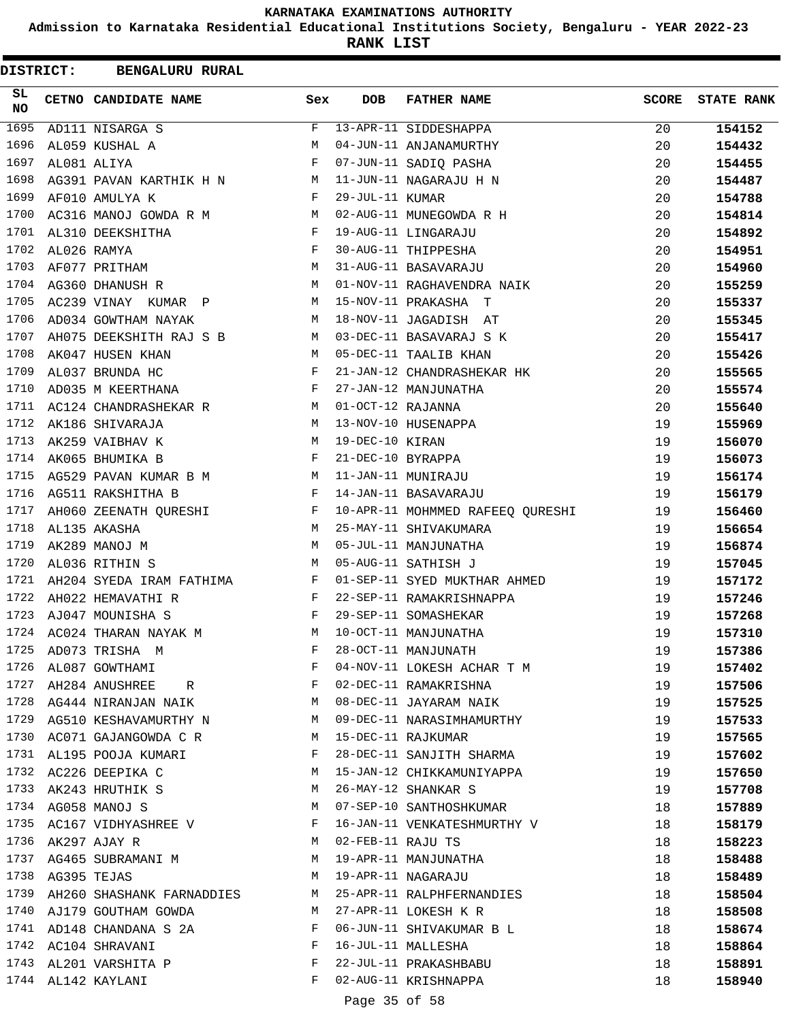**Admission to Karnataka Residential Educational Institutions Society, Bengaluru - YEAR 2022-23**

**RANK LIST**

| <b>DISTRICT:</b> | <b>BENGALURU RURAL</b>                                              |                    |                   |                                  |              |                   |
|------------------|---------------------------------------------------------------------|--------------------|-------------------|----------------------------------|--------------|-------------------|
| SL.<br><b>NO</b> | CETNO CANDIDATE NAME                                                | Sex                | <b>DOB</b>        | <b>FATHER NAME</b>               | <b>SCORE</b> | <b>STATE RANK</b> |
| 1695             | AD111 NISARGA S                                                     | $\mathbf{F}% _{0}$ |                   | 13-APR-11 SIDDESHAPPA            | 20           | 154152            |
| 1696             | AL059 KUSHAL A                                                      | M                  |                   | 04-JUN-11 ANJANAMURTHY           | 20           | 154432            |
| 1697             | AL081 ALIYA                                                         | F                  |                   | 07-JUN-11 SADIQ PASHA            | 20           | 154455            |
| 1698             | AG391 PAVAN KARTHIK H N M                                           |                    |                   | 11-JUN-11 NAGARAJU H N           | 20           | 154487            |
| 1699             | AF010 AMULYA K                                                      | F                  | 29-JUL-11 KUMAR   |                                  | 20           | 154788            |
| 1700             | $M_{\rm H}$<br>AC316 MANOJ GOWDA R M                                |                    |                   | 02-AUG-11 MUNEGOWDA R H          | 20           | 154814            |
| 1701             | AL310 DEEKSHITHA                                                    | F                  |                   | 19-AUG-11 LINGARAJU              | 20           | 154892            |
| 1702             | AL026 RAMYA                                                         | F                  |                   | 30-AUG-11 THIPPESHA              | 20           | 154951            |
| 1703             | AF077 PRITHAM                                                       | M                  |                   | 31-AUG-11 BASAVARAJU             | 20           | 154960            |
| 1704             | AG360 DHANUSH R                                                     | M                  |                   | 01-NOV-11 RAGHAVENDRA NAIK       | 20           | 155259            |
| 1705             | AC239 VINAY KUMAR P                                                 | M                  |                   | 15-NOV-11 PRAKASHA T             | 20           | 155337            |
| 1706             | AD034 GOWTHAM NAYAK                                                 | M                  |                   | 18-NOV-11 JAGADISH AT            | 20           | 155345            |
| 1707             | AH075 DEEKSHITH RAJ S B                                             | M                  |                   | 03-DEC-11 BASAVARAJ S K          | 20           | 155417            |
| 1708             | AK047 HUSEN KHAN                                                    | M                  |                   | 05-DEC-11 TAALIB KHAN            | 20           | 155426            |
| 1709             | AL037 BRUNDA HC                                                     | F                  |                   | 21-JAN-12 CHANDRASHEKAR HK       | 20           | 155565            |
| 1710             | $\mathbf{F}$ and $\mathbf{F}$ and $\mathbf{F}$<br>AD035 M KEERTHANA |                    |                   | 27-JAN-12 MANJUNATHA             | 20           | 155574            |
| 1711             | AC124 CHANDRASHEKAR R M                                             |                    | 01-OCT-12 RAJANNA |                                  | 20           | 155640            |
| 1712             | AK186 SHIVARAJA                                                     | M                  |                   | 13-NOV-10 HUSENAPPA              | 19           | 155969            |
| 1713             | AK259 VAIBHAV K                                                     | M                  | 19-DEC-10 KIRAN   |                                  | 19           | 156070            |
| 1714             | AK065 BHUMIKA B                                                     | F                  | 21-DEC-10 BYRAPPA |                                  | 19           | 156073            |
| 1715             | AG529 PAVAN KUMAR B M                                               |                    |                   | 11-JAN-11 MUNIRAJU               | 19           | 156174            |
| 1716             | AG511 RAKSHITHA B                                                   | F                  |                   | 14-JAN-11 BASAVARAJU             | 19           | 156179            |
| 1717             | AH060 ZEENATH QURESHI                                               | F                  |                   | 10-APR-11 MOHMMED RAFEEQ QURESHI | 19           | 156460            |
| 1718             | AL135 AKASHA                                                        | M                  |                   | 25-MAY-11 SHIVAKUMARA            | 19           | 156654            |
| 1719             | AK289 MANOJ M                                                       | M                  |                   | 05-JUL-11 MANJUNATHA             | 19           | 156874            |
| 1720             | $\mathbf{M}$<br>AL036 RITHIN S                                      |                    |                   | 05-AUG-11 SATHISH J              | 19           | 157045            |
| 1721             | AH204 SYEDA IRAM FATHIMA F                                          |                    |                   | 01-SEP-11 SYED MUKTHAR AHMED     | 19           | 157172            |
| 1722             | AH022 HEMAVATHI R                                                   | F                  |                   | 22-SEP-11 RAMAKRISHNAPPA         | 19           | 157246            |
| 1723             | $\mathbf{F}$ and $\mathbf{F}$ and $\mathbf{F}$<br>AJ047 MOUNISHA S  |                    |                   | 29-SEP-11 SOMASHEKAR             | 19           | 157268            |
| 1724             | AC024 THARAN NAYAK M                                                | M                  |                   | 10-OCT-11 MANJUNATHA             | 19           | 157310            |
| 1725             | AD073 TRISHA M                                                      | F                  |                   | 28-OCT-11 MANJUNATH              | 19           | 157386            |
| 1726             | AL087 GOWTHAMI                                                      | F                  |                   | 04-NOV-11 LOKESH ACHAR T M       | 19           | 157402            |
| 1727             | AH284 ANUSHREE<br>R                                                 | F                  |                   | 02-DEC-11 RAMAKRISHNA            | 19           | 157506            |
|                  | 1728 AG444 NIRANJAN NAIK                                            | M                  |                   | 08-DEC-11 JAYARAM NAIK           | 19           | 157525            |
|                  | 1729 AG510 KESHAVAMURTHY N                                          | M                  |                   | 09-DEC-11 NARASIMHAMURTHY        | 19           | 157533            |
| 1730             | AC071 GAJANGOWDA C R                                                | M                  |                   | 15-DEC-11 RAJKUMAR               | 19           | 157565            |
| 1731             | AL195 POOJA KUMARI                                                  | F                  |                   | 28-DEC-11 SANJITH SHARMA         | 19           | 157602            |
| 1732             | AC226 DEEPIKA C                                                     | М                  |                   | 15-JAN-12 CHIKKAMUNIYAPPA        | 19           | 157650            |
|                  | 1733 AK243 HRUTHIK S                                                | М                  |                   | 26-MAY-12 SHANKAR S              | 19           | 157708            |
|                  | 1734 AG058 MANOJ S                                                  | M                  |                   | 07-SEP-10 SANTHOSHKUMAR          | 18           | 157889            |
|                  | 1735 AC167 VIDHYASHREE V                                            | F                  |                   | 16-JAN-11 VENKATESHMURTHY V      | 18           | 158179            |
|                  | 1736 AK297 AJAY R                                                   | M                  | 02-FEB-11 RAJU TS |                                  | 18           | 158223            |
|                  | 1737 AG465 SUBRAMANI M                                              | M                  |                   | 19-APR-11 MANJUNATHA             | 18           | 158488            |
| 1738             | AG395 TEJAS                                                         | M                  |                   | 19-APR-11 NAGARAJU               | 18           | 158489            |
| 1739             | AH260 SHASHANK FARNADDIES                                           | M                  |                   | 25-APR-11 RALPHFERNANDIES        | 18           | 158504            |
| 1740             | AJ179 GOUTHAM GOWDA                                                 | M                  |                   | 27-APR-11 LOKESH K R             | 18           | 158508            |
|                  | 1741 AD148 CHANDANA S 2A                                            | F                  |                   | 06-JUN-11 SHIVAKUMAR B L         | 18           | 158674            |
|                  | 1742 AC104 SHRAVANI                                                 | F                  |                   | 16-JUL-11 MALLESHA               | 18           | 158864            |
|                  | 1743 AL201 VARSHITA P                                               | F                  |                   | 22-JUL-11 PRAKASHBABU            | 18           | 158891            |
|                  | 1744 AL142 KAYLANI                                                  | F                  |                   | 02-AUG-11 KRISHNAPPA             | 18           | 158940            |
|                  |                                                                     |                    | Page 35 of 58     |                                  |              |                   |
|                  |                                                                     |                    |                   |                                  |              |                   |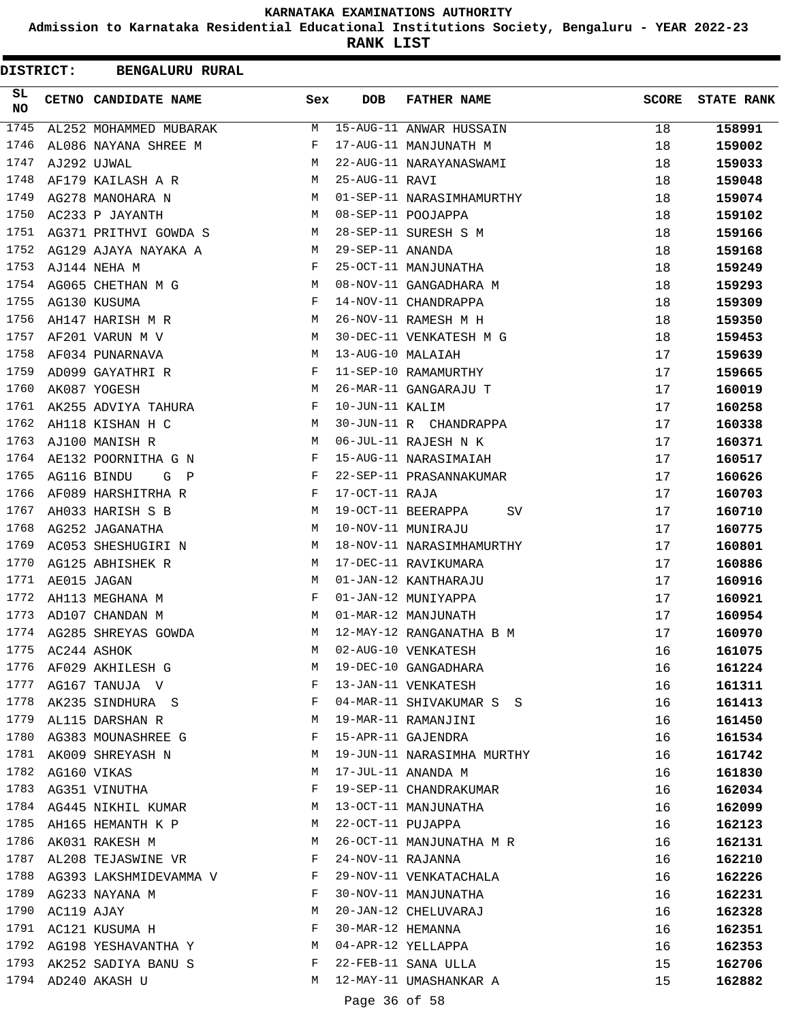**Admission to Karnataka Residential Educational Institutions Society, Bengaluru - YEAR 2022-23**

**RANK LIST**

| <b>DISTRICT:</b> |             | <b>BENGALURU RURAL</b>           |              |                   |                            |              |                   |
|------------------|-------------|----------------------------------|--------------|-------------------|----------------------------|--------------|-------------------|
| SL<br>NO.        |             | CETNO CANDIDATE NAME             | Sex          | <b>DOB</b>        | <b>FATHER NAME</b>         | <b>SCORE</b> | <b>STATE RANK</b> |
| 1745             |             | AL252 MOHAMMED MUBARAK           | М            |                   | 15-AUG-11 ANWAR HUSSAIN    | 18           | 158991            |
| 1746             |             | AL086 NAYANA SHREE M             | F            |                   | 17-AUG-11 MANJUNATH M      | 18           | 159002            |
| 1747             |             | AJ292 UJWAL                      | М            |                   | 22-AUG-11 NARAYANASWAMI    | 18           | 159033            |
| 1748             |             | AF179 KAILASH A R                | М            | 25-AUG-11 RAVI    |                            | 18           | 159048            |
| 1749             |             | AG278 MANOHARA N                 | M            |                   | 01-SEP-11 NARASIMHAMURTHY  | 18           | 159074            |
| 1750             |             | AC233 P JAYANTH                  | M            |                   | 08-SEP-11 POOJAPPA         | 18           | 159102            |
| 1751             |             | AG371 PRITHVI GOWDA S            | М            |                   | 28-SEP-11 SURESH S M       | 18           | 159166            |
| 1752             |             | AG129 AJAYA NAYAKA A             | M            | 29-SEP-11 ANANDA  |                            | 18           | 159168            |
| 1753             |             | AJ144 NEHA M                     | F            |                   | 25-OCT-11 MANJUNATHA       | 18           | 159249            |
| 1754             |             | AG065 CHETHAN M G                | М            |                   | 08-NOV-11 GANGADHARA M     | 18           | 159293            |
| 1755             |             | AG130 KUSUMA                     | F            |                   | 14-NOV-11 CHANDRAPPA       | 18           | 159309            |
| 1756             |             | AH147 HARISH M R                 | M            |                   | 26-NOV-11 RAMESH M H       | 18           | 159350            |
| 1757             |             | AF201 VARUN M V                  | М            |                   | 30-DEC-11 VENKATESH M G    | 18           | 159453            |
| 1758             |             | AF034 PUNARNAVA                  | М            | 13-AUG-10 MALAIAH |                            | 17           | 159639            |
| 1759             |             | AD099 GAYATHRI R                 | F            |                   | 11-SEP-10 RAMAMURTHY       | 17           | 159665            |
| 1760             |             | AK087 YOGESH                     | М            |                   | 26-MAR-11 GANGARAJU T      | 17           | 160019            |
| 1761             |             | AK255 ADVIYA TAHURA              | F            | 10-JUN-11 KALIM   |                            | 17           | 160258            |
| 1762             |             | AH118 KISHAN H C                 | М            |                   | 30-JUN-11 R CHANDRAPPA     | 17           | 160338            |
| 1763             |             | AJ100 MANISH R                   | М            |                   | 06-JUL-11 RAJESH N K       | 17           | 160371            |
| 1764             |             | AE132 POORNITHA G N              | F            |                   | 15-AUG-11 NARASIMAIAH      | 17           | 160517            |
| 1765             |             | AG116 BINDU<br>G<br>$\mathbb{P}$ | F            |                   | 22-SEP-11 PRASANNAKUMAR    | 17           | 160626            |
| 1766             |             | AF089 HARSHITRHA R               | F            | 17-OCT-11 RAJA    |                            | 17           | 160703            |
| 1767             |             | AH033 HARISH S B                 | М            |                   | 19-OCT-11 BEERAPPA<br>SV   | 17           | 160710            |
| 1768             |             | AG252 JAGANATHA                  | М            |                   | 10-NOV-11 MUNIRAJU         | 17           | 160775            |
| 1769             |             | AC053 SHESHUGIRI N               | M            |                   | 18-NOV-11 NARASIMHAMURTHY  | 17           | 160801            |
| 1770             |             | AG125 ABHISHEK R                 | М            |                   | 17-DEC-11 RAVIKUMARA       | 17           |                   |
| 1771             |             |                                  | M            |                   | 01-JAN-12 KANTHARAJU       |              | 160886            |
| 1772             | AE015 JAGAN |                                  | F            |                   | 01-JAN-12 MUNIYAPPA        | 17           | 160916            |
| 1773             |             | AH113 MEGHANA M                  |              |                   |                            | 17           | 160921            |
|                  |             | AD107 CHANDAN M                  | М            |                   | 01-MAR-12 MANJUNATH        | 17           | 160954            |
| 1774             |             | AG285 SHREYAS GOWDA              | М            |                   | 12-MAY-12 RANGANATHA B M   | 17           | 160970            |
| 1775             | AC244 ASHOK |                                  | M            |                   | 02-AUG-10 VENKATESH        | 16           | 161075            |
| 1776             |             | AF029 AKHILESH G                 | M            |                   | 19-DEC-10 GANGADHARA       | 16           | 161224            |
|                  |             | 1777 AG167 TANUJA V              | $\mathbf{F}$ |                   | 13-JAN-11 VENKATESH        | 16           | 161311            |
|                  |             | 1778 AK235 SINDHURA S            | F            |                   | 04-MAR-11 SHIVAKUMAR S S   | 16           | 161413            |
|                  |             | 1779 AL115 DARSHAN R             | М            |                   | 19-MAR-11 RAMANJINI        | 16           | 161450            |
| 1780             |             | AG383 MOUNASHREE G               | F            |                   | 15-APR-11 GAJENDRA         | 16           | 161534            |
| 1781             |             | AK009 SHREYASH N                 | M            |                   | 19-JUN-11 NARASIMHA MURTHY | 16           | 161742            |
| 1782             |             | AG160 VIKAS                      | М            |                   | 17-JUL-11 ANANDA M         | 16           | 161830            |
|                  |             | 1783 AG351 VINUTHA               | F            |                   | 19-SEP-11 CHANDRAKUMAR     | 16           | 162034            |
|                  |             | 1784 AG445 NIKHIL KUMAR          | M            |                   | 13-OCT-11 MANJUNATHA       | 16           | 162099            |
|                  |             | 1785 AH165 HEMANTH K P           | M            | 22-OCT-11 PUJAPPA |                            | 16           | 162123            |
|                  |             | 1786 AK031 RAKESH M              | M            |                   | 26-OCT-11 MANJUNATHA M R   | 16           | 162131            |
|                  |             | 1787 AL208 TEJASWINE VR          | $\mathbf{F}$ | 24-NOV-11 RAJANNA |                            | 16           | 162210            |
| 1788             |             | AG393 LAKSHMIDEVAMMA V           | F            |                   | 29-NOV-11 VENKATACHALA     | 16           | 162226            |
| 1789             |             | AG233 NAYANA M                   | F            |                   | 30-NOV-11 MANJUNATHA       | 16           | 162231            |
| 1790             | AC119 AJAY  |                                  | М            |                   | 20-JAN-12 CHELUVARAJ       | 16           | 162328            |
|                  |             | 1791 AC121 KUSUMA H              | F            | 30-MAR-12 HEMANNA |                            | 16           | 162351            |
|                  |             | 1792 AG198 YESHAVANTHA Y         | M            |                   | 04-APR-12 YELLAPPA         | 16           | 162353            |
|                  |             | 1793 AK252 SADIYA BANU S         | F            |                   | 22-FEB-11 SANA ULLA        | 15           | 162706            |
|                  |             | 1794 AD240 AKASH U               | М            |                   | 12-MAY-11 UMASHANKAR A     | 15           | 162882            |
|                  |             |                                  |              | Page 36 of 58     |                            |              |                   |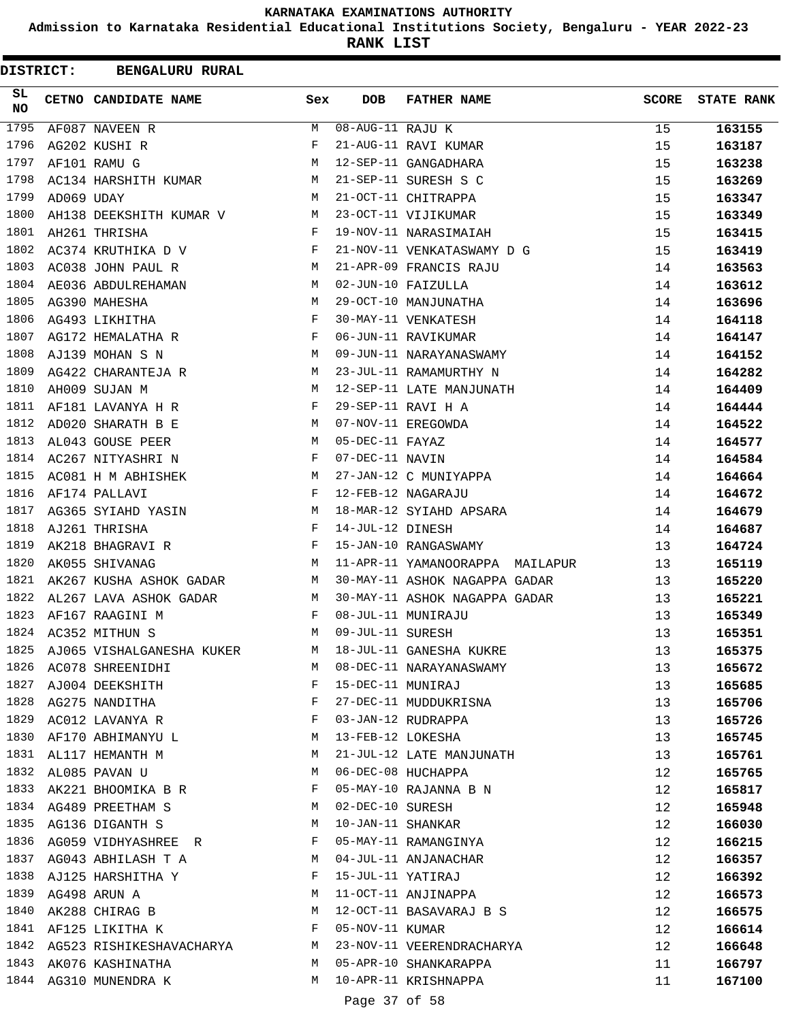**Admission to Karnataka Residential Educational Institutions Society, Bengaluru - YEAR 2022-23**

**RANK LIST**

| <b>DISTRICT:</b> |            | <b>BENGALURU RURAL</b>                                 |        |                                |                                                    |              |                   |
|------------------|------------|--------------------------------------------------------|--------|--------------------------------|----------------------------------------------------|--------------|-------------------|
| SL<br><b>NO</b>  |            | CETNO CANDIDATE NAME                                   | Sex    | <b>DOB</b>                     | <b>FATHER NAME</b>                                 | <b>SCORE</b> | <b>STATE RANK</b> |
| 1795             |            | AF087 NAVEEN R                                         | M      | $\overline{08}$ -AUG-11 RAJU K |                                                    | 15           | 163155            |
| 1796             |            | AG202 KUSHI R                                          | F      |                                | 21-AUG-11 RAVI KUMAR                               | 15           | 163187            |
| 1797             |            | AF101 RAMU G                                           | М      |                                | 12-SEP-11 GANGADHARA                               | 15           | 163238            |
| 1798             |            | AC134 HARSHITH KUMAR                                   | M      |                                | 21-SEP-11 SURESH S C                               | 15           | 163269            |
| 1799             | AD069 UDAY |                                                        | М      |                                | 21-OCT-11 CHITRAPPA                                | 15           | 163347            |
| 1800             |            | AH138 DEEKSHITH KUMAR V                                | M      |                                | 23-OCT-11 VIJIKUMAR                                | 15           | 163349            |
| 1801             |            | AH261 THRISHA                                          | F      |                                | 19-NOV-11 NARASIMAIAH                              | 15           | 163415            |
| 1802             |            | AC374 KRUTHIKA D V                                     | F      |                                | 21-NOV-11 VENKATASWAMY D G                         | 15           | 163419            |
| 1803             |            | AC038 JOHN PAUL R                                      | М      |                                | 21-APR-09 FRANCIS RAJU                             | 14           | 163563            |
| 1804             |            | AE036 ABDULREHAMAN                                     | М      |                                | 02-JUN-10 FAIZULLA                                 | 14           | 163612            |
| 1805             |            | AG390 MAHESHA                                          | М      |                                | 29-OCT-10 MANJUNATHA                               | 14           | 163696            |
| 1806             |            | AG493 LIKHITHA                                         | F      |                                | 30-MAY-11 VENKATESH                                | 14           | 164118            |
| 1807             |            | AG172 HEMALATHA R                                      | F      |                                | 06-JUN-11 RAVIKUMAR                                | 14           | 164147            |
| 1808             |            | AJ139 MOHAN S N                                        | M      |                                | 09-JUN-11 NARAYANASWAMY                            | 14           | 164152            |
| 1809             |            | AG422 CHARANTEJA R                                     | M      |                                | 23-JUL-11 RAMAMURTHY N                             | 14           | 164282            |
| 1810             |            | AH009 SUJAN M                                          | М      |                                | 12-SEP-11 LATE MANJUNATH                           | 14           | 164409            |
| 1811             |            | AF181 LAVANYA H R                                      | F      |                                | 29-SEP-11 RAVI H A                                 | 14           | 164444            |
| 1812             |            | AD020 SHARATH B E                                      | M      |                                | 07-NOV-11 EREGOWDA                                 | 14           | 164522            |
| 1813             |            | AL043 GOUSE PEER                                       | M      | 05-DEC-11 FAYAZ                |                                                    | 14           | 164577            |
| 1814             |            | AC267 NITYASHRI N                                      | F      | 07-DEC-11 NAVIN                |                                                    | 14           | 164584            |
| 1815             |            | AC081 H M ABHISHEK                                     | М      |                                | 27-JAN-12 C MUNIYAPPA                              | 14           | 164664            |
| 1816             |            | AF174 PALLAVI                                          | F      |                                | 12-FEB-12 NAGARAJU                                 | 14           | 164672            |
| 1817             |            | AG365 SYIAHD YASIN                                     | M      |                                | 18-MAR-12 SYIAHD APSARA                            | 14           | 164679            |
| 1818             |            | AJ261 THRISHA                                          | F      | 14-JUL-12 DINESH               |                                                    | 14           | 164687            |
| 1819             |            | AK218 BHAGRAVI R                                       | F      |                                | 15-JAN-10 RANGASWAMY                               | 13           | 164724            |
| 1820             |            | AK055 SHIVANAG                                         | М      |                                | 11-APR-11 YAMANOORAPPA MAILAPUR                    | 13           | 165119            |
| 1821             |            | AK267 KUSHA ASHOK GADAR                                | M      |                                | 30-MAY-11 ASHOK NAGAPPA GADAR                      | 13           | 165220            |
| 1822             |            | AL267 LAVA ASHOK GADAR                                 | M      |                                | 30-MAY-11 ASHOK NAGAPPA GADAR                      | 13           | 165221            |
| 1823             |            | AF167 RAAGINI M                                        | F      |                                | 08-JUL-11 MUNIRAJU                                 | 13           | 165349            |
|                  |            | 1824 AC352 MITHUN S                                    | M      | 09-JUL-11 SURESH               |                                                    | 13           | 165351            |
| 1825             |            | AJ065 VISHALGANESHA KUKER                              | M      |                                | 18-JUL-11 GANESHA KUKRE                            | 13           | 165375            |
| 1826             |            | AC078 SHREENIDHI                                       | M      |                                | 08-DEC-11 NARAYANASWAMY                            | 13           | 165672            |
| 1827             |            | AJ004 DEEKSHITH                                        | F      | 15-DEC-11 MUNIRAJ              |                                                    | 13           | 165685            |
|                  |            | 1828 AG275 NANDITHA                                    | F      |                                | 27-DEC-11 MUDDUKRISNA                              | 13           | 165706            |
|                  |            | 1829 AC012 LAVANYA R                                   | F      |                                | 03-JAN-12 RUDRAPPA                                 | 13           | 165726            |
| 1830             |            | AF170 ABHIMANYU L                                      | М      | 13-FEB-12 LOKESHA              |                                                    | 13           | 165745            |
| 1831             |            | AL117 HEMANTH M                                        | М      |                                | 21-JUL-12 LATE MANJUNATH                           | 13           | 165761            |
| 1832             |            | AL085 PAVAN U                                          | M      |                                | 06-DEC-08 HUCHAPPA                                 | 12           | 165765            |
|                  |            | 1833 AK221 BHOOMIKA B R                                | F      |                                | 05-MAY-10 RAJANNA B N                              | 12           | 165817            |
|                  |            | 1834 AG489 PREETHAM S                                  | М      | 02-DEC-10 SURESH               |                                                    | 12           | 165948            |
| 1835             |            | AG136 DIGANTH S                                        | М      | 10-JAN-11 SHANKAR              |                                                    | 12           |                   |
|                  |            | 1836 AG059 VIDHYASHREE R                               | F      |                                | 05-MAY-11 RAMANGINYA                               | 12           | 166030            |
|                  |            | 1837 AG043 ABHILASH T A                                | M      |                                | 04-JUL-11 ANJANACHAR                               |              | 166215            |
| 1838             |            | AJ125 HARSHITHA Y                                      | F      | 15-JUL-11 YATIRAJ              |                                                    | 12<br>12     | 166357            |
| 1839             |            | AG498 ARUN A                                           | М      |                                | 11-OCT-11 ANJINAPPA                                | 12           | 166392            |
| 1840             |            |                                                        | М      |                                | 12-OCT-11 BASAVARAJ B S                            |              | 166573            |
|                  |            | AK288 CHIRAG B<br>1841 AF125 LIKITHA K                 | F      | 05-NOV-11 KUMAR                |                                                    | 12           | 166575            |
|                  |            |                                                        |        |                                |                                                    | 12           | 166614            |
|                  |            | 1842 AG523 RISHIKESHAVACHARYA<br>1843 AK076 KASHINATHA | M<br>M |                                | 23-NOV-11 VEERENDRACHARYA<br>05-APR-10 SHANKARAPPA | 12           | 166648            |
|                  |            |                                                        |        |                                |                                                    | 11           | 166797            |
|                  |            | 1844 AG310 MUNENDRA K                                  | M      |                                | 10-APR-11 KRISHNAPPA                               | 11           | 167100            |

Page 37 of 58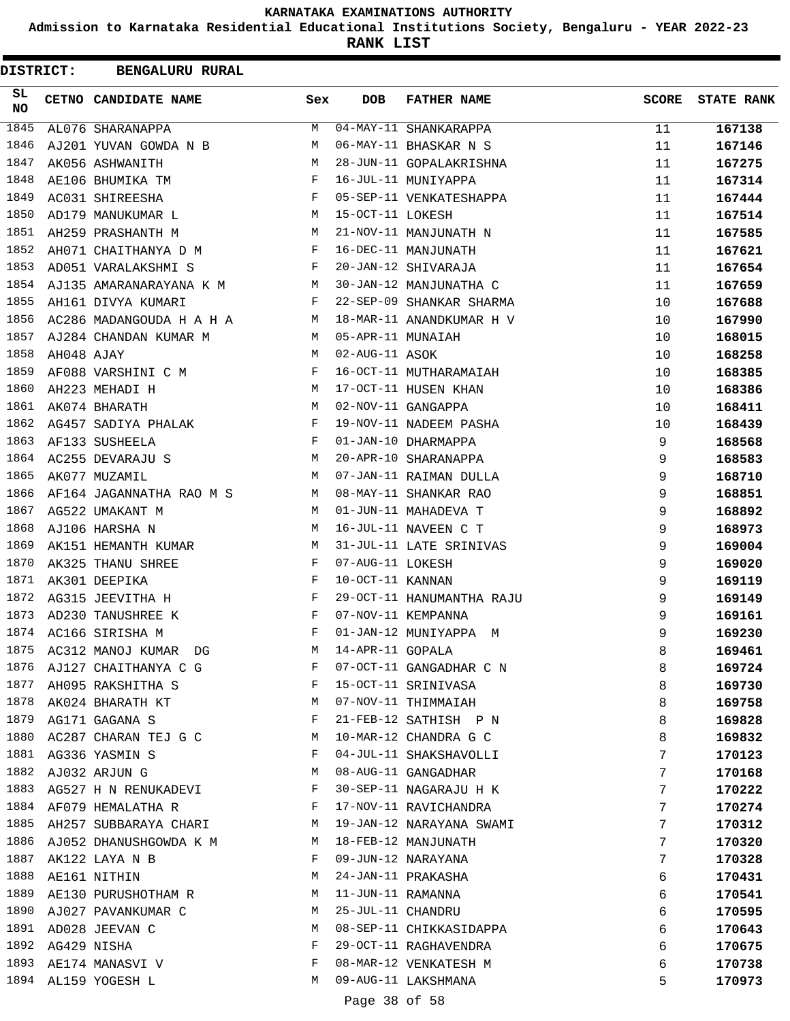**Admission to Karnataka Residential Educational Institutions Society, Bengaluru - YEAR 2022-23**

**RANK LIST**

| DISTRICT: |            | <b>BENGALURU RURAL</b>                                               |                                                |                   |                           |              |                   |
|-----------|------------|----------------------------------------------------------------------|------------------------------------------------|-------------------|---------------------------|--------------|-------------------|
| SL<br>NO  |            | CETNO CANDIDATE NAME                                                 | Sex                                            | <b>DOB</b>        | <b>FATHER NAME</b>        | <b>SCORE</b> | <b>STATE RANK</b> |
| 1845      |            | AL076 SHARANAPPA                                                     | M                                              |                   | 04-MAY-11 SHANKARAPPA     | 11           | 167138            |
| 1846      |            | AJ201 YUVAN GOWDA N B                                                | М                                              |                   | 06-MAY-11 BHASKAR N S     | 11           | 167146            |
| 1847      |            | AK056 ASHWANITH                                                      | M                                              |                   | 28-JUN-11 GOPALAKRISHNA   | 11           | 167275            |
| 1848      |            | AE106 BHUMIKA TM                                                     | F                                              |                   | 16-JUL-11 MUNIYAPPA       | 11           | 167314            |
| 1849      |            | AC031 SHIREESHA                                                      | $\mathbf{F}$                                   |                   | 05-SEP-11 VENKATESHAPPA   | 11           | 167444            |
| 1850      |            | AD179 MANUKUMAR L                                                    | M                                              | 15-OCT-11 LOKESH  |                           | 11           | 167514            |
| 1851      |            | AH259 PRASHANTH M                                                    | М                                              |                   | 21-NOV-11 MANJUNATH N     | 11           | 167585            |
| 1852      |            | AH071 CHAITHANYA D M                                                 | F                                              |                   | 16-DEC-11 MANJUNATH       | 11           | 167621            |
| 1853      |            | AD051 VARALAKSHMI S                                                  | F                                              |                   | 20-JAN-12 SHIVARAJA       | 11           | 167654            |
| 1854      |            | AJ135 AMARANARAYANA K M                                              |                                                |                   | 30-JAN-12 MANJUNATHA C    | 11           | 167659            |
| 1855      |            | AH161 DIVYA KUMARI                                                   | F                                              |                   | 22-SEP-09 SHANKAR SHARMA  | 10           | 167688            |
| 1856      |            | AC286 MADANGOUDA H A H A                                             | M                                              |                   | 18-MAR-11 ANANDKUMAR H V  | 10           | 167990            |
| 1857      |            | AJ284 CHANDAN KUMAR M                                                | M                                              | 05-APR-11 MUNAIAH |                           | 10           | 168015            |
| 1858      | AH048 AJAY |                                                                      | M                                              | 02-AUG-11 ASOK    |                           | 10           | 168258            |
| 1859      |            | AF088 VARSHINI C M                                                   | F                                              |                   | 16-OCT-11 MUTHARAMAIAH    | 10           | 168385            |
| 1860      |            | AH223 MEHADI H                                                       | М                                              |                   | 17-OCT-11 HUSEN KHAN      | 10           | 168386            |
| 1861      |            | AK074 BHARATH                                                        | M                                              |                   | 02-NOV-11 GANGAPPA        | 10           | 168411            |
| 1862      |            | AG457 SADIYA PHALAK                                                  | F                                              |                   | 19-NOV-11 NADEEM PASHA    | 10           | 168439            |
| 1863      |            | AF133 SUSHEELA                                                       | F                                              |                   | 01-JAN-10 DHARMAPPA       | 9            | 168568            |
| 1864      |            | AC255 DEVARAJU S                                                     | M                                              |                   | 20-APR-10 SHARANAPPA      | 9            | 168583            |
| 1865      |            | AK077 MUZAMIL                                                        | М                                              |                   | 07-JAN-11 RAIMAN DULLA    | 9            | 168710            |
| 1866      |            | AF164 JAGANNATHA RAO M S M                                           |                                                |                   | 08-MAY-11 SHANKAR RAO     | 9            | 168851            |
| 1867      |            | AG522 UMAKANT M                                                      | M                                              |                   | 01-JUN-11 MAHADEVA T      | 9            | 168892            |
| 1868      |            | AJ106 HARSHA N                                                       | М                                              |                   | 16-JUL-11 NAVEEN C T      | 9            | 168973            |
| 1869      |            | AK151 HEMANTH KUMAR                                                  | М                                              |                   | 31-JUL-11 LATE SRINIVAS   | 9            | 169004            |
| 1870      |            | AK325 THANU SHREE                                                    | F                                              | 07-AUG-11 LOKESH  |                           | 9            | 169020            |
| 1871      |            | AK301 DEEPIKA                                                        | F                                              | 10-OCT-11 KANNAN  |                           | 9            | 169119            |
| 1872      |            | AG315 JEEVITHA H                                                     | F                                              |                   | 29-OCT-11 HANUMANTHA RAJU | 9            | 169149            |
| 1873      |            | AD230 TANUSHREE K                                                    | F                                              |                   | 07-NOV-11 KEMPANNA        | 9            | 169161            |
| 1874      |            | AC166 SIRISHA M                                                      | F                                              |                   | 01-JAN-12 MUNIYAPPA M     | 9            | 169230            |
| 1875      |            | AC312 MANOJ KUMAR DG                                                 | M                                              | 14-APR-11 GOPALA  |                           | 8            | 169461            |
|           |            | 1876 AJ127 CHAITHANYA C G                                            | F                                              |                   | 07-OCT-11 GANGADHAR C N   | 8            | 169724            |
|           |            | 1877 AH095 RAKSHITHA S                                               | $\mathbf{F}$ and $\mathbf{F}$ and $\mathbf{F}$ |                   | 15-OCT-11 SRINIVASA       | 8            | 169730            |
|           |            | 1878 AK024 BHARATH KT                                                | M                                              |                   | 07-NOV-11 THIMMAIAH       | 8            | 169758            |
|           |            | 1879 AG171 GAGANA S                                                  | F                                              |                   | 21-FEB-12 SATHISH P N     | 8            | 169828            |
| 1880      |            | AC287 CHARAN TEJ G C                                                 | M                                              |                   | 10-MAR-12 CHANDRA G C     | 8            | 169832            |
| 1881      |            | AG336 YASMIN S                                                       | F                                              |                   | 04-JUL-11 SHAKSHAVOLLI    | 7            | 170123            |
| 1882      |            | AJ032 ARJUN G                                                        | M                                              |                   | 08-AUG-11 GANGADHAR       | 7            | 170168            |
|           |            | 1883 AG527 H N RENUKADEVI                                            | F                                              |                   | 30-SEP-11 NAGARAJU H K    | 7            |                   |
|           |            | 1884 AF079 HEMALATHA R<br>$\mathbf{F}$ and the state of $\mathbf{F}$ |                                                |                   | 17-NOV-11 RAVICHANDRA     | 7            | 170222<br>170274  |
|           |            | 1885 AH257 SUBBARAYA CHARI M                                         |                                                |                   | 19-JAN-12 NARAYANA SWAMI  | 7            |                   |
|           |            |                                                                      |                                                |                   | 18-FEB-12 MANJUNATH       | 7            | 170312            |
|           |            | 1886 AJ052 DHANUSHGOWDA K M                                          |                                                |                   |                           |              | 170320            |
| 1888      |            | 1887 AK122 LAYA N B                                                  | $\mathbf{F}$<br>М                              |                   | 09-JUN-12 NARAYANA        | 7            | 170328            |
|           |            | AE161 NITHIN                                                         |                                                |                   | 24-JAN-11 PRAKASHA        | 6            | 170431            |
| 1889      |            | AE130 PURUSHOTHAM R                                                  | M                                              | 11-JUN-11 RAMANNA |                           | 6            | 170541            |
|           |            | 1890 AJ027 PAVANKUMAR C                                              | M                                              | 25-JUL-11 CHANDRU |                           | 6            | 170595            |
|           |            | 1891 AD028 JEEVAN C                                                  | М                                              |                   | 08-SEP-11 CHIKKASIDAPPA   | 6            | 170643            |
| 1892      |            | AG429 NISHA                                                          | F                                              |                   | 29-OCT-11 RAGHAVENDRA     | 6            | 170675            |
| 1893      |            | AE174 MANASVI V                                                      | F                                              |                   | 08-MAR-12 VENKATESH M     | 6            | 170738            |
|           |            | 1894 AL159 YOGESH L                                                  | М                                              |                   | 09-AUG-11 LAKSHMANA       | 5            | 170973            |
|           |            |                                                                      |                                                | Page 38 of 58     |                           |              |                   |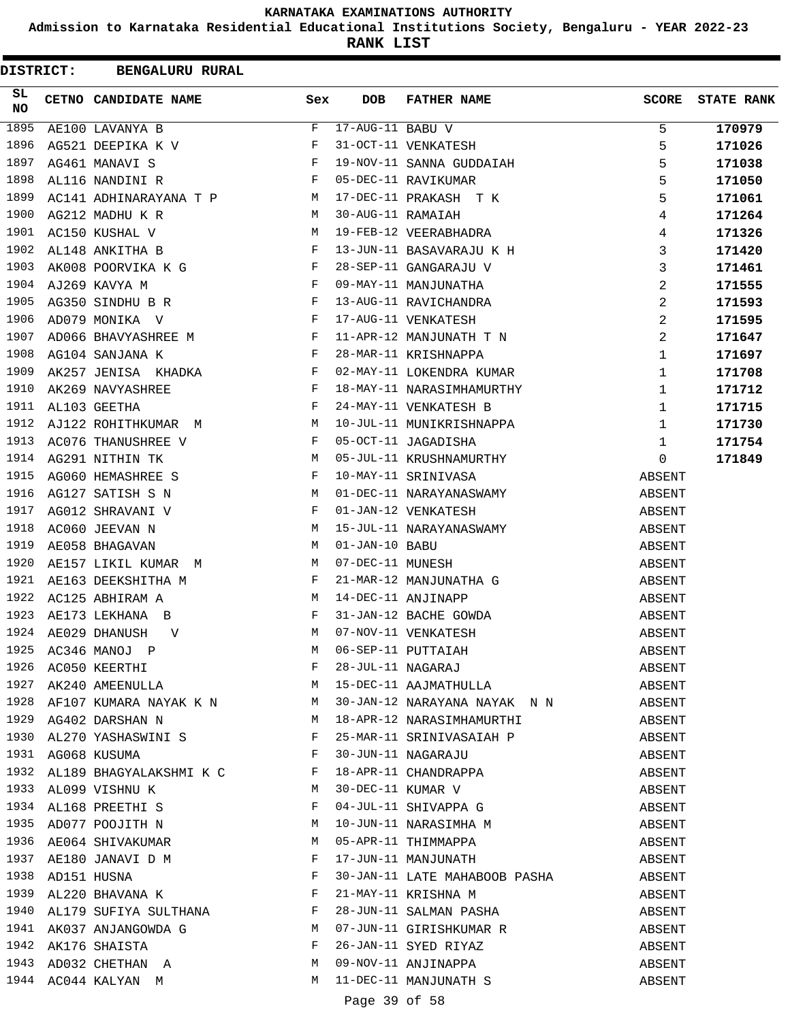**Admission to Karnataka Residential Educational Institutions Society, Bengaluru - YEAR 2022-23**

| <b>DISTRICT:</b> |                  | <b>BENGALURU RURAL</b>                                                                                                                                        |                                        |                   |                                                                                       |              |                   |
|------------------|------------------|---------------------------------------------------------------------------------------------------------------------------------------------------------------|----------------------------------------|-------------------|---------------------------------------------------------------------------------------|--------------|-------------------|
| SL<br>NO         |                  | CETNO CANDIDATE NAME                                                                                                                                          | Sex                                    | <b>DOB</b>        | <b>FATHER NAME</b>                                                                    | <b>SCORE</b> | <b>STATE RANK</b> |
| 1895             |                  | AE100 LAVANYA B                                                                                                                                               | F                                      | 17-AUG-11 BABU V  |                                                                                       | 5            | 170979            |
| 1896             |                  | AG521 DEEPIKA K V                                                                                                                                             | F                                      |                   | 31-OCT-11 VENKATESH                                                                   | 5            | 171026            |
| 1897             |                  | AG461 MANAVI S                                                                                                                                                | F                                      |                   | 19-NOV-11 SANNA GUDDAIAH                                                              | 5            | 171038            |
| 1898             |                  | $\mathbf{F}^{\mathcal{A}}$<br>AL116 NANDINI R                                                                                                                 |                                        |                   | 05-DEC-11 RAVIKUMAR                                                                   | 5            | 171050            |
| 1899             |                  | AC141 ADHINARAYANA T P M                                                                                                                                      |                                        |                   | 17-DEC-11 PRAKASH T K                                                                 | 5            | 171061            |
| 1900             |                  | AG212 MADHU K R                                                                                                                                               | M                                      | 30-AUG-11 RAMAIAH |                                                                                       | 4            | 171264            |
| 1901             |                  | M<br>AC150 KUSHAL V                                                                                                                                           |                                        |                   | 19-FEB-12 VEERABHADRA                                                                 | 4            | 171326            |
| 1902             |                  | AL148 ANKITHA B                                                                                                                                               | F                                      |                   | 13-JUN-11 BASAVARAJU K H                                                              | 3            | 171420            |
| 1903             |                  | AK008 POORVIKA K G                                                                                                                                            | F                                      |                   | 28-SEP-11 GANGARAJU V                                                                 | 3            | 171461            |
| 1904             |                  | AJ269 KAVYA M                                                                                                                                                 | F                                      |                   | 09-MAY-11 MANJUNATHA                                                                  | 2            | 171555            |
| 1905             |                  | $\mathbf{F}$<br>AG350 SINDHU B R                                                                                                                              |                                        |                   | 13-AUG-11 RAVICHANDRA                                                                 | 2            | 171593            |
| 1906             |                  | AD079 MONIKA V                                                                                                                                                | $\mathbf{F}$                           |                   | 17-AUG-11 VENKATESH                                                                   | 2            | 171595            |
| 1907             |                  | AD066 BHAVYASHREE M                                                                                                                                           | $_{\rm F}$                             |                   | 11-APR-12 MANJUNATH T N                                                               | 2            | 171647            |
| 1908             |                  | AG104 SANJANA K                                                                                                                                               | F                                      |                   | 28-MAR-11 KRISHNAPPA                                                                  | 1            | 171697            |
| 1909             |                  | $\mathbf{F}$ and $\mathbf{F}$<br>AK257 JENISA KHADKA                                                                                                          |                                        |                   | 02-MAY-11 LOKENDRA KUMAR                                                              | 1            | 171708            |
| 1910             |                  | AK269 NAVYASHREE                                                                                                                                              | F                                      |                   | 18-MAY-11 NARASIMHAMURTHY                                                             | 1            | 171712            |
| 1911             |                  | AL103 GEETHA                                                                                                                                                  | F                                      |                   | 24-MAY-11 VENKATESH B                                                                 | $\mathbf{1}$ | 171715            |
| 1912             |                  | AJ122 ROHITHKUMAR M                                                                                                                                           | М                                      |                   | 10-JUL-11 MUNIKRISHNAPPA                                                              | 1            | 171730            |
| 1913             |                  | AC076 THANUSHREE V                                                                                                                                            | $\mathbf{F}$ . The set of $\mathbf{F}$ |                   | 05-OCT-11 JAGADISHA                                                                   | 1            | 171754            |
| 1914             |                  | AG291 NITHIN TK                                                                                                                                               | М                                      |                   | 05-JUL-11 KRUSHNAMURTHY                                                               | 0            | 171849            |
| 1915             |                  | AG060 HEMASHREE S                                                                                                                                             | $\mathbf{F}$                           |                   | 10-MAY-11 SRINIVASA                                                                   | ABSENT       |                   |
| 1916             |                  | AG127 SATISH S N                                                                                                                                              | М                                      |                   | 01-DEC-11 NARAYANASWAMY                                                               | ABSENT       |                   |
| 1917             |                  | AG012 SHRAVANI V                                                                                                                                              | $\mathbf{F}$                           |                   | 01-JAN-12 VENKATESH                                                                   | ABSENT       |                   |
| 1918             |                  | AC060 JEEVAN N                                                                                                                                                | M                                      |                   | 15-JUL-11 NARAYANASWAMY                                                               | ABSENT       |                   |
| 1919             |                  | AE058 BHAGAVAN                                                                                                                                                | М                                      | 01-JAN-10 BABU    |                                                                                       | ABSENT       |                   |
| 1920             |                  | AE157 LIKIL KUMAR M                                                                                                                                           | M                                      | 07-DEC-11 MUNESH  |                                                                                       | ABSENT       |                   |
| 1921             |                  | AE163 DEEKSHITHA M                                                                                                                                            | $\mathbf{F}$                           |                   | 21-MAR-12 MANJUNATHA G                                                                | ABSENT       |                   |
| 1922             |                  | AC125 ABHIRAM A                                                                                                                                               | M                                      |                   | 14-DEC-11 ANJINAPP                                                                    | ABSENT       |                   |
| 1923             |                  | AE173 LEKHANA B                                                                                                                                               | F                                      |                   | 31-JAN-12 BACHE GOWDA                                                                 | ABSENT       |                   |
| 1924             |                  | AE029 DHANUSH<br>V                                                                                                                                            | M                                      |                   | 07-NOV-11 VENKATESH                                                                   | ABSENT       |                   |
|                  |                  |                                                                                                                                                               |                                        |                   | 06-SEP-11 PUTTAIAH<br>28-JUL-11 NAGARAJ                                               | ABSENT       |                   |
|                  |                  |                                                                                                                                                               |                                        |                   |                                                                                       | ABSENT       |                   |
|                  |                  |                                                                                                                                                               |                                        |                   |                                                                                       | ABSENT       |                   |
|                  |                  |                                                                                                                                                               |                                        |                   | 1928 AF107 KUMARA NAYAK K N $_{\rm M}$ 30-JAN-12 NARAYANA NAYAK N N $_{\rm N}$ ABSENT |              |                   |
|                  |                  | 1929 AG402 DARSHAN N                                                                                                                                          |                                        |                   | M 18-APR-12 NARASIMHAMURTHI                                                           | ABSENT       |                   |
|                  |                  | 1929 AG402 DARSHASWINI S<br>1930 AL270 YASHASWINI S                                                                                                           |                                        |                   | 25-MAR-11 SRINIVASAIAH P                                                              | ABSENT       |                   |
|                  |                  | 1931 AG068 KUSUMA F                                                                                                                                           |                                        |                   | 30-JUN-11 NAGARAJU                                                                    | ABSENT       |                   |
|                  |                  | 1932 AL189 BHAGYALAKSHMI K C F                                                                                                                                |                                        |                   | 18-APR-11 CHANDRAPPA                                                                  | ABSENT       |                   |
|                  |                  | 1933 AL099 VISHNU K M                                                                                                                                         |                                        |                   |                                                                                       | ABSENT       |                   |
|                  |                  | 1934 AL168 PREETHI S                                                                                                                                          | $\mathbf{F}$ . The $\mathbf{F}$        |                   | 30-DEC-11 KUMAR V<br>04-JUL-11 SHIVAPPA G                                             | ABSENT       |                   |
|                  |                  | 1935 AD077 POOJITH N M                                                                                                                                        |                                        |                   | 10-JUN-11 NARASIMHA M                                                                 | ABSENT       |                   |
|                  |                  | 1936 AE064 SHIVAKUMAR M                                                                                                                                       |                                        |                   | 05-APR-11 THIMMAPPA                                                                   | ABSENT       |                   |
|                  |                  | 1937 AE180 JANAVI D M $F$                                                                                                                                     |                                        |                   | 17-JUN-11 MANJUNATH                                                                   | ABSENT       |                   |
|                  | 1938 AD151 HUSNA |                                                                                                                                                               |                                        |                   | 30-JAN-11 LATE MAHABOOB PASHA                                                         | ABSENT       |                   |
| 1939             |                  | $\begin{array}{ccc}\n & - & - & \cdot & \cdot & \cdot & \cdot \\ \text{AD151 HUSNA} & & & & \text{F} \\ \text{AL220 BHAVANA} & & & & \text{F} \\ \end{array}$ |                                        |                   | 21-MAY-11 KRISHNA M                                                                   | ABSENT       |                   |
| 1940             |                  | AL179 SUFIYA SULTHANA F                                                                                                                                       |                                        |                   | 28-JUN-11 SALMAN PASHA                                                                | ABSENT       |                   |
|                  |                  | 1941 AK037 ANJANGOWDA G M<br>1942 AK176 SHAISTA F                                                                                                             |                                        |                   |                                                                                       | ABSENT       |                   |
|                  |                  |                                                                                                                                                               |                                        |                   | 07-JUN-11 GIRISHKUMAR R<br>26-JAN-11 SYED RIYAZ<br>09-NOV-11 ANJINAPPA                | ABSENT       |                   |
|                  |                  | 1943 AD032 CHETHAN A M                                                                                                                                        |                                        |                   |                                                                                       | ABSENT       |                   |
|                  |                  | 1944 AC044 KALYAN M                                                                                                                                           | M                                      |                   | 11-DEC-11 MANJUNATH S                                                                 | ABSENT       |                   |
|                  |                  |                                                                                                                                                               |                                        | Page 39 of 58     |                                                                                       |              |                   |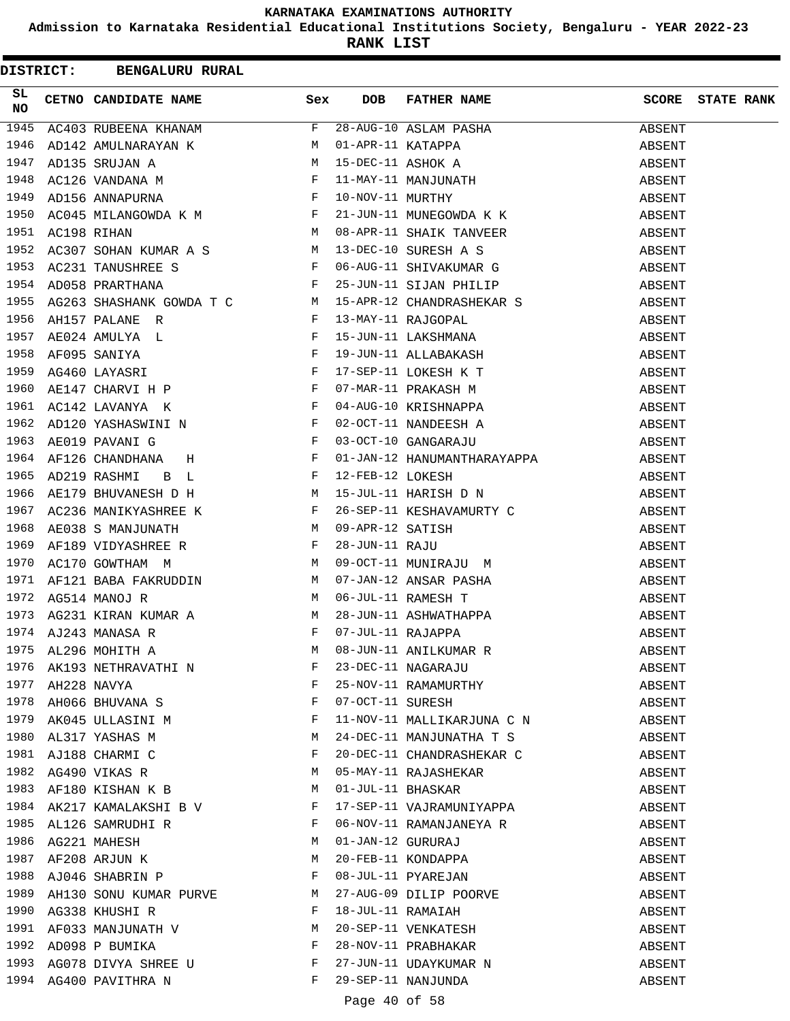**Admission to Karnataka Residential Educational Institutions Society, Bengaluru - YEAR 2022-23**

**RANK LIST**

|          |                  | <b>DISTRICT: BENGALURU RURAL</b>                                                                                                                                                                                                              |              |                  |                                                                                                                                                                                                                                                             |              |                   |
|----------|------------------|-----------------------------------------------------------------------------------------------------------------------------------------------------------------------------------------------------------------------------------------------|--------------|------------------|-------------------------------------------------------------------------------------------------------------------------------------------------------------------------------------------------------------------------------------------------------------|--------------|-------------------|
| SL<br>NO |                  | CETNO CANDIDATE NAME                                                                                                                                                                                                                          | Sex          | <b>DOB</b>       | FATHER NAME                                                                                                                                                                                                                                                 | <b>SCORE</b> | <b>STATE RANK</b> |
| 1945     |                  | $AC403$ RUBEENA KHANAM F                                                                                                                                                                                                                      |              |                  | 28-AUG-10 ASLAM PASHA<br>01-APR-11 KATAPPA<br>15-DEC-11 ASHOK A<br>11-MAY-11 MANJUNATH<br>10-NOV-11 MURTHY<br>21-JUN-11 MUNEGOWDA K K<br>08-APR-11 SUAIK TANGERY                                                                                            | ABSENT       |                   |
| 1946     |                  |                                                                                                                                                                                                                                               |              |                  |                                                                                                                                                                                                                                                             | ABSENT       |                   |
| 1947     |                  |                                                                                                                                                                                                                                               |              |                  |                                                                                                                                                                                                                                                             | ABSENT       |                   |
| 1948     |                  | AD142 AMULNARAYAN K M<br>AD135 SRUJAN A M<br>AC126 VANDANA M F<br>AD156 ANNAPURNA F                                                                                                                                                           |              |                  |                                                                                                                                                                                                                                                             | ABSENT       |                   |
| 1949     |                  |                                                                                                                                                                                                                                               |              |                  |                                                                                                                                                                                                                                                             | ABSENT       |                   |
| 1950     |                  | AC045 MILANGOWDA K M F                                                                                                                                                                                                                        |              |                  |                                                                                                                                                                                                                                                             | ABSENT       |                   |
| 1951     | AC198 RIHAN      | AC198 RIHAN<br>AC307 SOHAN KUMAR A S<br>AC307 SOHAN KUMAR A S<br>AC231 TANUSHREE S<br>F 06-AUG-11 SHIVAKUMAR G                                                                                                                                |              |                  |                                                                                                                                                                                                                                                             | ABSENT       |                   |
| 1952     |                  |                                                                                                                                                                                                                                               |              |                  |                                                                                                                                                                                                                                                             | ABSENT       |                   |
| 1953     |                  |                                                                                                                                                                                                                                               |              |                  |                                                                                                                                                                                                                                                             | ABSENT       |                   |
| 1954     |                  | $\mathbf{F}$<br>AD058 PRARTHANA                                                                                                                                                                                                               |              |                  | 25-JUN-11 SIJAN PHILIP                                                                                                                                                                                                                                      | ABSENT       |                   |
| 1955     |                  | AG263 SHASHANK GOWDA T C<br>AH157 PALANE R<br>PRESERVE R                                                                                                                                                                                      |              |                  | 25-JUN-11 SIJAN PHILIP<br>15-APR-12 CHANDRASHEKAR S<br>13-MAY-11 RAJGOPAL<br>15-JUN-11 LAKSHMANA<br>19-JUN-11 ALLABAKASH<br>17-SEP-11 LOKESH K T<br>07-MAR-11 PRAKASH M<br>04-AUG-10 KRISHNAPPA<br>02-OCT-11 NANDEESH A<br>03-OCT-10 GANGARAJU<br>01-JAN-12 | ABSENT       |                   |
| 1956     |                  |                                                                                                                                                                                                                                               |              |                  |                                                                                                                                                                                                                                                             | ABSENT       |                   |
| 1957     |                  | AE024 AMULYA L<br>AF095 SANIYA F<br>AG460 LAYASRI F<br>AE147 CHARVI H P F                                                                                                                                                                     |              |                  |                                                                                                                                                                                                                                                             | ABSENT       |                   |
| 1958     |                  |                                                                                                                                                                                                                                               |              |                  |                                                                                                                                                                                                                                                             | ABSENT       |                   |
| 1959     |                  |                                                                                                                                                                                                                                               |              |                  |                                                                                                                                                                                                                                                             | ABSENT       |                   |
| 1960     |                  |                                                                                                                                                                                                                                               |              |                  |                                                                                                                                                                                                                                                             | ABSENT       |                   |
| 1961     |                  | $\mathbf{F}$ and $\mathbf{F}$ and $\mathbf{F}$<br>AC142 LAVANYA K                                                                                                                                                                             |              |                  |                                                                                                                                                                                                                                                             | ABSENT       |                   |
| 1962     |                  |                                                                                                                                                                                                                                               |              |                  |                                                                                                                                                                                                                                                             | ABSENT       |                   |
| 1963     |                  | AD120 YASHASWINI N<br>AE019 PAVANI G<br>F                                                                                                                                                                                                     |              |                  |                                                                                                                                                                                                                                                             | ABSENT       |                   |
| 1964     |                  | $\mathbf{F}$<br>AF126 CHANDHANA H                                                                                                                                                                                                             |              |                  | 01-JAN-12 HANUMANTHARAYAPPA                                                                                                                                                                                                                                 | ABSENT       |                   |
| 1965     |                  |                                                                                                                                                                                                                                               |              |                  |                                                                                                                                                                                                                                                             | ABSENT       |                   |
| 1966     |                  |                                                                                                                                                                                                                                               |              |                  |                                                                                                                                                                                                                                                             | ABSENT       |                   |
| 1967     |                  |                                                                                                                                                                                                                                               |              |                  |                                                                                                                                                                                                                                                             | ABSENT       |                   |
| 1968     |                  |                                                                                                                                                                                                                                               |              |                  |                                                                                                                                                                                                                                                             | ABSENT       |                   |
| 1969     |                  | AF126 CHANDHANA H<br>AD219 RASHMI B L<br>AE179 BHUVANESH D H<br>AC236 MANIKYASHREE K<br>AE038 S MANIJUNATH M US-JUL-11 HARISH D N<br>AC236 MANIKYASHREE K<br>F 26-SEP-11 KESHAVAMURTY C<br>AE038 S MANJUNATH M 09-APR-12 SATISH<br>AF189 VIDY |              |                  |                                                                                                                                                                                                                                                             | ABSENT       |                   |
| 1970     |                  |                                                                                                                                                                                                                                               |              |                  |                                                                                                                                                                                                                                                             | ABSENT       |                   |
| 1971     |                  |                                                                                                                                                                                                                                               |              |                  |                                                                                                                                                                                                                                                             | ABSENT       |                   |
| 1972     |                  |                                                                                                                                                                                                                                               |              |                  |                                                                                                                                                                                                                                                             | ABSENT       |                   |
| 1973     |                  |                                                                                                                                                                                                                                               |              |                  |                                                                                                                                                                                                                                                             | ABSENT       |                   |
|          |                  | 1974 AJ243 MANASA R                                                                                                                                                                                                                           |              |                  |                                                                                                                                                                                                                                                             | ABSENT       |                   |
| 1975     |                  |                                                                                                                                                                                                                                               |              |                  |                                                                                                                                                                                                                                                             | ABSENT       |                   |
| 1976     |                  |                                                                                                                                                                                                                                               |              |                  |                                                                                                                                                                                                                                                             | ABSENT       |                   |
|          | 1977 AH228 NAVYA | AL296 MOHITH A<br>AK193 NETHRAVATHI NF<br>AH228 NAVYAFI                                                                                                                                                                                       |              |                  | 08-JUN-11 ANILKUMAR R<br>23-DEC-11 NAGARAJU<br>25-NOV-11 RAMAMURTHY                                                                                                                                                                                         | ABSENT       |                   |
|          |                  | 1978 AH066 BHUVANA S $$\rm F$$                                                                                                                                                                                                                |              | 07-OCT-11 SURESH |                                                                                                                                                                                                                                                             | ABSENT       |                   |
|          |                  | 1979 AK045 ULLASINI M                                                                                                                                                                                                                         | $\mathbf{F}$ |                  | 11-NOV-11 MALLIKARJUNA C N                                                                                                                                                                                                                                  | ABSENT       |                   |
| 1980     |                  | $\mathbf M$<br>AL317 YASHAS M                                                                                                                                                                                                                 |              |                  | 24-DEC-11 MANJUNATHA T S                                                                                                                                                                                                                                    | ABSENT       |                   |
| 1981     |                  | AJ188 CHARMI C                                                                                                                                                                                                                                | F            |                  | 20-DEC-11 CHANDRASHEKAR C                                                                                                                                                                                                                                   | ABSENT       |                   |
|          |                  | 1982 AG490 VIKAS R                                                                                                                                                                                                                            | М            |                  |                                                                                                                                                                                                                                                             | ABSENT       |                   |
|          |                  | 1983 AF180 KISHAN K B                                                                                                                                                                                                                         | M            |                  | 05-MAY-11 RAJASHEKAR<br>01-JUL-11 BHASKAR                                                                                                                                                                                                                   | ABSENT       |                   |
|          |                  | 1984 AK217 KAMALAKSHI B V F                                                                                                                                                                                                                   |              |                  | 17-SEP-11 VAJRAMUNIYAPPA                                                                                                                                                                                                                                    | ABSENT       |                   |
|          |                  | 1985 AL126 SAMRUDHI R F                                                                                                                                                                                                                       |              |                  | 06-NOV-11 RAMANJANEYA R                                                                                                                                                                                                                                     | ABSENT       |                   |
|          |                  |                                                                                                                                                                                                                                               |              |                  |                                                                                                                                                                                                                                                             | ABSENT       |                   |
|          |                  | 1986 AG221 MAHESH M<br>1987 AF208 ARJUN K M                                                                                                                                                                                                   |              |                  |                                                                                                                                                                                                                                                             | ABSENT       |                   |
| 1988     |                  | AJ046 SHABRIN P $F$                                                                                                                                                                                                                           |              |                  | 01-JAN-12 GURURAJ<br>20-FEB-11 KONDAPPA<br>08-JUL-11 PYAREJAN                                                                                                                                                                                               | ABSENT       |                   |
| 1989     |                  | AH130 SONU KUMAR PURVE M                                                                                                                                                                                                                      |              |                  | 27-AUG-09 DILIP POORVE                                                                                                                                                                                                                                      | ABSENT       |                   |
| 1990     |                  | $\mathbf{F}$<br>AG338 KHUSHI R                                                                                                                                                                                                                |              |                  |                                                                                                                                                                                                                                                             | ABSENT       |                   |
|          |                  |                                                                                                                                                                                                                                               |              |                  |                                                                                                                                                                                                                                                             | ABSENT       |                   |
|          |                  | 1991 AF033 MANJUNATH V $M$ 1992 AD098 P BUMIKA F                                                                                                                                                                                              |              |                  | 18-JUL-11 RAMAIAH<br>20-SEP-11 VENKATESH<br>28-NOV-11 PRABHAKAR                                                                                                                                                                                             | ABSENT       |                   |
|          |                  | 1993 AG078 DIVYA SHREE U F                                                                                                                                                                                                                    |              |                  | 27-JUN-11 UDAYKUMAR N                                                                                                                                                                                                                                       | ABSENT       |                   |
|          |                  | 1994 AG400 PAVITHRA N                                                                                                                                                                                                                         | $F -$        |                  | 29-SEP-11 NANJUNDA                                                                                                                                                                                                                                          | ABSENT       |                   |
|          |                  |                                                                                                                                                                                                                                               |              |                  |                                                                                                                                                                                                                                                             |              |                   |

Page 40 of 58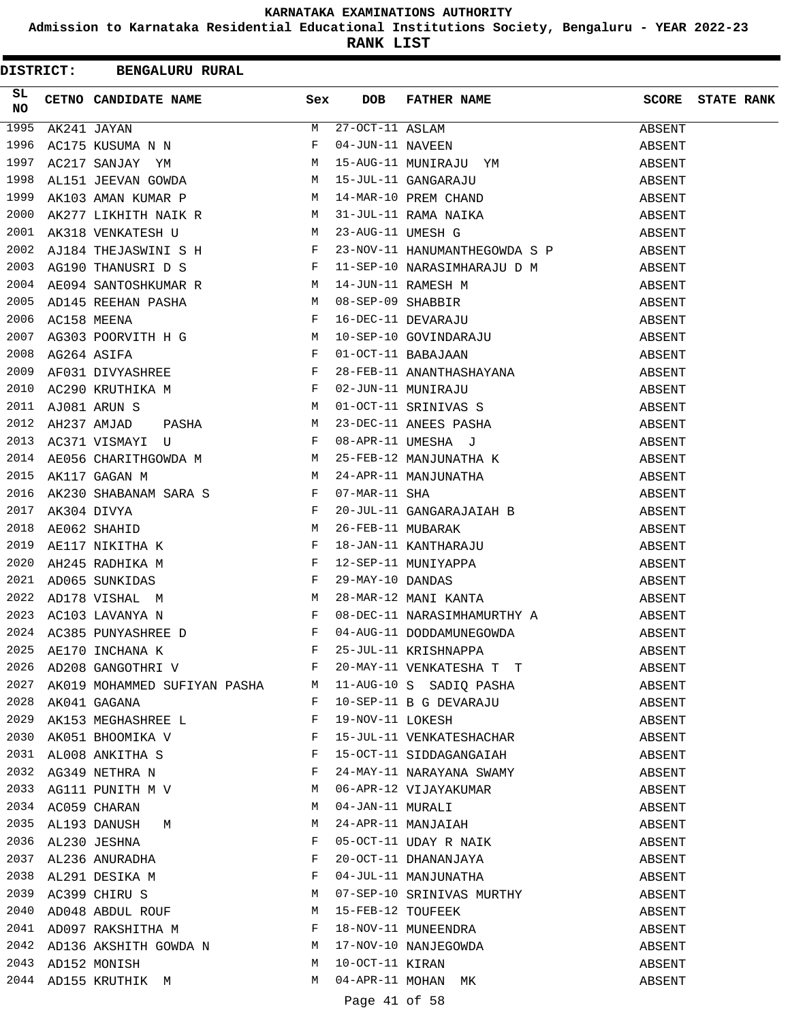**Admission to Karnataka Residential Educational Institutions Society, Bengaluru - YEAR 2022-23**

|           |                  | DISTRICT: BENGALURU RURAL                                                          |              |               |                                                                       |        |                         |
|-----------|------------------|------------------------------------------------------------------------------------|--------------|---------------|-----------------------------------------------------------------------|--------|-------------------------|
| SL<br>NO. |                  | <b>Sex</b><br>CETNO CANDIDATE NAME                                                 |              | <b>DOB</b>    | FATHER NAME                                                           |        | <b>SCORE</b> STATE RANK |
|           |                  |                                                                                    |              |               |                                                                       |        |                         |
|           |                  |                                                                                    |              |               |                                                                       |        |                         |
|           |                  |                                                                                    |              |               |                                                                       |        |                         |
|           |                  |                                                                                    |              |               |                                                                       |        |                         |
|           |                  |                                                                                    |              |               |                                                                       |        |                         |
|           |                  |                                                                                    |              |               |                                                                       |        |                         |
|           |                  |                                                                                    |              |               |                                                                       |        |                         |
| 2002      |                  | AJ184 THEJASWINI S H F 23-NOV-11 HANUMANTHEGOWDA S P ABSENT                        |              |               |                                                                       |        |                         |
|           |                  |                                                                                    |              |               |                                                                       |        |                         |
|           |                  |                                                                                    |              |               |                                                                       |        |                         |
|           |                  |                                                                                    |              |               |                                                                       |        |                         |
|           |                  |                                                                                    |              |               |                                                                       |        |                         |
|           |                  |                                                                                    |              |               |                                                                       |        |                         |
|           |                  |                                                                                    |              |               |                                                                       |        |                         |
|           |                  |                                                                                    |              |               |                                                                       |        |                         |
|           |                  |                                                                                    |              |               |                                                                       |        |                         |
|           |                  | 2011 AJ081 ARUN S                                                                  |              |               |                                                                       | ABSENT |                         |
| 2012      |                  |                                                                                    |              |               |                                                                       | ABSENT |                         |
| 2013      |                  |                                                                                    |              |               |                                                                       | ABSENT |                         |
| 2014      |                  |                                                                                    |              |               |                                                                       | ABSENT |                         |
| 2015      |                  |                                                                                    |              |               |                                                                       | ABSENT |                         |
| 2016      |                  |                                                                                    |              |               |                                                                       |        |                         |
|           | 2017 AK304 DIVYA |                                                                                    |              |               |                                                                       |        |                         |
| 2018      |                  |                                                                                    |              |               |                                                                       |        |                         |
| 2019      |                  |                                                                                    |              |               |                                                                       |        |                         |
| 2020      |                  |                                                                                    |              |               |                                                                       |        |                         |
| 2021      |                  |                                                                                    |              |               |                                                                       |        |                         |
| 2022      |                  |                                                                                    |              |               |                                                                       |        |                         |
| 2023      |                  |                                                                                    |              |               |                                                                       |        |                         |
|           |                  | 2024 AC385 PUNYASHREE D                                                            |              |               | 04-AUG-11 DODDAMUNEGOWDA                                              | ABSENT |                         |
| 2025      |                  | AE170 INCHANA K                                                                    | F            |               |                                                                       | ABSENT |                         |
| 2026      |                  | AD208 GANGOTHRI V F                                                                |              |               | 25-JUL-11 KRISHNAPPA                                                  | ABSENT |                         |
|           |                  |                                                                                    |              |               | 20-MAY-11 VENKATESHA T T                                              |        |                         |
|           |                  | 2027 AK019 MOHAMMED SUFIYAN PASHA M 11-AUG-10 S SADIQ PASHA<br>2028 AK041 GAGANA   | $\mathbf{F}$ |               |                                                                       | ABSENT |                         |
|           |                  | 2029 AK153 MEGHASHREE L                                                            | $\mathbf{F}$ |               | 10-SEP-11 B G DEVARAJU<br>19-NOV-11 LOKESH                            | ABSENT |                         |
|           |                  |                                                                                    |              |               | 19-NOV-11 LOKESH<br>15-JUL-11 VENKATESHACHAR                          | ABSENT |                         |
| 2030      |                  | AK051 BHOOMIKA V F<br>2031 AL008 ANKITHA S                                         |              |               |                                                                       | ABSENT |                         |
|           |                  |                                                                                    |              |               | 15-OCT-11 SIDDAGANGAIAH                                               | ABSENT |                         |
|           |                  | 2032 AG349 NETHRA N $$\rm F$$                                                      |              |               | 24-MAY-11 NARAYANA SWAMY                                              | ABSENT |                         |
|           |                  | 2033 AG111 PUNITH M V                                                              | M            |               | 06-APR-12 VIJAYAKUMAR<br>04-JAN-11 MURALI<br>24-APR-11 MANJAIAH       | ABSENT |                         |
|           |                  | 2034 AC059 CHARAN                                                                  | M            |               |                                                                       | ABSENT |                         |
|           |                  | 2035 AL193 DANUSH M                                                                | M            |               |                                                                       | ABSENT |                         |
|           |                  |                                                                                    |              |               | 05-OCT-11 UDAY R NAIK<br>20-OCT-11 DHANANJAYA                         | ABSENT |                         |
|           |                  |                                                                                    |              |               |                                                                       | ABSENT |                         |
|           |                  | 2036 AL230 JESHNA F<br>2037 AL236 ANURADHA F<br>2038 AL291 DESIKA M<br>2030 1938 L |              |               | 04-JUL-11 MANJUNATHA                                                  | ABSENT |                         |
|           |                  | 2039 AC399 CHIRU S M                                                               |              |               | 07-SEP-10 SRINIVAS MURTHY<br>15-FEB-12 TOUFEEK<br>18-NOV-11 MUNEENDRA | ABSENT |                         |
|           |                  | 2040 AD048 ABDUL ROUF M                                                            |              |               |                                                                       | ABSENT |                         |
|           |                  | 2041 AD097 RAKSHITHA M                                                             |              |               |                                                                       | ABSENT |                         |
|           |                  | 2042 AD136 AKSHITH GOWDA N M 17-NOV-10 NANJEGOWDA                                  |              |               |                                                                       | ABSENT |                         |
|           |                  | M<br>2043 AD152 MONISH                                                             |              |               | 10-OCT-11 KIRAN<br>04-APR-11 MOHAN MK                                 | ABSENT |                         |
|           |                  | 2044 AD155 KRUTHIK M                                                               | M            |               |                                                                       | ABSENT |                         |
|           |                  |                                                                                    |              | Page 41 of 58 |                                                                       |        |                         |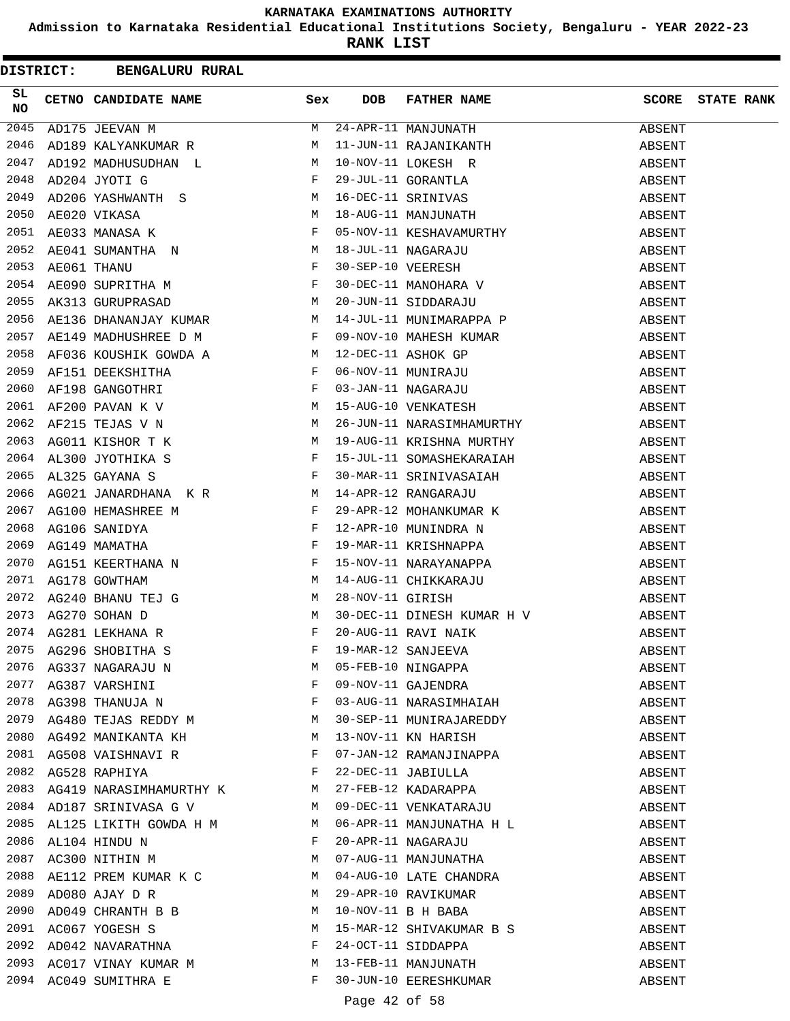**Admission to Karnataka Residential Educational Institutions Society, Bengaluru - YEAR 2022-23**

|                 |  | <b>DISTRICT: BENGALURU RURAL</b>                                                                                  |     |               |                                                                                                                              |              |                   |
|-----------------|--|-------------------------------------------------------------------------------------------------------------------|-----|---------------|------------------------------------------------------------------------------------------------------------------------------|--------------|-------------------|
| SL<br><b>NO</b> |  | CETNO CANDIDATE NAME                                                                                              | Sex | <b>DOB</b>    | FATHER NAME                                                                                                                  | <b>SCORE</b> | <b>STATE RANK</b> |
| 2045            |  | AD175 JEEVAN M                                                                                                    | M   |               | 24-APR-11 MANJUNATH<br>11-JUN-11 RAJANIKANTH                                                                                 | ABSENT       |                   |
| 2046            |  | AD189 KALYANKUMAR R M                                                                                             |     |               |                                                                                                                              | ABSENT       |                   |
| 2047            |  | AD192 MADHUSUDHAN L M                                                                                             |     |               |                                                                                                                              | ABSENT       |                   |
| 2048            |  | $\mathbb F$<br>AD204 JYOTI G                                                                                      |     |               | 10-NOV-11 LOKESH R<br>29-JUL-11 GORANTLA<br>16-DEC-11 SRINIVAS<br>18-AUG-11 MANJUNATH                                        | ABSENT       |                   |
| 2049            |  | AD206 YASHWANTH S M                                                                                               |     |               |                                                                                                                              | ABSENT       |                   |
| 2050            |  | AE020 VIKASA M<br>AE033 MANASA K F F F<br>AE041 SUMANTHA N M<br>AE061 THANU F                                     |     |               |                                                                                                                              | ABSENT       |                   |
| 2051            |  |                                                                                                                   |     |               | 05-NOV-11 KESHAVAMURTHY                                                                                                      | ABSENT       |                   |
| 2052            |  |                                                                                                                   |     |               |                                                                                                                              | ABSENT       |                   |
| 2053            |  |                                                                                                                   |     |               | 18-JUL-11 NAGARAJU<br>30-SEP-10 VEERESH<br>30-DEC-11 MANOHARA V<br>20-JUN-11 SIDDARAJU<br>14-JUL-11 MUNIMARAPPA P            | ABSENT       |                   |
| 2054            |  | AE090 SUPRITHA M F                                                                                                |     |               |                                                                                                                              | ABSENT       |                   |
| 2055            |  | $\mathbf M$<br>AK313 GURUPRASAD                                                                                   |     |               |                                                                                                                              | ABSENT       |                   |
| 2056            |  | AE136 DHANANJAY KUMAR M                                                                                           |     |               |                                                                                                                              | ABSENT       |                   |
| 2057            |  | AE149 MADHUSHREE D M F                                                                                            |     |               | 09-NOV-10 MAHESH KUMAR                                                                                                       | ABSENT       |                   |
| 2058            |  | AF036 KOUSHIK GOWDA A<br>AF151 DEEKSHITHA<br>AF198 GANGOTHRI F<br>AF200 PAVAN K V M<br>AF200 PAVAN K V M          |     |               | 12-DEC-11 ASHOK GP<br>06-NOV-11 MUNIRAJU<br>03-JAN-11 NAGARAJU<br>15-AUG-10 VENKATESH                                        | ABSENT       |                   |
| 2059            |  |                                                                                                                   |     |               |                                                                                                                              | ABSENT       |                   |
| 2060            |  |                                                                                                                   |     |               |                                                                                                                              | ABSENT       |                   |
| 2061            |  |                                                                                                                   |     |               |                                                                                                                              | ABSENT       |                   |
| 2062            |  | AF215 TEJAS V N M                                                                                                 |     |               | 26-JUN-11 NARASIMHAMURTHY                                                                                                    | ABSENT       |                   |
| 2063            |  |                                                                                                                   |     |               | 19-AUG-11 KRISHNA MURTHY                                                                                                     | ABSENT       |                   |
| 2064            |  |                                                                                                                   |     |               | 15-JUL-11 SOMASHEKARAIAH                                                                                                     | ABSENT       |                   |
| 2065            |  | AG011 KISHOR T K<br>AL300 JYOTHIKA S F<br>AL325 GAYANA S F                                                        |     |               | 30-MAR-11 SRINIVASAIAH                                                                                                       | ABSENT       |                   |
| 2066            |  | AG021 JANARDHANA K R M                                                                                            |     |               | 14-APR-12 RANGARAJU<br>29-APR-12 MOHANKUMAR K                                                                                | ABSENT       |                   |
| 2067            |  | AG100 HEMASHREE M                                                                                                 |     |               |                                                                                                                              | ABSENT       |                   |
| 2068            |  | AG106 SANIDYA                                                                                                     |     |               | 12-APR-10 MUNINDRA N                                                                                                         | ABSENT       |                   |
| 2069            |  | AG149 MAMATHA                                                                                                     |     |               | 19-MAR-11 KRISHNAPPA                                                                                                         | ABSENT       |                   |
| 2070            |  |                                                                                                                   |     |               | 15-NOV-11 NARAYANAPPA                                                                                                        | ABSENT       |                   |
| 2071            |  | AG149 MAMAIRA<br>AG151 KEERTHANA N<br>AG178 GOWTHAM<br>AG240 BHANU TEJ G<br>AG270 SOHAN D<br>AG281 LEKHANA R<br>F |     |               | 14-AUG-11 CHIKKARAJU<br>28-NOV-11 GIRISH                                                                                     | ABSENT       |                   |
| 2072            |  |                                                                                                                   |     |               |                                                                                                                              | ABSENT       |                   |
| 2073            |  |                                                                                                                   |     |               | 30-DEC-11 DINESH KUMAR H V                                                                                                   | ABSENT       |                   |
|                 |  | 2074 AG281 LEKHANA R                                                                                              |     |               | 20-AUG-11 RAVI NAIK                                                                                                          | ABSENT       |                   |
|                 |  | 2075 AG296 SHOBITHA S<br>2076 AG337 NAGARAJU N M<br>2077 AG387 VARSHINI F<br>2078 AG398 THANUJA N F               |     |               | 19-MAR-12 SANJEEVA<br>05-FEB-10 NINGAPPA<br>09-NOV-11 GAJENDRA<br>03-AUG-11 NARACTICLE                                       | ABSENT       |                   |
|                 |  |                                                                                                                   | M   |               |                                                                                                                              | ABSENT       |                   |
|                 |  |                                                                                                                   |     |               |                                                                                                                              | ABSENT       |                   |
|                 |  |                                                                                                                   |     |               | 03-AUG-11 NARASIMHAIAH                                                                                                       | ABSENT       |                   |
|                 |  | 2079 AG480 TEJAS REDDY M                                                                                          |     |               | 30-SEP-11 MUNIRAJAREDDY                                                                                                      | ABSENT       |                   |
|                 |  | 2080 AG492 MANIKANTA KH                                                                                           | M   |               | 13-NOV-11 KN HARISH                                                                                                          | ABSENT       |                   |
|                 |  | 2081 AG508 VAISHNAVI R                                                                                            |     |               | 07-JAN-12 RAMANJINAPPA                                                                                                       | ABSENT       |                   |
|                 |  |                                                                                                                   |     |               | 2082 AG528 RAPHIYA<br>2083 AG419 NARASIMHAMURTHY K M 27-FEB-12 KADARAPPA<br>2084 AD187 SRINIVASA G V M 09-DEC-11 VENKATARAJU | ABSENT       |                   |
|                 |  |                                                                                                                   |     |               |                                                                                                                              | ABSENT       |                   |
|                 |  |                                                                                                                   |     |               |                                                                                                                              | ABSENT       |                   |
|                 |  | 2085 AL125 LIKITH GOWDA H M                                                                                       |     |               | 06-APR-11 MANJUNATHA H L                                                                                                     | ABSENT       |                   |
|                 |  | $\mathbf{F}$<br>2086 AL104 HINDU N                                                                                |     |               |                                                                                                                              | ABSENT       |                   |
|                 |  | M <sub>N</sub><br>2087 AC300 NITHIN M                                                                             |     |               |                                                                                                                              | ABSENT       |                   |
| 2088            |  | AE112 PREM KUMAR K C M                                                                                            |     |               | -- MAGARAJU<br>07-AUG-11 MANJUNATHA<br>04-AUG-10 LATE CHANDRE                                                                | ABSENT       |                   |
| 2089            |  | AD080 AJAY D R                                                                                                    | M   |               | 29-APR-10 RAVIKUMAR                                                                                                          | ABSENT       |                   |
| 2090            |  | AD049 CHRANTH B B                                                                                                 | M   |               | 10-NOV-11 B H BABA                                                                                                           | ABSENT       |                   |
|                 |  | 2091 AC067 YOGESH S<br>2092 AD042 NAVARATHNA                                                                      | M   |               | 15-MAR-12 SHIVAKUMAR B S                                                                                                     | ABSENT       |                   |
|                 |  |                                                                                                                   | F   |               | 24-OCT-11 SIDDAPPA                                                                                                           | ABSENT       |                   |
|                 |  | 2093 AC017 VINAY KUMAR M                                                                                          |     |               | 13-FEB-11 MANJUNATH                                                                                                          | ABSENT       |                   |
|                 |  | 2094 AC049 SUMITHRA E                                                                                             | F   |               | 30-JUN-10 EERESHKUMAR                                                                                                        | ABSENT       |                   |
|                 |  |                                                                                                                   |     | Page 42 of 58 |                                                                                                                              |              |                   |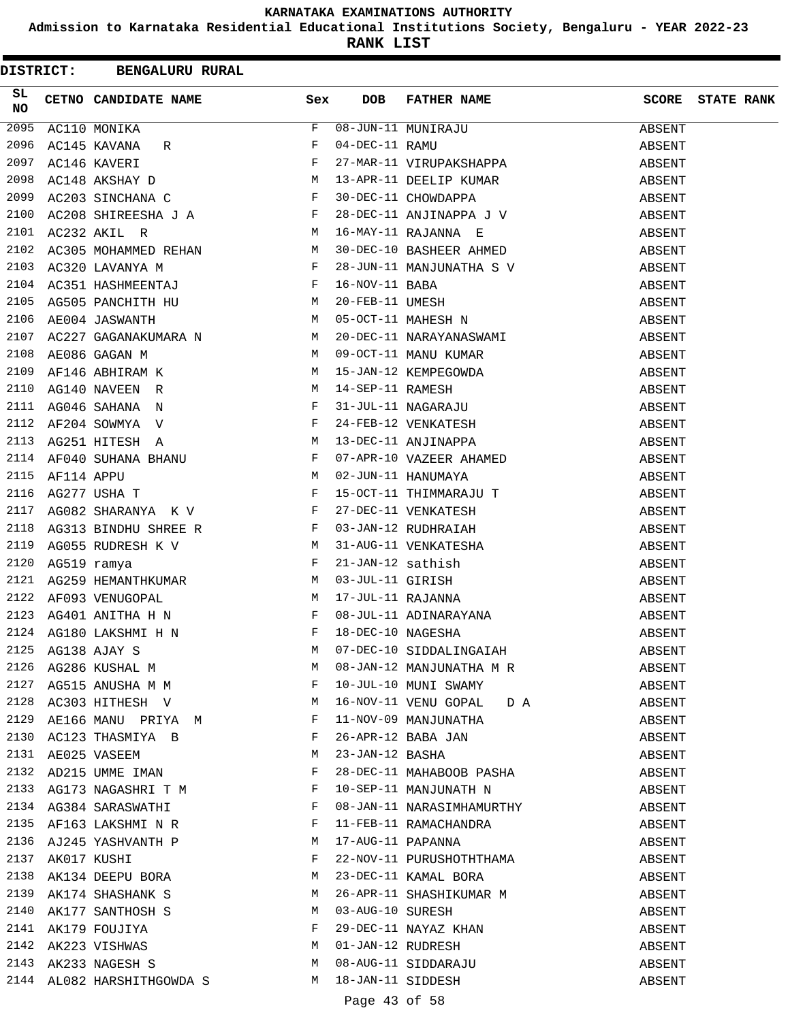**Admission to Karnataka Residential Educational Institutions Society, Bengaluru - YEAR 2022-23**

**RANK LIST**

|                 |  | DISTRICT: BENGALURU RURAL                                                                                                                                                                                                                        |              |                   |                                                                                                                                      |              |                   |
|-----------------|--|--------------------------------------------------------------------------------------------------------------------------------------------------------------------------------------------------------------------------------------------------|--------------|-------------------|--------------------------------------------------------------------------------------------------------------------------------------|--------------|-------------------|
| SL<br><b>NO</b> |  | CETNO CANDIDATE NAME Sex                                                                                                                                                                                                                         |              | DOB               | FATHER NAME                                                                                                                          | <b>SCORE</b> | <b>STATE RANK</b> |
| 2095            |  | AC110 MONIKA<br>$\begin{array}{c} \begin{array}{ccc} & & & \text{F} \\ \text{R} & & & \text{F} \\ & & \text{F} \\ & & \text{F} \\ \text{C} & & & \text{F} \end{array} \\ \text{C} & & & \text{F} \end{array}$                                    |              |                   | 08-JUN-11 MUNIRAJU<br>04-DEC-11 RAMU<br>27-MAR-11 VIRUPAKSHAPPA                                                                      | ABSENT       |                   |
| 2096            |  | AC145 KAVANA<br>R                                                                                                                                                                                                                                |              |                   |                                                                                                                                      | ABSENT       |                   |
| 2097            |  | AC146 KAVERI                                                                                                                                                                                                                                     |              |                   |                                                                                                                                      | ABSENT       |                   |
| 2098            |  | AC148 AKSHAY D                                                                                                                                                                                                                                   |              |                   | 13-APR-11 DEELIP KUMAR<br>30-DEC-11 CHOWDAPPA                                                                                        | ABSENT       |                   |
| 2099            |  | AC203 SINCHANA C                                                                                                                                                                                                                                 |              |                   |                                                                                                                                      | ABSENT       |                   |
| 2100            |  | $AC208$ SHIREESHA J A<br>$AC222$ $NFI$ $R$                                                                                                                                                                                                       |              |                   | $28-\text{DEC}-11$ ANJINAPPA J V<br>16 MAV 11 DAILYNA –                                                                              | ABSENT       |                   |
| 2101            |  | M<br>AC232 AKIL R                                                                                                                                                                                                                                |              |                   | 16-MAY-11 RAJANNA E                                                                                                                  | ABSENT       |                   |
| 2102            |  | ------ ----- --<br>AC305 MOHAMMED REHAN M                                                                                                                                                                                                        |              |                   | 30-DEC-10 BASHEER AHMED                                                                                                              | ABSENT       |                   |
| 2103            |  | $\mathbf{F}$ and $\mathbf{F}$ and $\mathbf{F}$<br>AC320 LAVANYA M                                                                                                                                                                                |              |                   | 28-JUN-11 MANJUNATHA S V<br>16-NOV-11 BABA<br>20-FEB-11 UMESH<br>05-OCT-11 MAHESH N                                                  | ABSENT       |                   |
| 2104            |  | AC351 HASHMEENTAJ $$\rm F$$                                                                                                                                                                                                                      |              |                   |                                                                                                                                      | ABSENT       |                   |
| 2105            |  | AG505 PANCHITH HU NAGSOS AN HURTA SHI MARARA NA MARARA NA MARARA NA MARARA NA MARARA NA MARARA NA MARARA NA MA<br>A MARARA NA MARARA NA MARARA NA MARARA NA MARARA NA MARARA NA MARARA NA MARARA NA MARARA NA MARARA NA MARARA N                 |              |                   |                                                                                                                                      | ABSENT       |                   |
| 2106            |  |                                                                                                                                                                                                                                                  |              |                   |                                                                                                                                      | ABSENT       |                   |
| 2107            |  | AC227 GAGANAKUMARA N M                                                                                                                                                                                                                           |              |                   | 20-DEC-11 NARAYANASWAMI                                                                                                              | ABSENT       |                   |
| 2108            |  | M<br>AE086 GAGAN M                                                                                                                                                                                                                               |              |                   |                                                                                                                                      | ABSENT       |                   |
| 2109            |  | AF146 ABHIRAM K<br>AG140 NAVEEN R M<br>AG046 SAHANA N F                                                                                                                                                                                          |              |                   | 09-OCT-11 MANU KUMAR<br>15-JAN-12 KEMPEGOWDA<br>14-SEP-11 RAMESH<br>31-JUL-11 NAGARAJU<br>24-FEB-12 VENKATESH<br>13-DEC-11 ANJINAPPA | ABSENT       |                   |
| 2110            |  |                                                                                                                                                                                                                                                  |              |                   |                                                                                                                                      | ABSENT       |                   |
| 2111            |  |                                                                                                                                                                                                                                                  |              |                   |                                                                                                                                      | ABSENT       |                   |
| 2112            |  | $\mathbf{F}$ and $\mathbf{F}$<br>AF204 SOWMYA V                                                                                                                                                                                                  |              |                   |                                                                                                                                      | ABSENT       |                   |
| 2113            |  |                                                                                                                                                                                                                                                  |              |                   |                                                                                                                                      | ABSENT       |                   |
| 2114            |  |                                                                                                                                                                                                                                                  |              |                   |                                                                                                                                      | ABSENT       |                   |
| 2115            |  | AG251 HITESH A M<br>AF040 SUHANA BHANU F<br>AF114 APPU M<br>AG277 USHA T                                                                                                                                                                         |              |                   | 07-APR-10 VAZEER AHAMED<br>02-JUN-11 HANUMAYA                                                                                        | ABSENT       |                   |
| 2116            |  |                                                                                                                                                                                                                                                  |              |                   | 15-OCT-11 THIMMARAJU T                                                                                                               | ABSENT       |                   |
| 2117            |  | $AG082 SHARANYA \quad K \ \ V \qquad \qquad F$                                                                                                                                                                                                   |              |                   |                                                                                                                                      | ABSENT       |                   |
| 2118            |  | AG313 BINDHU SHREE R $$\rm F$$                                                                                                                                                                                                                   |              |                   | 27-DEC-11 VENKATESH<br>03-JAN-12 RUDHRAIAH                                                                                           | ABSENT       |                   |
| 2119            |  | AG055 RUDRESH K V M                                                                                                                                                                                                                              |              |                   | 31-AUG-11 VENKATESHA                                                                                                                 | ABSENT       |                   |
| 2120            |  | $\mathbf{F}$ . The set of the set of the set of the set of the set of the set of the set of the set of the set of the set of the set of the set of the set of the set of the set of the set of the set of the set of the set of t<br>AG519 ramya |              |                   |                                                                                                                                      | ABSENT       |                   |
| 2121            |  |                                                                                                                                                                                                                                                  |              |                   | 21-JAN-12 sathish<br>03-JUL-11 GIRISH<br>17-JUL-11 RAJANNA<br>08-JUL-11 ADINARAYANA<br>18-DEC-10 NAGESHA                             | ABSENT       |                   |
| 2122            |  | AG259 HEMANTHKUMAR<br>AF093 VENUGOPAL M<br>AG401 ANITHA H N<br>AF093 VENUGOPAL                                                                                                                                                                   |              |                   |                                                                                                                                      | ABSENT       |                   |
| 2123            |  |                                                                                                                                                                                                                                                  |              |                   |                                                                                                                                      | ABSENT       |                   |
|                 |  | $\mathbf{F}$<br>2124 AG180 LAKSHMI H N                                                                                                                                                                                                           |              |                   |                                                                                                                                      | ABSENT       |                   |
|                 |  |                                                                                                                                                                                                                                                  |              |                   | 07-DEC-10 SIDDALINGAIAH                                                                                                              | ABSENT       |                   |
|                 |  | $\begin{tabular}{lllllllll} 2125 & AG138 & AJAY & S & & & M \\ 2126 & AG286 & KUSHAL & M & & & M \\ 2127 & AG515 & ANUSHA & M & M & & & F \\ \end{tabular}$                                                                                      | M            |                   | 08-JAN-12 MANJUNATHA M R                                                                                                             | ABSENT       |                   |
|                 |  |                                                                                                                                                                                                                                                  |              |                   | 10-JUL-10 MUNI SWAMY                                                                                                                 | ABSENT       |                   |
|                 |  | 2128 AC303 HITHESH V M                                                                                                                                                                                                                           |              |                   | 16-NOV-11 VENU GOPAL D A                                                                                                             | ABSENT       |                   |
|                 |  | 2129 AE166 MANU PRIYA $M$                                                                                                                                                                                                                        |              |                   | 11-NOV-09 MANJUNATHA                                                                                                                 | ABSENT       |                   |
|                 |  | 2130 AC123 THASMIYA B                                                                                                                                                                                                                            | $\mathbf{F}$ |                   | 26-APR-12 BABA JAN                                                                                                                   | ABSENT       |                   |
| 2131            |  | M <sub>N</sub><br>AE025 VASEEM                                                                                                                                                                                                                   |              | 23-JAN-12 BASHA   |                                                                                                                                      | ABSENT       |                   |
| 2132            |  | AD215 UMME IMAN                                                                                                                                                                                                                                  | F            |                   | 28-DEC-11 MAHABOOB PASHA                                                                                                             | ABSENT       |                   |
|                 |  | 2133 AG173 NAGASHRI T M                                                                                                                                                                                                                          | $\mathbf{F}$ |                   | 10-SEP-11 MANJUNATH N                                                                                                                | ABSENT       |                   |
|                 |  | 2134 AG384 SARASWATHI                                                                                                                                                                                                                            | F            |                   | 08-JAN-11 NARASIMHAMURTHY                                                                                                            | ABSENT       |                   |
|                 |  | 2135 AF163 LAKSHMI N R                                                                                                                                                                                                                           | F            |                   | 11-FEB-11 RAMACHANDRA                                                                                                                | ABSENT       |                   |
|                 |  |                                                                                                                                                                                                                                                  | M            |                   | 17-AUG-11 PAPANNA                                                                                                                    | ABSENT       |                   |
|                 |  |                                                                                                                                                                                                                                                  | F            |                   | 22-NOV-11 PURUSHOTHTHAMA                                                                                                             | ABSENT       |                   |
|                 |  | 2136 AJ245 YASHVANTH P<br>2137 AK017 KUSHI<br>2138 AK134 DEEPU BORA                                                                                                                                                                              | M            |                   | 23-DEC-11 KAMAL BORA                                                                                                                 | ABSENT       |                   |
| 2139            |  | AK174 SHASHANK S                                                                                                                                                                                                                                 | M            |                   | 26-APR-11 SHASHIKUMAR M                                                                                                              | ABSENT       |                   |
| 2140            |  | AK177 SANTHOSH S                                                                                                                                                                                                                                 | M            |                   | 03-AUG-10 SURESH                                                                                                                     | ABSENT       |                   |
|                 |  |                                                                                                                                                                                                                                                  | F            |                   |                                                                                                                                      | ABSENT       |                   |
|                 |  | 2141 AK179 FOUJIYA<br>2142 AK223 VISHWAS                                                                                                                                                                                                         | M            |                   | 29-DEC-11 NAYAZ KHAN<br>01-JAN-12 RUDRESH                                                                                            | ABSENT       |                   |
|                 |  | 2143 AK233 NAGESH S                                                                                                                                                                                                                              | M            |                   | 08-AUG-11 SIDDARAJU                                                                                                                  | ABSENT       |                   |
|                 |  | 2144 AL082 HARSHITHGOWDA S                                                                                                                                                                                                                       | M            | 18-JAN-11 SIDDESH |                                                                                                                                      | ABSENT       |                   |
|                 |  |                                                                                                                                                                                                                                                  |              |                   |                                                                                                                                      |              |                   |

# Page 43 of 58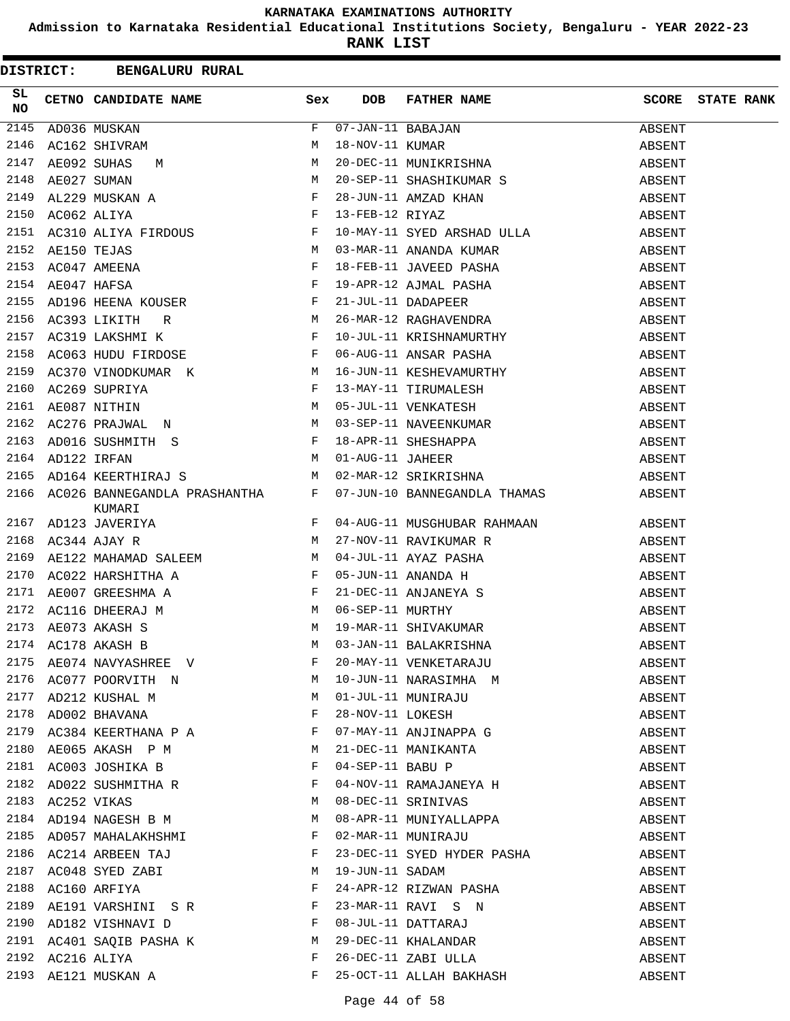**Admission to Karnataka Residential Educational Institutions Society, Bengaluru - YEAR 2022-23**

|                 |                  | DISTRICT: BENGALURU RURAL                                                                                                                                                                                                |              |                 |                                                                                                                                                                                        |        |                         |
|-----------------|------------------|--------------------------------------------------------------------------------------------------------------------------------------------------------------------------------------------------------------------------|--------------|-----------------|----------------------------------------------------------------------------------------------------------------------------------------------------------------------------------------|--------|-------------------------|
| SL<br><b>NO</b> |                  | CETNO CANDIDATE NAME Sex                                                                                                                                                                                                 |              | <b>DOB</b>      | FATHER NAME                                                                                                                                                                            |        | <b>SCORE</b> STATE RANK |
|                 |                  | THE MUSS MUSKAN F<br>2146 AC162 SHIVRAM M<br>2147 AE092 SUHAS M M M<br>2148 AE027 SUMAN M M<br>2149 AL229 MUSKAN A F<br>2150 AC062 ALIYA<br>2150 AC062 ALIYA FIRDOUS F<br>2151 AC310 ALIYA FIRDOUS F<br>2152 AE150 TEJAS |              |                 | 07-JAN-11 BABAJAN<br>18-NOV-11 KUMAR<br>20-DEC-11 MUNIKRISHNA<br>20-SEP-11 SHASHIKUMAR S                                                                                               | ABSENT |                         |
|                 |                  |                                                                                                                                                                                                                          |              |                 |                                                                                                                                                                                        | ABSENT |                         |
|                 |                  |                                                                                                                                                                                                                          |              |                 |                                                                                                                                                                                        | ABSENT |                         |
|                 |                  |                                                                                                                                                                                                                          |              |                 |                                                                                                                                                                                        | ABSENT |                         |
|                 |                  |                                                                                                                                                                                                                          |              |                 |                                                                                                                                                                                        | ABSENT |                         |
|                 |                  |                                                                                                                                                                                                                          |              |                 | 28-JUN-11 AMZAD KHAN<br>13-FEB-12 RIYAZ<br>10-MAY-11 SYED ARSHAD ULLA                                                                                                                  | ABSENT |                         |
|                 |                  |                                                                                                                                                                                                                          |              |                 |                                                                                                                                                                                        | ABSENT |                         |
|                 |                  |                                                                                                                                                                                                                          |              |                 | 03-MAR-11 ANANDA KUMAR                                                                                                                                                                 | ABSENT |                         |
| 2153            |                  | AE150 TEJAS<br>AC047 AMEENA<br>AE047 HAFSA<br>F                                                                                                                                                                          |              |                 | 18-FEB-11 JAVEED PASHA                                                                                                                                                                 | ABSENT |                         |
| 2154            |                  |                                                                                                                                                                                                                          |              |                 |                                                                                                                                                                                        | ABSENT |                         |
| 2155            |                  | AD196 HEENA KOUSER F<br>AC393 LIKITH R M<br>AC319 LAKSHMI K F                                                                                                                                                            |              |                 | 19-APR-12 AJMAL PASHA<br>21-JUL-11 DADAPEER<br>26-MAR-12 RAGHAVENDRA                                                                                                                   | ABSENT |                         |
| 2156            |                  |                                                                                                                                                                                                                          |              |                 |                                                                                                                                                                                        | ABSENT |                         |
|                 |                  | 2157 AC319 LAKSHMI K                                                                                                                                                                                                     |              |                 | 10-JUL-11 KRISHNAMURTHY                                                                                                                                                                | ABSENT |                         |
|                 |                  | 2158 AC063 HUDU FIRDOSE F                                                                                                                                                                                                |              |                 | 06-AUG-11 ANSAR PASHA                                                                                                                                                                  | ABSENT |                         |
|                 |                  | 2159 AC370 VINODKUMAR K                                                                                                                                                                                                  |              |                 | 16-JUN-11 KESHEVAMURTHY                                                                                                                                                                | ABSENT |                         |
| 2160            |                  | AC269 SUPRIYA F<br>AE087 NITHIN M                                                                                                                                                                                        |              |                 | 13-MAY-11 TIRUMALESH                                                                                                                                                                   | ABSENT |                         |
| 2161            |                  |                                                                                                                                                                                                                          |              |                 | 05-JUL-11 VENKATESH                                                                                                                                                                    | ABSENT |                         |
| 2162            |                  | AC276 PRAJWAL N M                                                                                                                                                                                                        |              |                 | 03-SEP-11 NAVEENKUMAR                                                                                                                                                                  | ABSENT |                         |
| 2163            |                  |                                                                                                                                                                                                                          |              |                 |                                                                                                                                                                                        | ABSENT |                         |
|                 | 2164 AD122 IRFAN | AD016 SUSHMITH S<br>AD122 IRFAN M 01-AUG-11 JAHEER                                                                                                                                                                       |              |                 |                                                                                                                                                                                        | ABSENT |                         |
| 2165            |                  | M <sub>N</sub><br>AD164 KEERTHIRAJ S                                                                                                                                                                                     |              |                 | 18-APR-11 SHESHAPPA<br>01-AUG-11 JAHEER<br>02-MAR-12 SRIKRISHNA                                                                                                                        | ABSENT |                         |
|                 |                  | 2166 AC026 BANNEGANDLA PRASHANTHA F<br>KUMARI                                                                                                                                                                            |              |                 | 07-JUN-10 BANNEGANDLA THAMAS ABSENT                                                                                                                                                    |        |                         |
|                 |                  |                                                                                                                                                                                                                          |              |                 | 04-AUG-11 MUSGHUBAR RAHMAAN                                                                                                                                                            | ABSENT |                         |
|                 |                  | E ADISSIMARIAN<br>2167 ADISSIMATE PROVINCE<br>2168 AC344 AJAY R                                                                                                                                                          |              |                 |                                                                                                                                                                                        | ABSENT |                         |
| 2169            |                  |                                                                                                                                                                                                                          |              |                 |                                                                                                                                                                                        | ABSENT |                         |
| 2170            |                  |                                                                                                                                                                                                                          |              |                 |                                                                                                                                                                                        | ABSENT |                         |
|                 |                  |                                                                                                                                                                                                                          |              |                 |                                                                                                                                                                                        | ABSENT |                         |
|                 |                  |                                                                                                                                                                                                                          |              |                 | 2171 AE007 GREESHMA A<br>2172 AC116 DHEERAJ M<br>2173 AE073 AKASH S M 19-MAR-11 SHIVAKUMAR<br>2174 AC178 AKASH B M 03-JAN-11 BALAKRISHNA<br>2174 AC178 AKASH B M 03-JAN-11 BALAKRISHNA | ABSENT |                         |
|                 |                  |                                                                                                                                                                                                                          |              |                 |                                                                                                                                                                                        | ABSENT |                         |
|                 |                  |                                                                                                                                                                                                                          |              |                 |                                                                                                                                                                                        | ABSENT |                         |
|                 |                  |                                                                                                                                                                                                                          |              |                 |                                                                                                                                                                                        | ABSENT |                         |
|                 |                  | 2176 AC077 POORVITH N M                                                                                                                                                                                                  |              |                 |                                                                                                                                                                                        | ABSENT |                         |
|                 |                  | 2177 AD212 KUSHAL M<br>2178 AD002 BHAVANA                                                                                                                                                                                | M            |                 | 10-JUN-11 NARASIMHA M<br>01-JUL-11 MUNIRAJU<br>28-NOV-11 LOKESH                                                                                                                        | ABSENT |                         |
|                 |                  |                                                                                                                                                                                                                          | $\mathbf{F}$ |                 |                                                                                                                                                                                        | ABSENT |                         |
|                 |                  | 2179 AC384 KEERTHANA P A F                                                                                                                                                                                               |              |                 | 07-MAY-11 ANJINAPPA G                                                                                                                                                                  | ABSENT |                         |
|                 |                  | 2180 AE065 AKASH P M M                                                                                                                                                                                                   |              |                 | 21-DEC-11 MANIKANTA<br>04-SEP-11 BABU P<br>04-NOV-11 RAMAJANEYA H                                                                                                                      | ABSENT |                         |
|                 |                  | 2181 AC003 JOSHIKA B $F$<br>2182 AD022 SUSHMITHA R $F$                                                                                                                                                                   |              |                 |                                                                                                                                                                                        | ABSENT |                         |
|                 |                  |                                                                                                                                                                                                                          |              |                 |                                                                                                                                                                                        | ABSENT |                         |
| 2183            |                  | AC252 VIKAS                                                                                                                                                                                                              | M            |                 | 08-DEC-11 SRINIVAS                                                                                                                                                                     | ABSENT |                         |
| 2184            |                  | AD194 NAGESH B M                                                                                                                                                                                                         | M            |                 | 08-APR-11 MUNIYALLAPPA                                                                                                                                                                 | ABSENT |                         |
|                 |                  | 2185 AD057 MAHALAKHSHMI                                                                                                                                                                                                  | $\mathbf{F}$ |                 | 02-MAR-11 MUNIRAJU                                                                                                                                                                     | ABSENT |                         |
|                 |                  | 2186 AC214 ARBEEN TAJ                                                                                                                                                                                                    | $\mathbf{F}$ |                 | 23-DEC-11 SYED HYDER PASHA                                                                                                                                                             | ABSENT |                         |
|                 |                  | 2187 AC048 SYED ZABI M                                                                                                                                                                                                   |              | 19-JUN-11 SADAM |                                                                                                                                                                                        | ABSENT |                         |
| 2188            |                  | $\overline{\mathbf{F}}$<br>AC160 ARFIYA                                                                                                                                                                                  |              |                 | 24-APR-12 RIZWAN PASHA                                                                                                                                                                 | ABSENT |                         |
|                 |                  | 2189 AE191 VARSHINI S R                                                                                                                                                                                                  | $\mathbf{F}$ |                 |                                                                                                                                                                                        | ABSENT |                         |
| 2190            |                  | AD182 VISHNAVI D                                                                                                                                                                                                         | F            |                 | 23-MAR-11 RAVI S N<br>08-JUL-11 DATTARAJ<br>29-DEC-11 KHALANDAR                                                                                                                        | ABSENT |                         |
|                 |                  | 2191 AC401 SAQIB PASHA K M                                                                                                                                                                                               |              |                 |                                                                                                                                                                                        | ABSENT |                         |
|                 |                  | 2192 AC216 ALIYA                                                                                                                                                                                                         | F            |                 | 26-DEC-11 ZABI ULLA                                                                                                                                                                    | ABSENT |                         |
|                 |                  | 2193 AE121 MUSKAN A                                                                                                                                                                                                      | F            |                 | 25-OCT-11 ALLAH BAKHASH                                                                                                                                                                | ABSENT |                         |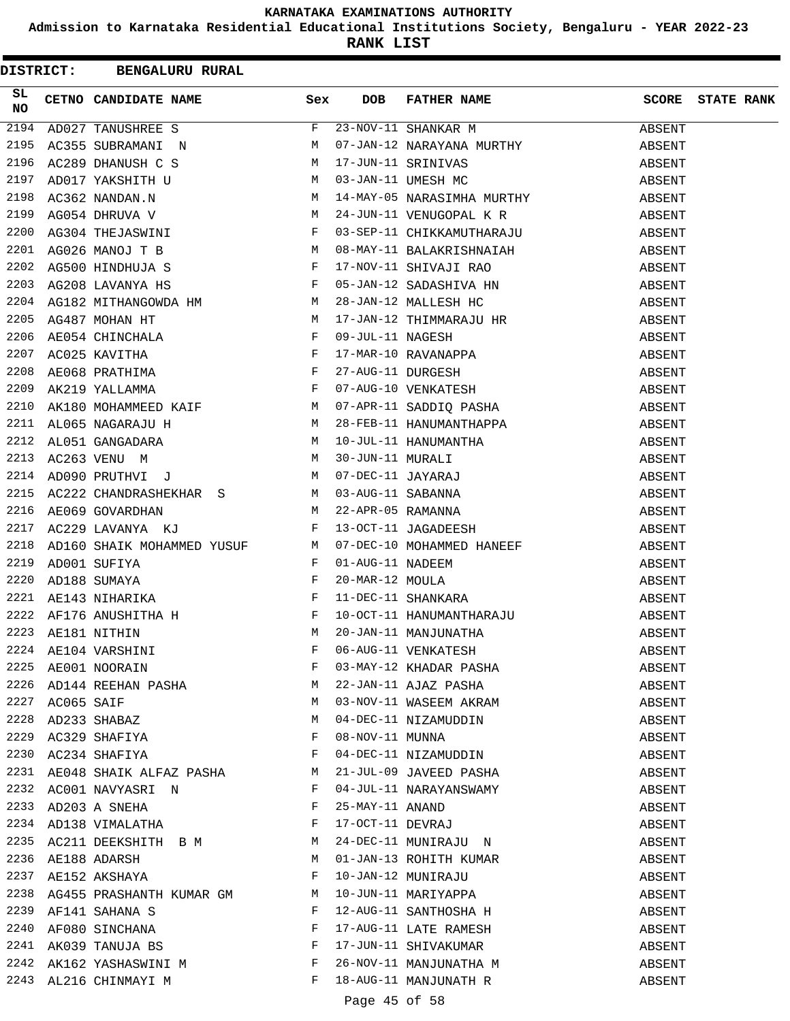**Admission to Karnataka Residential Educational Institutions Society, Bengaluru - YEAR 2022-23**

|                 |                 | DISTRICT: BENGALURU RURAL                                                                                                                                                                                                                             |              |                  |                                                                                                                                                                                                                                          |        |                   |
|-----------------|-----------------|-------------------------------------------------------------------------------------------------------------------------------------------------------------------------------------------------------------------------------------------------------|--------------|------------------|------------------------------------------------------------------------------------------------------------------------------------------------------------------------------------------------------------------------------------------|--------|-------------------|
| SL<br><b>NO</b> |                 | CETNO CANDIDATE NAME Sex                                                                                                                                                                                                                              |              | DOB.             | FATHER NAME                                                                                                                                                                                                                              | SCORE  | <b>STATE RANK</b> |
| 2194            |                 | AD027 TANUSHREE S                                                                                                                                                                                                                                     | $F -$        |                  | 23-NOV-11 SHANKAR M                                                                                                                                                                                                                      | ABSENT |                   |
| 2195            |                 | AC355 SUBRAMANI N M                                                                                                                                                                                                                                   |              |                  | 07-JAN-12 NARAYANA MURTHY                                                                                                                                                                                                                | ABSENT |                   |
| 2196            |                 |                                                                                                                                                                                                                                                       |              |                  | 17-JUN-11 SRINIVAS                                                                                                                                                                                                                       | ABSENT |                   |
| 2197            |                 |                                                                                                                                                                                                                                                       |              |                  | 03-JAN-11 UMESH MC                                                                                                                                                                                                                       | ABSENT |                   |
| 2198            |                 |                                                                                                                                                                                                                                                       |              |                  | 14-MAY-05 NARASIMHA MURTHY                                                                                                                                                                                                               | ABSENT |                   |
| 2199            |                 |                                                                                                                                                                                                                                                       |              |                  | 24-JUN-11 VENUGOPAL K R                                                                                                                                                                                                                  | ABSENT |                   |
| 2200            |                 |                                                                                                                                                                                                                                                       |              |                  | 03-SEP-11 CHIKKAMUTHARAJU                                                                                                                                                                                                                | ABSENT |                   |
| 2201            |                 |                                                                                                                                                                                                                                                       |              |                  | 08-MAY-11 BALAKRISHNAIAH                                                                                                                                                                                                                 | ABSENT |                   |
| 2202            |                 |                                                                                                                                                                                                                                                       |              |                  | 17-NOV-11 SHIVAJI RAO                                                                                                                                                                                                                    | ABSENT |                   |
| 2203            |                 | $\mathbb{R}^n$ . The set of the set of the set of the set of the set of the set of the set of the set of the set of the set of the set of the set of the set of the set of the set of the set of the set of the set of the set of<br>AG208 LAVANYA HS |              |                  | 05-JAN-12 SADASHIVA HN<br>28-JAN-12 MALLESH HC<br>17 JAN 12 THERREALESH HC                                                                                                                                                               | ABSENT |                   |
| 2204            |                 | AG182 MITHANGOWDA HM M<br>AG487 MOHAN HT M<br>AG487 MOHAN HT M<br>AE054 CHINCHALA F<br>AC025 KAVITHA F<br>AE068 PRATHIMA F<br>AK219 YALLAMMA F<br>AK219 YALLAMMA F                                                                                    |              |                  |                                                                                                                                                                                                                                          | ABSENT |                   |
| 2205            |                 |                                                                                                                                                                                                                                                       |              |                  | 17-JAN-12 THIMMARAJU HR<br>09-JUL-11 NAGESH<br>17-MAR-10 RAVANAPPA<br>27-AUG-11 DURGESH<br>07-AUG-10 VENKATESH                                                                                                                           | ABSENT |                   |
| 2206            |                 |                                                                                                                                                                                                                                                       |              |                  |                                                                                                                                                                                                                                          | ABSENT |                   |
| 2207            |                 |                                                                                                                                                                                                                                                       |              |                  |                                                                                                                                                                                                                                          | ABSENT |                   |
| 2208            |                 |                                                                                                                                                                                                                                                       |              |                  |                                                                                                                                                                                                                                          | ABSENT |                   |
| 2209            |                 |                                                                                                                                                                                                                                                       |              |                  |                                                                                                                                                                                                                                          | ABSENT |                   |
| 2210            |                 | AK180 MOHAMMEED KAIF M                                                                                                                                                                                                                                |              |                  | 07-APR-11 SADDIQ PASHA                                                                                                                                                                                                                   | ABSENT |                   |
| 2211            |                 |                                                                                                                                                                                                                                                       |              |                  |                                                                                                                                                                                                                                          | ABSENT |                   |
| 2212            |                 |                                                                                                                                                                                                                                                       |              |                  |                                                                                                                                                                                                                                          | ABSENT |                   |
| 2213            |                 |                                                                                                                                                                                                                                                       |              |                  |                                                                                                                                                                                                                                          | ABSENT |                   |
| 2214            |                 |                                                                                                                                                                                                                                                       |              |                  |                                                                                                                                                                                                                                          | ABSENT |                   |
| 2215            |                 |                                                                                                                                                                                                                                                       |              |                  | AL065 NAGARAJU H $\mu$ 28-FEB-11 HANUMANTHAPPA<br>AL051 GANGADARA M 10-JUL-11 HANUMANTHAPPA<br>AC263 VENU M 30-JUN-11 MURALI<br>AD090 PRUTHVI J M 07-DEC-11 JAYARAJ<br>AC222 CHANDRASHEKHAR S M 03-AUG-11 SABANNA<br>AE069 GOVARDHAN M 2 | ABSENT |                   |
| 2216            |                 |                                                                                                                                                                                                                                                       |              |                  |                                                                                                                                                                                                                                          | ABSENT |                   |
| 2217            |                 |                                                                                                                                                                                                                                                       |              |                  |                                                                                                                                                                                                                                          | ABSENT |                   |
| 2218            |                 | AD160 SHAIK MOHAMMED YUSUF M                                                                                                                                                                                                                          |              |                  | 07-DEC-10 MOHAMMED HANEEF                                                                                                                                                                                                                | ABSENT |                   |
| 2219            |                 | ADOO1 SUFIYA F<br>AD188 SUMAYA F<br>AE143 NIHARIKA F<br>AF176 ANUSHITHA H F<br>AE181 NITHIN M                                                                                                                                                         |              | 01-AUG-11 NADEEM |                                                                                                                                                                                                                                          | ABSENT |                   |
| 2220            |                 |                                                                                                                                                                                                                                                       |              | 20-MAR-12 MOULA  |                                                                                                                                                                                                                                          | ABSENT |                   |
| 2221            |                 |                                                                                                                                                                                                                                                       |              |                  | 11-DEC-11 SHANKARA                                                                                                                                                                                                                       | ABSENT |                   |
| 2222            |                 |                                                                                                                                                                                                                                                       |              |                  |                                                                                                                                                                                                                                          | ABSENT |                   |
|                 |                 | 2223 AE181 NITHIN                                                                                                                                                                                                                                     |              |                  | 10-OCT-11 HANUMANTHARAJU<br>20-JAN-11 MANJUNATHA                                                                                                                                                                                         | ABSENT |                   |
|                 |                 | 2224 AE104 VARSHINI<br>2225 AE001 NOORAIN                                                                                                                                                                                                             | F            |                  | 06-AUG-11 VENKATESH<br>03-MAY-12 KHADAR PASHA<br>22-JAN-11 AJAZ PASHA                                                                                                                                                                    | ABSENT |                   |
|                 |                 |                                                                                                                                                                                                                                                       | F            |                  |                                                                                                                                                                                                                                          | ABSENT |                   |
|                 |                 | 2226 AD144 REEHAN PASHA M                                                                                                                                                                                                                             |              |                  |                                                                                                                                                                                                                                          | ABSENT |                   |
|                 | 2227 AC065 SAIF |                                                                                                                                                                                                                                                       | M            |                  | 03-NOV-11 WASEEM AKRAM                                                                                                                                                                                                                   | ABSENT |                   |
|                 |                 |                                                                                                                                                                                                                                                       | M            |                  |                                                                                                                                                                                                                                          | ABSENT |                   |
|                 |                 | 2228 AD233 SHABAZ<br>2229 AC329 SHAFIYA                                                                                                                                                                                                               | F            |                  |                                                                                                                                                                                                                                          | ABSENT |                   |
| 2230            |                 | AC234 SHAFIYA                                                                                                                                                                                                                                         | F            |                  | 04-DEC-11 NIZAMUDDIN<br>08-NOV-11 MUNNA<br>04-DEC-11 NIZAMUDDIN                                                                                                                                                                          | ABSENT |                   |
|                 |                 | 2231 AE048 SHAIK ALFAZ PASHA M                                                                                                                                                                                                                        |              |                  | 21-JUL-09 JAVEED PASHA                                                                                                                                                                                                                   | ABSENT |                   |
|                 |                 |                                                                                                                                                                                                                                                       |              |                  |                                                                                                                                                                                                                                          | ABSENT |                   |
|                 |                 |                                                                                                                                                                                                                                                       |              |                  |                                                                                                                                                                                                                                          | ABSENT |                   |
|                 |                 | $\begin{tabular}{lllllllll} 2232 & \texttt{AC001 NAVYASRI} & \texttt{N} & \texttt{F}\\ 2233 & \texttt{AD203 A SNEHA} & \texttt{F}\\ 2234 & \texttt{AD138 VIMALATHA} & \texttt{F}\\ \end{tabular}$                                                     |              |                  | 04-JUL-11 NARAYANSWAMY<br>25-MAY-11 ANAND<br>17-OCT-11 DEVRAJ                                                                                                                                                                            | ABSENT |                   |
|                 |                 | 2235 AC211 DEEKSHITH B M M                                                                                                                                                                                                                            |              |                  | 24-DEC-11 MUNIRAJU N                                                                                                                                                                                                                     | ABSENT |                   |
|                 |                 | 2236 AE188 ADARSH                                                                                                                                                                                                                                     | M            |                  |                                                                                                                                                                                                                                          | ABSENT |                   |
|                 |                 | 2237 AE152 AKSHAYA                                                                                                                                                                                                                                    | F            |                  |                                                                                                                                                                                                                                          | ABSENT |                   |
| 2238            |                 | AG455 PRASHANTH KUMAR GM M                                                                                                                                                                                                                            |              |                  | 01-JAN-13 ROHITH KUMAR<br>10-JAN-12 MUNIRAJU<br>10-JUN-11 MARIYAPPA                                                                                                                                                                      | ABSENT |                   |
| 2239            |                 | $\mathbf{F}$<br>AF141 SAHANA S                                                                                                                                                                                                                        |              |                  | 12-AUG-11 SANTHOSHA H                                                                                                                                                                                                                    | ABSENT |                   |
|                 |                 |                                                                                                                                                                                                                                                       | F            |                  |                                                                                                                                                                                                                                          | ABSENT |                   |
|                 |                 | 2240 AF080 SINCHANA<br>2241 AK039 TANUJA BS                                                                                                                                                                                                           | $\mathbf{F}$ |                  | 17-AUG-11 LATE RAMESH<br>17-JUN-11 SHIVAKUMAR                                                                                                                                                                                            | ABSENT |                   |
|                 |                 | 2242 AK162 YASHASWINI M                                                                                                                                                                                                                               |              |                  | 26-NOV-11 MANJUNATHA M                                                                                                                                                                                                                   | ABSENT |                   |
|                 |                 | 2243 AL216 CHINMAYI M                                                                                                                                                                                                                                 | F            |                  | 18-AUG-11 MANJUNATH R                                                                                                                                                                                                                    | ABSENT |                   |
|                 |                 |                                                                                                                                                                                                                                                       |              |                  |                                                                                                                                                                                                                                          |        |                   |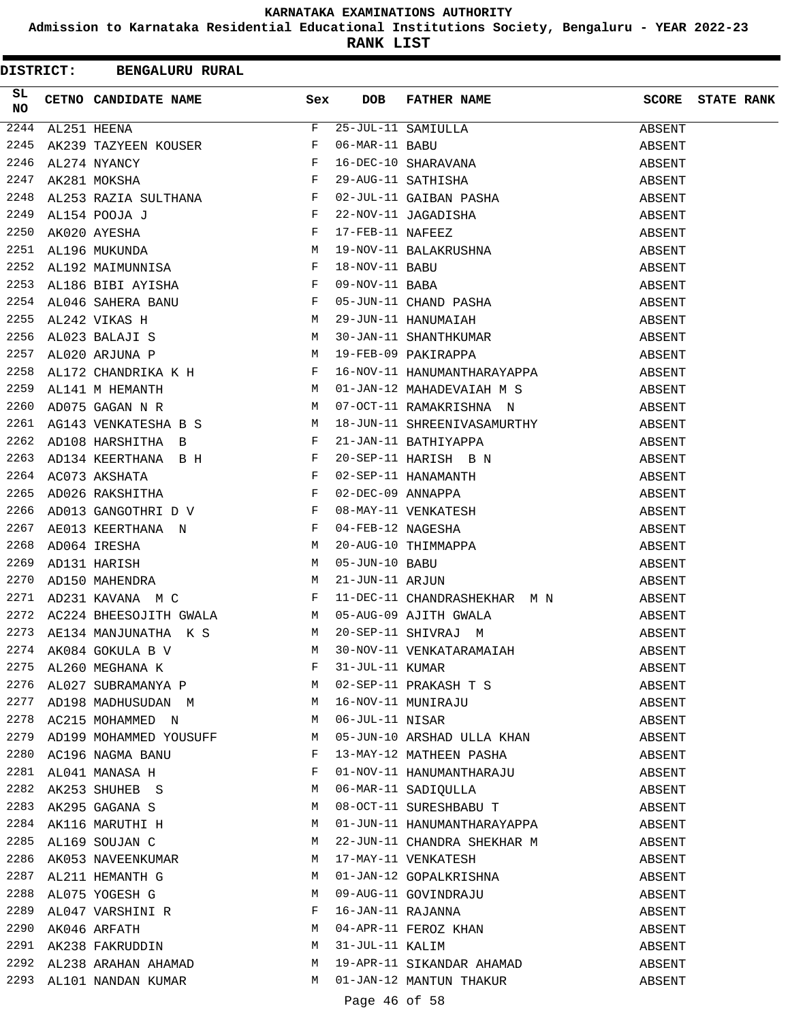**Admission to Karnataka Residential Educational Institutions Society, Bengaluru - YEAR 2022-23**

**RANK LIST**

|          |  | <b>DISTRICT: BENGALURU RURAL</b>                                                                                                                                                           |              |     |                                                                                                                                                                                                                                                                                                                                                                                                                                   |        |                         |
|----------|--|--------------------------------------------------------------------------------------------------------------------------------------------------------------------------------------------|--------------|-----|-----------------------------------------------------------------------------------------------------------------------------------------------------------------------------------------------------------------------------------------------------------------------------------------------------------------------------------------------------------------------------------------------------------------------------------|--------|-------------------------|
| SL<br>NO |  | CETNO CANDIDATE NAME Sex                                                                                                                                                                   |              | DOB | FATHER NAME                                                                                                                                                                                                                                                                                                                                                                                                                       |        | <b>SCORE</b> STATE RANK |
| 2244     |  | AL251 HEENA F<br>AK239 TAZYEEN KOUSER F<br>AL274 NYANCY F<br>AK281 MOKSHA F<br>AT353 DALIA SULTUALER                                                                                       |              |     |                                                                                                                                                                                                                                                                                                                                                                                                                                   |        |                         |
| 2245     |  |                                                                                                                                                                                            |              |     |                                                                                                                                                                                                                                                                                                                                                                                                                                   |        |                         |
| 2246     |  |                                                                                                                                                                                            |              |     |                                                                                                                                                                                                                                                                                                                                                                                                                                   |        |                         |
| 2247     |  |                                                                                                                                                                                            |              |     |                                                                                                                                                                                                                                                                                                                                                                                                                                   |        |                         |
| 2248     |  |                                                                                                                                                                                            |              |     |                                                                                                                                                                                                                                                                                                                                                                                                                                   |        |                         |
| 2249     |  | AL253 RAZIA SULTHANA F<br>AL154 POOJA J F<br>AK020 AYESHA F<br>AL196 MUKUNDA M<br>AL192 MAIMUNNISA F                                                                                       |              |     |                                                                                                                                                                                                                                                                                                                                                                                                                                   |        |                         |
| 2250     |  |                                                                                                                                                                                            |              |     |                                                                                                                                                                                                                                                                                                                                                                                                                                   |        |                         |
| 2251     |  |                                                                                                                                                                                            |              |     |                                                                                                                                                                                                                                                                                                                                                                                                                                   |        |                         |
| 2252     |  |                                                                                                                                                                                            |              |     |                                                                                                                                                                                                                                                                                                                                                                                                                                   |        |                         |
|          |  | 2253 AL186 BIBI AYISHA<br>2254 AL046 SAHERA BANU F<br>2255 AL242 VIKAS H M<br>2256 AL023 BALAJI S M<br>2257 AL020 ARJUNA P M<br>2258 AL172 CUANDRIVA V U                                   |              |     |                                                                                                                                                                                                                                                                                                                                                                                                                                   |        |                         |
|          |  |                                                                                                                                                                                            |              |     |                                                                                                                                                                                                                                                                                                                                                                                                                                   |        |                         |
|          |  |                                                                                                                                                                                            |              |     |                                                                                                                                                                                                                                                                                                                                                                                                                                   |        |                         |
|          |  |                                                                                                                                                                                            |              |     |                                                                                                                                                                                                                                                                                                                                                                                                                                   |        |                         |
|          |  |                                                                                                                                                                                            |              |     |                                                                                                                                                                                                                                                                                                                                                                                                                                   |        |                         |
| 2258     |  |                                                                                                                                                                                            |              |     |                                                                                                                                                                                                                                                                                                                                                                                                                                   |        |                         |
| 2259     |  | AL172 CHANDRIKA K H<br>AL141 M HEMANTH M                                                                                                                                                   |              |     | 01-JAN-12 MAHADEVAIAH M S ABSENT                                                                                                                                                                                                                                                                                                                                                                                                  |        |                         |
| 2260     |  | M <sub>N</sub><br>AD075 GAGAN N R                                                                                                                                                          |              |     | 07-OCT-11 RAMAKRISHNA N                                                                                                                                                                                                                                                                                                                                                                                                           | ABSENT |                         |
|          |  | 2261 AG143 VENKATESHA B S M                                                                                                                                                                |              |     |                                                                                                                                                                                                                                                                                                                                                                                                                                   | ABSENT |                         |
|          |  | 2262 AD108 HARSHITHA B                                                                                                                                                                     | $\mathbf{F}$ |     | 18-JUN-11 SHREENIVASAMURTHY<br>21-JAN-11 BATHIYAPPA                                                                                                                                                                                                                                                                                                                                                                               | ABSENT |                         |
| 2263     |  |                                                                                                                                                                                            |              |     |                                                                                                                                                                                                                                                                                                                                                                                                                                   |        |                         |
|          |  | 2264 AC073 AKSHATA                                                                                                                                                                         |              |     |                                                                                                                                                                                                                                                                                                                                                                                                                                   | ABSENT |                         |
| 2265     |  | AD134 KEERTHANA BH<br>AC073 AKSHATA F<br>AD026 RAKSHITHA F                                                                                                                                 |              |     |                                                                                                                                                                                                                                                                                                                                                                                                                                   | ABSENT |                         |
| 2266     |  |                                                                                                                                                                                            |              |     |                                                                                                                                                                                                                                                                                                                                                                                                                                   | ABSENT |                         |
| 2267     |  |                                                                                                                                                                                            |              |     |                                                                                                                                                                                                                                                                                                                                                                                                                                   |        |                         |
|          |  |                                                                                                                                                                                            |              |     | 21-JAN-11 BATHIYAPPA<br>20-SEP-11 HARISH B N<br>02-SEP-11 HANAMANTH<br>02-DEC-09 ANNAPPA<br>08-MAY-11 VENKATESH<br>04-FEB-12 NAGESHA<br>20-AUG-10 THIMMAPPA<br>05-JUN-10 BABU<br>21-JUN-11 ARJUN<br>ADUZO KAKSHITHA $F$ 02-DEC-09 ANNAPPA ABSENT ADO13 GANGOTHRI D V $F$ 08-MAY-11 VENKATESH AEO13 KEERTHANA N $F$ 04-FEB-12 NAGESHA ABSENT ADO64 IRESHA M 20-AUG-10 THIMMAPPA ABSENT ADI31 HARISH M $F$ 05-JUN-11 ARJUN ABSENT A |        |                         |
| 2268     |  |                                                                                                                                                                                            |              |     |                                                                                                                                                                                                                                                                                                                                                                                                                                   |        |                         |
| 2269     |  |                                                                                                                                                                                            |              |     |                                                                                                                                                                                                                                                                                                                                                                                                                                   |        |                         |
| 2270     |  |                                                                                                                                                                                            |              |     |                                                                                                                                                                                                                                                                                                                                                                                                                                   |        |                         |
| 2271     |  |                                                                                                                                                                                            |              |     |                                                                                                                                                                                                                                                                                                                                                                                                                                   |        |                         |
| 2272     |  | 2273 AE134 MANJUNATHA K S M                                                                                                                                                                |              |     |                                                                                                                                                                                                                                                                                                                                                                                                                                   | ABSENT |                         |
|          |  |                                                                                                                                                                                            |              |     |                                                                                                                                                                                                                                                                                                                                                                                                                                   | ABSENT |                         |
|          |  | $2274 \quad AK084 \quad GOKULA \quad B \quad V \qquad \qquad M$<br>$2275 \quad AL260 \quad MEGHANA \quad K \qquad \qquad F$<br>$2276 \quad AL027 \quad SUBRAMANYA \quad P \qquad \qquad M$ |              |     | 30-NOV-11 VENKATARAMAIAH<br>31-JUL-11 KUMAR                                                                                                                                                                                                                                                                                                                                                                                       | ABSENT |                         |
|          |  |                                                                                                                                                                                            |              |     |                                                                                                                                                                                                                                                                                                                                                                                                                                   | ABSENT |                         |
|          |  |                                                                                                                                                                                            |              |     | 02-SEP-11 PRAKASH T S                                                                                                                                                                                                                                                                                                                                                                                                             | ABSENT |                         |
|          |  | 2277 AD198 MADHUSUDAN M                                                                                                                                                                    |              |     | 16-NOV-11 MUNIRAJU<br>06-JUL-11 NISAR<br>05-JUN-10 ARSHAD ULLA KHAN                                                                                                                                                                                                                                                                                                                                                               | ABSENT |                         |
|          |  | M<br>2278 AC215 MOHAMMED N                                                                                                                                                                 |              |     |                                                                                                                                                                                                                                                                                                                                                                                                                                   | ABSENT |                         |
| 2279     |  | AD199 MOHAMMED YOUSUFF M                                                                                                                                                                   |              |     |                                                                                                                                                                                                                                                                                                                                                                                                                                   | ABSENT |                         |
| 2280     |  | AC196 NAGMA BANU F                                                                                                                                                                         |              |     | 13-MAY-12 MATHEEN PASHA                                                                                                                                                                                                                                                                                                                                                                                                           | ABSENT |                         |
| 2281     |  | AL041 MANASA H                                                                                                                                                                             | $\mathbf{F}$ |     | 01-NOV-11 HANUMANTHARAJU<br>06-MAR-11 SADIQULLA                                                                                                                                                                                                                                                                                                                                                                                   | ABSENT |                         |
| 2282     |  | AK253 SHUHEB S<br>AK253 SHUHEB S                                                                                                                                                           | M            |     |                                                                                                                                                                                                                                                                                                                                                                                                                                   | ABSENT |                         |
| 2283     |  |                                                                                                                                                                                            | М            |     | 08-OCT-11 SURESHBABU T                                                                                                                                                                                                                                                                                                                                                                                                            | ABSENT |                         |
|          |  | 2284 AK116 MARUTHI H                                                                                                                                                                       | M            |     | 01-JUN-11 HANUMANTHARAYAPPA                                                                                                                                                                                                                                                                                                                                                                                                       | ABSENT |                         |
| 2285     |  | AL169 SOUJAN C                                                                                                                                                                             | M            |     | 22-JUN-11 CHANDRA SHEKHAR M                                                                                                                                                                                                                                                                                                                                                                                                       | ABSENT |                         |
| 2286     |  | AK053 NAVEENKUMAR                                                                                                                                                                          | M            |     | 17-MAY-11 VENKATESH                                                                                                                                                                                                                                                                                                                                                                                                               | ABSENT |                         |
| 2287     |  | AL211 HEMANTH G                                                                                                                                                                            | M            |     | 01-JAN-12 GOPALKRISHNA                                                                                                                                                                                                                                                                                                                                                                                                            | ABSENT |                         |
| 2288     |  | AL075 YOGESH G                                                                                                                                                                             | М            |     | 09-AUG-11 GOVINDRAJU                                                                                                                                                                                                                                                                                                                                                                                                              | ABSENT |                         |
| 2289     |  | AL047 VARSHINI R<br>AVO46 ARRITU                                                                                                                                                           | $\mathbf{F}$ |     |                                                                                                                                                                                                                                                                                                                                                                                                                                   | ABSENT |                         |
| 2290     |  | AK046 ARFATH<br>AK046 ARFATH<br>AK238 FAKRUDDIN                                                                                                                                            | M            |     | 16-JAN-11 RAJANNA<br>04-APR-11 FEROZ KHAN<br>31-JUL-11 KALIM                                                                                                                                                                                                                                                                                                                                                                      | ABSENT |                         |
| 2291     |  |                                                                                                                                                                                            | M            |     |                                                                                                                                                                                                                                                                                                                                                                                                                                   | ABSENT |                         |
|          |  | 2292 AL238 ARAHAN AHAMAD                                                                                                                                                                   | M            |     | 19-APR-11 SIKANDAR AHAMAD                                                                                                                                                                                                                                                                                                                                                                                                         | ABSENT |                         |
|          |  | 2293 AL101 NANDAN KUMAR                                                                                                                                                                    | M            |     | 01-JAN-12 MANTUN THAKUR                                                                                                                                                                                                                                                                                                                                                                                                           | ABSENT |                         |

Page 46 of 58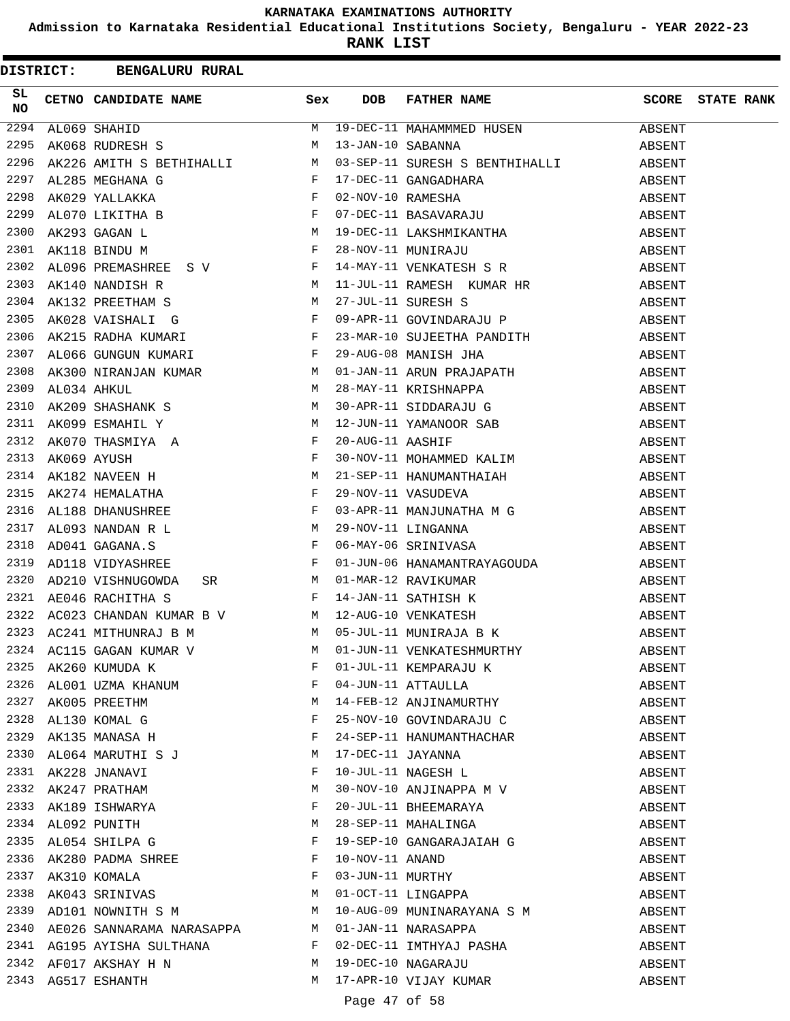**Admission to Karnataka Residential Educational Institutions Society, Bengaluru - YEAR 2022-23**

**RANK LIST**

|          |  | DISTRICT: BENGALURU RURAL                                                                                                                                                         |   |                   |                                                                                                                                                                                                                                                                                                                                                                                                                                       |        |                   |
|----------|--|-----------------------------------------------------------------------------------------------------------------------------------------------------------------------------------|---|-------------------|---------------------------------------------------------------------------------------------------------------------------------------------------------------------------------------------------------------------------------------------------------------------------------------------------------------------------------------------------------------------------------------------------------------------------------------|--------|-------------------|
| SL<br>NO |  | CETNO CANDIDATE NAME Sex                                                                                                                                                          |   | <b>DOB</b>        | FATHER NAME                                                                                                                                                                                                                                                                                                                                                                                                                           | SCORE  | <b>STATE RANK</b> |
| 2294     |  | $\begin{array}{c}\nM \\ M\n\end{array}$<br>AL069 SHAHID                                                                                                                           |   |                   | 19-DEC-11 MAHAMMMED HUSEN                                                                                                                                                                                                                                                                                                                                                                                                             | ABSENT |                   |
| 2295     |  | AK068 RUDRESH S                                                                                                                                                                   |   | 13-JAN-10 SABANNA |                                                                                                                                                                                                                                                                                                                                                                                                                                       | ABSENT |                   |
| 2296     |  |                                                                                                                                                                                   |   |                   |                                                                                                                                                                                                                                                                                                                                                                                                                                       |        |                   |
| 2297     |  |                                                                                                                                                                                   |   |                   |                                                                                                                                                                                                                                                                                                                                                                                                                                       |        |                   |
| 2298     |  |                                                                                                                                                                                   |   |                   |                                                                                                                                                                                                                                                                                                                                                                                                                                       |        |                   |
| 2299     |  |                                                                                                                                                                                   |   |                   | $\begin{tabular}{lllllllllllllllllllllll} & & & & & \mbox{${\rm M}$ & $13-{\rm J} {\rm AN}-10$ SABANNA & & & & & & & & \mbox{ABSENT} \\ \hline \texttt{AK226 AMITH S BETHIHALLI} & & & & & \mbox{${\rm M}$ & $03-{\rm SEP}-11$ SIRESH S BENTHIHALLI & & & & & & \mbox{ABSENT} \\ \texttt{AL285 MEGHANA G} & & & & & & \mbox{F} & $17-{\rm DEC}-11$ GANGADHARA & & & & & & \mbox{ABSENT} \\ \texttt{AK029 YALLAKKA} & & & & & \mbox{F$ |        |                   |
| 2300     |  |                                                                                                                                                                                   |   |                   |                                                                                                                                                                                                                                                                                                                                                                                                                                       |        |                   |
| 2301     |  |                                                                                                                                                                                   |   |                   |                                                                                                                                                                                                                                                                                                                                                                                                                                       |        |                   |
| 2302     |  |                                                                                                                                                                                   |   |                   |                                                                                                                                                                                                                                                                                                                                                                                                                                       |        |                   |
| 2303     |  | AK140 NANDISH R<br>AK132 PREETHAM S<br>AK028 VAISHALI G<br>AK028 VAISHALI G<br>AK215 RADHA KUMARI F                                                                               |   |                   |                                                                                                                                                                                                                                                                                                                                                                                                                                       |        |                   |
| 2304     |  |                                                                                                                                                                                   |   |                   |                                                                                                                                                                                                                                                                                                                                                                                                                                       |        |                   |
| 2305     |  |                                                                                                                                                                                   |   |                   |                                                                                                                                                                                                                                                                                                                                                                                                                                       |        |                   |
| 2306     |  |                                                                                                                                                                                   |   |                   | 23-MAR-10 SUJEETHA PANDITH ABSENT                                                                                                                                                                                                                                                                                                                                                                                                     |        |                   |
| 2307     |  |                                                                                                                                                                                   |   |                   |                                                                                                                                                                                                                                                                                                                                                                                                                                       | ABSENT |                   |
| 2308     |  |                                                                                                                                                                                   |   |                   | ALO66 GUNGUN KUMARI KUMAR KORA MERINDER 29-AUG-08 MANISH JHA<br>AK300 NIRANJAN KUMAR M 01-JAN-11 ARUN PRAJAPATH<br>ALO34 AHKUL M 28-MAY-11 KRISHNAPPA<br>AK209 SHASHANK S M 30-APR-11 SIDDARAJU G                                                                                                                                                                                                                                     | ABSENT |                   |
| 2309     |  |                                                                                                                                                                                   |   |                   |                                                                                                                                                                                                                                                                                                                                                                                                                                       | ABSENT |                   |
| 2310     |  |                                                                                                                                                                                   |   |                   |                                                                                                                                                                                                                                                                                                                                                                                                                                       | ABSENT |                   |
| 2311     |  |                                                                                                                                                                                   |   |                   | 12-JUN-11 YAMANOOR SAB<br>20-AUG-11 AASHIF<br>30-NOV-11 MOHAMMED KALIM                                                                                                                                                                                                                                                                                                                                                                | ABSENT |                   |
| 2312     |  |                                                                                                                                                                                   |   |                   |                                                                                                                                                                                                                                                                                                                                                                                                                                       | ABSENT |                   |
| 2313     |  |                                                                                                                                                                                   |   |                   |                                                                                                                                                                                                                                                                                                                                                                                                                                       | ABSENT |                   |
| 2314     |  |                                                                                                                                                                                   |   |                   | 21-SEP-11 HANUMANTHAIAH                                                                                                                                                                                                                                                                                                                                                                                                               | ABSENT |                   |
| 2315     |  |                                                                                                                                                                                   |   |                   |                                                                                                                                                                                                                                                                                                                                                                                                                                       |        |                   |
| 2316     |  |                                                                                                                                                                                   |   |                   |                                                                                                                                                                                                                                                                                                                                                                                                                                       |        |                   |
| 2317     |  |                                                                                                                                                                                   |   |                   |                                                                                                                                                                                                                                                                                                                                                                                                                                       |        |                   |
| 2318     |  |                                                                                                                                                                                   |   |                   | 29-NOV-11 VASUDEVA<br>29-NOV-11 MANJUNATHA M G<br>29-NOV-11 LINGANNA<br>06-MAY-06 SRINIVASA<br>29-NOV-11 LINGANNA<br>29-NOV-11 LINGANNA<br>29-NOV-11 LINGANNA<br>29-NOV-11 LINGANNA<br>29-NOV-11 LINGANNA                                                                                                                                                                                                                             |        |                   |
| 2319     |  | AD118 VIDYASHREE F                                                                                                                                                                |   |                   | $\begin{tabular}{lllllllll} $\mathbb{F}$ & $01-\text{JUN}-06$ & HANAMANTRAYAGOUDA \\ SR & & $M$ & $01-MAR-12$ & RAVIKUMAR \\ $\mathbb{F}$ & $14-\text{JAN}-11$ & SATHISH$ &$ \\ \text{R}$ & $V$ & & $M$ & $12-\text{AUG}-10$ & VENKATESH \\ \text{M}$ & & & $05-\text{JUL}-11$ & MUNIRAJA$ & B$ & $K$ \end{tabular}$                                                                                                                  | ABSENT |                   |
| 2320     |  | AD210 VISHNUGOWDA                                                                                                                                                                 |   |                   |                                                                                                                                                                                                                                                                                                                                                                                                                                       | ABSENT |                   |
| 2321     |  | AE046 RACHITHA S                                                                                                                                                                  |   |                   |                                                                                                                                                                                                                                                                                                                                                                                                                                       | ABSENT |                   |
| 2322     |  | AC023 CHANDAN KUMAR B V M                                                                                                                                                         |   |                   |                                                                                                                                                                                                                                                                                                                                                                                                                                       | ABSENT |                   |
|          |  | 2323 AC241 MITHUNRAJ B M                                                                                                                                                          |   |                   |                                                                                                                                                                                                                                                                                                                                                                                                                                       | ABSENT |                   |
|          |  |                                                                                                                                                                                   |   |                   | 01-JUN-11 VENKATESHMURTHY                                                                                                                                                                                                                                                                                                                                                                                                             | ABSENT |                   |
|          |  |                                                                                                                                                                                   |   |                   |                                                                                                                                                                                                                                                                                                                                                                                                                                       | ABSENT |                   |
|          |  | 2324 AC115 GAGAN KUMAR V M<br>2325 AK260 KUMUDA K F<br>2326 AL001 UZMA KHANUM F<br>2327 AK005 PREETHM M<br>2328 AL130 KOMAL G F<br>2329 AK135 MANASA H F<br>2329 AK135 MANASA H F |   |                   | 01-JUL-11 KEMPARAJU K<br>04-JUN-11 ATTAULLA<br>14-FEB-12 ANJINAMURTHY                                                                                                                                                                                                                                                                                                                                                                 | ABSENT |                   |
|          |  |                                                                                                                                                                                   |   |                   |                                                                                                                                                                                                                                                                                                                                                                                                                                       | ABSENT |                   |
|          |  |                                                                                                                                                                                   |   |                   | 25-NOV-10 GOVINDARAJU C                                                                                                                                                                                                                                                                                                                                                                                                               | ABSENT |                   |
|          |  |                                                                                                                                                                                   |   |                   | 24-SEP-11 HANUMANTHACHAR                                                                                                                                                                                                                                                                                                                                                                                                              | ABSENT |                   |
|          |  | 2330 AL064 MARUTHI S J                                                                                                                                                            | M |                   | 17-DEC-11 JAYANNA<br>10-JUL-11 NAGESH L                                                                                                                                                                                                                                                                                                                                                                                               | ABSENT |                   |
|          |  | 2331 AK228 JNANAVI<br>2332 AK247 PRATHAM<br>2333 AK189 ISHWARYA                                                                                                                   | F |                   |                                                                                                                                                                                                                                                                                                                                                                                                                                       | ABSENT |                   |
|          |  |                                                                                                                                                                                   | M |                   | 30-NOV-10 ANJINAPPA M V                                                                                                                                                                                                                                                                                                                                                                                                               | ABSENT |                   |
|          |  |                                                                                                                                                                                   | F |                   | 20-JUL-11 BHEEMARAYA                                                                                                                                                                                                                                                                                                                                                                                                                  | ABSENT |                   |
|          |  | 2334 AL092 PUNITH                                                                                                                                                                 | M |                   | 28-SEP-11 MAHALINGA                                                                                                                                                                                                                                                                                                                                                                                                                   | ABSENT |                   |
|          |  | 2335 AL054 SHILPA G                                                                                                                                                               | F |                   |                                                                                                                                                                                                                                                                                                                                                                                                                                       | ABSENT |                   |
|          |  |                                                                                                                                                                                   |   |                   | 19-SEP-10 GANGARAJAIAH G<br>10 NOV 11 - - - - - - -                                                                                                                                                                                                                                                                                                                                                                                   | ABSENT |                   |
|          |  | 2336 AK280 PADMA SHREE<br>2337 AK310 KOMALA F<br>2338 AK043 SRINIVAS M                                                                                                            |   |                   | 10-NOV-11 ANAND<br>03-JUN-11 MURTHY<br>01-OCT-11 LINGAPPA                                                                                                                                                                                                                                                                                                                                                                             | ABSENT |                   |
|          |  |                                                                                                                                                                                   |   |                   |                                                                                                                                                                                                                                                                                                                                                                                                                                       | ABSENT |                   |
| 2339     |  | AD101 NOWNITH S M                                                                                                                                                                 |   |                   |                                                                                                                                                                                                                                                                                                                                                                                                                                       | ABSENT |                   |
|          |  |                                                                                                                                                                                   |   |                   | 10-AUG-09 MUNINARAYANA S M                                                                                                                                                                                                                                                                                                                                                                                                            | ABSENT |                   |
|          |  | 2340 AE026 SANNARAMA NARASAPPA M 01-JAN-11 NARASAPPA                                                                                                                              |   |                   | 2341 AG195 AYISHA SULTHANA F 02-DEC-11 IMTHYAJ PASHA                                                                                                                                                                                                                                                                                                                                                                                  | ABSENT |                   |
|          |  | 2342 AF017 AKSHAY H N M                                                                                                                                                           |   |                   | 19-DEC-10 NAGARAJU                                                                                                                                                                                                                                                                                                                                                                                                                    | ABSENT |                   |
|          |  | 2343 AG517 ESHANTH                                                                                                                                                                |   |                   | M 17-APR-10 VIJAY KUMAR                                                                                                                                                                                                                                                                                                                                                                                                               | ABSENT |                   |
|          |  |                                                                                                                                                                                   |   |                   |                                                                                                                                                                                                                                                                                                                                                                                                                                       |        |                   |

Page 47 of 58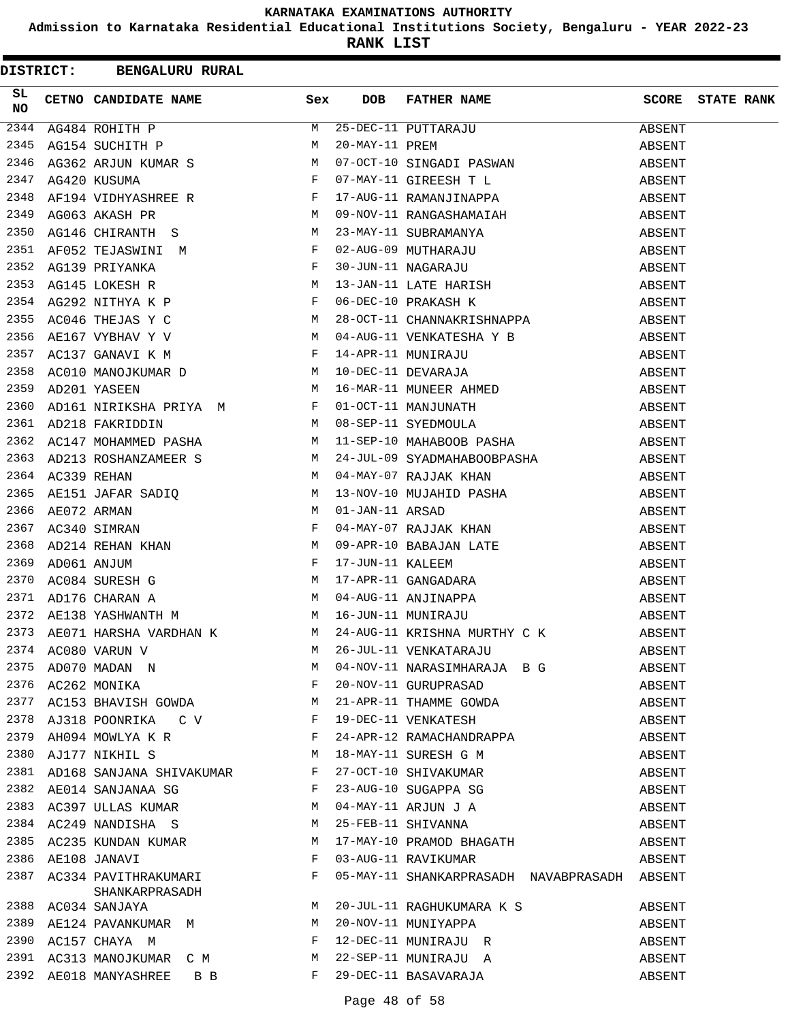**Admission to Karnataka Residential Educational Institutions Society, Bengaluru - YEAR 2022-23**

|      |  | DISTRICT: BENGALURU RURAL                                                                                                                                                                                                      |              |            |                                                                                                                                                                                                                                              |        |                         |
|------|--|--------------------------------------------------------------------------------------------------------------------------------------------------------------------------------------------------------------------------------|--------------|------------|----------------------------------------------------------------------------------------------------------------------------------------------------------------------------------------------------------------------------------------------|--------|-------------------------|
| SL   |  | CETNO CANDIDATE NAME Sex                                                                                                                                                                                                       |              | <b>DOB</b> | FATHER NAME                                                                                                                                                                                                                                  |        | <b>SCORE</b> STATE RANK |
|      |  |                                                                                                                                                                                                                                |              |            |                                                                                                                                                                                                                                              |        |                         |
|      |  |                                                                                                                                                                                                                                |              |            |                                                                                                                                                                                                                                              |        |                         |
|      |  |                                                                                                                                                                                                                                |              |            |                                                                                                                                                                                                                                              |        |                         |
|      |  |                                                                                                                                                                                                                                |              |            |                                                                                                                                                                                                                                              |        |                         |
|      |  |                                                                                                                                                                                                                                |              |            |                                                                                                                                                                                                                                              |        |                         |
|      |  |                                                                                                                                                                                                                                |              |            |                                                                                                                                                                                                                                              |        |                         |
|      |  |                                                                                                                                                                                                                                |              |            |                                                                                                                                                                                                                                              |        |                         |
|      |  |                                                                                                                                                                                                                                |              |            |                                                                                                                                                                                                                                              |        |                         |
|      |  | ASSEMBLY ON THE SAME IN THE RELATION OF THE SAME IN THE RELATION OF THE SAME IN THE RELATION OF THE SAME IN THE RELATION OF THE SAME IN THE SAME IN THE SAME IN THE SAME IN THE SAME IN THE SAME IN THE SAME IN THE SAME IN TH |              |            | 09-NOV-11 KANGASHAMAIAH ABSENI<br>23-MAY-11 SUBRAMANYA ABSENT<br>02-AUG-09 MUTHARAJU ABSENT<br>30-JUN-11 NAGARAJU ABSENT<br>13-JAN-11 LATE HARISH ABSENT<br>06-DEC-10 PRAKASH K ABSENT<br>28-OCT-11 CHANNAKRISHNAPPA ABSENT<br>28-OCT-11 CHA |        |                         |
|      |  |                                                                                                                                                                                                                                |              |            |                                                                                                                                                                                                                                              |        |                         |
|      |  |                                                                                                                                                                                                                                |              |            |                                                                                                                                                                                                                                              |        |                         |
|      |  |                                                                                                                                                                                                                                |              |            |                                                                                                                                                                                                                                              |        |                         |
|      |  |                                                                                                                                                                                                                                |              |            |                                                                                                                                                                                                                                              |        |                         |
| 2357 |  |                                                                                                                                                                                                                                |              |            |                                                                                                                                                                                                                                              |        |                         |
| 2358 |  |                                                                                                                                                                                                                                |              |            |                                                                                                                                                                                                                                              |        |                         |
| 2359 |  |                                                                                                                                                                                                                                |              |            |                                                                                                                                                                                                                                              |        |                         |
| 2360 |  |                                                                                                                                                                                                                                |              |            |                                                                                                                                                                                                                                              | ABSENT |                         |
| 2361 |  |                                                                                                                                                                                                                                |              |            | AD161 NIRIKSHA PRIYA M<br>AD218 FAKRIDDIN M 08-SEP-11 SYEDMOULA<br>AC147 MOHAMMED PASHA M 11-SEP-10 MAHABOOB PASHA                                                                                                                           | ABSENT |                         |
|      |  | 2362 AC147 MOHAMMED PASHA                                                                                                                                                                                                      |              |            |                                                                                                                                                                                                                                              |        |                         |
| 2363 |  |                                                                                                                                                                                                                                |              |            | AC147 MOHAMMED PASHA M 11-SEP-10 MAHABOOB PASHA ABSENT<br>AD213 ROSHANZAMEER S M 24-JUL-09 SYADMAHABOOBPASHA ABSENT<br>AC339 REHAN M 04-MAY-07 RAJJAK KHAN ABSENT                                                                            |        |                         |
| 2364 |  |                                                                                                                                                                                                                                |              |            |                                                                                                                                                                                                                                              |        |                         |
| 2365 |  |                                                                                                                                                                                                                                |              |            |                                                                                                                                                                                                                                              |        |                         |
| 2366 |  |                                                                                                                                                                                                                                |              |            |                                                                                                                                                                                                                                              |        |                         |
| 2367 |  |                                                                                                                                                                                                                                |              |            |                                                                                                                                                                                                                                              |        |                         |
| 2368 |  |                                                                                                                                                                                                                                |              |            |                                                                                                                                                                                                                                              |        |                         |
| 2369 |  |                                                                                                                                                                                                                                |              |            |                                                                                                                                                                                                                                              |        |                         |
| 2370 |  |                                                                                                                                                                                                                                |              |            |                                                                                                                                                                                                                                              |        |                         |
| 2371 |  |                                                                                                                                                                                                                                |              |            |                                                                                                                                                                                                                                              |        |                         |
| 2372 |  |                                                                                                                                                                                                                                |              |            |                                                                                                                                                                                                                                              |        |                         |
|      |  |                                                                                                                                                                                                                                |              |            | 2373 AE071 HARSHA VARDHAN K M 24-AUG-11 KRISHNA MURTHY C K ABSENT                                                                                                                                                                            |        |                         |
|      |  | 2374 AC080 VARUN V                                                                                                                                                                                                             | М            |            | 26-JUL-11 VENKATARAJU                                                                                                                                                                                                                        | ABSENT |                         |
| 2375 |  | AC080 VARUN V<br>AD070 MADAN N<br>AC262 MONIKA                                                                                                                                                                                 | M            |            | 04-NOV-11 NARASIMHARAJA B G                                                                                                                                                                                                                  | ABSENT |                         |
| 2376 |  | AC262 MONIKA                                                                                                                                                                                                                   | F            |            | 20-NOV-11 GURUPRASAD                                                                                                                                                                                                                         | ABSENT |                         |
| 2377 |  | AC153 BHAVISH GOWDA M                                                                                                                                                                                                          |              |            | 21-APR-11 THAMME GOWDA                                                                                                                                                                                                                       | ABSENT |                         |
|      |  | 2378 AJ318 POONRIKA C V F                                                                                                                                                                                                      |              |            | 19-DEC-11 VENKATESH                                                                                                                                                                                                                          | ABSENT |                         |
|      |  | 2379 AH094 MOWLYA K R $\qquad$ F                                                                                                                                                                                               |              |            | 24-APR-12 RAMACHANDRAPPA                                                                                                                                                                                                                     | ABSENT |                         |
| 2380 |  | AJ177 NIKHIL S<br>M <sub>1</sub>                                                                                                                                                                                               |              |            | 18-MAY-11 SURESH G M                                                                                                                                                                                                                         | ABSENT |                         |
| 2381 |  | AD168 SANJANA SHIVAKUMAR F                                                                                                                                                                                                     |              |            | 27-OCT-10 SHIVAKUMAR                                                                                                                                                                                                                         | ABSENT |                         |
|      |  | 2382 AE014 SANJANAA SG                                                                                                                                                                                                         | $\mathbf{F}$ |            |                                                                                                                                                                                                                                              | ABSENT |                         |
|      |  | 2383 AC397 ULLAS KUMAR                                                                                                                                                                                                         | M            |            | 23-AUG-10 SUGAPPA SG<br>04-MAY-11 ARJUN J A<br>25-FEB-11 SHIVANNA                                                                                                                                                                            | ABSENT |                         |
|      |  | 2384 AC249 NANDISHA S                                                                                                                                                                                                          | M            |            |                                                                                                                                                                                                                                              | ABSENT |                         |
|      |  | 2385 AC235 KUNDAN KUMAR                                                                                                                                                                                                        | M            |            | 17-MAY-10 PRAMOD BHAGATH                                                                                                                                                                                                                     | ABSENT |                         |
| 2386 |  | AE108 JANAVI                                                                                                                                                                                                                   | F            |            | 03-AUG-11 RAVIKUMAR                                                                                                                                                                                                                          | ABSENT |                         |
|      |  | 2387 AC334 PAVITHRAKUMARI<br>SHANKARPRASADH                                                                                                                                                                                    | F            |            | 05-MAY-11 SHANKARPRASADH NAVABPRASADH ABSENT                                                                                                                                                                                                 |        |                         |
|      |  |                                                                                                                                                                                                                                |              |            | 20-JUL-11 RAGHUKUMARA K S                                                                                                                                                                                                                    | ABSENT |                         |
|      |  |                                                                                                                                                                                                                                |              |            | 20-NOV-11 MUNIYAPPA                                                                                                                                                                                                                          | ABSENT |                         |
| 2390 |  | AC157 CHAYA M                                                                                                                                                                                                                  | $\mathbf{F}$ |            | 12-DEC-11 MUNIRAJU R                                                                                                                                                                                                                         | ABSENT |                         |
|      |  | 2391 AC313 MANOJKUMAR C M                                                                                                                                                                                                      | M            |            | 22-SEP-11 MUNIRAJU A                                                                                                                                                                                                                         | ABSENT |                         |
|      |  | 2392 AE018 MANYASHREE B B                                                                                                                                                                                                      | F            |            | 29-DEC-11 BASAVARAJA                                                                                                                                                                                                                         | ABSENT |                         |
|      |  |                                                                                                                                                                                                                                |              |            |                                                                                                                                                                                                                                              |        |                         |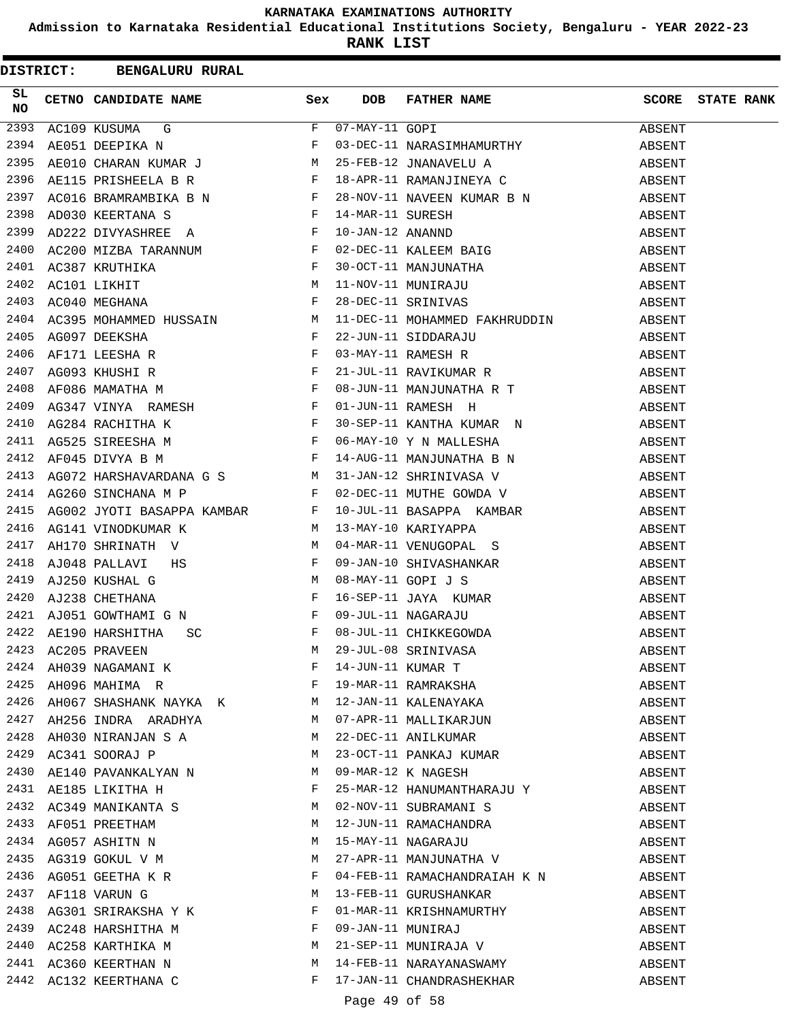**Admission to Karnataka Residential Educational Institutions Society, Bengaluru - YEAR 2022-23**

**RANK LIST**

|                 | DISTRICT: BENGALURU RURAL                                                                                                                                                                                                                                                                                                                                                                                                             |   |            |                                                                                                                                                                                                                                                                                                                                                                                                     |        |                         |
|-----------------|---------------------------------------------------------------------------------------------------------------------------------------------------------------------------------------------------------------------------------------------------------------------------------------------------------------------------------------------------------------------------------------------------------------------------------------|---|------------|-----------------------------------------------------------------------------------------------------------------------------------------------------------------------------------------------------------------------------------------------------------------------------------------------------------------------------------------------------------------------------------------------------|--------|-------------------------|
| SL<br><b>NO</b> | CETNO CANDIDATE NAME Sex                                                                                                                                                                                                                                                                                                                                                                                                              |   | <b>DOB</b> | FATHER NAME                                                                                                                                                                                                                                                                                                                                                                                         |        | <b>SCORE</b> STATE RANK |
| 2393            |                                                                                                                                                                                                                                                                                                                                                                                                                                       |   |            | AC109 KUSUMA G $\begin{array}{ l l l } \hline \text{R0109 KUSUMA} & \text{G} & \text{F} & \text{07-MAY-11 GOPI} \\\hline \text{A E051 DEEPIKA N} & \text{F} & \text{03-DEC-11 NARASIMHAMURTHY} & \text{ABSENT} \\ \text{A E010 CHARAN KUMAR J} & \text{M} & \text{25-FEB-12 JNANAVELU A} & \text{ABSENT} \\ \text{A E115 PRISHEELA B R} & \text{F} & \text{18-APR-11 RAMANJINEYA C} & \text{ABSENT$ |        |                         |
| 2394            |                                                                                                                                                                                                                                                                                                                                                                                                                                       |   |            |                                                                                                                                                                                                                                                                                                                                                                                                     |        |                         |
| 2395            |                                                                                                                                                                                                                                                                                                                                                                                                                                       |   |            |                                                                                                                                                                                                                                                                                                                                                                                                     |        |                         |
| 2396            |                                                                                                                                                                                                                                                                                                                                                                                                                                       |   |            |                                                                                                                                                                                                                                                                                                                                                                                                     |        |                         |
| 2397            |                                                                                                                                                                                                                                                                                                                                                                                                                                       |   |            |                                                                                                                                                                                                                                                                                                                                                                                                     |        |                         |
|                 |                                                                                                                                                                                                                                                                                                                                                                                                                                       |   |            |                                                                                                                                                                                                                                                                                                                                                                                                     | ABSENT |                         |
|                 |                                                                                                                                                                                                                                                                                                                                                                                                                                       |   |            |                                                                                                                                                                                                                                                                                                                                                                                                     | ABSENT |                         |
|                 |                                                                                                                                                                                                                                                                                                                                                                                                                                       |   |            |                                                                                                                                                                                                                                                                                                                                                                                                     | ABSENT |                         |
|                 |                                                                                                                                                                                                                                                                                                                                                                                                                                       |   |            |                                                                                                                                                                                                                                                                                                                                                                                                     | ABSENT |                         |
|                 |                                                                                                                                                                                                                                                                                                                                                                                                                                       |   |            |                                                                                                                                                                                                                                                                                                                                                                                                     | ABSENT |                         |
|                 |                                                                                                                                                                                                                                                                                                                                                                                                                                       |   |            |                                                                                                                                                                                                                                                                                                                                                                                                     | ABSENT |                         |
|                 |                                                                                                                                                                                                                                                                                                                                                                                                                                       |   |            | 11-DEC-11 MOHAMMED FAKHRUDDIN ABSENT                                                                                                                                                                                                                                                                                                                                                                |        |                         |
|                 |                                                                                                                                                                                                                                                                                                                                                                                                                                       |   |            | 22-JUN-11 SIDDARAJU ABSENT<br>03-MAY-11 RAMESH R ABSENT<br>21-JUL-11 RAVIKUMAR R ABSENT<br>08-JUN-11 MANJUNATHA R T ABSENT<br>08-JUN-11 MANJUNATHA R T ABSENT                                                                                                                                                                                                                                       |        |                         |
|                 |                                                                                                                                                                                                                                                                                                                                                                                                                                       |   |            |                                                                                                                                                                                                                                                                                                                                                                                                     |        |                         |
|                 |                                                                                                                                                                                                                                                                                                                                                                                                                                       |   |            |                                                                                                                                                                                                                                                                                                                                                                                                     |        |                         |
|                 |                                                                                                                                                                                                                                                                                                                                                                                                                                       |   |            |                                                                                                                                                                                                                                                                                                                                                                                                     |        |                         |
|                 |                                                                                                                                                                                                                                                                                                                                                                                                                                       |   |            |                                                                                                                                                                                                                                                                                                                                                                                                     | ABSENT |                         |
|                 |                                                                                                                                                                                                                                                                                                                                                                                                                                       |   |            |                                                                                                                                                                                                                                                                                                                                                                                                     |        |                         |
| 2411            |                                                                                                                                                                                                                                                                                                                                                                                                                                       |   |            |                                                                                                                                                                                                                                                                                                                                                                                                     |        |                         |
| 2412            | AG264 RACHING<br>AG525 SIREESHA M<br>AF045 DIVYA B M<br>F                                                                                                                                                                                                                                                                                                                                                                             |   |            | AG284 RACHITHA K<br>AG525 SIREESHA M F 06-MAY-10 Y N MALLESHA ABSENT<br>AF045 DIVYA B M F 14-AUG-11 MANJUNATHA B N ABSENT<br>AG072 HARSHAVARDANA G S M 31-JAN-12 SHRINIVASA V ABSENT<br>AG260 SINCHANA M D F 02 DEC11 HEREESH SURFALL                                                                                                                                                               |        |                         |
| 2413            |                                                                                                                                                                                                                                                                                                                                                                                                                                       |   |            |                                                                                                                                                                                                                                                                                                                                                                                                     |        |                         |
|                 | 2414 AG260 SINCHANA M P                                                                                                                                                                                                                                                                                                                                                                                                               |   |            | F 02-DEC-11 MUTHE GOWDA V                                                                                                                                                                                                                                                                                                                                                                           | ABSENT |                         |
| 2415            |                                                                                                                                                                                                                                                                                                                                                                                                                                       |   |            |                                                                                                                                                                                                                                                                                                                                                                                                     | ABSENT |                         |
| 2416            |                                                                                                                                                                                                                                                                                                                                                                                                                                       |   |            |                                                                                                                                                                                                                                                                                                                                                                                                     | ABSENT |                         |
| 2417            | AH170 SHRINATH V M                                                                                                                                                                                                                                                                                                                                                                                                                    |   |            | 04-MAR-11 VENUGOPAL S                                                                                                                                                                                                                                                                                                                                                                               | ABSENT |                         |
| 2418            |                                                                                                                                                                                                                                                                                                                                                                                                                                       |   |            | 09-JAN-10 SHIVASHANKAR<br>08-MAY-11 GOPI J S<br>16-SEP-11 JAYA KUMAR<br>09-JUL-11 NAGARAJU<br>08-JUL-11 CHIKKEGOWDA                                                                                                                                                                                                                                                                                 | ABSENT |                         |
| 2419            | AJ048 PALLAVI HS F<br>AJ250 KUSHAL G M<br>AJ238 CHETHANA F<br>AJ051 GOWTHAMI G N F                                                                                                                                                                                                                                                                                                                                                    |   |            |                                                                                                                                                                                                                                                                                                                                                                                                     | ABSENT |                         |
| 2420            |                                                                                                                                                                                                                                                                                                                                                                                                                                       |   |            |                                                                                                                                                                                                                                                                                                                                                                                                     | ABSENT |                         |
| 2421            |                                                                                                                                                                                                                                                                                                                                                                                                                                       |   |            |                                                                                                                                                                                                                                                                                                                                                                                                     | ABSENT |                         |
|                 | $\begin{picture}(180,170) \put(0,0){\dashbox{0.5}(100,0){ }} \thicklines \put(0,0){\dashbox{0.5}(100,0){ }} \thicklines \put(0,0){\dashbox{0.5}(100,0){ }} \thicklines \put(0,0){\dashbox{0.5}(100,0){ }} \thicklines \put(0,0){\dashbox{0.5}(100,0){ }} \thicklines \put(0,0){\dashbox{0.5}(100,0){ }} \thicklines \put(0,0){\dashbox{0.5}(100,0){ }} \thicklines \put(0,0){\dashbox{0.5}(100,0){ }} \thick$<br>2422 AE190 HARSHITHA |   |            |                                                                                                                                                                                                                                                                                                                                                                                                     | ABSENT |                         |
|                 |                                                                                                                                                                                                                                                                                                                                                                                                                                       |   |            |                                                                                                                                                                                                                                                                                                                                                                                                     | ABSENT |                         |
|                 | 2423 AC205 PRAVEEN<br>2424 AH039 NAGAMANI K<br>2425 AH096 MAHIMA R                                                                                                                                                                                                                                                                                                                                                                    |   |            |                                                                                                                                                                                                                                                                                                                                                                                                     | ABSENT |                         |
|                 |                                                                                                                                                                                                                                                                                                                                                                                                                                       |   |            |                                                                                                                                                                                                                                                                                                                                                                                                     | ABSENT |                         |
|                 | 2426 AH067 SHASHANK NAYKA K                                                                                                                                                                                                                                                                                                                                                                                                           |   |            | 29-JUL-08 SRINIVASA<br>14-JUN-11 KUMAR T<br>19-MAR-11 RAMRAKSHA<br>12-JAN-11 KALENAYAKA                                                                                                                                                                                                                                                                                                             | ABSENT |                         |
|                 |                                                                                                                                                                                                                                                                                                                                                                                                                                       |   |            |                                                                                                                                                                                                                                                                                                                                                                                                     | ABSENT |                         |
|                 |                                                                                                                                                                                                                                                                                                                                                                                                                                       |   |            | 2427 AH256 INDRA ARADHYA M 07-APR-11 MALLIKARJUN<br>2428 AH030 NIRANJAN S A M 22-DEC-11 ANILKUMAR                                                                                                                                                                                                                                                                                                   | ABSENT |                         |
| 2429            | AC341 SOORAJ P                                                                                                                                                                                                                                                                                                                                                                                                                        | М |            | 23-OCT-11 PANKAJ KUMAR                                                                                                                                                                                                                                                                                                                                                                              | ABSENT |                         |
| 2430            | AE140 PAVANKALYAN N                                                                                                                                                                                                                                                                                                                                                                                                                   |   |            | 09-MAR-12 K NAGESH                                                                                                                                                                                                                                                                                                                                                                                  | ABSENT |                         |
|                 |                                                                                                                                                                                                                                                                                                                                                                                                                                       | F |            |                                                                                                                                                                                                                                                                                                                                                                                                     | ABSENT |                         |
|                 | 2431 AE185 LIKITHA H<br>2432 AC349 MANIKANTA S                                                                                                                                                                                                                                                                                                                                                                                        | M |            | 25-MAR-12 HANUMANTHARAJU Y<br>02-NOV-11 SUBRAMANI S                                                                                                                                                                                                                                                                                                                                                 | ABSENT |                         |
|                 | 2433 AF051 PREETHAM                                                                                                                                                                                                                                                                                                                                                                                                                   | М |            | 12-JUN-11 RAMACHANDRA                                                                                                                                                                                                                                                                                                                                                                               | ABSENT |                         |
|                 | 2434 AG057 ASHITN N                                                                                                                                                                                                                                                                                                                                                                                                                   | M |            | 15-MAY-11 NAGARAJU                                                                                                                                                                                                                                                                                                                                                                                  | ABSENT |                         |
|                 | 2435 AG319 GOKUL V M                                                                                                                                                                                                                                                                                                                                                                                                                  | M |            | 27-APR-11 MANJUNATHA V                                                                                                                                                                                                                                                                                                                                                                              | ABSENT |                         |
| 2436            | AG051 GEETHA K R                                                                                                                                                                                                                                                                                                                                                                                                                      | F |            | 04-FEB-11 RAMACHANDRAIAH K N                                                                                                                                                                                                                                                                                                                                                                        | ABSENT |                         |
| 2437            | M<br>AF118 VARUN G                                                                                                                                                                                                                                                                                                                                                                                                                    |   |            | 13-FEB-11 GURUSHANKAR                                                                                                                                                                                                                                                                                                                                                                               | ABSENT |                         |
| 2438            | AG301 SRIRAKSHA Y K $$\rm F$$                                                                                                                                                                                                                                                                                                                                                                                                         |   |            |                                                                                                                                                                                                                                                                                                                                                                                                     | ABSENT |                         |
|                 |                                                                                                                                                                                                                                                                                                                                                                                                                                       |   |            | 01-MAR-11 KRISHNAMURTHY<br>09-JAN-11 MUNIRAJ<br>21-SEP-11 MUNIRAJA V                                                                                                                                                                                                                                                                                                                                | ABSENT |                         |
|                 | 2439 AC248 HARSHITHA M<br>2440 AC258 KARTHIKA M<br>2441 AC258 KARTHIKA M                                                                                                                                                                                                                                                                                                                                                              | M |            |                                                                                                                                                                                                                                                                                                                                                                                                     | ABSENT |                         |
|                 | 2441 AC360 KEERTHAN N                                                                                                                                                                                                                                                                                                                                                                                                                 | M |            | 14-FEB-11 NARAYANASWAMY                                                                                                                                                                                                                                                                                                                                                                             | ABSENT |                         |
|                 | 2442 AC132 KEERTHANA C                                                                                                                                                                                                                                                                                                                                                                                                                | F |            | 17-JAN-11 CHANDRASHEKHAR                                                                                                                                                                                                                                                                                                                                                                            | ABSENT |                         |
|                 |                                                                                                                                                                                                                                                                                                                                                                                                                                       |   |            |                                                                                                                                                                                                                                                                                                                                                                                                     |        |                         |

Page 49 of 58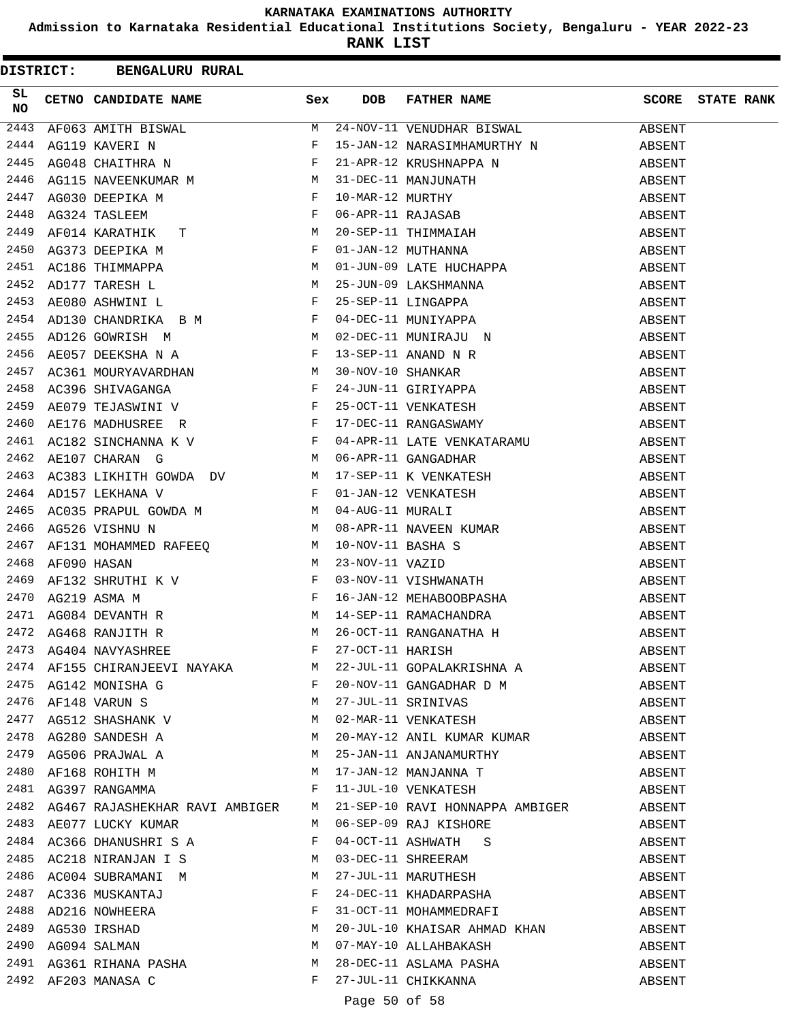**Admission to Karnataka Residential Educational Institutions Society, Bengaluru - YEAR 2022-23**

**RANK LIST**

|          | DISTRICT: BENGALURU RURAL                                                                                                                                                                                                      |       |                                                                                                                                                                                                                                                 |        |                   |
|----------|--------------------------------------------------------------------------------------------------------------------------------------------------------------------------------------------------------------------------------|-------|-------------------------------------------------------------------------------------------------------------------------------------------------------------------------------------------------------------------------------------------------|--------|-------------------|
| SL<br>NO |                                                                                                                                                                                                                                |       | <b>CETNO CANDIDATE NAME</b><br>AF063 AMITH BISWAL<br>AG119 KAVERI N F 15-JAN-12 NARASIMHAMURTHY N AGO<br>AG115 NAVERIKUMAR M F 21-APR-12 KRUSHNAPPA N ABS<br>6 AG115 NAVERIKUMAR M M 31-DEC-11 MANJUNTHY AB<br>47 AG030 DEEPIKA M F 10-MAR-1    | SCORE  | <b>STATE RANK</b> |
| 2443     |                                                                                                                                                                                                                                |       |                                                                                                                                                                                                                                                 | ABSENT |                   |
| 2444     |                                                                                                                                                                                                                                |       |                                                                                                                                                                                                                                                 | ABSENT |                   |
| 2445     |                                                                                                                                                                                                                                |       |                                                                                                                                                                                                                                                 | ABSENT |                   |
| 2446     |                                                                                                                                                                                                                                |       |                                                                                                                                                                                                                                                 | ABSENT |                   |
| 2447     |                                                                                                                                                                                                                                |       |                                                                                                                                                                                                                                                 | ABSENT |                   |
| 2448     |                                                                                                                                                                                                                                |       |                                                                                                                                                                                                                                                 | ABSENT |                   |
| 2449     |                                                                                                                                                                                                                                |       |                                                                                                                                                                                                                                                 | ABSENT |                   |
| 2450     |                                                                                                                                                                                                                                |       |                                                                                                                                                                                                                                                 | ABSENT |                   |
| 2451     |                                                                                                                                                                                                                                |       |                                                                                                                                                                                                                                                 | ABSENT |                   |
|          |                                                                                                                                                                                                                                |       | 2451 AC186 THIMMAPPA<br>2452 AD177 TARESH L<br>2452 AD177 TARESH L<br>2453 AE080 ASHWINI L<br>2453 AE080 ASHWINI L<br>2453 AE080 ASHWINI L<br>2453 AE080 ASHWINI L<br>2454 AD130 CHANDRIKA B M<br>2454 AD130 CHANDRIKA B M<br>2454 AD130 CHANDR | ABSENT |                   |
|          |                                                                                                                                                                                                                                |       |                                                                                                                                                                                                                                                 | ABSENT |                   |
|          |                                                                                                                                                                                                                                |       |                                                                                                                                                                                                                                                 | ABSENT |                   |
|          |                                                                                                                                                                                                                                |       |                                                                                                                                                                                                                                                 | ABSENT |                   |
|          |                                                                                                                                                                                                                                |       |                                                                                                                                                                                                                                                 | ABSENT |                   |
|          |                                                                                                                                                                                                                                |       |                                                                                                                                                                                                                                                 | ABSENT |                   |
|          |                                                                                                                                                                                                                                |       |                                                                                                                                                                                                                                                 | ABSENT |                   |
|          |                                                                                                                                                                                                                                |       |                                                                                                                                                                                                                                                 | ABSENT |                   |
|          |                                                                                                                                                                                                                                |       |                                                                                                                                                                                                                                                 | ABSENT |                   |
|          |                                                                                                                                                                                                                                |       |                                                                                                                                                                                                                                                 | ABSENT |                   |
|          |                                                                                                                                                                                                                                |       |                                                                                                                                                                                                                                                 | ABSENT |                   |
| 2463     |                                                                                                                                                                                                                                |       |                                                                                                                                                                                                                                                 | ABSENT |                   |
| 2464     |                                                                                                                                                                                                                                |       |                                                                                                                                                                                                                                                 | ABSENT |                   |
| 2465     |                                                                                                                                                                                                                                |       |                                                                                                                                                                                                                                                 | ABSENT |                   |
| 2466     |                                                                                                                                                                                                                                |       |                                                                                                                                                                                                                                                 | ABSENT |                   |
| 2467     |                                                                                                                                                                                                                                |       |                                                                                                                                                                                                                                                 | ABSENT |                   |
| 2468     | ADISTRIBUTE ONDER MANUSICAL PROPULS ON DENTIFIED AND MANUSICAL MURALING DESCRIPTION MANUSICAL MURAL PROPULS MANUSICAL MANUSICAL MANUSICAL MANUSICAL MANUSICAL MANUSICAL MANUSICAL MANUSICAL MANUSICAL MANUSICAL MANUSICAL MANU |       | 10-NOV-11 BASHA S<br>23-NOV-11 VAZID<br>03-NOV-11 VISHWANATH<br>16-JAN-12 MEHABOOBPASHA                                                                                                                                                         | ABSENT |                   |
| 2469     | AFUSU HABAN<br>AF132 SHRUTHI K V F<br>AG219 ASMA M F<br>AG084 DEVANTH R M M<br>AG468 RANJITH R M                                                                                                                               |       |                                                                                                                                                                                                                                                 | ABSENT |                   |
| 2470     |                                                                                                                                                                                                                                |       |                                                                                                                                                                                                                                                 | ABSENT |                   |
| 2471     |                                                                                                                                                                                                                                |       | 14-SEP-11 RAMACHANDRA                                                                                                                                                                                                                           | ABSENT |                   |
|          | 2472 AG468 RANJITH R                                                                                                                                                                                                           |       | 26-OCT-11 RANGANATHA H                                                                                                                                                                                                                          | ABSENT |                   |
|          |                                                                                                                                                                                                                                |       |                                                                                                                                                                                                                                                 | ABSENT |                   |
|          |                                                                                                                                                                                                                                |       | 2473 AG404 NAVYASHREE F 27-OCT-11 HARISH<br>2474 AF155 CHIRANJEEVI NAYAKA M 22-JUL-11 GOPALAKRISHNA A                                                                                                                                           | ABSENT |                   |
|          |                                                                                                                                                                                                                                |       | 20-NOV-11 GANGADHAR D M                                                                                                                                                                                                                         | ABSENT |                   |
|          | 2475 AG142 MONISHA G<br>2476 AF148 VARUN S<br>M                                                                                                                                                                                |       |                                                                                                                                                                                                                                                 | ABSENT |                   |
|          | 2173 AFIIO VARON D<br>2477 AG512 SHASHANK V M<br>2478 AG280 SANDESH A M<br>2479 AG506 PRAJWAL A M                                                                                                                              |       | 27-JUL-11 SRINIVAS<br>02-MAR-11 VENKATESH<br>20-MAY-12 ANIL KUMAR KUMAR                                                                                                                                                                         | ABSENT |                   |
|          |                                                                                                                                                                                                                                |       |                                                                                                                                                                                                                                                 | ABSENT |                   |
|          |                                                                                                                                                                                                                                |       | 25-JAN-11 ANJANAMURTHY                                                                                                                                                                                                                          | ABSENT |                   |
| 2480     | AF168 ROHITH M                                                                                                                                                                                                                 |       |                                                                                                                                                                                                                                                 | ABSENT |                   |
|          | 2481 AG397 RANGAMMA                                                                                                                                                                                                            | F     | 17-JAN-12 MANJANNA T<br>11-JUL-10 VENKATESH                                                                                                                                                                                                     | ABSENT |                   |
|          |                                                                                                                                                                                                                                |       | 2482 AG467 RAJASHEKHAR RAVI AMBIGER M 21-SEP-10 RAVI HONNAPPA AMBIGER                                                                                                                                                                           | ABSENT |                   |
|          | 2483 AE077 LUCKY KUMAR                                                                                                                                                                                                         |       | M 06-SEP-09 RAJ KISHORE                                                                                                                                                                                                                         | ABSENT |                   |
|          | 2484 AC366 DHANUSHRI S A F                                                                                                                                                                                                     |       |                                                                                                                                                                                                                                                 | ABSENT |                   |
|          |                                                                                                                                                                                                                                |       |                                                                                                                                                                                                                                                 | ABSENT |                   |
|          |                                                                                                                                                                                                                                |       | 04-OCT-11 ASHWATH S<br>03-DEC-11 SHREERAM<br>27-JUL-11 MARUTHESH<br>24-DEC-11 KHADARPASHA                                                                                                                                                       | ABSENT |                   |
|          |                                                                                                                                                                                                                                |       |                                                                                                                                                                                                                                                 | ABSENT |                   |
|          | 2485 AC218 NIRANJAN I S<br>2485 AC218 NIRANJAN I S<br>2486 AC004 SUBRAMANI M<br>2487 AC336 MUSKANTAJ F<br>2488 AD216 NOWHEERA F<br>2489 AG530 IRSHAD M<br>2490 AG094 SALMAN M<br>2490 AG094 SALMAN M                           |       | 31-OCT-11 MOHAMMEDRAFI                                                                                                                                                                                                                          | ABSENT |                   |
|          |                                                                                                                                                                                                                                |       |                                                                                                                                                                                                                                                 | ABSENT |                   |
|          |                                                                                                                                                                                                                                |       | 20-JUL-10 KHAISAR AHMAD KHAN<br>25 Waa 10<br>07-MAY-10 ALLAHBAKASH                                                                                                                                                                              | ABSENT |                   |
|          | 2491 AG361 RIHANA PASHA                                                                                                                                                                                                        | M     | 28-DEC-11 ASLAMA PASHA                                                                                                                                                                                                                          | ABSENT |                   |
|          | 2492 AF203 MANASA C                                                                                                                                                                                                            | $F -$ | 27-JUL-11 CHIKKANNA                                                                                                                                                                                                                             | ABSENT |                   |
|          |                                                                                                                                                                                                                                |       |                                                                                                                                                                                                                                                 |        |                   |

Page 50 of 58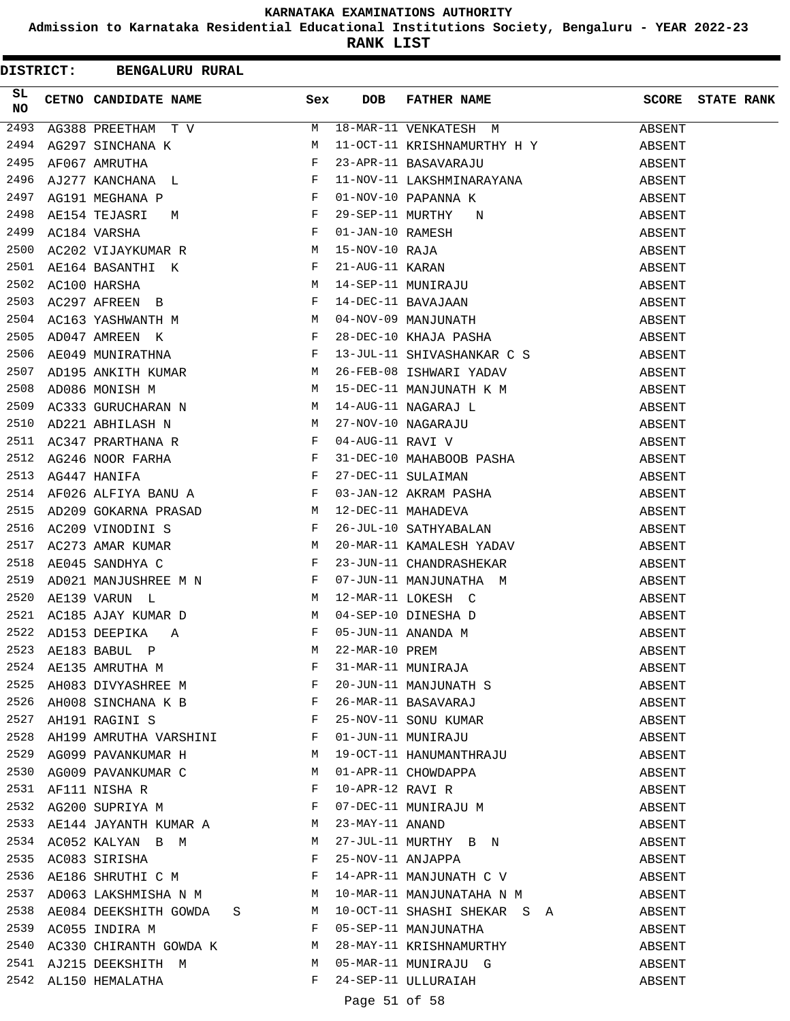**Admission to Karnataka Residential Educational Institutions Society, Bengaluru - YEAR 2022-23**

**RANK LIST**

|          | DISTRICT: BENGALURU RURAL                                                                                                                                                |       |            |                                                                                                                                                                                                                                                    |        |                   |
|----------|--------------------------------------------------------------------------------------------------------------------------------------------------------------------------|-------|------------|----------------------------------------------------------------------------------------------------------------------------------------------------------------------------------------------------------------------------------------------------|--------|-------------------|
| SL<br>NO | CETNO CANDIDATE NAME Sex                                                                                                                                                 |       | <b>DOB</b> | FATHER NAME                                                                                                                                                                                                                                        | SCORE  | <b>STATE RANK</b> |
| 2493     |                                                                                                                                                                          | M     |            | 18-MAR-11 VENKATESH M                                                                                                                                                                                                                              | ABSENT |                   |
| 2494     |                                                                                                                                                                          |       |            | 11-OCT-11 KRISHNAMURTHY H Y                                                                                                                                                                                                                        | ABSENT |                   |
| 2495     |                                                                                                                                                                          |       |            | 23-APR-11 BASAVARAJU                                                                                                                                                                                                                               | ABSENT |                   |
| 2496     |                                                                                                                                                                          |       |            | 11-NOV-11 LAKSHMINARAYANA                                                                                                                                                                                                                          | ABSENT |                   |
| 2497     |                                                                                                                                                                          |       |            |                                                                                                                                                                                                                                                    | ABSENT |                   |
| 2498     | AE154 TEJASRI                                                                                                                                                            |       |            |                                                                                                                                                                                                                                                    | ABSENT |                   |
| 2499     | $\begin{array}{ccc} \mathbb{M} & & \mathbb{F} \\ & & \mathbb{F} \end{array}$<br>AC184 VARSHA                                                                             |       |            | 11-NOV-11 LANSHMINARAYANA<br>01-NOV-10 PAPANNA K<br>29-SEP-11 MURTHY N<br>01-JAN-10 RAMESH<br>15-NOV-10 RAJA<br>21-AUG-11 KARAN<br>14-SEP-11 MUNIRAJU<br>14-DEC-11 BAVAJAAN<br>04-NOV-09 MANJUNATH<br>28-DEC-10 KHAJA PASHA<br>13-JUU-11 SHYASHANA | ABSENT |                   |
| 2500     | ACI84 VARSHA<br>AC202 VIJAYKUMAR R                                                                                                                                       |       |            |                                                                                                                                                                                                                                                    | ABSENT |                   |
| 2501     | AE164 BASANTHI K F                                                                                                                                                       |       |            |                                                                                                                                                                                                                                                    | ABSENT |                   |
| 2502     | AC100 HARSHA M<br>AC297 AFREEN B<br>AC163 YASHWANTH M<br>AD047 AMREEN K<br>F                                                                                             |       |            |                                                                                                                                                                                                                                                    | ABSENT |                   |
| 2503     |                                                                                                                                                                          |       |            |                                                                                                                                                                                                                                                    | ABSENT |                   |
| 2504     |                                                                                                                                                                          |       |            |                                                                                                                                                                                                                                                    | ABSENT |                   |
| 2505     |                                                                                                                                                                          |       |            |                                                                                                                                                                                                                                                    | ABSENT |                   |
| 2506     | $\mathbf{F}$<br>AE049 MUNIRATHNA                                                                                                                                         |       |            | 13-JUL-11 SHIVASHANKAR C S                                                                                                                                                                                                                         | ABSENT |                   |
| 2507     | AD195 ANKITH KUMAR M                                                                                                                                                     |       |            | 26-FEB-08 ISHWARI YADAV                                                                                                                                                                                                                            | ABSENT |                   |
| 2508     | $\overline{M}$<br>AD086 MONISH M                                                                                                                                         |       |            | 15-DEC-11 MANJUNATH K M                                                                                                                                                                                                                            | ABSENT |                   |
| 2509     | AC333 GURUCHARAN N M                                                                                                                                                     |       |            | 15-DEC-11 MAGARAJ L<br>14-AUG-11 NAGARAJ L<br>27-NOV-10 NAGARAJU<br>04-AUG-11 RAVI V                                                                                                                                                               | ABSENT |                   |
| 2510     | $\mathbf M$<br>AD221 ABHILASH N                                                                                                                                          |       |            |                                                                                                                                                                                                                                                    | ABSENT |                   |
| 2511     |                                                                                                                                                                          |       |            |                                                                                                                                                                                                                                                    | ABSENT |                   |
| 2512     | AC347 PRARTHANA R<br>AG246 NOOR FARHA F<br>AG447 HANIFA F                                                                                                                |       |            | 31-DEC-10 MAHABOOB PASHA                                                                                                                                                                                                                           | ABSENT |                   |
| 2513     |                                                                                                                                                                          |       |            |                                                                                                                                                                                                                                                    | ABSENT |                   |
| 2514     | AF026 ALFIYA BANU A F                                                                                                                                                    |       |            |                                                                                                                                                                                                                                                    | ABSENT |                   |
| 2515     | AD209 GOKARNA PRASAD M                                                                                                                                                   |       |            | 27-DEC-11 SULAIMAN<br>03-JAN-12 AKRAM PASHA<br>12-DEC-11 MAHADEVA<br>26-JUL-10 SATHYABALAN                                                                                                                                                         | ABSENT |                   |
| 2516     | $\mathbf{F}$<br>AC209 VINODINI S                                                                                                                                         |       |            |                                                                                                                                                                                                                                                    | ABSENT |                   |
| 2517     | AC273 AMAR KUMAR M                                                                                                                                                       |       |            | 20-MAR-11 KAMALESH YADAV                                                                                                                                                                                                                           | ABSENT |                   |
| 2518     | $\mathbb{F}^{\mathbb{Z}}$ . The state of the state $\mathbb{F}^{\mathbb{Z}}$<br>AE045 SANDHYA C                                                                          |       |            | 23-JUN-11 CHANDRASHEKAR                                                                                                                                                                                                                            | ABSENT |                   |
| 2519     |                                                                                                                                                                          |       |            | 07-JUN-11 MANJUNATHA M<br>12-MAR-11 LOKESH C<br>04-SEP-10 DINESHA D<br>05-JUN-11 ANANDA M                                                                                                                                                          | ABSENT |                   |
| 2520     |                                                                                                                                                                          |       |            |                                                                                                                                                                                                                                                    | ABSENT |                   |
| 2521     | AC185 AJAY KUMAR D M                                                                                                                                                     |       |            |                                                                                                                                                                                                                                                    | ABSENT |                   |
|          | 2522 AD153 DEEPIKA<br>A                                                                                                                                                  | F     |            |                                                                                                                                                                                                                                                    | ABSENT |                   |
|          | $\begin{tabular}{lllllll} 2523 & AE183 BABUL & P & & M \\ 2524 & AE135 AMRUTHA & M & & F \\ 2525 & AH083 DIVYASHREE & M & & & F \\ \end{tabular}$                        |       |            |                                                                                                                                                                                                                                                    | ABSENT |                   |
|          |                                                                                                                                                                          | F     |            |                                                                                                                                                                                                                                                    | ABSENT |                   |
|          |                                                                                                                                                                          |       |            |                                                                                                                                                                                                                                                    | ABSENT |                   |
|          | 2526 AH008 SINCHANA K B F                                                                                                                                                |       |            | 22-MAR-10 PREM<br>31-MAR-11 MUNIRAJA<br>20-JUN-11 MANJUNATH S<br>26-MAR-11 BASAVARAJ<br>25-NOV-11 SONU KUMAR<br>01-JUN-11 MUNIRAJU                                                                                                                 | ABSENT |                   |
|          | $\mathbb{F}_{\mathbb{Z}}\otimes\mathbb{F}_{\mathbb{Z}}\otimes\mathbb{F}_{\mathbb{Z}}\otimes\mathbb{F}_{\mathbb{Z}}\otimes\mathbb{F}_{\mathbb{Z}}$<br>2527 AH191 RAGINI S |       |            |                                                                                                                                                                                                                                                    | ABSENT |                   |
|          | 2528 AH199 AMRUTHA VARSHINI F                                                                                                                                            |       |            |                                                                                                                                                                                                                                                    | ABSENT |                   |
| 2529     | AG099 PAVANKUMAR H M                                                                                                                                                     |       |            | 19-OCT-11 HANUMANTHRAJU                                                                                                                                                                                                                            | ABSENT |                   |
| 2530     | AG009 PAVANKUMAR C M                                                                                                                                                     |       |            | 01-APR-11 CHOWDAPPA<br>10-APR-12 RAVI R<br>07-DEC-11 MUNIRAJU M<br>23-MAY-11 ANAND                                                                                                                                                                 | ABSENT |                   |
|          | 2531 AF111 NISHA R<br>2532 AG200 SUPRIYA M R                                                                                                                             |       |            |                                                                                                                                                                                                                                                    | ABSENT |                   |
|          |                                                                                                                                                                          |       |            |                                                                                                                                                                                                                                                    | ABSENT |                   |
|          | 2533 AE144 JAYANTH KUMAR A M                                                                                                                                             |       |            |                                                                                                                                                                                                                                                    | ABSENT |                   |
|          | 2534 AC052 KALYAN B M M                                                                                                                                                  |       |            | 27-JUL-11 MURTHY B N                                                                                                                                                                                                                               | ABSENT |                   |
|          | $\mathbf{F}$ and $\mathbf{F}$ and $\mathbf{F}$<br>2535 AC083 SIRISHA                                                                                                     |       |            | $25-NOV-11$ ANJAPPA                                                                                                                                                                                                                                | ABSENT |                   |
| 2536     | AE186 SHRUTHI C M                                                                                                                                                        |       |            | 14-APR-11 MANJUNATH C V                                                                                                                                                                                                                            | ABSENT |                   |
| 2537     | AD063 LAKSHMISHA N M                                                                                                                                                     |       |            | 10-MAR-11 MANJUNATAHA N M                                                                                                                                                                                                                          | ABSENT |                   |
| 2538     | AE084 DEEKSHITH GOWDA S M                                                                                                                                                |       |            | 10-OCT-11 SHASHI SHEKAR S A                                                                                                                                                                                                                        | ABSENT |                   |
|          | 2539 AC055 INDIRA M                                                                                                                                                      | F     |            | 05-SEP-11 MANJUNATHA                                                                                                                                                                                                                               | ABSENT |                   |
|          | 2540 AC330 CHIRANTH GOWDA K M 28-MAY-11 KRISHNAMURTHY                                                                                                                    |       |            |                                                                                                                                                                                                                                                    | ABSENT |                   |
|          | 2541 AJ215 DEEKSHITH M                                                                                                                                                   |       |            | 05-MAR-11 MUNIRAJU G                                                                                                                                                                                                                               | ABSENT |                   |
|          | 2542 AL150 HEMALATHA                                                                                                                                                     | $F -$ |            | 24-SEP-11 ULLURAIAH                                                                                                                                                                                                                                | ABSENT |                   |
|          |                                                                                                                                                                          |       |            |                                                                                                                                                                                                                                                    |        |                   |

# Page 51 of 58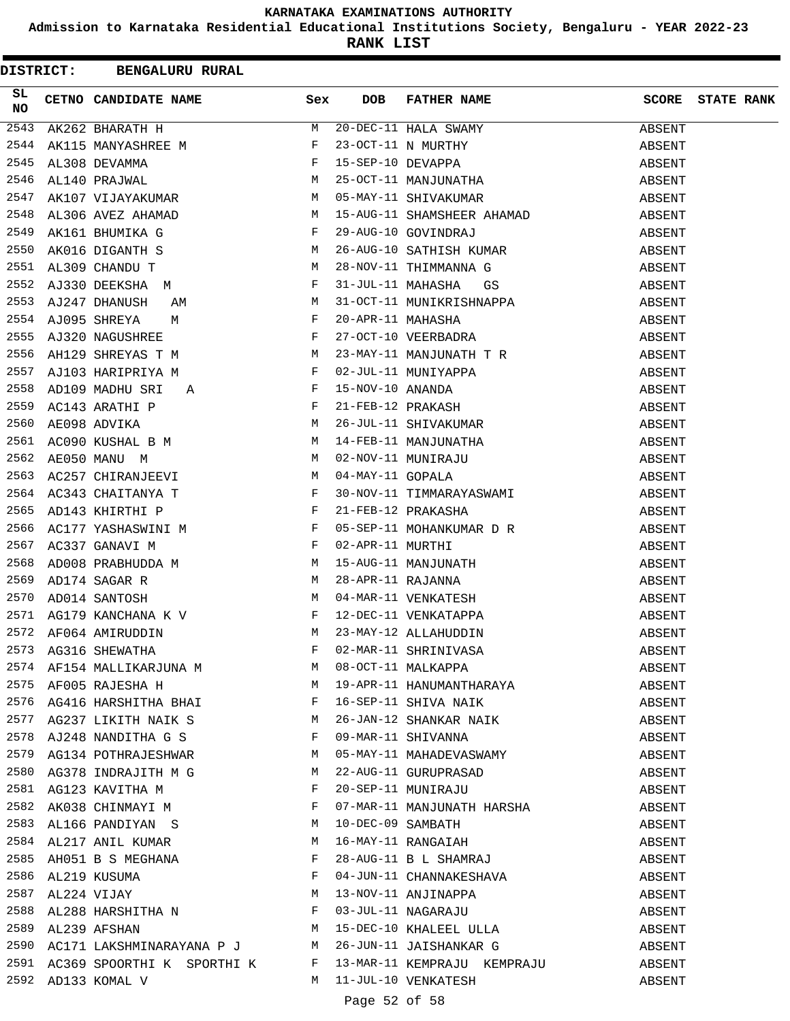**Admission to Karnataka Residential Educational Institutions Society, Bengaluru - YEAR 2022-23**

|          | <b>DISTRICT: BENGALURU RURAL</b>                                                                                                                                                                                                                    |     |                   |                                                                                                                                                                               |              |                   |
|----------|-----------------------------------------------------------------------------------------------------------------------------------------------------------------------------------------------------------------------------------------------------|-----|-------------------|-------------------------------------------------------------------------------------------------------------------------------------------------------------------------------|--------------|-------------------|
| SL<br>NO | CETNO CANDIDATE NAME                                                                                                                                                                                                                                | Sex | <b>DOB</b>        | FATHER NAME                                                                                                                                                                   | <b>SCORE</b> | <b>STATE RANK</b> |
| 2543     | AK262 BHARATH H                                                                                                                                                                                                                                     | M   |                   | 20-DEC-11 HALA SWAMY<br>23-OCT-11 N MURTHY<br>15-SEP-10 DEVAPPA<br>25-OCT-11 MANJUNATHA<br>05-MAY-11 SHIVAKUMAR                                                               | ABSENT       |                   |
| 2544     |                                                                                                                                                                                                                                                     |     |                   |                                                                                                                                                                               | ABSENT       |                   |
| 2545     |                                                                                                                                                                                                                                                     |     |                   |                                                                                                                                                                               | ABSENT       |                   |
| 2546     | THE SUBARUMANT THE MANYASHREE M<br>AL308 DEVAMMA F<br>AL140 PRAJWAL M<br>AK107 VIJAYAKUMAR M                                                                                                                                                        |     |                   |                                                                                                                                                                               | ABSENT       |                   |
| 2547     |                                                                                                                                                                                                                                                     |     |                   |                                                                                                                                                                               | ABSENT       |                   |
| 2548     | AL306 AVEZ AHAMAD M<br>AK161 BHUMIKA G F<br>AK016 DIGANTH S M<br>AL309 CHANDU T M                                                                                                                                                                   |     |                   | 15-AUG-11 SHAMSHEER AHAMAD<br>29-AUG-10 GOVINDER I                                                                                                                            | ABSENT       |                   |
| 2549     |                                                                                                                                                                                                                                                     |     |                   | 29-AUG-10 GOVINDRAJ                                                                                                                                                           | ABSENT       |                   |
| 2550     |                                                                                                                                                                                                                                                     |     |                   | 26-AUG-10 SATHISH KUMAR                                                                                                                                                       | ABSENT       |                   |
| 2551     |                                                                                                                                                                                                                                                     |     |                   | 28-NOV-11 THIMMANNA G                                                                                                                                                         | ABSENT       |                   |
| 2552     | AJ330 DEEKSHA M F                                                                                                                                                                                                                                   |     | 31-JUL-11 MAHASHA | GS                                                                                                                                                                            | ABSENT       |                   |
| 2553     | $\begin{array}{ccc}\n\mathbf{AM} & & \mathbf{M} \\ \mathbf{M} & & \mathbf{F} \\ \mathbf{E} & & \mathbf{F}\n\end{array}$<br>AJ247 DHANUSH                                                                                                            |     |                   |                                                                                                                                                                               | ABSENT       |                   |
| 2554     | AJ095 SHREYA                                                                                                                                                                                                                                        |     |                   | 31-OCT-11 MUNIKRISHNAPPA<br>20-APR-11 MAHASHA<br>27-OCT-10 VEERBADRA                                                                                                          | ABSENT       |                   |
| 2555     | AJ320 NAGUSHREE                                                                                                                                                                                                                                     |     |                   |                                                                                                                                                                               | ABSENT       |                   |
| 2556     | AH129 SHREYAS T M<br>AJI02 HARIFYIYI - 1                                                                                                                                                                                                            |     |                   | $23-MAY-11$ MANJUNATH T R                                                                                                                                                     | ABSENT       |                   |
|          | 2557 AJ103 HARIPRIYA M<br>2558 AD109 MADHU SRI A<br>F                                                                                                                                                                                               |     |                   |                                                                                                                                                                               | ABSENT       |                   |
|          |                                                                                                                                                                                                                                                     |     |                   |                                                                                                                                                                               | ABSENT       |                   |
| 2559     | AC143 ARATHI P<br>AE098 ADVIKA M<br>AC090 KUSHAL B M M<br>AE050 MANU M M<br>AE050 MANU M M                                                                                                                                                          |     |                   |                                                                                                                                                                               | ABSENT       |                   |
| 2560     |                                                                                                                                                                                                                                                     |     |                   |                                                                                                                                                                               | ABSENT       |                   |
| 2561     |                                                                                                                                                                                                                                                     |     |                   |                                                                                                                                                                               | ABSENT       |                   |
| 2562     |                                                                                                                                                                                                                                                     |     |                   |                                                                                                                                                                               | ABSENT       |                   |
| 2563     | AC257 CHIRANJEEVI M                                                                                                                                                                                                                                 |     |                   | -- PERSONALLE IN NEW YORK 15-NOV-10 ANANDA<br>15-NOV-10 ANANDA<br>21-FEB-12 PRAKASH<br>26-JUL-11 SHIVAKUMAR<br>14-FEB-11 MANJUNATHA<br>02-NOV-11 MUNIRAJU<br>04-MAY-11 GOPALA | ABSENT       |                   |
|          |                                                                                                                                                                                                                                                     |     |                   |                                                                                                                                                                               | ABSENT       |                   |
|          | 2564 AC343 CHAITANYA T<br>2565 AD143 KHIRTHI P<br>2566 AC177 YASHASWINI M                                                                                                                                                                           |     |                   | 30-NOV-11 TIMMARAYASWAMI<br>21-FEB-12 PRAKASHA                                                                                                                                | ABSENT       |                   |
|          |                                                                                                                                                                                                                                                     |     |                   |                                                                                                                                                                               | ABSENT       |                   |
| 2567     | $\mathbb{R}^n$ . The set of the set of the set of the set of the set of the set of the set of the set of the set of the set of the set of the set of the set of the set of the set of the set of the set of the set of the set of<br>AC337 GANAVI M |     |                   |                                                                                                                                                                               | ABSENT       |                   |
| 2568     |                                                                                                                                                                                                                                                     |     |                   | 05-SEP-11 MOHANKUMAR D R<br>02-APR-11 MURTHI<br>15-AUG-11 MANJUNATH<br>28-APR-11 RAJANNA<br>04-MAR-11 VENKATESH<br>12-DEC-11 VENKATAPPA<br>23-MAY-12 ALLAHUDDIN               | ABSENT       |                   |
| 2569     |                                                                                                                                                                                                                                                     |     |                   |                                                                                                                                                                               | ABSENT       |                   |
| 2570     |                                                                                                                                                                                                                                                     |     |                   |                                                                                                                                                                               | ABSENT       |                   |
| 2571     | $AG179$ KANCHANA K V F                                                                                                                                                                                                                              |     |                   |                                                                                                                                                                               | ABSENT       |                   |
|          | 2572 AF064 AMIRUDDIN                                                                                                                                                                                                                                | M   |                   |                                                                                                                                                                               | ABSENT       |                   |
|          |                                                                                                                                                                                                                                                     |     |                   |                                                                                                                                                                               | ABSENT       |                   |
|          |                                                                                                                                                                                                                                                     |     |                   |                                                                                                                                                                               | ABSENT       |                   |
|          | 2575 AF005 RAJESHA H                                                                                                                                                                                                                                |     |                   | 19-APR-11 HANUMANTHARAYA                                                                                                                                                      | ABSENT       |                   |
|          |                                                                                                                                                                                                                                                     |     |                   |                                                                                                                                                                               | ABSENT       |                   |
|          |                                                                                                                                                                                                                                                     |     |                   | ARABI PE 16-SEP-11 SHIVA NAIK<br>2577 AG237 LIKITH NAIK S<br>2578 AJ248 NANDITHA G S<br>2579 AG134 POTHRAJESHWAD                                                              | ABSENT       |                   |
|          |                                                                                                                                                                                                                                                     |     |                   |                                                                                                                                                                               | ABSENT       |                   |
|          | 2579 AG134 POTHRAJESHWAR M                                                                                                                                                                                                                          |     |                   | 09-MAR-11 SHIVANNA<br>05-MAY-11 MAHADEVASWAMY                                                                                                                                 | ABSENT       |                   |
|          |                                                                                                                                                                                                                                                     |     |                   |                                                                                                                                                                               | ABSENT       |                   |
|          |                                                                                                                                                                                                                                                     |     |                   | 22-AUG-11 GURUPRASAD<br>20-SEP-11 MUNIRAJU                                                                                                                                    | ABSENT       |                   |
|          | 2580 AG378 INDRAJITH M G M<br>2581 AG123 KAVITHA M F F<br>2582 AK038 CHINMAYI M F F                                                                                                                                                                 |     |                   | 07-MAR-11 MANJUNATH HARSHA                                                                                                                                                    | ABSENT       |                   |
|          | 2583 AL166 PANDIYAN S M                                                                                                                                                                                                                             |     |                   |                                                                                                                                                                               | ABSENT       |                   |
|          |                                                                                                                                                                                                                                                     |     |                   | 10-DEC-09 SAMBATH<br>16-MAY-11 RANGAIAH<br>28-AUG-11 B L SHAMRAJ                                                                                                              | ABSENT       |                   |
|          |                                                                                                                                                                                                                                                     |     |                   |                                                                                                                                                                               |              |                   |
|          | 2584 AL217 ANIL KUMAR M<br>2585 AH051 B S MEGHANA F<br>2586 AL219 KUSUMA F<br>2587 AL224 VIJAY M                                                                                                                                                    |     |                   | 04-JUN-11 CHANNAKESHAVA                                                                                                                                                       | ABSENT       |                   |
|          |                                                                                                                                                                                                                                                     |     |                   |                                                                                                                                                                               | ABSENT       |                   |
| 2588     |                                                                                                                                                                                                                                                     |     |                   | 13-NOV-11 ANJINAPPA<br>03-JUL-11 NAGARAJU<br>15-DEC-10 KHALEEL ULLA                                                                                                           | ABSENT       |                   |
|          | AL288 HARSHITHA N<br>AL239 AFSHAN<br>2589 AL239 AFSHAN                                                                                                                                                                                              |     |                   |                                                                                                                                                                               | ABSENT       |                   |
|          |                                                                                                                                                                                                                                                     |     |                   | 2590 AC171 LAKSHMINARAYANA P J M 26-JUN-11 JAISHANKAR G                                                                                                                       | ABSENT       |                   |
|          | 2591 AC369 SPOORTHI K SPORTHI K F                                                                                                                                                                                                                   |     |                   |                                                                                                                                                                               | ABSENT       |                   |
|          |                                                                                                                                                                                                                                                     |     |                   | 13-MAR-11 KEMPRAJU KEMPRAJU                                                                                                                                                   | ABSENT       |                   |
|          | 2592 AD133 KOMAL V                                                                                                                                                                                                                                  |     |                   | M 11-JUL-10 VENKATESH                                                                                                                                                         | ABSENT       |                   |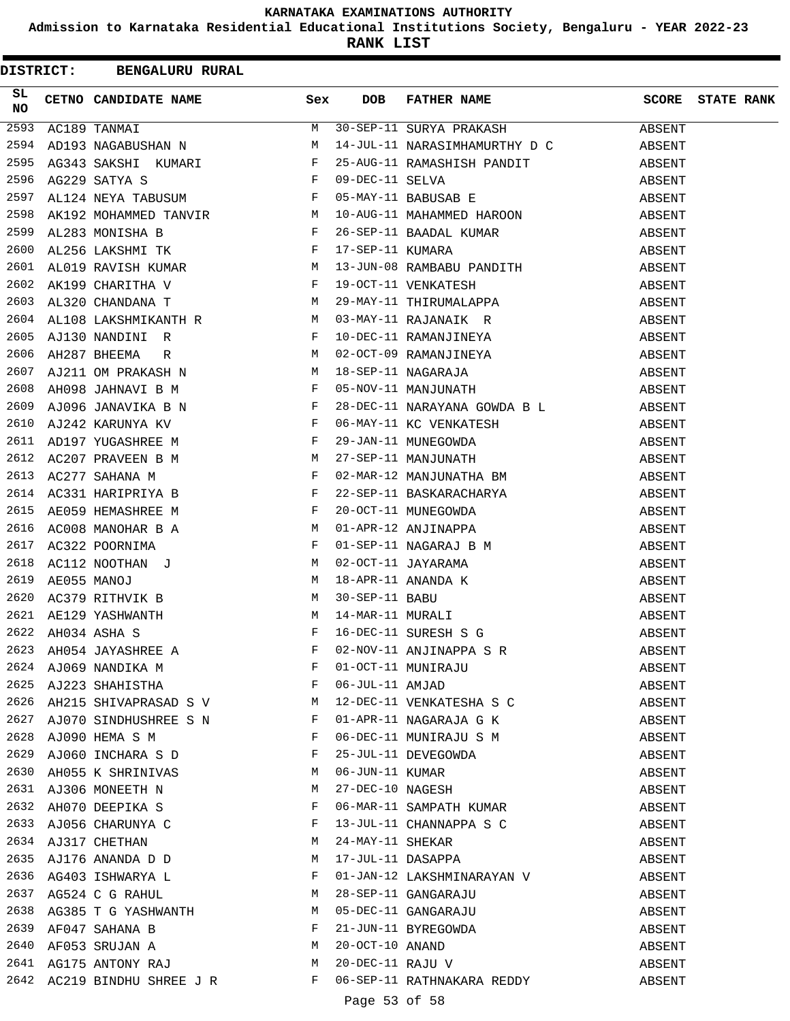**Admission to Karnataka Residential Educational Institutions Society, Bengaluru - YEAR 2022-23**

|          | DISTRICT: BENGALURU RURAL                                                                                                                                                                                                      |              |               |                                                                                                                                 |        |                         |
|----------|--------------------------------------------------------------------------------------------------------------------------------------------------------------------------------------------------------------------------------|--------------|---------------|---------------------------------------------------------------------------------------------------------------------------------|--------|-------------------------|
| SL<br>NO | CETNO CANDIDATE NAME Sex                                                                                                                                                                                                       |              | DOB           | FATHER NAME                                                                                                                     |        | <b>SCORE</b> STATE RANK |
| 2593     | AC189 TANMAI                                                                                                                                                                                                                   | M            |               | 30-SEP-11 SURYA PRAKASH                                                                                                         | ABSENT |                         |
| 2594     | AD193 NAGABUSHAN N<br>AG343 SAKSHI KUMARI F<br>AG229 SATYA S<br>AL124 NEYA TABUSUM F                                                                                                                                           |              |               | 14-JUL-11 NARASIMHAMURTHY D C                                                                                                   | ABSENT |                         |
| 2595     |                                                                                                                                                                                                                                |              |               |                                                                                                                                 |        |                         |
| 2596     |                                                                                                                                                                                                                                |              |               | 25-AUG-11 RAMASHISH PANDIT ABSENT<br>09-DEC-11 SELVA ABSENT<br>05-MAY-11 BABUSAB E ABSENT                                       |        |                         |
| 2597     |                                                                                                                                                                                                                                |              |               |                                                                                                                                 |        |                         |
| 2598     | AK192 MOHAMMED TANVIR<br>AL283 MONISHA B<br>AL256 LAKSHMI TK                                                                                                                                                                   |              |               | 10-AUG-11 MAHAMMED HAROON                                                                                                       | ABSENT |                         |
| 2599     |                                                                                                                                                                                                                                |              |               | 26-SEP-11 BAADAL KUMAR<br>17-SEP-11 KUMARA                                                                                      | ABSENT |                         |
| 2600     |                                                                                                                                                                                                                                |              |               |                                                                                                                                 | ABSENT |                         |
| 2601     | AL019 RAVISH KUMAR M                                                                                                                                                                                                           |              |               | 13-JUN-08 RAMBABU PANDITH                                                                                                       | ABSENT |                         |
| 2602     | ADULS ANTICATED TO THE THE RESERVE THE RESERVE THE RESERVE THE RESERVE THE RESERVE THE RESERVE THE RESERVE THE<br>ALS 20 CHANDANA T                                                                                            |              |               |                                                                                                                                 | ABSENT |                         |
| 2603     |                                                                                                                                                                                                                                |              |               |                                                                                                                                 | ABSENT |                         |
| 2604     |                                                                                                                                                                                                                                |              |               |                                                                                                                                 | ABSENT |                         |
| 2605     |                                                                                                                                                                                                                                |              |               |                                                                                                                                 | ABSENT |                         |
| 2606     |                                                                                                                                                                                                                                |              |               |                                                                                                                                 | ABSENT |                         |
| 2607     | AJ211 OM PRAKASH N<br>AH098 JAHNAVI B M F                                                                                                                                                                                      |              |               |                                                                                                                                 | ABSENT |                         |
| 2608     |                                                                                                                                                                                                                                |              |               | 05-NOV-11 MANJUNATH ABSENT                                                                                                      |        |                         |
| 2609     | AJ096 JANAVIKA B N F                                                                                                                                                                                                           |              |               | 28-DEC-11 NARAYANA GOWDA B L ABSENT                                                                                             |        |                         |
| 2610     |                                                                                                                                                                                                                                |              |               |                                                                                                                                 | ABSENT |                         |
| 2611     |                                                                                                                                                                                                                                |              |               | 06-MAY-11 KC VENKATESH<br>29-JAN-11 MUNEGOWDA<br>27-SEP-11 MANJUNATH<br>02-MAR-12 MANJUNATHA BM                                 | ABSENT |                         |
| 2612     |                                                                                                                                                                                                                                |              |               |                                                                                                                                 | ABSENT |                         |
| 2613     |                                                                                                                                                                                                                                |              |               |                                                                                                                                 | ABSENT |                         |
| 2614     |                                                                                                                                                                                                                                |              |               |                                                                                                                                 | ABSENT |                         |
| 2615     |                                                                                                                                                                                                                                |              |               | 22-SEP-11 BASKARACHARYA<br>20-OCT-11 MUNEGOWDA<br>01-APR-12 ANJINAPPA                                                           | ABSENT |                         |
| 2616     |                                                                                                                                                                                                                                |              |               |                                                                                                                                 | ABSENT |                         |
| 2617     | AJ096 JANAVIKA B N<br>AJ242 KARUNYA KV F<br>AD197 YUGASHREE M F F<br>AC207 PRAVEEN B M M<br>AC277 SAHANA M F F<br>AC331 HARIPRIYA B F F F<br>AC09 HEMASHREE M F F F<br>AC008 MANOHAR B A<br>AC322 POORNIMA<br>PRIAS PROPORTIMA |              |               | 01-SEP-11 NAGARAJ B M<br>02-OCT-11 JAYARAMA<br>18-APR-11 ANANDA K<br>30-SEP-11 BABU<br>14-MAR-11 MURALI<br>16-DEC-11 SURESH S G | ABSENT |                         |
| 2618     |                                                                                                                                                                                                                                |              |               |                                                                                                                                 | ABSENT |                         |
| 2619     |                                                                                                                                                                                                                                |              |               |                                                                                                                                 | ABSENT |                         |
| 2620     | AC112 NOOTHAN J<br>AE055 MANOJ M<br>AC379 RITHVIK B M                                                                                                                                                                          |              |               |                                                                                                                                 | ABSENT |                         |
| 2621     |                                                                                                                                                                                                                                |              |               |                                                                                                                                 | ABSENT |                         |
|          | AE129 YASHWANTH M<br>AH034 ASHA S<br>2622 AH034 ASHA S                                                                                                                                                                         |              |               |                                                                                                                                 | ABSENT |                         |
|          |                                                                                                                                                                                                                                |              |               | 02-NOV-11 ANJINAPPA S R                                                                                                         | ABSENT |                         |
|          | 2623 AH054 JAYASHREE A<br>2624 AJ069 NANDIKA M<br>2625 AJ223 SHAHISTHA F                                                                                                                                                       |              |               |                                                                                                                                 | ABSENT |                         |
|          |                                                                                                                                                                                                                                |              |               | 01-OCT-11 MUNIRAJU<br>06-JUL-11 AMJAD                                                                                           | ABSENT |                         |
|          | 2626 AH215 SHIVAPRASAD S V M                                                                                                                                                                                                   |              |               |                                                                                                                                 | ABSENT |                         |
|          | 2627 AJ070 SINDHUSHREE S N F                                                                                                                                                                                                   |              |               | 12-DEC-11 VENKATESHA S C<br>01-APR-11 NAGARAJA G K                                                                              | ABSENT |                         |
| 2628     | AJ090 HEMA S M                                                                                                                                                                                                                 | $\mathbf{F}$ |               | 06-DEC-11 MUNIRAJU S M                                                                                                          | ABSENT |                         |
| 2629     | AJ060 INCHARA S D                                                                                                                                                                                                              | $_{\rm F}$   |               | 25-JUL-11 DEVEGOWDA                                                                                                             | ABSENT |                         |
| 2630     |                                                                                                                                                                                                                                |              |               |                                                                                                                                 | ABSENT |                         |
|          | AH055 K SHRINIVAS M                                                                                                                                                                                                            | М            |               | 06-JUN-11 KUMAR<br>27-DEC-10 NAGESH<br>06-MAR-11 SAMPATH KUMAR                                                                  | ABSENT |                         |
|          | 2631 AJ306 MONEETH N<br>2632 AH070 DEEPIKA S                                                                                                                                                                                   | F            |               |                                                                                                                                 | ABSENT |                         |
|          | 2633 AJ056 CHARUNYA C                                                                                                                                                                                                          | F            |               |                                                                                                                                 | ABSENT |                         |
|          | 2634 AJ317 CHETHAN                                                                                                                                                                                                             | M            |               | 13-JUL-11 CHANNAPPA S C<br>24-MAY-11 SHEKAR                                                                                     |        |                         |
|          |                                                                                                                                                                                                                                | M            |               |                                                                                                                                 | ABSENT |                         |
|          | 2635 AJ176 ANANDA D D                                                                                                                                                                                                          |              |               | 17-JUL-11 DASAPPA                                                                                                               | ABSENT |                         |
| 2636     | AG403 ISHWARYA L                                                                                                                                                                                                               | $\mathbf{F}$ |               | 01-JAN-12 LAKSHMINARAYAN V                                                                                                      | ABSENT |                         |
| 2637     | AG524 C G RAHUL M                                                                                                                                                                                                              |              |               | 28-SEP-11 GANGARAJU                                                                                                             | ABSENT |                         |
| 2638     | AG385 T G YASHWANTH M<br>AF047 SAHANA B F<br>AF053 SRUJAN A M                                                                                                                                                                  |              |               | 05-DEC-11 GANGARAJU<br>21-JUN-11 BYREGOWDA<br>20-OCT-10 ANAND<br>20-DEC-11 RAJU V                                               | ABSENT |                         |
| 2639     |                                                                                                                                                                                                                                |              |               |                                                                                                                                 | ABSENT |                         |
| 2640     |                                                                                                                                                                                                                                |              |               |                                                                                                                                 | ABSENT |                         |
|          | 2641 AG175 ANTONY RAJ M                                                                                                                                                                                                        |              |               |                                                                                                                                 | ABSENT |                         |
|          | 2642 AC219 BINDHU SHREE J R F                                                                                                                                                                                                  |              |               | 06-SEP-11 RATHNAKARA REDDY                                                                                                      | ABSENT |                         |
|          |                                                                                                                                                                                                                                |              | Page 53 of 58 |                                                                                                                                 |        |                         |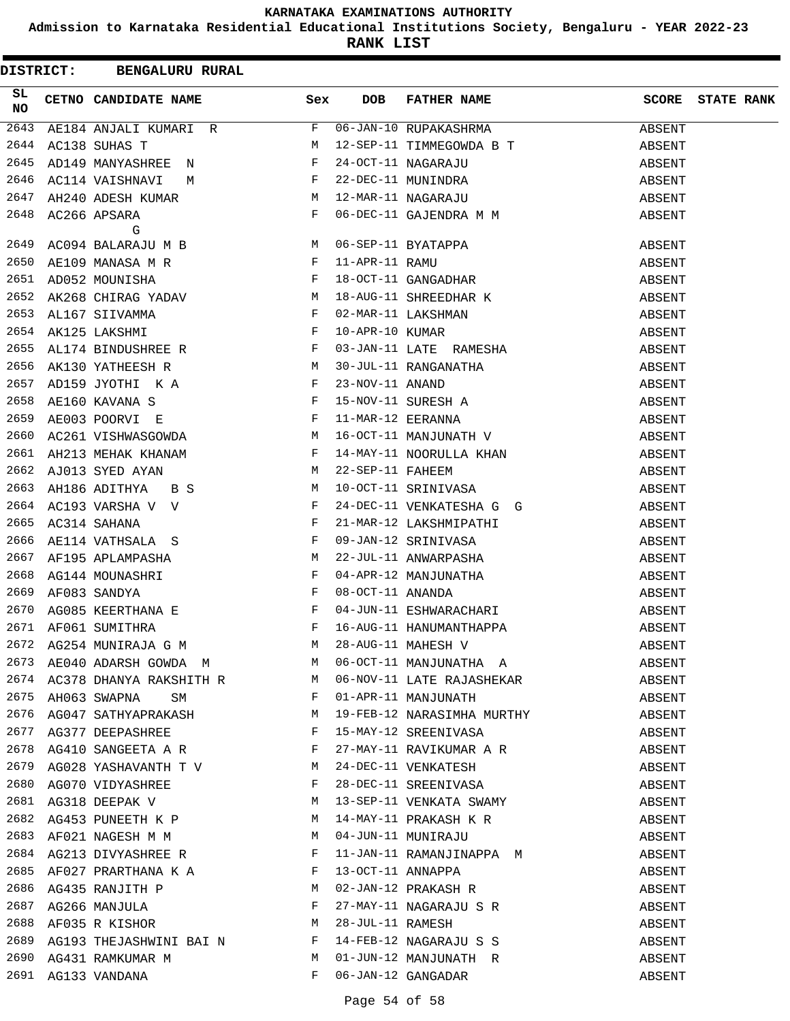**Admission to Karnataka Residential Educational Institutions Society, Bengaluru - YEAR 2022-23**

|          | DISTRICT: BENGALURU RURAL                                                                                                                                                                                                                               |       |                  |                                                                                                                                                                                                                                                                                                                                                                                                             |        |                   |
|----------|---------------------------------------------------------------------------------------------------------------------------------------------------------------------------------------------------------------------------------------------------------|-------|------------------|-------------------------------------------------------------------------------------------------------------------------------------------------------------------------------------------------------------------------------------------------------------------------------------------------------------------------------------------------------------------------------------------------------------|--------|-------------------|
| SL<br>NO | CETNO CANDIDATE NAME Sex                                                                                                                                                                                                                                |       | <b>DOB</b>       | FATHER NAME                                                                                                                                                                                                                                                                                                                                                                                                 | SCORE  | <b>STATE RANK</b> |
| 2643     | AE184 ANJALI KUMARI R                                                                                                                                                                                                                                   | F     |                  | 06-JAN-10 RUPAKASHRMA                                                                                                                                                                                                                                                                                                                                                                                       | ABSENT |                   |
| 2644     | M<br>AC138 SUHAS T                                                                                                                                                                                                                                      |       |                  | 12-SEP-11 TIMMEGOWDA B T                                                                                                                                                                                                                                                                                                                                                                                    | ABSENT |                   |
| 2645     | $\mathbf{F}$<br>AD149 MANYASHREE N                                                                                                                                                                                                                      |       |                  |                                                                                                                                                                                                                                                                                                                                                                                                             | ABSENT |                   |
| 2646     | M $\qquad \qquad \mathbb{F}$<br>AC114 VAISHNAVI                                                                                                                                                                                                         |       |                  | 24-OCT-11 NAGARAJU<br>22-DEC-11 MUNINDRA<br>12-MAR-11 NAGARAJU                                                                                                                                                                                                                                                                                                                                              | ABSENT |                   |
| 2647     | AH240 ADESH KUMAR M                                                                                                                                                                                                                                     |       |                  |                                                                                                                                                                                                                                                                                                                                                                                                             | ABSENT |                   |
| 2648     | $\mathbb F$ . The set of the set of the set of the set of the set of the set of the set of the set of the set of the set of the set of the set of the set of the set of the set of the set of the set of the set of the set of the<br>AC266 APSARA<br>G |       |                  | 06-DEC-11 GAJENDRA M M                                                                                                                                                                                                                                                                                                                                                                                      | ABSENT |                   |
| 2649     | AC094 BALARAJU M B M                                                                                                                                                                                                                                    |       |                  |                                                                                                                                                                                                                                                                                                                                                                                                             | ABSENT |                   |
| 2650     | AE109 MANASA M R F                                                                                                                                                                                                                                      |       |                  |                                                                                                                                                                                                                                                                                                                                                                                                             | ABSENT |                   |
| 2651     | $\mathbf{F}^{\mathcal{A}}_{\mathcal{A}}=\mathbf{F}^{\mathcal{A}}_{\mathcal{A}}\mathbf{F}^{\mathcal{A}}_{\mathcal{A}}$<br>AD052 MOUNISHA                                                                                                                 |       |                  | 06-SEP-11 BYATAPPA<br>11-APR-11 RAMU<br>18-OCT-11 GANGADHAR<br>18-AUG-11 SHREEDHAR K                                                                                                                                                                                                                                                                                                                        | ABSENT |                   |
| 2652     | AK268 CHIRAG YADAV M                                                                                                                                                                                                                                    |       |                  |                                                                                                                                                                                                                                                                                                                                                                                                             | ABSENT |                   |
| 2653     | $\mathbf{F}$<br>AL167 SIIVAMMA                                                                                                                                                                                                                          |       |                  | 02-MAR-11 LAKSHMAN<br>10-APR-10 KUMAR<br>03-JAN-11 LATE RAMESHA                                                                                                                                                                                                                                                                                                                                             | ABSENT |                   |
| 2654     | $\mathbb{F}^{\mathbb{Z}}$ . The state $\mathbb{F}^{\mathbb{Z}}$<br>AK125 LAKSHMI                                                                                                                                                                        |       |                  |                                                                                                                                                                                                                                                                                                                                                                                                             | ABSENT |                   |
| 2655     | AL174 BINDUSHREE R<br>F                                                                                                                                                                                                                                 |       |                  |                                                                                                                                                                                                                                                                                                                                                                                                             | ABSENT |                   |
| 2656     | $\overline{M}$<br>AK130 YATHEESH R                                                                                                                                                                                                                      |       |                  |                                                                                                                                                                                                                                                                                                                                                                                                             | ABSENT |                   |
| 2657     |                                                                                                                                                                                                                                                         |       |                  | 30-JUL-11 RANGANATHA<br>23-NOV-11 ANAND<br>15-NOV-11 SURESH A<br>11-MAR-12 EERANNA<br>16-OCT-11 MANJUNATH V                                                                                                                                                                                                                                                                                                 | ABSENT |                   |
| 2658     | AD159 JYOTHI KA F<br>AE160 KAVANA S                                                                                                                                                                                                                     |       |                  |                                                                                                                                                                                                                                                                                                                                                                                                             | ABSENT |                   |
| 2659     | $\frac{1}{\mathbf{F}}$<br>AE003 POORVI E                                                                                                                                                                                                                |       |                  |                                                                                                                                                                                                                                                                                                                                                                                                             | ABSENT |                   |
| 2660     | AC261 VISHWASGOWDA M                                                                                                                                                                                                                                    |       |                  |                                                                                                                                                                                                                                                                                                                                                                                                             | ABSENT |                   |
| 2661     | AH213 MEHAK KHANAM F                                                                                                                                                                                                                                    |       |                  | 14-MAY-11 NOORULLA KHAN                                                                                                                                                                                                                                                                                                                                                                                     | ABSENT |                   |
| 2662     | $\mathbf M$<br>AJ013 SYED AYAN                                                                                                                                                                                                                          |       | 22-SEP-11 FAHEEM |                                                                                                                                                                                                                                                                                                                                                                                                             | ABSENT |                   |
| 2663     | M <sub>N</sub><br>AH186 ADITHYA BS                                                                                                                                                                                                                      |       |                  | 10-OCT-11 SRINIVASA                                                                                                                                                                                                                                                                                                                                                                                         | ABSENT |                   |
|          | 2664 AC193 VARSHA V V F<br>2665 AC314 SAHANA F<br>2666 AD111 ----                                                                                                                                                                                       |       |                  | 24-DEC-11 VENKATESHA G G                                                                                                                                                                                                                                                                                                                                                                                    | ABSENT |                   |
|          |                                                                                                                                                                                                                                                         |       |                  | 21-MAR-12 LAKSHMIPATHI                                                                                                                                                                                                                                                                                                                                                                                      | ABSENT |                   |
| 2666     | $AE114 \quad \mathtt{VATHSALA} \quad S \qquad \qquad F$                                                                                                                                                                                                 |       |                  | 09-JAN-12 SRINIVASA                                                                                                                                                                                                                                                                                                                                                                                         | ABSENT |                   |
|          | 2667 AF195 APLAMPASHA                                                                                                                                                                                                                                   |       |                  | 22-JUL-11 ANWARPASHA                                                                                                                                                                                                                                                                                                                                                                                        | ABSENT |                   |
| 2668     | AF195 APLAMPASHA<br>AG144 MOUNASHRI F<br>AF083 SANDYA F                                                                                                                                                                                                 |       |                  |                                                                                                                                                                                                                                                                                                                                                                                                             | ABSENT |                   |
| 2669     |                                                                                                                                                                                                                                                         |       |                  | 04-APR-12 MANJUNATHA<br>08-OCT-11 ANANDA                                                                                                                                                                                                                                                                                                                                                                    | ABSENT |                   |
|          |                                                                                                                                                                                                                                                         |       |                  | 04-JUN-11 ESHWARACHARI                                                                                                                                                                                                                                                                                                                                                                                      | ABSENT |                   |
|          |                                                                                                                                                                                                                                                         |       |                  |                                                                                                                                                                                                                                                                                                                                                                                                             | ABSENT |                   |
|          |                                                                                                                                                                                                                                                         |       |                  |                                                                                                                                                                                                                                                                                                                                                                                                             | ABSENT |                   |
|          |                                                                                                                                                                                                                                                         |       |                  | $\begin{array}{lllllllllllllll} 2670 & \text{AG085} & \text{KEERTHANA} & \text{E} & \text{F} & 04-\text{JUN}-11 & \text{ESHWARACHARI} \\ 2671 & \text{AF061} & \text{SUMITHRA} & \text{F} & 16-\text{AUG}-11 & \text{HANUMANTHAPPA} \\ 2672 & \text{AG254} & \text{MUNIRAJA} & \text{G} & \text{M} & \text{M} & 28-\text{AUG}-11 & \text{MAHESH} & \text{V} \\ 2673 & \text{AE040} & \text{ADARSH} & \text$ | ABSENT |                   |
|          | 2674 AC378 DHANYA RAKSHITH R M                                                                                                                                                                                                                          |       |                  | 06-NOV-11 LATE RAJASHEKAR                                                                                                                                                                                                                                                                                                                                                                                   | ABSENT |                   |
| 2675     | AH063 SWAPNA SM F                                                                                                                                                                                                                                       |       |                  | 01-APR-11 MANJUNATH                                                                                                                                                                                                                                                                                                                                                                                         | ABSENT |                   |
|          |                                                                                                                                                                                                                                                         |       |                  | 19-FEB-12 NARASIMHA MURTHY                                                                                                                                                                                                                                                                                                                                                                                  | ABSENT |                   |
|          | ${\bf 2676\quad AG047\quad SATHYAPRAKASH} \qquad {\bf M} \qquad {\bf 2677\quad AG377\quad DEEPASHREE} \qquad {\bf F}$                                                                                                                                   |       |                  | 15-MAY-12 SREENIVASA                                                                                                                                                                                                                                                                                                                                                                                        | ABSENT |                   |
|          | 2678 $AG410$ SANGEETA A R F                                                                                                                                                                                                                             |       |                  | 27-MAY-11 RAVIKUMAR A R                                                                                                                                                                                                                                                                                                                                                                                     | ABSENT |                   |
|          | 2679 AG028 YASHAVANTH T V M                                                                                                                                                                                                                             |       |                  |                                                                                                                                                                                                                                                                                                                                                                                                             | ABSENT |                   |
| 2680     | AG070 VIDYASHREE F                                                                                                                                                                                                                                      |       |                  | 24-DEC-11 VENKATESH<br>28-DEC-11 SREENIVASA                                                                                                                                                                                                                                                                                                                                                                 | ABSENT |                   |
| 2681     | AG318 DEEPAK V M                                                                                                                                                                                                                                        |       |                  | 13-SEP-11 VENKATA SWAMY                                                                                                                                                                                                                                                                                                                                                                                     | ABSENT |                   |
| 2682     | AG453 PUNEETH K P M                                                                                                                                                                                                                                     |       |                  |                                                                                                                                                                                                                                                                                                                                                                                                             | ABSENT |                   |
|          | 2683 AF021 NAGESH M M<br>2684 AG213 DIVYASHREE R F F                                                                                                                                                                                                    |       |                  | 14-MAY-11 PRAKASH K R<br>04-JUN-11 MUNIRAJU                                                                                                                                                                                                                                                                                                                                                                 | ABSENT |                   |
|          |                                                                                                                                                                                                                                                         |       |                  | 11-JAN-11 RAMANJINAPPA M                                                                                                                                                                                                                                                                                                                                                                                    | ABSENT |                   |
| 2685     | AF027 PRARTHANA K A F                                                                                                                                                                                                                                   |       |                  |                                                                                                                                                                                                                                                                                                                                                                                                             | ABSENT |                   |
|          |                                                                                                                                                                                                                                                         |       |                  |                                                                                                                                                                                                                                                                                                                                                                                                             | ABSENT |                   |
|          |                                                                                                                                                                                                                                                         |       |                  |                                                                                                                                                                                                                                                                                                                                                                                                             | ABSENT |                   |
|          | 2686 AG435 RANJITH P<br>2687 AG266 MANJULA F<br>2688 AF035 R KISHOR M                                                                                                                                                                                   |       |                  | 27-MAY-11 NAGARAJU S R<br>28-JUL-11 RAMESH<br>14-FEB-12 NAGARAJU S S                                                                                                                                                                                                                                                                                                                                        | ABSENT |                   |
| 2689     | AG193 THEJASHWINI BAI N F                                                                                                                                                                                                                               |       |                  |                                                                                                                                                                                                                                                                                                                                                                                                             | ABSENT |                   |
|          | 2690 AG431 RAMKUMAR M                                                                                                                                                                                                                                   |       |                  |                                                                                                                                                                                                                                                                                                                                                                                                             | ABSENT |                   |
|          | 2691 AG133 VANDANA                                                                                                                                                                                                                                      | $F -$ |                  | 01-JUN-12 MANJUNATH R<br>06-JAN-12 GANGADAR<br>06-JAN-12 GANGADAR                                                                                                                                                                                                                                                                                                                                           | ABSENT |                   |
|          |                                                                                                                                                                                                                                                         |       |                  |                                                                                                                                                                                                                                                                                                                                                                                                             |        |                   |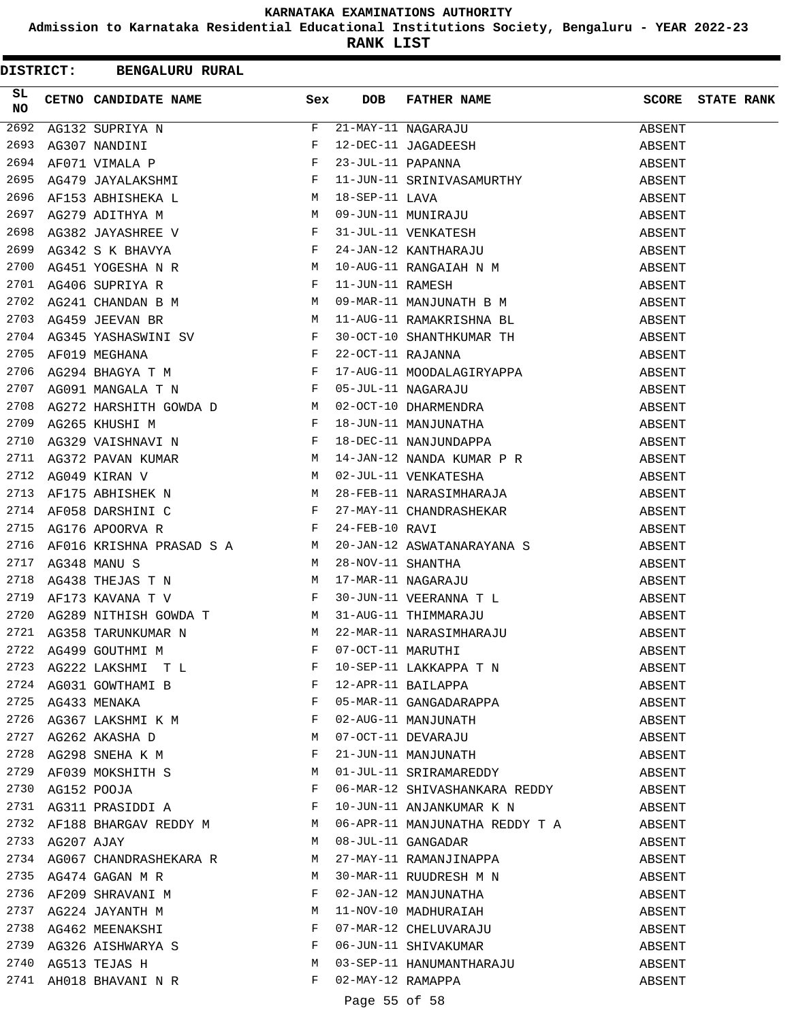**Admission to Karnataka Residential Educational Institutions Society, Bengaluru - YEAR 2022-23**

|          |                 | DISTRICT: BENGALURU RURAL                                                             |   |                   |                                                                                                                                                                                                                                                             |        |                         |
|----------|-----------------|---------------------------------------------------------------------------------------|---|-------------------|-------------------------------------------------------------------------------------------------------------------------------------------------------------------------------------------------------------------------------------------------------------|--------|-------------------------|
| SL<br>NO |                 | <b>Sex</b><br>CETNO CANDIDATE NAME                                                    |   | <b>DOB</b>        | FATHER NAME                                                                                                                                                                                                                                                 |        | <b>SCORE</b> STATE RANK |
| 2692     |                 | AG132 SUPRIYA N<br>AG307 NANDINI F<br>AF071 VIMALA P F<br>AG479 JAYALAKSHMI F         |   |                   | 21-MAY-11 NAGARAJU<br>12-DEC-11 JAGADEESH<br>23-JUL-11 PAPANNA<br>11-JUN-11 ODINIUM GAMBURTUM                                                                                                                                                               | ABSENT |                         |
| 2693     |                 |                                                                                       |   |                   |                                                                                                                                                                                                                                                             | ABSENT |                         |
| 2694     |                 |                                                                                       |   |                   |                                                                                                                                                                                                                                                             | ABSENT |                         |
| 2695     |                 |                                                                                       |   |                   | 11-JUN-11 SRINIVASAMURTHY                                                                                                                                                                                                                                   | ABSENT |                         |
| 2696     |                 | AF153 ABHISHEKA L<br>AG279 ADITHYA M<br>AG382 JAYASHREE V F<br>AG342 S K BHAVYA F     |   |                   | 18-SEP-11 LAVA<br>09-JUN-11 MUNIRAJU<br>31-JUL-11 VENKATESH<br>24-JAN-12 KANTHARAJU                                                                                                                                                                         | ABSENT |                         |
| 2697     |                 |                                                                                       |   |                   |                                                                                                                                                                                                                                                             | ABSENT |                         |
| 2698     |                 |                                                                                       |   |                   |                                                                                                                                                                                                                                                             | ABSENT |                         |
| 2699     |                 |                                                                                       |   |                   |                                                                                                                                                                                                                                                             | ABSENT |                         |
| 2700     |                 | AG451 YOGESHA N R M                                                                   |   |                   | 10-AUG-11 RANGAIAH N M                                                                                                                                                                                                                                      | ABSENT |                         |
| 2701     |                 |                                                                                       |   |                   |                                                                                                                                                                                                                                                             | ABSENT |                         |
| 2702     |                 | AG406 SUPRIYA R<br>AG241 CHANDAN B M M M<br>AG459 JEEVAN BR M M                       |   |                   | 11-JUN-11 RAMESH<br>09-MAR-11 MANJUNATH B M                                                                                                                                                                                                                 | ABSENT |                         |
| 2703     |                 |                                                                                       |   |                   | 11-AUG-11 RAMAKRISHNA BL                                                                                                                                                                                                                                    | ABSENT |                         |
| 2704     |                 |                                                                                       |   |                   |                                                                                                                                                                                                                                                             | ABSENT |                         |
| 2705     |                 |                                                                                       |   |                   |                                                                                                                                                                                                                                                             | ABSENT |                         |
| 2706     |                 |                                                                                       |   |                   | 30-OCT-10 SHANTHKUMAR TH<br>22-OCT-11 RAJANNA<br>17-AUG-11 MOODALAGIRYAPPA                                                                                                                                                                                  | ABSENT |                         |
| 2707     |                 | AG345 YASHASWINI SV F<br>AF019 MEGHANA F<br>AG294 BHAGYA T M F<br>AG091 MANGALA T N F |   |                   | 17-AOS-11 NAGARAJU<br>02-OCT-10 DHARMENDRA<br>18-JUN-11 MANJUNATHA<br>18-DEC-11 NANJUNDAPPA                                                                                                                                                                 | ABSENT |                         |
| 2708     |                 | AG272 HARSHITH GOWDA D M                                                              |   |                   |                                                                                                                                                                                                                                                             | ABSENT |                         |
| 2709     |                 |                                                                                       |   |                   |                                                                                                                                                                                                                                                             | ABSENT |                         |
| 2710     |                 |                                                                                       |   |                   |                                                                                                                                                                                                                                                             | ABSENT |                         |
| 2711     |                 |                                                                                       |   |                   |                                                                                                                                                                                                                                                             | ABSENT |                         |
| 2712     |                 |                                                                                       |   |                   |                                                                                                                                                                                                                                                             | ABSENT |                         |
| 2713     |                 |                                                                                       |   |                   |                                                                                                                                                                                                                                                             | ABSENT |                         |
| 2714     |                 |                                                                                       |   |                   |                                                                                                                                                                                                                                                             | ABSENT |                         |
| 2715     |                 |                                                                                       |   |                   | AG272 HARSHITH GOWDA D<br>AG265 KHUSHI M<br>AG329 VAISHNAVI N<br>AG329 VAISHNAVI N<br>AG372 PAVAN KUMAR<br>AG372 PAVAN KUMAR<br>M<br>$14$ -JAN-12 NANDJA KUMAR P<br>M<br>$14$ -JAN-12 NANDA KUMAR P<br>AG049 KIRAN V<br>M<br>$28$ -FEB-11 NARASIMHARAJA<br> | ABSENT |                         |
| 2716     |                 |                                                                                       |   |                   |                                                                                                                                                                                                                                                             | ABSENT |                         |
| 2717     |                 |                                                                                       |   |                   | AFO16 KRISHNA PRASAD S A $M$ 20-JAN-12 ASWATANARAYANA S<br>AG348 MANU S $M$ 28-NOV-11 SHANTHA<br>AG438 THEJAS T N $M$ 17-MAR-11 NAGARAJU<br>AF173 KAVANA T V F 30-JUN-11 VEERANNA T L<br>AG289 NITHISH GOWDA T $M$ 31-AUG-11 THIMMARA                       | ABSENT |                         |
| 2718     |                 |                                                                                       |   |                   |                                                                                                                                                                                                                                                             | ABSENT |                         |
| 2719     |                 |                                                                                       |   |                   |                                                                                                                                                                                                                                                             | ABSENT |                         |
| 2720     |                 |                                                                                       |   |                   |                                                                                                                                                                                                                                                             | ABSENT |                         |
|          |                 | M<br>2721 AG358 TARUNKUMAR N                                                          |   |                   | 22-MAR-11 NARASIMHARAJU                                                                                                                                                                                                                                     | ABSENT |                         |
|          |                 |                                                                                       |   |                   |                                                                                                                                                                                                                                                             | ABSENT |                         |
|          |                 | 2722 AG499 GOUTHMI M<br>2723 AG222 LAKSHMI T L<br>F                                   |   |                   | 07-OCT-11 MARUTHI<br>10-SEP-11 LAKKAPPA T N                                                                                                                                                                                                                 | ABSENT |                         |
|          |                 | 2724 AG031 GOWTHAMI B                                                                 |   |                   | 12-APR-11 BAILAPPA                                                                                                                                                                                                                                          | ABSENT |                         |
|          |                 | 2725 $AG433 \text{ MENAKA}$ F                                                         |   |                   | 05-MAR-11 GANGADARAPPA                                                                                                                                                                                                                                      | ABSENT |                         |
|          |                 |                                                                                       |   |                   |                                                                                                                                                                                                                                                             | ABSENT |                         |
|          |                 |                                                                                       |   |                   | 02-AUG-11 MANJUNATH<br>07-OCT-11 DEVARAJU                                                                                                                                                                                                                   | ABSENT |                         |
| 2728     |                 | AG298 SNEHA K M F                                                                     |   |                   | 21-JUN-11 MANJUNATH                                                                                                                                                                                                                                         | ABSENT |                         |
| 2729     |                 |                                                                                       |   |                   | 01-JUL-11 SRIRAMAREDDY                                                                                                                                                                                                                                      | ABSENT |                         |
|          |                 | AF039 MOKSHITH S M                                                                    |   |                   |                                                                                                                                                                                                                                                             | ABSENT |                         |
|          |                 | 2730 AG152 POOJA<br>2731 AG311 PRASIDDI A F                                           |   |                   | 06-MAR-12 SHIVASHANKARA REDDY<br>10-JUN-11 ANJANKUMAR K N                                                                                                                                                                                                   |        |                         |
|          |                 | 2732 AF188 BHARGAV REDDY M                                                            |   |                   |                                                                                                                                                                                                                                                             | ABSENT |                         |
|          | 2733 AG207 AJAY | M                                                                                     |   |                   | 06-APR-11 MANJUNATHA REDDY T A<br>08-JUL-11 GANGADAR                                                                                                                                                                                                        | ABSENT |                         |
|          |                 | 2734 AG067 CHANDRASHEKARA R M                                                         |   |                   |                                                                                                                                                                                                                                                             | ABSENT |                         |
| 2735     |                 |                                                                                       |   |                   | 27-MAY-11 RAMANJINAPPA<br>30-MAR-11 RUUDRESH M N                                                                                                                                                                                                            | ABSENT |                         |
| 2736     |                 | AG474 GAGAN M R M<br>AF209 SHRAVANI M                                                 |   |                   |                                                                                                                                                                                                                                                             | ABSENT |                         |
|          |                 |                                                                                       |   |                   | 02-JAN-12 MANJUNATHA                                                                                                                                                                                                                                        | ABSENT |                         |
|          |                 |                                                                                       |   |                   | 11-NOV-10 MADHURAIAH<br>07-MAR-12 CHELUVARAJU<br>06-JUN-11 SHIVAKUMAR                                                                                                                                                                                       | ABSENT |                         |
|          |                 |                                                                                       |   |                   |                                                                                                                                                                                                                                                             | ABSENT |                         |
|          |                 | 2739 AG326 AISHWARYA S F<br>$M_{\odot}$                                               |   |                   |                                                                                                                                                                                                                                                             | ABSENT |                         |
|          |                 | 2740 AG513 TEJAS H                                                                    | F |                   | 03-SEP-11 HANUMANTHARAJU                                                                                                                                                                                                                                    | ABSENT |                         |
|          |                 | 2741 AH018 BHAVANI N R                                                                |   | 02-MAY-12 RAMAPPA |                                                                                                                                                                                                                                                             | ABSENT |                         |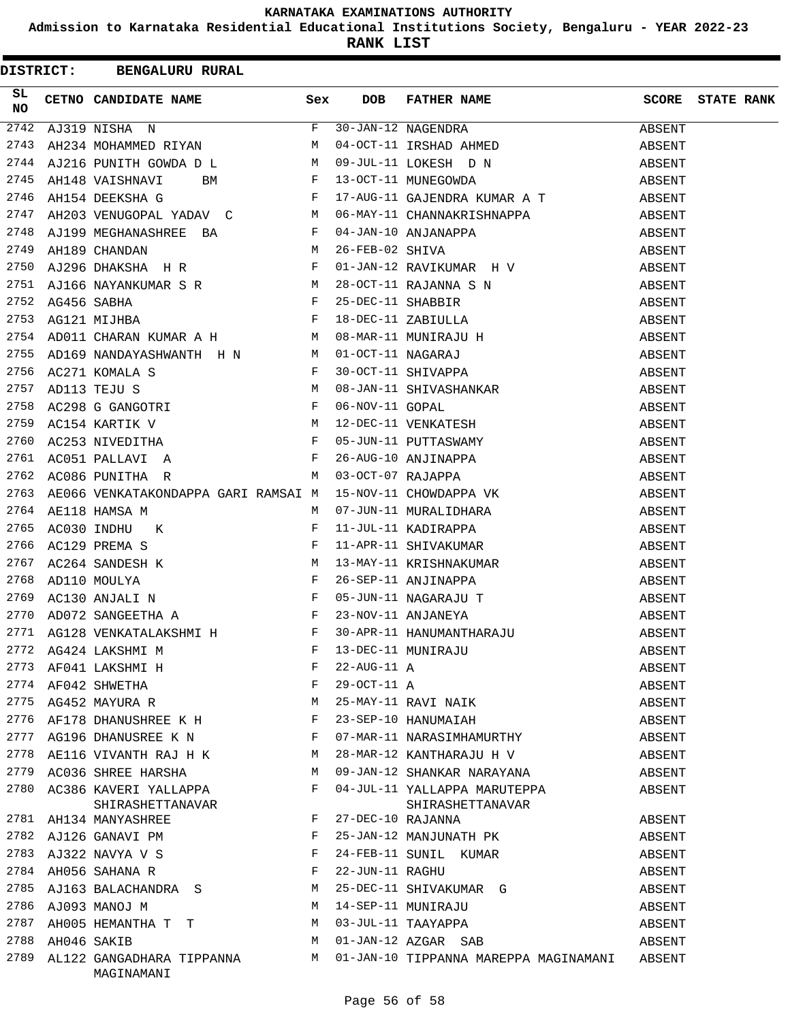**Admission to Karnataka Residential Educational Institutions Society, Bengaluru - YEAR 2022-23**

|          | DISTRICT: BENGALURU RURAL                                                                                           |   |                 |                                                                                                                                                                                                                                                            |              |                   |
|----------|---------------------------------------------------------------------------------------------------------------------|---|-----------------|------------------------------------------------------------------------------------------------------------------------------------------------------------------------------------------------------------------------------------------------------------|--------------|-------------------|
| SL<br>NO | CETNO CANDIDATE NAME Sex                                                                                            |   | <b>DOB</b>      | FATHER NAME                                                                                                                                                                                                                                                | <b>SCORE</b> | <b>STATE RANK</b> |
| 2742     | AJ319 NISHA N $F$ 30-JAN-12 NAGENDRA<br>AH234 MOHAMMED RIYAN M 04-OCT-11 IRSHAD AH                                  |   |                 |                                                                                                                                                                                                                                                            | ABSENT       |                   |
| 2743     |                                                                                                                     |   |                 | 30-JAN-12 NAGENDRA<br>04-OCT-11 IRSHAD AHMED                                                                                                                                                                                                               | ABSENT       |                   |
| 2744     |                                                                                                                     |   |                 |                                                                                                                                                                                                                                                            |              |                   |
| 2745     |                                                                                                                     |   |                 | AJ216 PUNITH GOWDA D L M 09-JUL-11 LOKESH D N ABSENT<br>AH148 VAISHNAVI BM F 13-OCT-11 MUNEGOWDA ABSENT<br>AH154 DEEKSHA G F 17-AUG-11 GAJENDRA KUMAR A T ARSENT<br>PRISE ARSENT                                                                           |              |                   |
| 2746     |                                                                                                                     |   |                 |                                                                                                                                                                                                                                                            |              |                   |
| 2747     | AH203 VENUGOPAL YADAV C M                                                                                           |   |                 |                                                                                                                                                                                                                                                            | ABSENT       |                   |
| 2748     |                                                                                                                     |   |                 |                                                                                                                                                                                                                                                            | ABSENT       |                   |
| 2749     | AJ199 MEGHANASHREE BA F 04-JAN-10 ANJANA<br>AH189 CHANDAN M 26-FEB-02 SHIVA<br>AJ296 DHAKSHA H R F 01-JAN-12 RAVIKU |   |                 | 06-MAY-11 CHANNAKRISHNAPPA<br>04-JAN-10 ANJANAPPA<br>26-FEB-02 SHIVA                                                                                                                                                                                       | ABSENT       |                   |
| 2750     |                                                                                                                     |   |                 | 01-JAN-12 RAVIKUMAR H V                                                                                                                                                                                                                                    | ABSENT       |                   |
|          |                                                                                                                     |   |                 |                                                                                                                                                                                                                                                            | ABSENT       |                   |
|          |                                                                                                                     |   |                 |                                                                                                                                                                                                                                                            | ABSENT       |                   |
|          |                                                                                                                     |   |                 |                                                                                                                                                                                                                                                            | ABSENT       |                   |
|          |                                                                                                                     |   |                 |                                                                                                                                                                                                                                                            | ABSENT       |                   |
|          |                                                                                                                     |   |                 |                                                                                                                                                                                                                                                            | ABSENT       |                   |
|          |                                                                                                                     |   |                 |                                                                                                                                                                                                                                                            | ABSENT       |                   |
|          |                                                                                                                     |   |                 |                                                                                                                                                                                                                                                            | ABSENT       |                   |
|          |                                                                                                                     |   |                 |                                                                                                                                                                                                                                                            | ABSENT       |                   |
|          |                                                                                                                     |   |                 |                                                                                                                                                                                                                                                            | ABSENT       |                   |
|          |                                                                                                                     |   |                 |                                                                                                                                                                                                                                                            | ABSENT       |                   |
|          |                                                                                                                     |   |                 |                                                                                                                                                                                                                                                            | ABSENT       |                   |
|          |                                                                                                                     |   |                 |                                                                                                                                                                                                                                                            | ABSENT       |                   |
|          |                                                                                                                     |   |                 |                                                                                                                                                                                                                                                            | ABSENT       |                   |
| 2764     |                                                                                                                     | M |                 |                                                                                                                                                                                                                                                            | ABSENT       |                   |
| 2765     | AE118 HAMSA M<br>AC030 INDHU K<br>AC129 PREMA S<br>F                                                                |   |                 | 07-JUN-11 MURALIDHARA<br>11-JUL-11 KADIRAPPA<br>11-APP 11 CULLER                                                                                                                                                                                           | ABSENT       |                   |
| 2766     |                                                                                                                     |   |                 | 11-APR-11 SHIVAKUMAR                                                                                                                                                                                                                                       | ABSENT       |                   |
| 2767     |                                                                                                                     |   |                 | AC264 SANDESH K<br>AD110 MOULYA<br>AD110 MOULYA<br>AC130 ANJALI N<br>AD072 SANGEETHA A<br>AD072 SANGEETHA A<br>AD072 SANGEETHA A<br>AD072 SANGEETHA A<br>AD072 SANGEETHA A<br>ARISANDER A<br>ARISANDER A<br>ARISANDER A<br>ARISANDER A<br>ARISANDER A<br>A | ABSENT       |                   |
| 2768     |                                                                                                                     |   |                 |                                                                                                                                                                                                                                                            | ABSENT       |                   |
| 2769     |                                                                                                                     |   |                 |                                                                                                                                                                                                                                                            | ABSENT       |                   |
| 2770     |                                                                                                                     |   |                 |                                                                                                                                                                                                                                                            | ABSENT       |                   |
|          |                                                                                                                     |   |                 | 2771 AG128 VENKATALAKSHMI H F 30-APR-11 HANUMANTHARAJU                                                                                                                                                                                                     | ABSENT       |                   |
|          | 2772 AG424 LAKSHMI M<br>2773 AF041 LAKSHMI H<br>2774 AF042 SHWETHA                                                  | F |                 | 13-DEC-11 MUNIRAJU<br>22-AUG-11 A<br>29-OCT-11 A<br>25-MAY-11 RAVI NAIK                                                                                                                                                                                    | ABSENT       |                   |
|          |                                                                                                                     | F |                 |                                                                                                                                                                                                                                                            | ABSENT       |                   |
|          |                                                                                                                     | F |                 |                                                                                                                                                                                                                                                            | ABSENT       |                   |
| 2775     | AG452 MAYURA R                                                                                                      | М |                 |                                                                                                                                                                                                                                                            | ABSENT       |                   |
|          | 2776 AF178 DHANUSHREE K H                                                                                           | F |                 | 23-SEP-10 HANUMAIAH                                                                                                                                                                                                                                        | ABSENT       |                   |
|          | 2777 AG196 DHANUSREE K N                                                                                            | F |                 | 07-MAR-11 NARASIMHAMURTHY                                                                                                                                                                                                                                  | ABSENT       |                   |
| 2778     | AE116 VIVANTH RAJ H K                                                                                               | М |                 | 28-MAR-12 KANTHARAJU H V                                                                                                                                                                                                                                   | ABSENT       |                   |
|          | 2779 AC036 SHREE HARSHA                                                                                             | M |                 | 09-JAN-12 SHANKAR NARAYANA                                                                                                                                                                                                                                 | ABSENT       |                   |
| 2780     | AC386 KAVERI YALLAPPA<br>SHIRASHETTANAVAR                                                                           | F |                 | 04-JUL-11 YALLAPPA MARUTEPPA<br>SHIRASHETTANAVAR                                                                                                                                                                                                           | ABSENT       |                   |
|          | 2781 AH134 MANYASHREE                                                                                               | F |                 | 27-DEC-10 RAJANNA                                                                                                                                                                                                                                          | ABSENT       |                   |
|          |                                                                                                                     | F |                 | 25-JAN-12 MANJUNATH PK                                                                                                                                                                                                                                     | ABSENT       |                   |
|          | 2782 AJ126 GANAVI PM<br>2782 AJ126 GANAVI PM<br>2783 AJ322 NAVYA V S                                                | F |                 | 24-FEB-11 SUNIL KUMAR                                                                                                                                                                                                                                      | ABSENT       |                   |
|          | 2784 AH056 SAHANA R                                                                                                 | F | 22-JUN-11 RAGHU |                                                                                                                                                                                                                                                            | ABSENT       |                   |
|          | 2785 AJ163 BALACHANDRA S                                                                                            | M |                 | 25-DEC-11 SHIVAKUMAR G                                                                                                                                                                                                                                     | ABSENT       |                   |
|          | 2786 AJ093 MANOJ M                                                                                                  | М |                 |                                                                                                                                                                                                                                                            | ABSENT       |                   |
| 2787     | AH005 HEMANTHA T T                                                                                                  | M |                 | 14-SEP-11 MUNIRAJU<br>03-JUL-11 TAAYAPPA                                                                                                                                                                                                                   | ABSENT       |                   |
| 2788     | AH046 SAKIB                                                                                                         | M |                 | 01-JAN-12 AZGAR SAB                                                                                                                                                                                                                                        | ABSENT       |                   |
| 2789     | AL122 GANGADHARA TIPPANNA M<br>MAGINAMANI                                                                           |   |                 | 01-JAN-10 TIPPANNA MAREPPA MAGINAMANI ABSENT                                                                                                                                                                                                               |              |                   |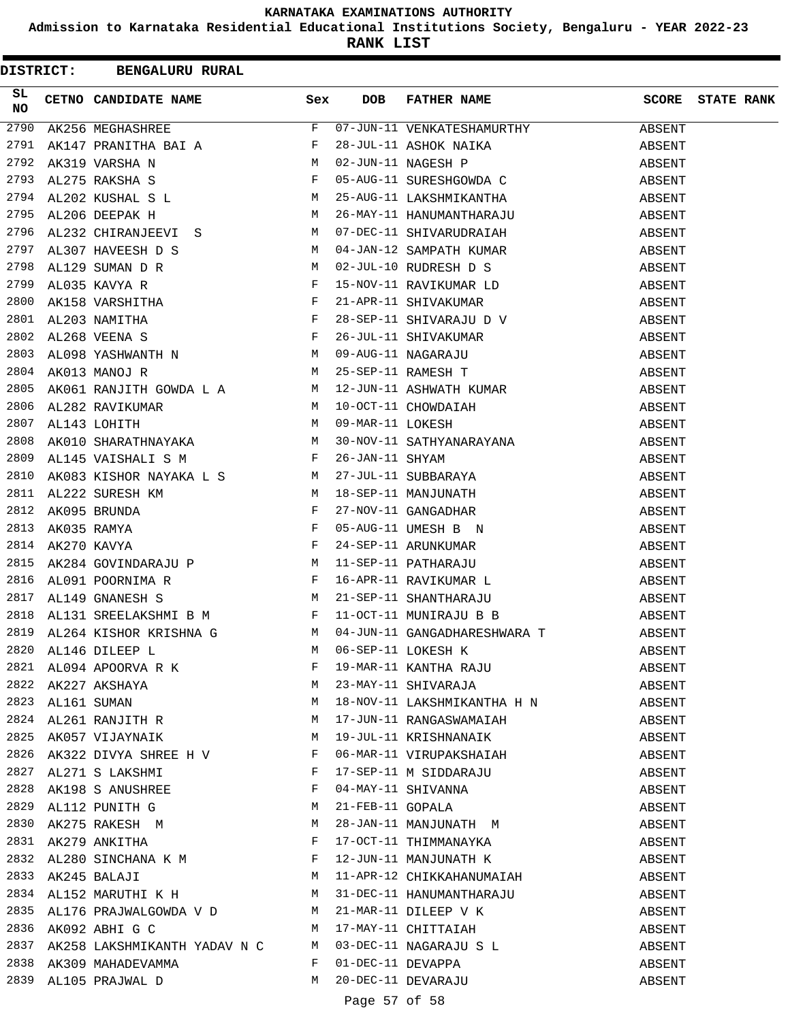**Admission to Karnataka Residential Educational Institutions Society, Bengaluru - YEAR 2022-23**

|          | DISTRICT: BENGALURU RURAL                                                                     |              |            |                                                                                                                                                                                                                                                            |        |                         |
|----------|-----------------------------------------------------------------------------------------------|--------------|------------|------------------------------------------------------------------------------------------------------------------------------------------------------------------------------------------------------------------------------------------------------------|--------|-------------------------|
| SL<br>NO | CETNO CANDIDATE NAME Sex                                                                      |              | <b>DOB</b> | FATHER NAME<br>NO CETRO CARDIDATE RAME<br>2790 AK256 MEGHASHREE<br>2791 AK216 MEGHASHREE<br>2791 AK319 VARSHA BAI A<br>2792 AK319 VARSHA BAI A<br>2793 AL3275 RAKSHA S<br>2793 AL3275 RAKSHA S<br>2793 AL3275 RAKSHA S<br>2794 AL320 KUBAL S<br>2794 AL320 |        | <b>SCORE</b> STATE RANK |
|          |                                                                                               |              |            |                                                                                                                                                                                                                                                            | ABSENT |                         |
|          |                                                                                               |              |            |                                                                                                                                                                                                                                                            | ABSENT |                         |
|          |                                                                                               |              |            |                                                                                                                                                                                                                                                            | ABSENT |                         |
|          |                                                                                               |              |            |                                                                                                                                                                                                                                                            | ABSENT |                         |
|          |                                                                                               |              |            |                                                                                                                                                                                                                                                            | ABSENT |                         |
|          |                                                                                               |              |            |                                                                                                                                                                                                                                                            | ABSENT |                         |
|          |                                                                                               |              |            |                                                                                                                                                                                                                                                            | ABSENT |                         |
|          |                                                                                               |              |            |                                                                                                                                                                                                                                                            | ABSENT |                         |
|          |                                                                                               |              |            |                                                                                                                                                                                                                                                            | ABSENT |                         |
|          |                                                                                               |              |            |                                                                                                                                                                                                                                                            | ABSENT |                         |
|          |                                                                                               |              |            |                                                                                                                                                                                                                                                            | ABSENT |                         |
|          |                                                                                               |              |            |                                                                                                                                                                                                                                                            | ABSENT |                         |
|          |                                                                                               |              |            |                                                                                                                                                                                                                                                            | ABSENT |                         |
|          |                                                                                               |              |            |                                                                                                                                                                                                                                                            | ABSENT |                         |
|          |                                                                                               |              |            |                                                                                                                                                                                                                                                            | ABSENT |                         |
|          |                                                                                               |              |            |                                                                                                                                                                                                                                                            | ABSENT |                         |
| 2806     |                                                                                               |              |            |                                                                                                                                                                                                                                                            |        |                         |
| 2807     |                                                                                               |              |            |                                                                                                                                                                                                                                                            |        |                         |
| 2808     |                                                                                               |              |            |                                                                                                                                                                                                                                                            |        |                         |
| 2809     |                                                                                               |              |            |                                                                                                                                                                                                                                                            |        |                         |
| 2810     |                                                                                               |              |            |                                                                                                                                                                                                                                                            |        |                         |
| 2811     |                                                                                               |              |            |                                                                                                                                                                                                                                                            |        |                         |
| 2812     |                                                                                               |              |            |                                                                                                                                                                                                                                                            |        |                         |
| 2813     |                                                                                               |              |            |                                                                                                                                                                                                                                                            |        |                         |
| 2814     |                                                                                               |              |            |                                                                                                                                                                                                                                                            |        |                         |
| 2815     |                                                                                               |              |            |                                                                                                                                                                                                                                                            |        |                         |
| 2816     |                                                                                               |              |            |                                                                                                                                                                                                                                                            |        |                         |
| 2817     |                                                                                               |              |            |                                                                                                                                                                                                                                                            |        |                         |
| 2818     |                                                                                               |              |            |                                                                                                                                                                                                                                                            |        |                         |
|          |                                                                                               |              |            | 2819 AL264 KISHOR KRISHNA G M 04-JUN-11 GANGADHARESHWARA T                                                                                                                                                                                                 | ABSENT |                         |
|          | 2820 AL146 DILEEP L<br>2821 AL094 APOORVA R K F<br>2822 AK227 AKSHAYA M<br>2823 AL161 SUMAN M |              |            | 06-SEP-11 LOKESH K<br>19-MAR-11 KANTHA RAJU<br>23-MAY-11 SHIVARAJA                                                                                                                                                                                         | ABSENT |                         |
|          |                                                                                               |              |            |                                                                                                                                                                                                                                                            | ABSENT |                         |
|          |                                                                                               |              |            |                                                                                                                                                                                                                                                            | ABSENT |                         |
|          |                                                                                               |              |            | 18-NOV-11 LAKSHMIKANTHA H N                                                                                                                                                                                                                                | ABSENT |                         |
|          | 2824 AL261 RANJITH R M                                                                        |              |            | 17-JUN-11 RANGASWAMAIAH                                                                                                                                                                                                                                    | ABSENT |                         |
|          | 2825 AK057 VIJAYNAIK M                                                                        |              |            | 19-JUL-11 KRISHNANAIK                                                                                                                                                                                                                                      | ABSENT |                         |
|          | 2826 AK322 DIVYA SHREE H V $F$                                                                |              |            | 06-MAR-11 VIRUPAKSHAIAH                                                                                                                                                                                                                                    | ABSENT |                         |
|          | 2827 AL271 S LAKSHMI F                                                                        |              |            | 17-SEP-11 M SIDDARAJU                                                                                                                                                                                                                                      | ABSENT |                         |
|          | 2828 AK198 S ANUSHREE                                                                         | $\mathbf{F}$ |            | 04-MAY-11 SHIVANNA<br>21-FEB-11 GOPALA<br>28-JAN-11 MANJUNATH M                                                                                                                                                                                            | ABSENT |                         |
|          | 2829 AL112 PUNITH G<br>2830 AK275 RAKESH M                                                    | M            |            |                                                                                                                                                                                                                                                            | ABSENT |                         |
|          |                                                                                               | M            |            |                                                                                                                                                                                                                                                            | ABSENT |                         |
|          | 2831 AK279 ANKITHA F                                                                          |              |            | 17-OCT-11 THIMMANAYKA                                                                                                                                                                                                                                      | ABSENT |                         |
|          | 2832 AL280 SINCHANA K M                                                                       |              |            | 12-JUN-11 MANJUNATH K                                                                                                                                                                                                                                      | ABSENT |                         |
|          | M<br>2833 AK245 BALAJI                                                                        |              |            | 11-APR-12 CHIKKAHANUMAIAH                                                                                                                                                                                                                                  | ABSENT |                         |
|          | 2834 AL152 MARUTHI K H                                                                        |              |            | 31-DEC-11 HANUMANTHARAJU                                                                                                                                                                                                                                   | ABSENT |                         |
| 2835     | AL176 PRAJWALGOWDA V D M                                                                      |              |            |                                                                                                                                                                                                                                                            | ABSENT |                         |
|          | 2836 AK092 ABHI G C                                                                           | M            |            | 21-MAR-11 DILEEP V K<br>17-MAY-11 CHITTAIAH                                                                                                                                                                                                                | ABSENT |                         |
|          |                                                                                               |              |            | 2837 AK258 LAKSHMIKANTH YADAV N C M 03-DEC-11 NAGARAJU S L                                                                                                                                                                                                 | ABSENT |                         |
|          | 2838 AK309 MAHADEVAMMA                                                                        | F            |            | 01-DEC-11 DEVAPPA                                                                                                                                                                                                                                          | ABSENT |                         |
|          | 2839 AL105 PRAJWAL D                                                                          | M            |            | 20-DEC-11 DEVARAJU                                                                                                                                                                                                                                         | ABSENT |                         |
|          |                                                                                               |              |            |                                                                                                                                                                                                                                                            |        |                         |